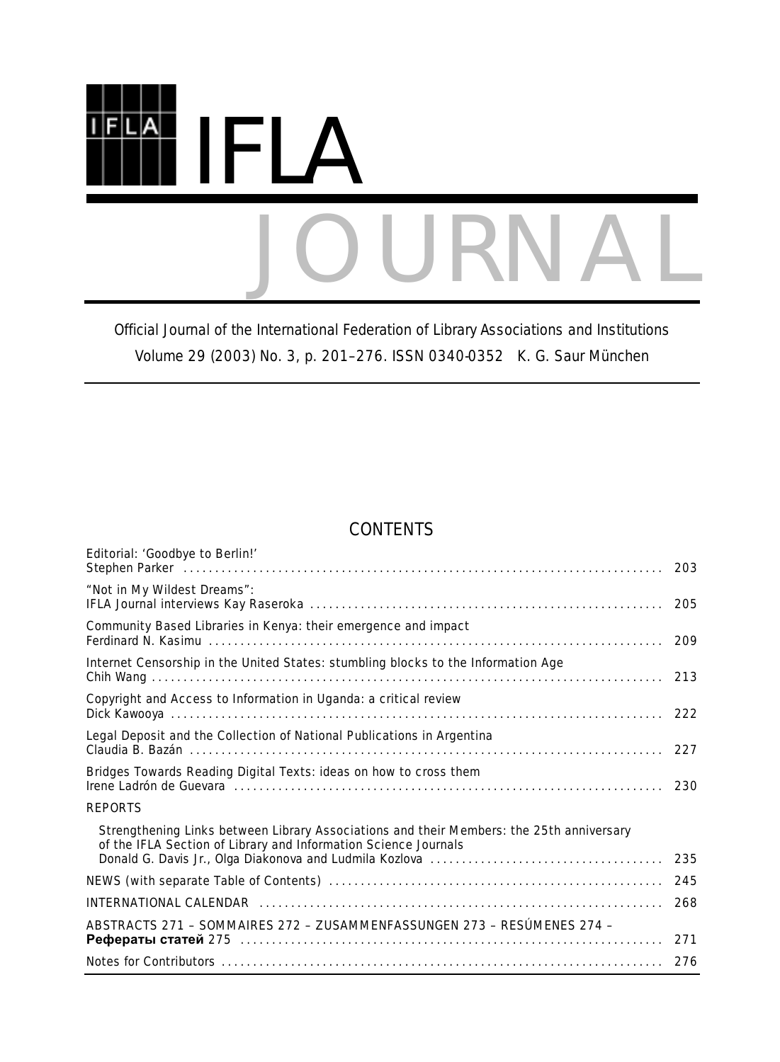

Editorial: 'Goodbye to Berlin!'

# JURNZ

Official Journal of the International Federation of Library Associations and Institutions Volume 29 (2003) No. 3, p. 201–276. ISSN 0340-0352 K. G. Saur München

# CONTENTS

| EQITOLISI: GOODDYE TO DEFIIIII.<br>Stephen Parker (and according to the control of the control of the control of the control of the control of the control of the control of the control of the control of the control of the control of the control of the contr | 203 |
|-------------------------------------------------------------------------------------------------------------------------------------------------------------------------------------------------------------------------------------------------------------------|-----|
| "Not in My Wildest Dreams":                                                                                                                                                                                                                                       |     |
| Community Based Libraries in Kenya: their emergence and impact                                                                                                                                                                                                    | 209 |
| Internet Censorship in the United States: stumbling blocks to the Information Age                                                                                                                                                                                 | 213 |
| Copyright and Access to Information in Uganda: a critical review                                                                                                                                                                                                  | 222 |
| Legal Deposit and the Collection of National Publications in Argentina                                                                                                                                                                                            |     |
| Bridges Towards Reading Digital Texts: ideas on how to cross them<br>Irene Ladrón de Guevara (alteracionalismo controllado de la controllado de la controllado de la controllado de                                                                               | 230 |
| <b>REPORTS</b>                                                                                                                                                                                                                                                    |     |
| Strengthening Links between Library Associations and their Members: the 25th anniversary<br>of the IFLA Section of Library and Information Science Journals                                                                                                       |     |
|                                                                                                                                                                                                                                                                   |     |
|                                                                                                                                                                                                                                                                   | 268 |
| ABSTRACTS 271 - SOMMAIRES 272 - ZUSAMMENFASSUNGEN 273 - RESÚMENES 274 -                                                                                                                                                                                           |     |
|                                                                                                                                                                                                                                                                   |     |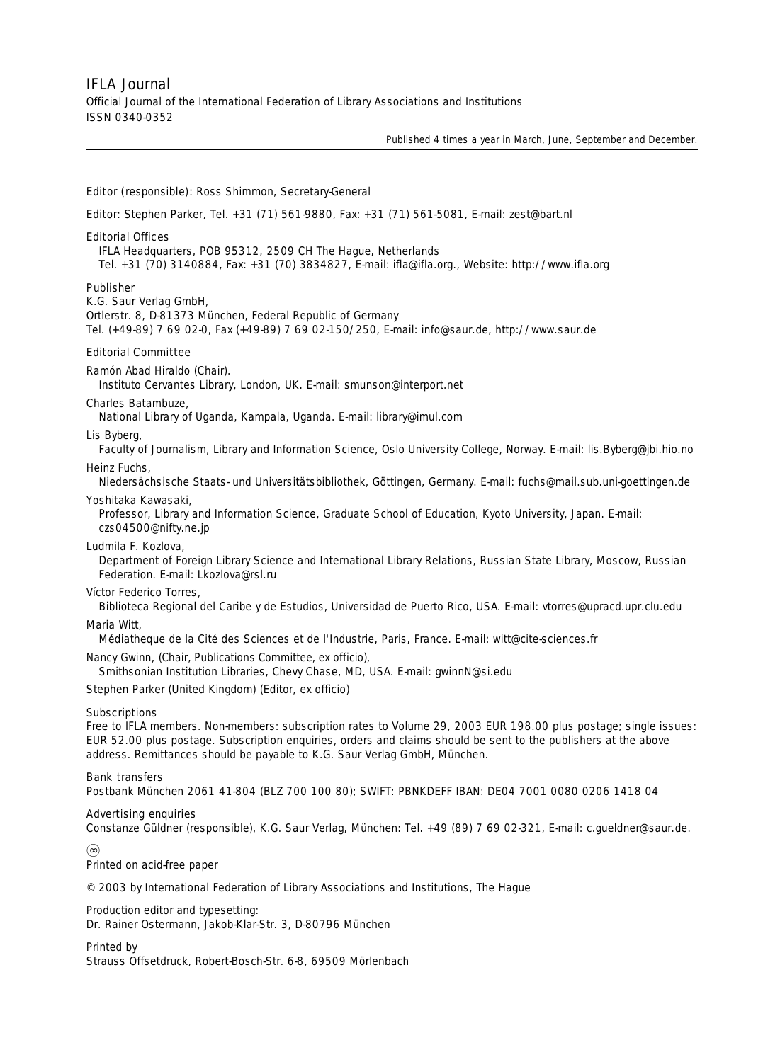### IFLA Journal

Official Journal of the International Federation of Library Associations and Institutions ISSN 0340-0352

Published 4 times a year in March, June, September and December.

#### Editor (responsible): Ross Shimmon, Secretary-General

Editor: Stephen Parker, Tel. +31 (71) 561-9880, Fax: +31 (71) 561-5081, E-mail: zest@bart.nl

#### Editorial Offices

IFLA Headquarters, POB 95312, 2509 CH The Hague, Netherlands Tel. +31 (70) 3140884, Fax: +31 (70) 3834827, E-mail: ifla@ifla.org., Website: http://www.ifla.org

#### Publisher

K.G. Saur Verlag GmbH,

Ortlerstr. 8, D-81373 München, Federal Republic of Germany

Tel. (+49-89) 7 69 02-0, Fax (+49-89) 7 69 02-150/250, E-mail: info@saur.de, http://www.saur.de

### Editorial Committee

Ramón Abad Hiraldo (Chair).

Instituto Cervantes Library, London, UK. E-mail: smunson@interport.net

#### Charles Batambuze,

National Library of Uganda, Kampala, Uganda. E-mail: library@imul.com

#### Lis Byberg,

Faculty of Journalism, Library and Information Science, Oslo University College, Norway. E-mail: lis.Byberg@jbi.hio.no Heinz Fuchs,

Niedersächsische Staats- und Universitätsbibliothek, Göttingen, Germany. E-mail: fuchs@mail.sub.uni-goettingen.de Yoshitaka Kawasaki,

Professor, Library and Information Science, Graduate School of Education, Kyoto University, Japan. E-mail: czs04500@nifty.ne.jp

Ludmila F. Kozlova,

Department of Foreign Library Science and International Library Relations, Russian State Library, Moscow, Russian Federation. E-mail: Lkozlova@rsl.ru

#### Víctor Federico Torres,

Biblioteca Regional del Caribe y de Estudios, Universidad de Puerto Rico, USA. E-mail: vtorres@upracd.upr.clu.edu Maria Witt

Médiatheque de la Cité des Sciences et de l'Industrie, Paris, France. E-mail: witt@cite-sciences.fr

Nancy Gwinn, *(Chair, Publications Committee, ex officio)*,

Smithsonian Institution Libraries, Chevy Chase, MD, USA. E-mail: gwinnN@si.edu

Stephen Parker (United Kingdom) (Editor, ex officio)

### **Subscriptions**

Free to IFLA members. Non-members: subscription rates to Volume 29, 2003 EUR 198.00 plus postage; single issues: EUR 52.00 plus postage. Subscription enquiries, orders and claims should be sent to the publishers at the above address. Remittances should be payable to K.G. Saur Verlag GmbH, München.

#### Bank transfers

Postbank München 2061 41-804 (BLZ 700 100 80); SWIFT: PBNKDEFF IBAN: DE04 7001 0080 0206 1418 04

#### Advertising enquiries

Constanze Güldner (responsible), K.G. Saur Verlag, München: Tel. +49 (89) 7 69 02-321, E-mail: c.gueldner@saur.de.

∞

Printed on acid-free paper

© 2003 by International Federation of Library Associations and Institutions, The Hague

Production editor and typesetting: Dr. Rainer Ostermann, Jakob-Klar-Str. 3, D-80796 München

Printed by Strauss Offsetdruck, Robert-Bosch-Str. 6-8, 69509 Mörlenbach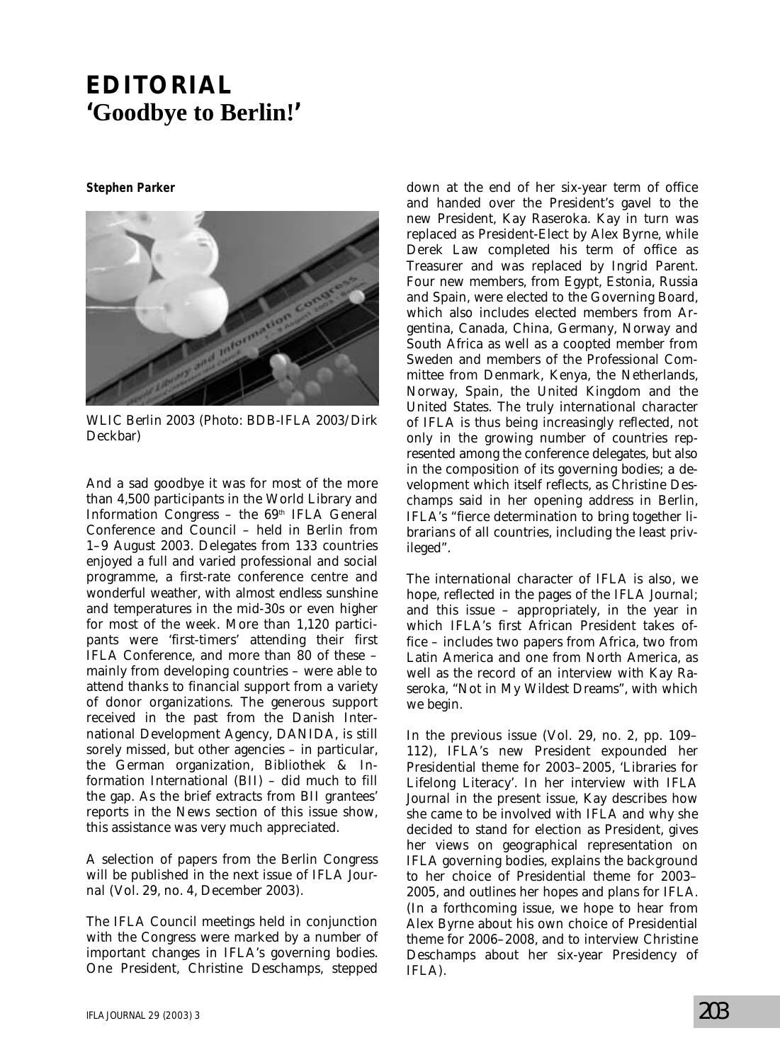# **EDITORIAL 'Goodbye to Berlin!'**

### *Stephen Parker*



*WLIC Berlin 2003* (Photo: BDB-IFLA 2003/Dirk Deckbar)

And a sad goodbye it was for most of the more than 4,500 participants in the World Library and Information Congress – the  $69<sup>th</sup>$  IFLA General Conference and Council – held in Berlin from 1–9 August 2003. Delegates from 133 countries enjoyed a full and varied professional and social programme, a first-rate conference centre and wonderful weather, with almost endless sunshine and temperatures in the mid-30s or even higher for most of the week. More than 1,120 participants were 'first-timers' attending their first IFLA Conference, and more than 80 of these – mainly from developing countries – were able to attend thanks to financial support from a variety of donor organizations. The generous support received in the past from the Danish International Development Agency, DANIDA, is still sorely missed, but other agencies – in particular, the German organization, Bibliothek & Information International (BII) – did much to fill the gap. As the brief extracts from BII grantees' reports in the News section of this issue show, this assistance was very much appreciated.

A selection of papers from the Berlin Congress will be published in the next issue of *IFLA Journal* (Vol. 29, no. 4, December 2003).

The IFLA Council meetings held in conjunction with the Congress were marked by a number of important changes in IFLA's governing bodies. One President, Christine Deschamps, stepped

down at the end of her six-year term of office and handed over the President's gavel to the new President, Kay Raseroka. Kay in turn was replaced as President-Elect by Alex Byrne, while Derek Law completed his term of office as Treasurer and was replaced by Ingrid Parent. Four new members, from Egypt, Estonia, Russia and Spain, were elected to the Governing Board, which also includes elected members from Argentina, Canada, China, Germany, Norway and South Africa as well as a coopted member from Sweden and members of the Professional Committee from Denmark, Kenya, the Netherlands, Norway, Spain, the United Kingdom and the United States. The truly international character of IFLA is thus being increasingly reflected, not only in the growing number of countries represented among the conference delegates, but also in the composition of its governing bodies; a development which itself reflects, as Christine Deschamps said in her opening address in Berlin, IFLA's "fierce determination to bring together librarians of all countries, including the least privileged".

The international character of IFLA is also, we hope, reflected in the pages of the *IFLA Journal*; and this issue – appropriately, in the year in which IFLA's first African President takes office – includes two papers from Africa, two from Latin America and one from North America, as well as the record of an interview with Kay Raseroka, "Not in My Wildest Dreams", with which we begin.

In the previous issue (Vol. 29, no. 2, pp. 109– 112), IFLA's new President expounded her Presidential theme for 2003–2005, 'Libraries for Lifelong Literacy'. In her interview with *IFLA*  Journal in the present issue, Kay describes how she came to be involved with IFLA and why she decided to stand for election as President, gives her views on geographical representation on IFLA governing bodies, explains the background to her choice of Presidential theme for 2003– 2005, and outlines her hopes and plans for IFLA. (In a forthcoming issue, we hope to hear from Alex Byrne about his own choice of Presidential theme for 2006–2008, and to interview Christine Deschamps about her six-year Presidency of IFLA).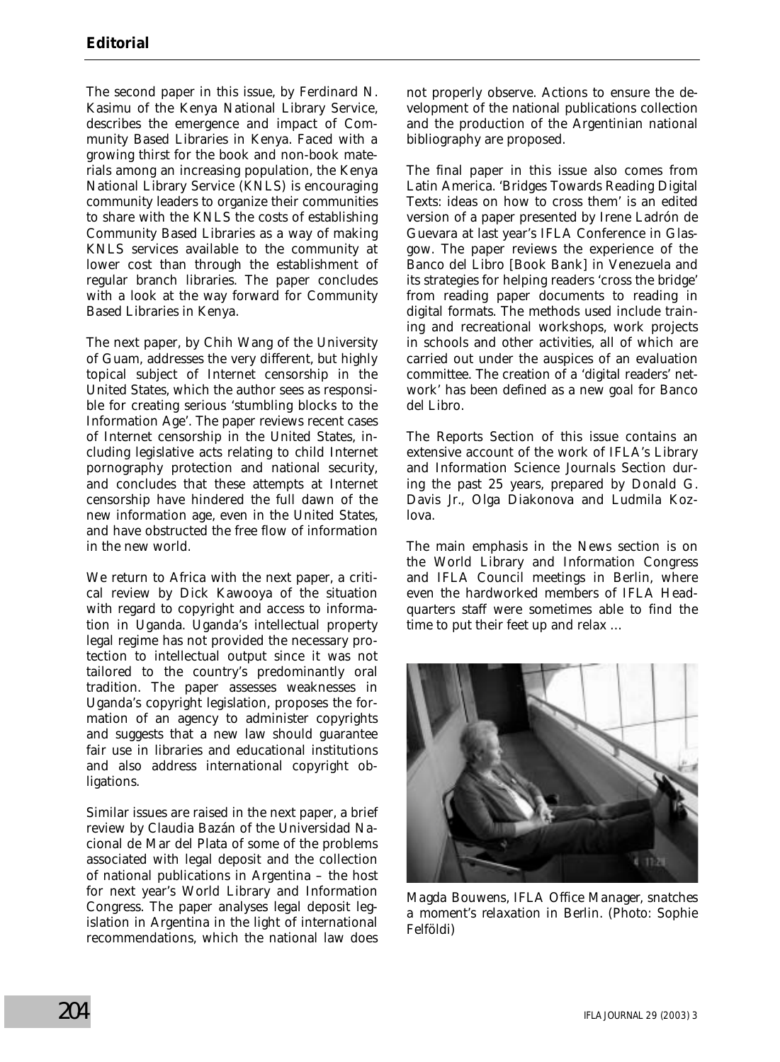The second paper in this issue, by Ferdinard N. Kasimu of the Kenya National Library Service, describes the emergence and impact of Community Based Libraries in Kenya. Faced with a growing thirst for the book and non-book materials among an increasing population, the Kenya National Library Service (KNLS) is encouraging community leaders to organize their communities to share with the KNLS the costs of establishing Community Based Libraries as a way of making KNLS services available to the community at lower cost than through the establishment of regular branch libraries. The paper concludes with a look at the way forward for Community Based Libraries in Kenya.

The next paper, by Chih Wang of the University of Guam, addresses the very different, but highly topical subject of Internet censorship in the United States, which the author sees as responsible for creating serious 'stumbling blocks to the Information Age'. The paper reviews recent cases of Internet censorship in the United States, including legislative acts relating to child Internet pornography protection and national security, and concludes that these attempts at Internet censorship have hindered the full dawn of the new information age, even in the United States, and have obstructed the free flow of information in the new world.

We return to Africa with the next paper, a critical review by Dick Kawooya of the situation with regard to copyright and access to information in Uganda. Uganda's intellectual property legal regime has not provided the necessary protection to intellectual output since it was not tailored to the country's predominantly oral tradition. The paper assesses weaknesses in Uganda's copyright legislation, proposes the formation of an agency to administer copyrights and suggests that a new law should guarantee fair use in libraries and educational institutions and also address international copyright obligations.

Similar issues are raised in the next paper, a brief review by Claudia Bazán of the Universidad Nacional de Mar del Plata of some of the problems associated with legal deposit and the collection of national publications in Argentina – the host for next year's World Library and Information Congress. The paper analyses legal deposit legislation in Argentina in the light of international recommendations, which the national law does

not properly observe. Actions to ensure the development of the national publications collection and the production of the Argentinian national bibliography are proposed.

The final paper in this issue also comes from Latin America. 'Bridges Towards Reading Digital Texts: ideas on how to cross them' is an edited version of a paper presented by Irene Ladrón de Guevara at last year's IFLA Conference in Glasgow. The paper reviews the experience of the Banco del Libro [Book Bank] in Venezuela and its strategies for helping readers 'cross the bridge' from reading paper documents to reading in digital formats. The methods used include training and recreational workshops, work projects in schools and other activities, all of which are carried out under the auspices of an evaluation committee. The creation of a 'digital readers' network' has been defined as a new goal for Banco del Libro.

The Reports Section of this issue contains an extensive account of the work of IFLA's Library and Information Science Journals Section during the past 25 years, prepared by Donald G. Davis Jr., Olga Diakonova and Ludmila Kozlova.

The main emphasis in the News section is on the World Library and Information Congress and IFLA Council meetings in Berlin, where even the hardworked members of IFLA Headquarters staff were sometimes able to find the time to put their feet up and relax …



*Magda Bouwens, IFLA Office Manager, snatches a moment's relaxation in Berlin.* (Photo: Sophie Felföldi)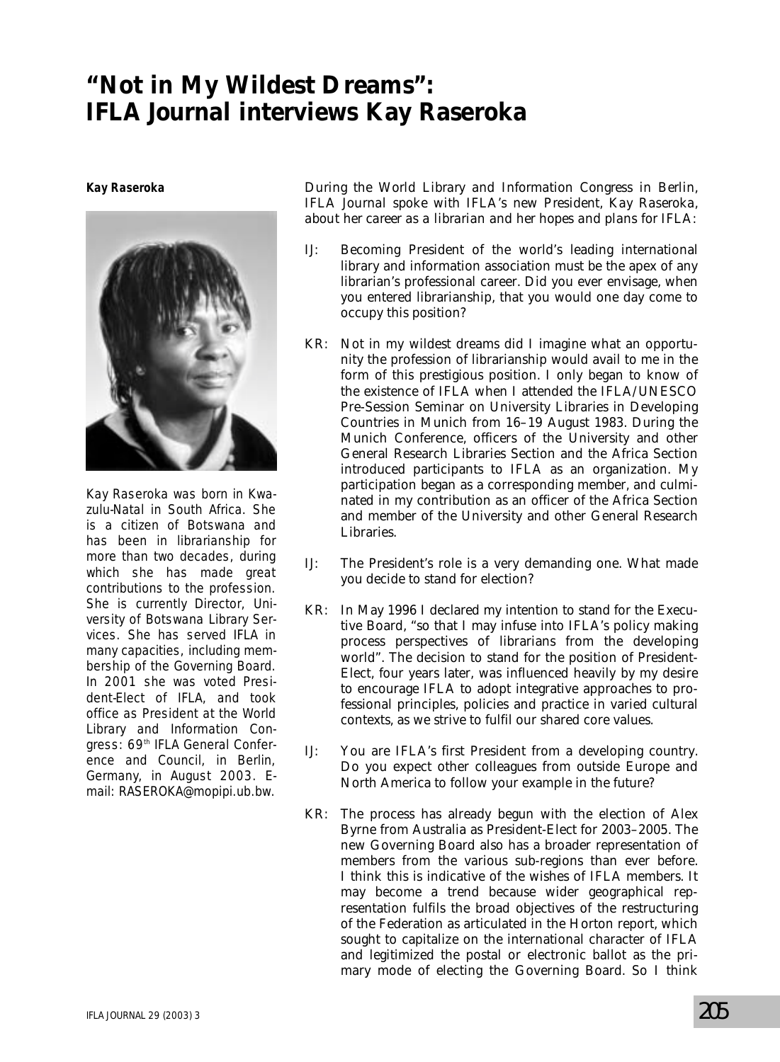# **"Not in My Wildest Dreams":**  *IFLA Journal* **interviews Kay Raseroka**

### *Kay Raseroka*



Kay Raseroka was born in Kwazulu-Natal in South Africa. She is a citizen of Botswana and has been in librarianship for more than two decades, during which she has made great contributions to the profession. She is currently Director, University of Botswana Library Services. She has served IFLA in many capacities, including membership of the Governing Board. In 2001 she was voted President-Elect of IFLA, and took office as President at the World Library and Information Congress: 69<sup>th</sup> IFLA General Conference and Council, in Berlin, Germany, in August 2003. Email: RASEROKA@mopipi.ub.bw.

*During the World Library and Information Congress in Berlin, IFLA Journal spoke with IFLA's new President, Kay Raseroka, about her career as a librarian and her hopes and plans for IFLA:*

- *IJ:* Becoming President of the world's leading international library and information association must be the apex of any librarian's professional career. Did you ever envisage, when you entered librarianship, that you would one day come to occupy this position?
- *KR:* Not in my wildest dreams did I imagine what an opportunity the profession of librarianship would avail to me in the form of this prestigious position. I only began to know of the existence of IFLA when I attended the IFLA/UNESCO Pre-Session Seminar on University Libraries in Developing Countries in Munich from 16–19 August 1983. During the Munich Conference, officers of the University and other General Research Libraries Section and the Africa Section introduced participants to IFLA as an organization. My participation began as a corresponding member, and culminated in my contribution as an officer of the Africa Section and member of the University and other General Research Libraries.
- *IJ:* The President's role is a very demanding one. What made you decide to stand for election?
- *KR:* In May 1996 I declared my intention to stand for the Executive Board, "so that I may infuse into IFLA's policy making process perspectives of librarians from the developing world". The decision to stand for the position of President-Elect, four years later, was influenced heavily by my desire to encourage IFLA to adopt integrative approaches to professional principles, policies and practice in varied cultural contexts, as we strive to fulfil our shared core values.
- *IJ:* You are IFLA's first President from a developing country. Do you expect other colleagues from outside Europe and North America to follow your example in the future?
- *KR:* The process has already begun with the election of Alex Byrne from Australia as President-Elect for 2003–2005. The new Governing Board also has a broader representation of members from the various sub-regions than ever before. I think this is indicative of the wishes of IFLA members. It may become a trend because wider geographical representation fulfils the broad objectives of the restructuring of the Federation as articulated in the Horton report, which sought to capitalize on the international character of IFLA and legitimized the postal or electronic ballot as the primary mode of electing the Governing Board. So I think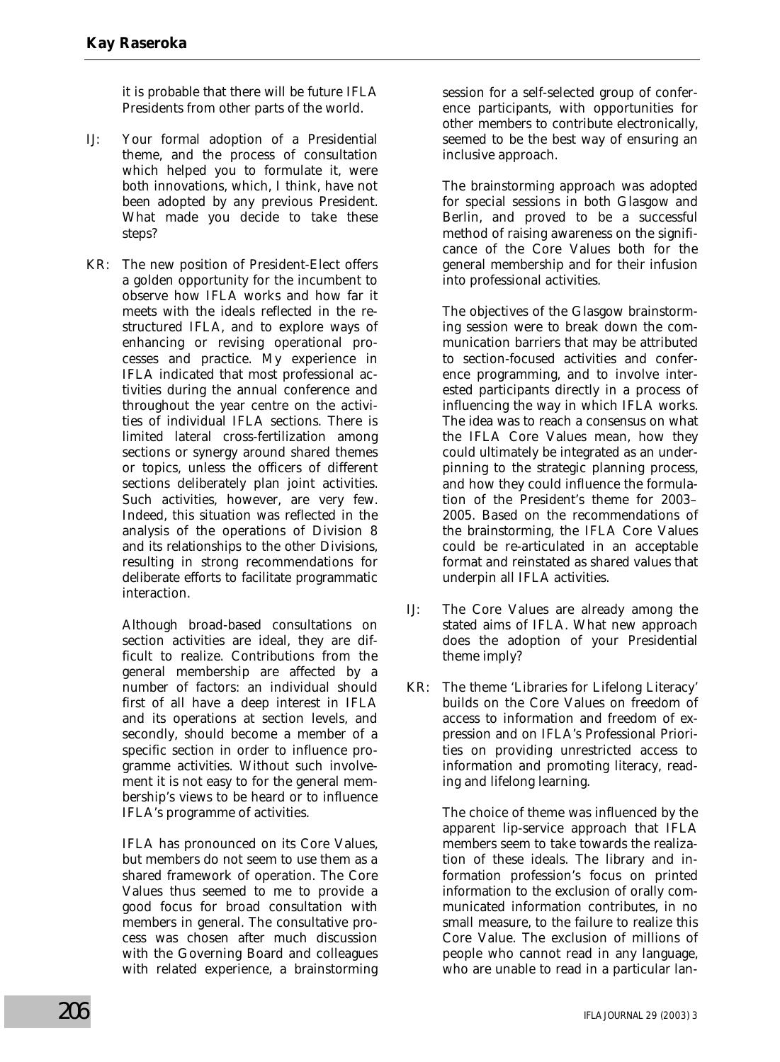it is probable that there will be future IFLA Presidents from other parts of the world.

- *IJ:* Your formal adoption of a Presidential theme, and the process of consultation which helped you to formulate it, were both innovations, which, I think, have not been adopted by any previous President. What made you decide to take these steps?
- *KR:* The new position of President-Elect offers a golden opportunity for the incumbent to observe how IFLA works and how far it meets with the ideals reflected in the restructured IFLA, and to explore ways of enhancing or revising operational processes and practice. My experience in IFLA indicated that most professional activities during the annual conference and throughout the year centre on the activities of individual IFLA sections. There is limited lateral cross-fertilization among sections or synergy around shared themes or topics, unless the officers of different sections deliberately plan joint activities. Such activities, however, are very few. Indeed, this situation was reflected in the analysis of the operations of Division 8 and its relationships to the other Divisions, resulting in strong recommendations for deliberate efforts to facilitate programmatic interaction.

Although broad-based consultations on section activities are ideal, they are difficult to realize. Contributions from the general membership are affected by a number of factors: an individual should first of all have a deep interest in IFLA and its operations at section levels, and secondly, should become a member of a specific section in order to influence programme activities. Without such involvement it is not easy to for the general membership's views to be heard or to influence IFLA's programme of activities.

IFLA has pronounced on its Core Values, but members do not seem to use them as a shared framework of operation. The Core Values thus seemed to me to provide a good focus for broad consultation with members in general. The consultative process was chosen after much discussion with the Governing Board and colleagues with related experience, a brainstorming

session for a self-selected group of conference participants, with opportunities for other members to contribute electronically, seemed to be the best way of ensuring an inclusive approach.

The brainstorming approach was adopted for special sessions in both Glasgow and Berlin, and proved to be a successful method of raising awareness on the significance of the Core Values both for the general membership and for their infusion into professional activities.

The objectives of the Glasgow brainstorming session were to break down the communication barriers that may be attributed to section-focused activities and conference programming, and to involve interested participants directly in a process of influencing the way in which IFLA works. The idea was to reach a consensus on what the IFLA Core Values mean, how they could ultimately be integrated as an underpinning to the strategic planning process, and how they could influence the formulation of the President's theme for 2003– 2005. Based on the recommendations of the brainstorming, the IFLA Core Values could be re-articulated in an acceptable format and reinstated as shared values that underpin all IFLA activities.

- *IJ*: The Core Values are already among the stated aims of IFLA. What new approach does the adoption of your Presidential theme imply?
- *KR:* The theme 'Libraries for Lifelong Literacy' builds on the Core Values on freedom of access to information and freedom of expression and on IFLA's Professional Priorities on providing unrestricted access to information and promoting literacy, reading and lifelong learning.

The choice of theme was influenced by the apparent lip-service approach that IFLA members seem to take towards the realization of these ideals. The library and information profession's focus on printed information to the exclusion of orally communicated information contributes, in no small measure, to the failure to realize this Core Value. The exclusion of millions of people who cannot read in any language, who are unable to read in a particular lan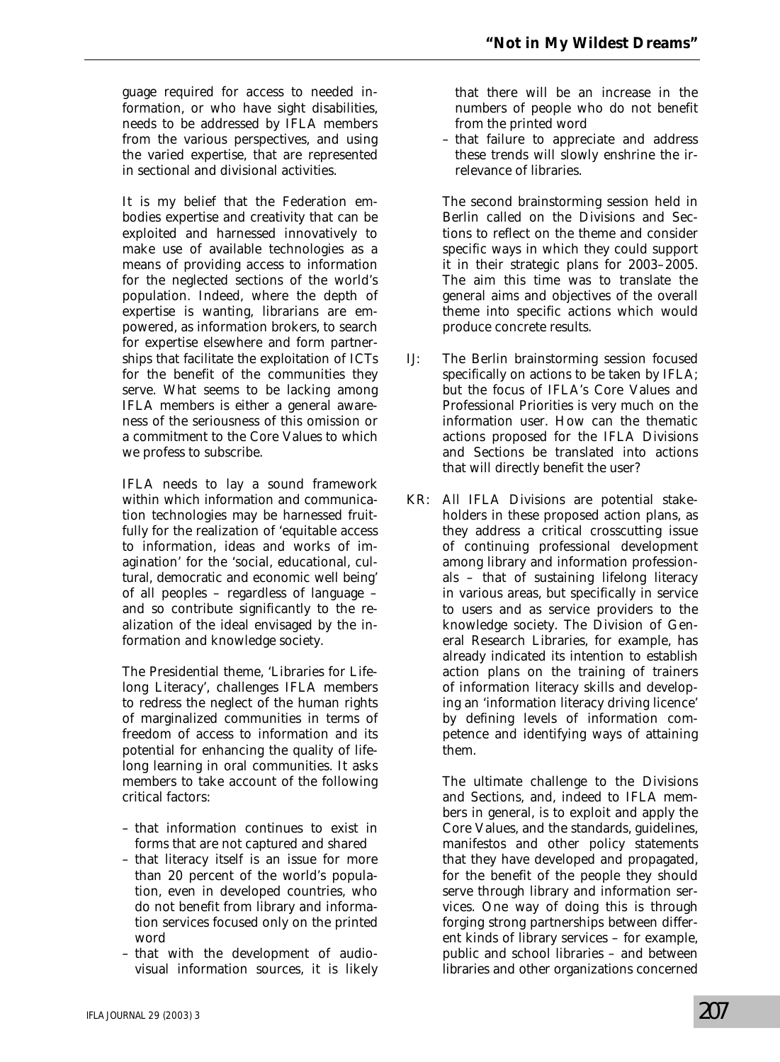guage required for access to needed information, or who have sight disabilities, needs to be addressed by IFLA members from the various perspectives, and using the varied expertise, that are represented in sectional and divisional activities.

It is my belief that the Federation embodies expertise and creativity that can be exploited and harnessed innovatively to make use of available technologies as a means of providing access to information for the neglected sections of the world's population. Indeed, where the depth of expertise is wanting, librarians are empowered, as information brokers, to search for expertise elsewhere and form partnerships that facilitate the exploitation of ICTs for the benefit of the communities they serve. What seems to be lacking among IFLA members is either a general awareness of the seriousness of this omission or a commitment to the Core Values to which we profess to subscribe.

IFLA needs to lay a sound framework within which information and communication technologies may be harnessed fruitfully for the realization of 'equitable access to information, ideas and works of imagination' for the 'social, educational, cultural, democratic and economic well being' of all peoples – regardless of language – and so contribute significantly to the realization of the ideal envisaged by the information and knowledge society.

The Presidential theme, 'Libraries for Lifelong Literacy', challenges IFLA members to redress the neglect of the human rights of marginalized communities in terms of freedom of access to information and its potential for enhancing the quality of lifelong learning in oral communities. It asks members to take account of the following critical factors:

- that information continues to exist in forms that are not captured and shared
- that literacy itself is an issue for more than 20 percent of the world's population, even in developed countries, who do not benefit from library and information services focused only on the printed word
- that with the development of audiovisual information sources, it is likely

that there will be an increase in the numbers of people who do not benefit from the printed word

that failure to appreciate and address these trends will slowly enshrine the irrelevance of libraries.

The second brainstorming session held in Berlin called on the Divisions and Sections to reflect on the theme and consider specific ways in which they could support it in their strategic plans for 2003–2005. The aim this time was to translate the general aims and objectives of the overall theme into specific actions which would produce concrete results.

- *IJ:* The Berlin brainstorming session focused specifically on actions to be taken by IFLA; but the focus of IFLA's Core Values and Professional Priorities is very much on the information user. How can the thematic actions proposed for the IFLA Divisions and Sections be translated into actions that will directly benefit the user?
- *KR:* All IFLA Divisions are potential stakeholders in these proposed action plans, as they address a critical crosscutting issue of continuing professional development among library and information professionals – that of sustaining lifelong literacy in various areas, but specifically in service to users and as service providers to the knowledge society. The Division of General Research Libraries, for example, has already indicated its intention to establish action plans on the training of trainers of information literacy skills and developing an 'information literacy driving licence' by defining levels of information competence and identifying ways of attaining them.

The ultimate challenge to the Divisions and Sections, and, indeed to IFLA members in general, is to exploit and apply the Core Values, and the standards, guidelines, manifestos and other policy statements that they have developed and propagated, for the benefit of the people they should serve through library and information services. One way of doing this is through forging strong partnerships between different kinds of library services – for example, public and school libraries – and between libraries and other organizations concerned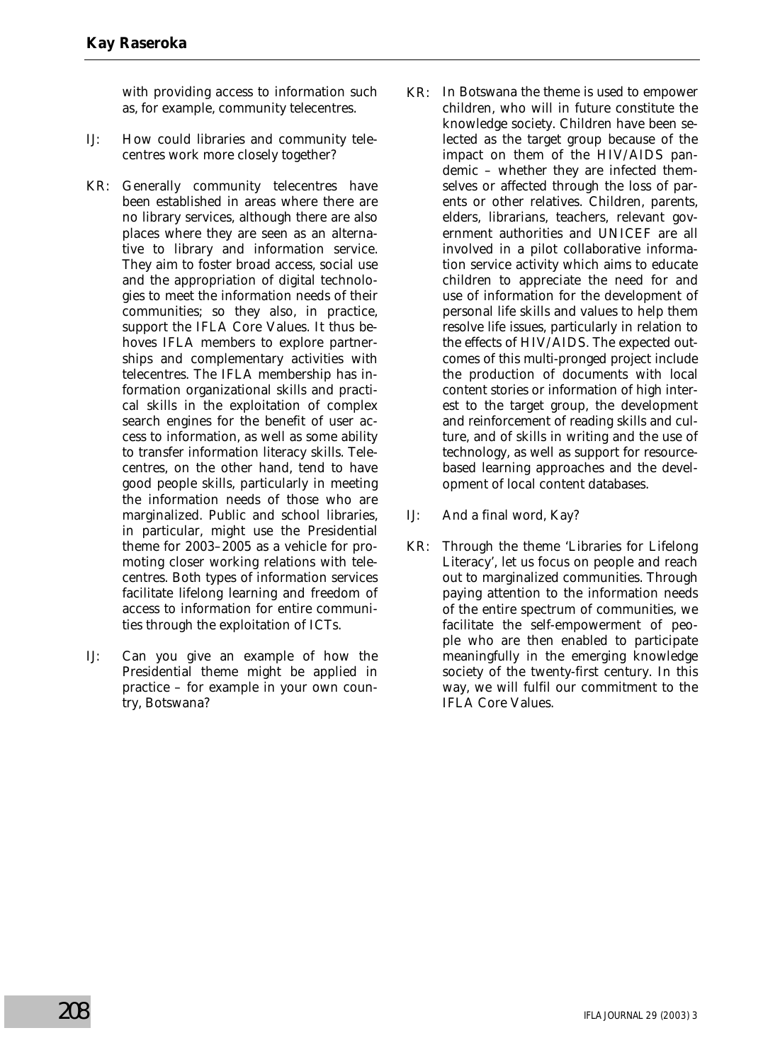with providing access to information such as, for example, community telecentres.

- *IJ:* How could libraries and community telecentres work more closely together?
- *KR:* Generally community telecentres have been established in areas where there are no library services, although there are also places where they are seen as an alternative to library and information service. They aim to foster broad access, social use and the appropriation of digital technologies to meet the information needs of their communities; so they also, in practice, support the IFLA Core Values. It thus behoves IFLA members to explore partnerships and complementary activities with telecentres. The IFLA membership has information organizational skills and practical skills in the exploitation of complex search engines for the benefit of user access to information, as well as some ability to transfer information literacy skills. Telecentres, on the other hand, tend to have good people skills, particularly in meeting the information needs of those who are marginalized. Public and school libraries, in particular, might use the Presidential theme for 2003–2005 as a vehicle for promoting closer working relations with telecentres. Both types of information services facilitate lifelong learning and freedom of access to information for entire communities through the exploitation of ICTs.
- *IJ:* Can you give an example of how the Presidential theme might be applied in practice – for example in your own country, Botswana?
- *KR:* In Botswana the theme is used to empower children, who will in future constitute the knowledge society. Children have been selected as the target group because of the impact on them of the HIV/AIDS pandemic – whether they are infected themselves or affected through the loss of parents or other relatives. Children, parents, elders, librarians, teachers, relevant government authorities and UNICEF are all involved in a pilot collaborative information service activity which aims to educate children to appreciate the need for and use of information for the development of personal life skills and values to help them resolve life issues, particularly in relation to the effects of HIV/AIDS. The expected outcomes of this multi-pronged project include the production of documents with local content stories or information of high interest to the target group, the development and reinforcement of reading skills and culture, and of skills in writing and the use of technology, as well as support for resourcebased learning approaches and the development of local content databases.
- *IJ:* And a final word, Kay?
- *KR:* Through the theme 'Libraries for Lifelong Literacy', let us focus on people and reach out to marginalized communities. Through paying attention to the information needs of the entire spectrum of communities, we facilitate the self-empowerment of people who are then enabled to participate meaningfully in the emerging knowledge society of the twenty-first century. In this way, we will fulfil our commitment to the IFLA Core Values.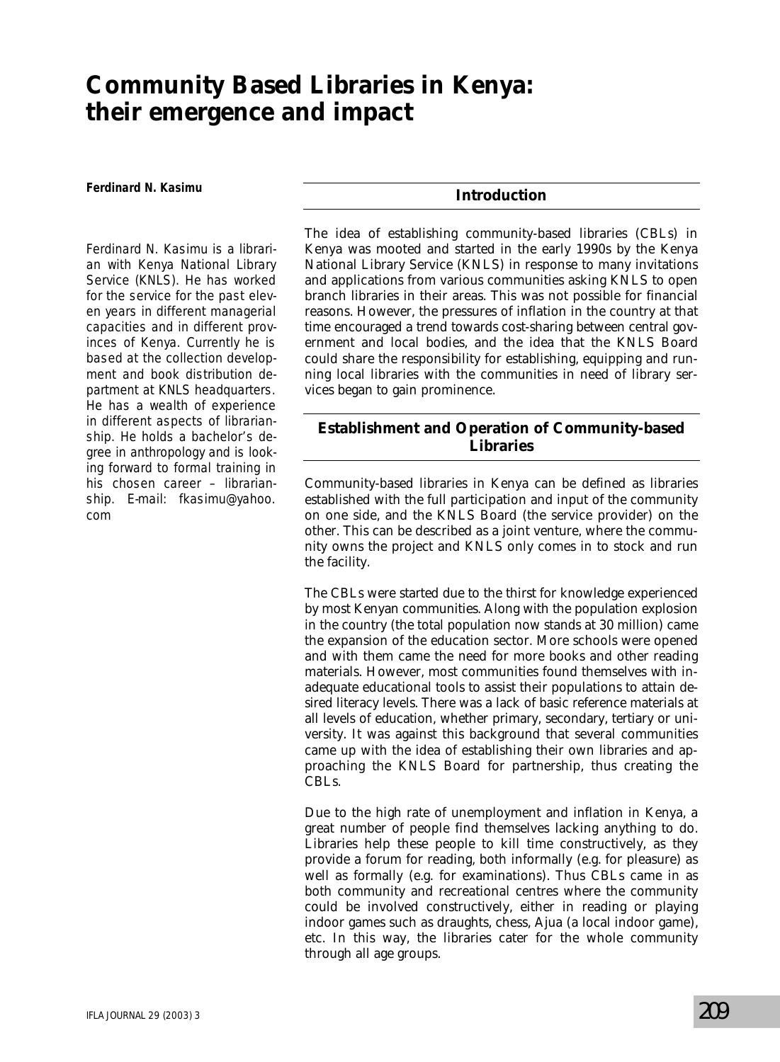# **Community Based Libraries in Kenya: their emergence and impact**

### *Ferdinard N. Kasimu*

Ferdinard N. Kasimu is a librarian with Kenya National Library Service (KNLS). He has worked for the service for the past eleven years in different managerial capacities and in different provinces of Kenya. Currently he is based at the collection development and book distribution department at KNLS headquarters. He has a wealth of experience in different aspects of librarianship. He holds a bachelor's degree in anthropology and is looking forward to formal training in his chosen career – librarianship. E-mail: fkasimu@yahoo. com

### **Introduction**

The idea of establishing community-based libraries (CBLs) in Kenya was mooted and started in the early 1990s by the Kenya National Library Service (KNLS) in response to many invitations and applications from various communities asking KNLS to open branch libraries in their areas. This was not possible for financial reasons. However, the pressures of inflation in the country at that time encouraged a trend towards cost-sharing between central government and local bodies, and the idea that the KNLS Board could share the responsibility for establishing, equipping and running local libraries with the communities in need of library services began to gain prominence.

# **Establishment and Operation of Community-based Libraries**

Community-based libraries in Kenya can be defined as libraries established with the full participation and input of the community on one side, and the KNLS Board (the service provider) on the other. This can be described as a joint venture, where the community owns the project and KNLS only comes in to stock and run the facility.

The CBLs were started due to the thirst for knowledge experienced by most Kenyan communities. Along with the population explosion in the country (the total population now stands at 30 million) came the expansion of the education sector. More schools were opened and with them came the need for more books and other reading materials. However, most communities found themselves with inadequate educational tools to assist their populations to attain desired literacy levels. There was a lack of basic reference materials at all levels of education, whether primary, secondary, tertiary or university. It was against this background that several communities came up with the idea of establishing their own libraries and approaching the KNLS Board for partnership, thus creating the CBLs.

Due to the high rate of unemployment and inflation in Kenya, a great number of people find themselves lacking anything to do. Libraries help these people to kill time constructively, as they provide a forum for reading, both informally (e.g. for pleasure) as well as formally (e.g. for examinations). Thus CBLs came in as both community and recreational centres where the community could be involved constructively, either in reading or playing indoor games such as draughts, chess, Ajua (a local indoor game), etc. In this way, the libraries cater for the whole community through all age groups.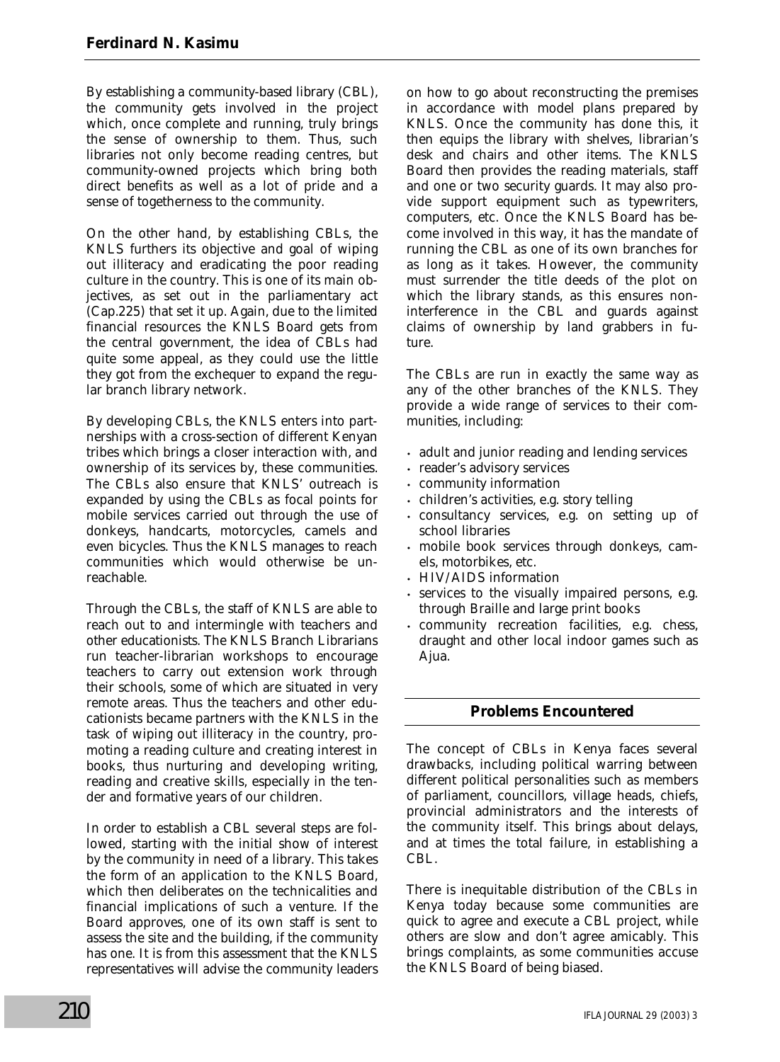By establishing a community-based library (CBL), the community gets involved in the project which, once complete and running, truly brings the sense of ownership to them. Thus, such libraries not only become reading centres, but community-owned projects which bring both direct benefits as well as a lot of pride and a sense of togetherness to the community.

On the other hand, by establishing CBLs, the KNLS furthers its objective and goal of wiping out illiteracy and eradicating the poor reading culture in the country. This is one of its main objectives, as set out in the parliamentary act (Cap.225) that set it up. Again, due to the limited financial resources the KNLS Board gets from the central government, the idea of CBLs had quite some appeal, as they could use the little they got from the exchequer to expand the regular branch library network.

By developing CBLs, the KNLS enters into partnerships with a cross-section of different Kenyan tribes which brings a closer interaction with, and ownership of its services by, these communities. The CBLs also ensure that KNLS' outreach is expanded by using the CBLs as focal points for mobile services carried out through the use of donkeys, handcarts, motorcycles, camels and even bicycles. Thus the KNLS manages to reach communities which would otherwise be unreachable.

Through the CBLs, the staff of KNLS are able to reach out to and intermingle with teachers and other educationists. The KNLS Branch Librarians run teacher-librarian workshops to encourage teachers to carry out extension work through their schools, some of which are situated in very remote areas. Thus the teachers and other educationists became partners with the KNLS in the task of wiping out illiteracy in the country, promoting a reading culture and creating interest in books, thus nurturing and developing writing, reading and creative skills, especially in the tender and formative years of our children.

In order to establish a CBL several steps are followed, starting with the initial show of interest by the community in need of a library. This takes the form of an application to the KNLS Board, which then deliberates on the technicalities and financial implications of such a venture. If the Board approves, one of its own staff is sent to assess the site and the building, if the community has one. It is from this assessment that the KNLS representatives will advise the community leaders

on how to go about reconstructing the premises in accordance with model plans prepared by KNLS. Once the community has done this, it then equips the library with shelves, librarian's desk and chairs and other items. The KNLS Board then provides the reading materials, staff and one or two security guards. It may also provide support equipment such as typewriters, computers, etc. Once the KNLS Board has become involved in this way, it has the mandate of running the CBL as one of its own branches for as long as it takes. However, the community must surrender the title deeds of the plot on which the library stands, as this ensures noninterference in the CBL and guards against claims of ownership by land grabbers in future.

The CBLs are run in exactly the same way as any of the other branches of the KNLS. They provide a wide range of services to their communities, including:

- adult and junior reading and lending services
- reader's advisory services
- community information
- children's activities, e.g. story telling
- consultancy services, e.g. on setting up of school libraries
- mobile book services through donkeys, camels, motorbikes, etc.
- HIV/AIDS information
- services to the visually impaired persons, e.g. through Braille and large print books
- community recreation facilities, e.g. chess, draught and other local indoor games such as Ajua.

### **Problems Encountered**

The concept of CBLs in Kenya faces several drawbacks, including political warring between different political personalities such as members of parliament, councillors, village heads, chiefs, provincial administrators and the interests of the community itself. This brings about delays, and at times the total failure, in establishing a CBL.

There is inequitable distribution of the CBLs in Kenya today because some communities are quick to agree and execute a CBL project, while others are slow and don't agree amicably. This brings complaints, as some communities accuse the KNLS Board of being biased.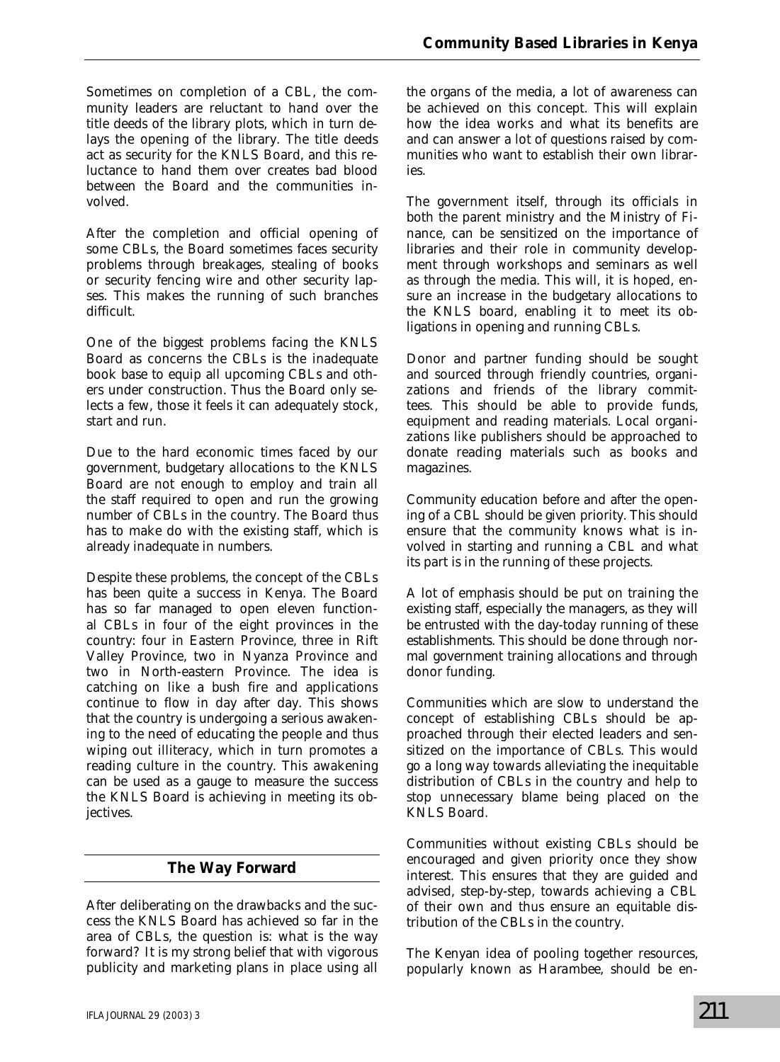Sometimes on completion of a CBL, the community leaders are reluctant to hand over the title deeds of the library plots, which in turn delays the opening of the library. The title deeds act as security for the KNLS Board, and this reluctance to hand them over creates bad blood between the Board and the communities involved.

After the completion and official opening of some CBLs, the Board sometimes faces security problems through breakages, stealing of books or security fencing wire and other security lapses. This makes the running of such branches difficult.

One of the biggest problems facing the KNLS Board as concerns the CBLs is the inadequate book base to equip all upcoming CBLs and others under construction. Thus the Board only selects a few, those it feels it can adequately stock, start and run.

Due to the hard economic times faced by our government, budgetary allocations to the KNLS Board are not enough to employ and train all the staff required to open and run the growing number of CBLs in the country. The Board thus has to make do with the existing staff, which is already inadequate in numbers.

Despite these problems, the concept of the CBLs has been quite a success in Kenya. The Board has so far managed to open eleven functional CBLs in four of the eight provinces in the country: four in Eastern Province, three in Rift Valley Province, two in Nyanza Province and two in North-eastern Province. The idea is catching on like a bush fire and applications continue to flow in day after day. This shows that the country is undergoing a serious awakening to the need of educating the people and thus wiping out illiteracy, which in turn promotes a reading culture in the country. This awakening can be used as a gauge to measure the success the KNLS Board is achieving in meeting its objectives.

# **The Way Forward**

After deliberating on the drawbacks and the success the KNLS Board has achieved so far in the area of CBLs, the question is: what is the way forward? It is my strong belief that with vigorous publicity and marketing plans in place using all the organs of the media, a lot of awareness can be achieved on this concept. This will explain how the idea works and what its benefits are and can answer a lot of questions raised by communities who want to establish their own libraries.

The government itself, through its officials in both the parent ministry and the Ministry of Finance, can be sensitized on the importance of libraries and their role in community development through workshops and seminars as well as through the media. This will, it is hoped, ensure an increase in the budgetary allocations to the KNLS board, enabling it to meet its obligations in opening and running CBLs.

Donor and partner funding should be sought and sourced through friendly countries, organizations and friends of the library committees. This should be able to provide funds, equipment and reading materials. Local organizations like publishers should be approached to donate reading materials such as books and magazines.

Community education before and after the opening of a CBL should be given priority. This should ensure that the community knows what is involved in starting and running a CBL and what its part is in the running of these projects.

A lot of emphasis should be put on training the existing staff, especially the managers, as they will be entrusted with the day-today running of these establishments. This should be done through normal government training allocations and through donor funding.

Communities which are slow to understand the concept of establishing CBLs should be approached through their elected leaders and sensitized on the importance of CBLs. This would go a long way towards alleviating the inequitable distribution of CBLs in the country and help to stop unnecessary blame being placed on the KNLS Board.

Communities without existing CBLs should be encouraged and given priority once they show interest. This ensures that they are guided and advised, step-by-step, towards achieving a CBL of their own and thus ensure an equitable distribution of the CBLs in the country.

The Kenyan idea of pooling together resources, popularly known as *Harambee*, should be en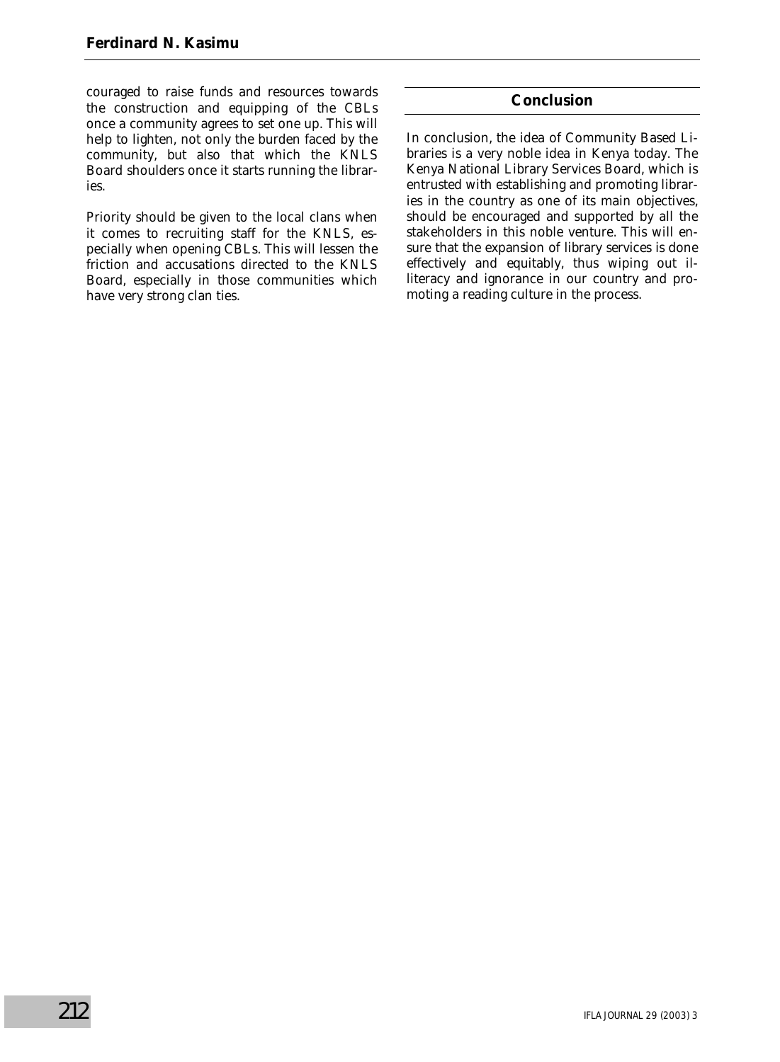couraged to raise funds and resources towards the construction and equipping of the CBLs once a community agrees to set one up. This will help to lighten, not only the burden faced by the community, but also that which the KNLS Board shoulders once it starts running the libraries.

Priority should be given to the local clans when it comes to recruiting staff for the KNLS, especially when opening CBLs. This will lessen the friction and accusations directed to the KNLS Board, especially in those communities which have very strong clan ties.

# **Conclusion**

In conclusion, the idea of Community Based Libraries is a very noble idea in Kenya today. The Kenya National Library Services Board, which is entrusted with establishing and promoting libraries in the country as one of its main objectives, should be encouraged and supported by all the stakeholders in this noble venture. This will ensure that the expansion of library services is done effectively and equitably, thus wiping out illiteracy and ignorance in our country and promoting a reading culture in the process.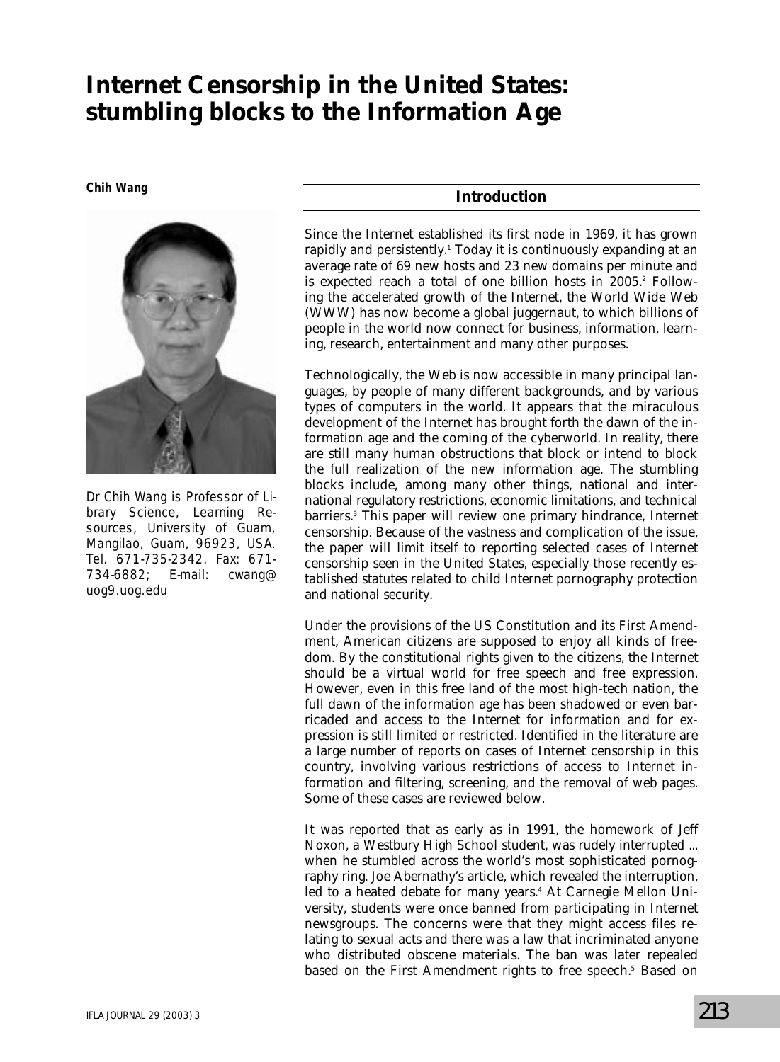# **Internet Censorship in the United States: stumbling blocks to the Information Age**

*Chih Wang* 



Dr Chih Wang is Professor of Library Science, Learning Resources, University of Guam, Mangilao, Guam, 96923, USA. Tel. 671-735-2342. Fax: 671- 734-6882; E-mail: cwang@ uog9.uog.edu

### **Introduction**

Since the Internet established its first node in 1969, it has grown rapidly and persistently.1 Today it is continuously expanding at an average rate of 69 new hosts and 23 new domains per minute and is expected reach a total of one billion hosts in 2005.<sup>2</sup> Following the accelerated growth of the Internet, the World Wide Web (WWW) has now become a global juggernaut, to which billions of people in the world now connect for business, information, learning, research, entertainment and many other purposes.

Technologically, the Web is now accessible in many principal languages, by people of many different backgrounds, and by various types of computers in the world. It appears that the miraculous development of the Internet has brought forth the dawn of the information age and the coming of the cyberworld. In reality, there are still many human obstructions that block or intend to block the full realization of the new information age. The stumbling blocks include, among many other things, national and international regulatory restrictions, economic limitations, and technical barriers.3 This paper will review one primary hindrance, Internet censorship. Because of the vastness and complication of the issue, the paper will limit itself to reporting selected cases of Internet censorship seen in the United States, especially those recently established statutes related to child Internet pornography protection and national security.

Under the provisions of the US Constitution and its First Amendment, American citizens are supposed to enjoy all kinds of freedom. By the constitutional rights given to the citizens, the Internet should be a virtual world for free speech and free expression. However, even in this free land of the most high-tech nation, the full dawn of the information age has been shadowed or even barricaded and access to the Internet for information and for expression is still limited or restricted. Identified in the literature are a large number of reports on cases of Internet censorship in this country, involving various restrictions of access to Internet information and filtering, screening, and the removal of web pages. Some of these cases are reviewed below.

It was reported that as early as in 1991, the homework of Jeff Noxon, a Westbury High School student, was rudely interrupted ... when he stumbled across the world's most sophisticated pornography ring. Joe Abernathy's article, which revealed the interruption, led to a heated debate for many years.<sup>4</sup> At Carnegie Mellon University, students were once banned from participating in Internet newsgroups. The concerns were that they might access files relating to sexual acts and there was a law that incriminated anyone who distributed obscene materials. The ban was later repealed based on the First Amendment rights to free speech.<sup>5</sup> Based on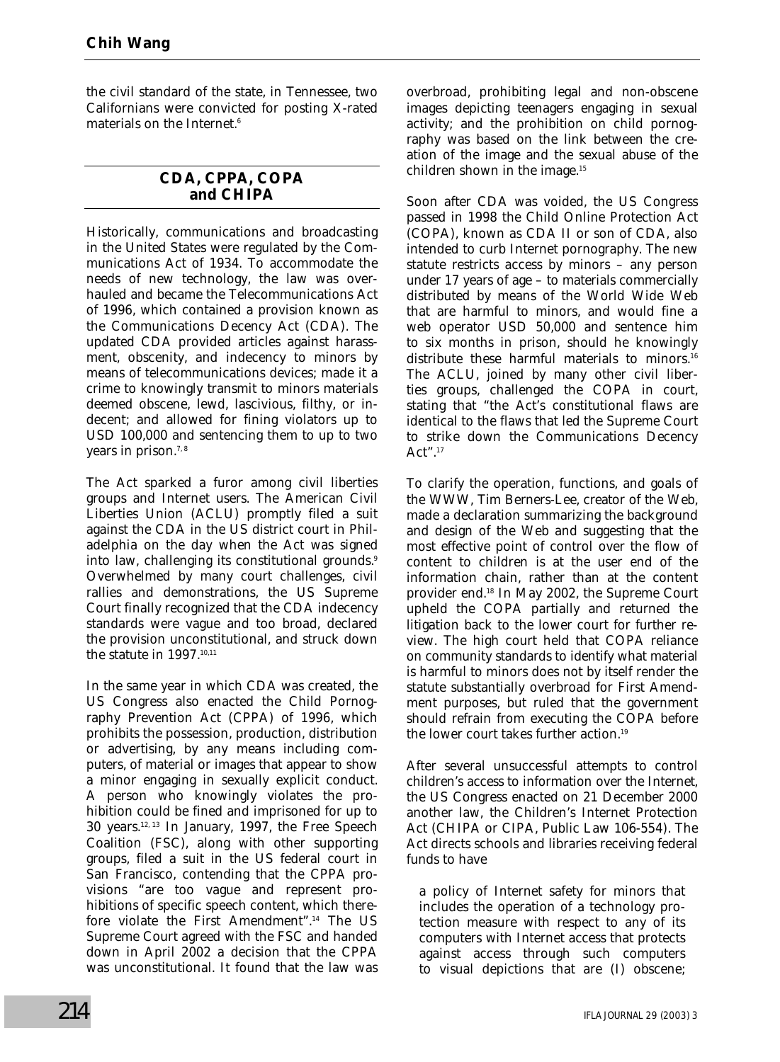the civil standard of the state, in Tennessee, two Californians were convicted for posting X-rated materials on the Internet.6

# **CDA, CPPA, COPA and CHIPA**

Historically, communications and broadcasting in the United States were regulated by the Communications Act of 1934. To accommodate the needs of new technology, the law was overhauled and became the Telecommunications Act of 1996, which contained a provision known as the Communications Decency Act (CDA). The updated CDA provided articles against harassment, obscenity, and indecency to minors by means of telecommunications devices; made it a crime to knowingly transmit to minors materials deemed obscene, lewd, lascivious, filthy, or indecent; and allowed for fining violators up to USD 100,000 and sentencing them to up to two years in prison.<sup> $7, 8$ </sup>

The Act sparked a furor among civil liberties groups and Internet users. The American Civil Liberties Union (ACLU) promptly filed a suit against the CDA in the US district court in Philadelphia on the day when the Act was signed into law, challenging its constitutional grounds.<sup>9</sup> Overwhelmed by many court challenges, civil rallies and demonstrations, the US Supreme Court finally recognized that the CDA indecency standards were vague and too broad, declared the provision unconstitutional, and struck down the statute in 1997.<sup>10,11</sup>

In the same year in which CDA was created, the US Congress also enacted the Child Pornography Prevention Act (CPPA) of 1996, which prohibits the possession, production, distribution or advertising, by any means including computers, of material or images that appear to show a minor engaging in sexually explicit conduct. A person who knowingly violates the prohibition could be fined and imprisoned for up to 30 years.12, 13 In January, 1997, the Free Speech Coalition (FSC), along with other supporting groups, filed a suit in the US federal court in San Francisco, contending that the CPPA provisions "are too vague and represent prohibitions of specific speech content, which therefore violate the First Amendment".14 The US Supreme Court agreed with the FSC and handed down in April 2002 a decision that the CPPA was unconstitutional. It found that the law was

overbroad, prohibiting legal and non-obscene images depicting teenagers engaging in sexual activity; and the prohibition on child pornography was based on the link between the creation of the image and the sexual abuse of the children shown in the image.15

Soon after CDA was voided, the US Congress passed in 1998 the Child Online Protection Act (COPA), known as CDA II or son of CDA, also intended to curb Internet pornography. The new statute restricts access by minors – any person under 17 years of age – to materials commercially distributed by means of the World Wide Web that are harmful to minors, and would fine a web operator USD 50,000 and sentence him to six months in prison, should he knowingly distribute these harmful materials to minors.<sup>16</sup> The ACLU, joined by many other civil liberties groups, challenged the COPA in court, stating that "the Act's constitutional flaws are identical to the flaws that led the Supreme Court to strike down the Communications Decency Act". $17$ 

To clarify the operation, functions, and goals of the WWW, Tim Berners-Lee, creator of the Web, made a declaration summarizing the background and design of the Web and suggesting that the most effective point of control over the flow of content to children is at the user end of the information chain, rather than at the content provider end.18 In May 2002, the Supreme Court upheld the COPA partially and returned the litigation back to the lower court for further review. The high court held that COPA reliance on community standards to identify what material is harmful to minors does not by itself render the statute substantially overbroad for First Amendment purposes, but ruled that the government should refrain from executing the COPA before the lower court takes further action.19

After several unsuccessful attempts to control children's access to information over the Internet, the US Congress enacted on 21 December 2000 another law, the Children's Internet Protection Act (CHIPA or CIPA, Public Law 106-554). The Act directs schools and libraries receiving federal funds to have

a policy of Internet safety for minors that includes the operation of a technology protection measure with respect to any of its computers with Internet access that protects against access through such computers to visual depictions that are (I) obscene;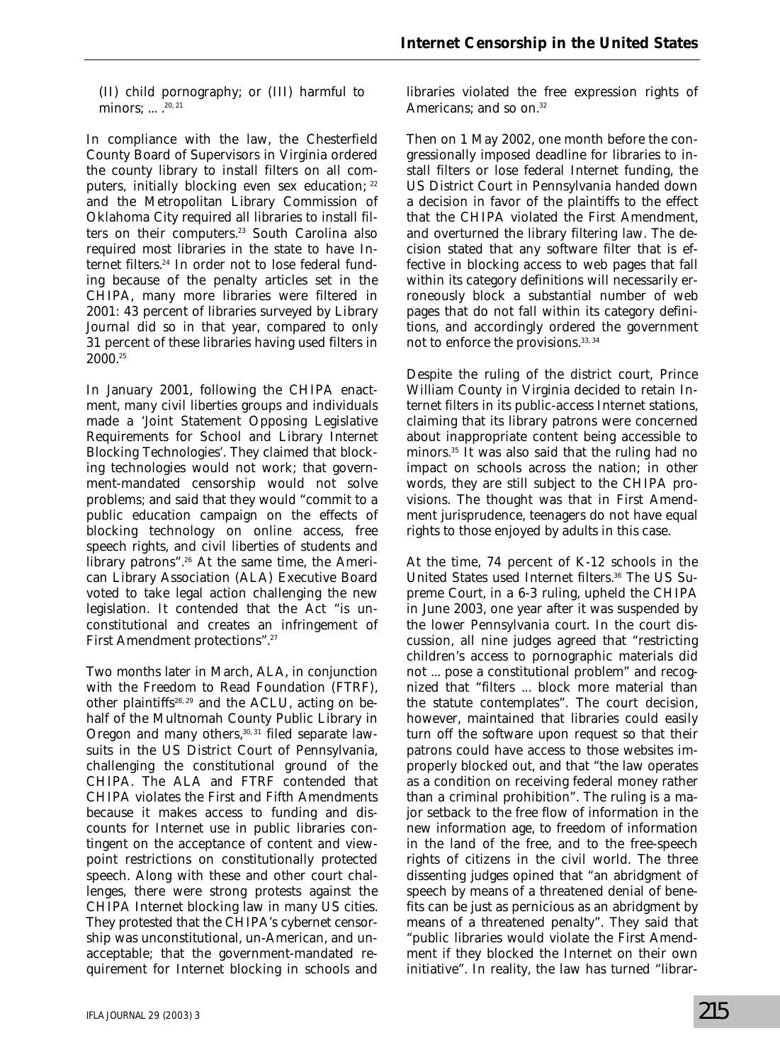(II) child pornography; or (III) harmful to minors;  $\ldots$   $\frac{1}{20}$ ,  $21$ 

In compliance with the law, the Chesterfield County Board of Supervisors in Virginia ordered the county library to install filters on all computers, initially blocking even sex education; <sup>22</sup> and the Metropolitan Library Commission of Oklahoma City required all libraries to install filters on their computers.<sup>23</sup> South Carolina also required most libraries in the state to have Internet filters.24 In order not to lose federal funding because of the penalty articles set in the CHIPA, many more libraries were filtered in 2001: 43 percent of libraries surveyed by *Library Journal* did so in that year, compared to only 31 percent of these libraries having used filters in 2000.25

In January 2001, following the CHIPA enactment, many civil liberties groups and individuals made a 'Joint Statement Opposing Legislative Requirements for School and Library Internet Blocking Technologies'. They claimed that blocking technologies would not work; that government-mandated censorship would not solve problems; and said that they would "commit to a public education campaign on the effects of blocking technology on online access, free speech rights, and civil liberties of students and library patrons".26 At the same time, the American Library Association (ALA) Executive Board voted to take legal action challenging the new legislation. It contended that the Act "is unconstitutional and creates an infringement of First Amendment protections".27

Two months later in March, ALA, in conjunction with the Freedom to Read Foundation (FTRF), other plaintiffs<sup>28, 29</sup> and the ACLU, acting on behalf of the Multnomah County Public Library in Oregon and many others,<sup>30, 31</sup> filed separate lawsuits in the US District Court of Pennsylvania, challenging the constitutional ground of the CHIPA. The ALA and FTRF contended that CHIPA violates the First and Fifth Amendments because it makes access to funding and discounts for Internet use in public libraries contingent on the acceptance of content and viewpoint restrictions on constitutionally protected speech. Along with these and other court challenges, there were strong protests against the CHIPA Internet blocking law in many US cities. They protested that the CHIPA's cybernet censorship was unconstitutional, un-American, and unacceptable; that the government-mandated requirement for Internet blocking in schools and

libraries violated the free expression rights of Americans; and so on.<sup>32</sup>

Then on 1 May 2002, one month before the congressionally imposed deadline for libraries to install filters or lose federal Internet funding, the US District Court in Pennsylvania handed down a decision in favor of the plaintiffs to the effect that the CHIPA violated the First Amendment, and overturned the library filtering law. The decision stated that any software filter that is effective in blocking access to web pages that fall within its category definitions will necessarily erroneously block a substantial number of web pages that do not fall within its category definitions, and accordingly ordered the government not to enforce the provisions.<sup>33, 34</sup>

Despite the ruling of the district court, Prince William County in Virginia decided to retain Internet filters in its public-access Internet stations, claiming that its library patrons were concerned about inappropriate content being accessible to minors.35 It was also said that the ruling had no impact on schools across the nation; in other words, they are still subject to the CHIPA provisions. The thought was that in First Amendment jurisprudence, teenagers do not have equal rights to those enjoyed by adults in this case.

At the time, 74 percent of K-12 schools in the United States used Internet filters.<sup>36</sup> The US Supreme Court, in a 6-3 ruling, upheld the CHIPA in June 2003, one year after it was suspended by the lower Pennsylvania court. In the court discussion, all nine judges agreed that "restricting children's access to pornographic materials did not ... pose a constitutional problem" and recognized that "filters ... block more material than the statute contemplates". The court decision, however, maintained that libraries could easily turn off the software upon request so that their patrons could have access to those websites improperly blocked out, and that "the law operates as a condition on receiving federal money rather than a criminal prohibition". The ruling is a major setback to the free flow of information in the new information age, to freedom of information in the land of the free, and to the free-speech rights of citizens in the civil world. The three dissenting judges opined that "an abridgment of speech by means of a threatened denial of benefits can be just as pernicious as an abridgment by means of a threatened penalty". They said that "public libraries would violate the First Amendment if they blocked the Internet on their own initiative". In reality, the law has turned "librar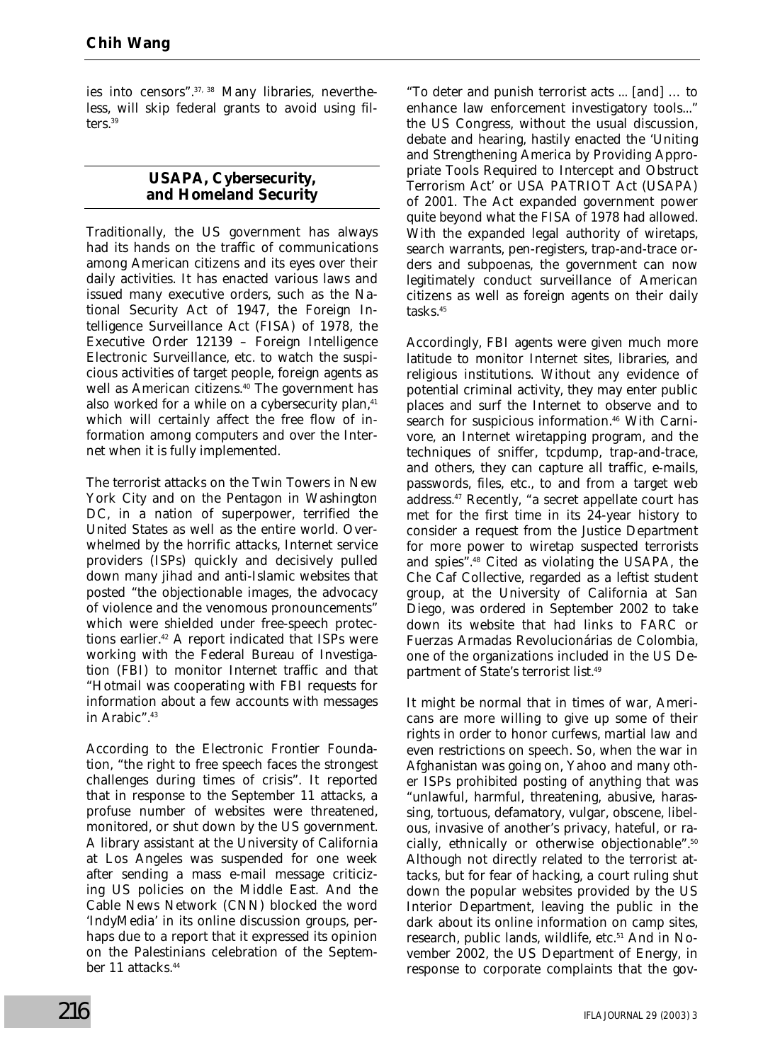ies into censors".37, 38 Many libraries, nevertheless, will skip federal grants to avoid using filters.<sup>39</sup>

# **USAPA, Cybersecurity, and Homeland Security**

Traditionally, the US government has always had its hands on the traffic of communications among American citizens and its eyes over their daily activities. It has enacted various laws and issued many executive orders, such as the National Security Act of 1947, the Foreign Intelligence Surveillance Act (FISA) of 1978, the Executive Order 12139 – Foreign Intelligence Electronic Surveillance, etc. to watch the suspicious activities of target people, foreign agents as well as American citizens.<sup>40</sup> The government has also worked for a while on a cybersecurity plan,<sup>41</sup> which will certainly affect the free flow of information among computers and over the Internet when it is fully implemented.

The terrorist attacks on the Twin Towers in New York City and on the Pentagon in Washington DC, in a nation of superpower, terrified the United States as well as the entire world. Overwhelmed by the horrific attacks, Internet service providers (ISPs) quickly and decisively pulled down many *jihad* and anti-Islamic websites that posted "the objectionable images, the advocacy of violence and the venomous pronouncements" which were shielded under free-speech protections earlier.42 A report indicated that ISPs were working with the Federal Bureau of Investigation (FBI) to monitor Internet traffic and that "Hotmail was cooperating with FBI requests for information about a few accounts with messages in Arabic".43

According to the Electronic Frontier Foundation, "the right to free speech faces the strongest challenges during times of crisis". It reported that in response to the September 11 attacks, a profuse number of websites were threatened, monitored, or shut down by the US government. A library assistant at the University of California at Los Angeles was suspended for one week after sending a mass e-mail message criticizing US policies on the Middle East. And the Cable News Network (CNN) blocked the word 'IndyMedia' in its online discussion groups, perhaps due to a report that it expressed its opinion on the Palestinians celebration of the September 11 attacks.<sup>44</sup>

"To deter and punish terrorist acts ... [and] … to enhance law enforcement investigatory tools..." the US Congress, without the usual discussion, debate and hearing, hastily enacted the 'Uniting and Strengthening America by Providing Appropriate Tools Required to Intercept and Obstruct Terrorism Act' or USA PATRIOT Act (USAPA) of 2001. The Act expanded government power quite beyond what the FISA of 1978 had allowed. With the expanded legal authority of wiretaps, search warrants, pen-registers, trap-and-trace orders and subpoenas, the government can now legitimately conduct surveillance of American citizens as well as foreign agents on their daily tasks.<sup>45</sup>

Accordingly, FBI agents were given much more latitude to monitor Internet sites, libraries, and religious institutions. Without any evidence of potential criminal activity, they may enter public places and surf the Internet to observe and to search for suspicious information.<sup>46</sup> With Carnivore, an Internet wiretapping program, and the techniques of sniffer, tcpdump, trap-and-trace, and others, they can capture all traffic, e-mails, passwords, files, etc., to and from a target web address.47 Recently, "a secret appellate court has met for the first time in its 24-year history to consider a request from the Justice Department for more power to wiretap suspected terrorists and spies".48 Cited as violating the USAPA, the Che Caf Collective, regarded as a leftist student group, at the University of California at San Diego, was ordered in September 2002 to take down its website that had links to FARC or Fuerzas Armadas Revolucionárias de Colombia, one of the organizations included in the US Department of State's terrorist list.49

It might be normal that in times of war, Americans are more willing to give up some of their rights in order to honor curfews, martial law and even restrictions on speech. So, when the war in Afghanistan was going on, Yahoo and many other ISPs prohibited posting of anything that was "unlawful, harmful, threatening, abusive, harassing, tortuous, defamatory, vulgar, obscene, libelous, invasive of another's privacy, hateful, or racially, ethnically or otherwise objectionable".50 Although not directly related to the terrorist attacks, but for fear of hacking, a court ruling shut down the popular websites provided by the US Interior Department, leaving the public in the dark about its online information on camp sites, research, public lands, wildlife, etc.<sup>51</sup> And in November 2002, the US Department of Energy, in response to corporate complaints that the gov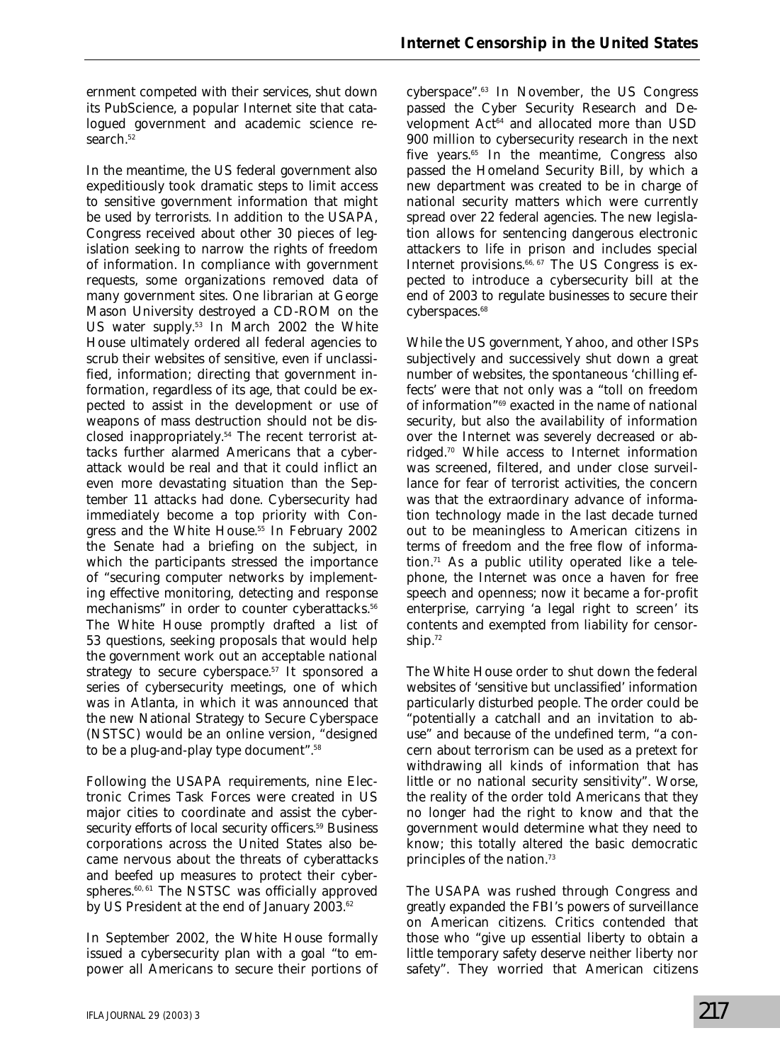ernment competed with their services, shut down its PubScience, a popular Internet site that catalogued government and academic science research.<sup>52</sup>

In the meantime, the US federal government also expeditiously took dramatic steps to limit access to sensitive government information that might be used by terrorists. In addition to the USAPA, Congress received about other 30 pieces of legislation seeking to narrow the rights of freedom of information. In compliance with government requests, some organizations removed data of many government sites. One librarian at George Mason University destroyed a CD-ROM on the US water supply.53 In March 2002 the White House ultimately ordered all federal agencies to scrub their websites of sensitive, even if unclassified, information; directing that government information, regardless of its age, that could be expected to assist in the development or use of weapons of mass destruction should not be disclosed inappropriately.54 The recent terrorist attacks further alarmed Americans that a cyberattack would be real and that it could inflict an even more devastating situation than the September 11 attacks had done. Cybersecurity had immediately become a top priority with Congress and the White House.<sup>55</sup> In February 2002 the Senate had a briefing on the subject, in which the participants stressed the importance of "securing computer networks by implementing effective monitoring, detecting and response mechanisms" in order to counter cyberattacks.<sup>56</sup> The White House promptly drafted a list of 53 questions, seeking proposals that would help the government work out an acceptable national strategy to secure cyberspace.<sup>57</sup> It sponsored a series of cybersecurity meetings, one of which was in Atlanta, in which it was announced that the new National Strategy to Secure Cyberspace (NSTSC) would be an online version, "designed to be a plug-and-play type document".58

Following the USAPA requirements, nine Electronic Crimes Task Forces were created in US major cities to coordinate and assist the cybersecurity efforts of local security officers.<sup>59</sup> Business corporations across the United States also became nervous about the threats of cyberattacks and beefed up measures to protect their cyberspheres. $60, 61$  The NSTSC was officially approved by US President at the end of January 2003.<sup>62</sup>

In September 2002, the White House formally issued a cybersecurity plan with a goal "to empower all Americans to secure their portions of cyberspace".63 In November, the US Congress passed the Cyber Security Research and Development Act<sup>64</sup> and allocated more than USD 900 million to cybersecurity research in the next five years.<sup>65</sup> In the meantime, Congress also passed the Homeland Security Bill, by which a new department was created to be in charge of national security matters which were currently spread over 22 federal agencies. The new legislation allows for sentencing dangerous electronic attackers to life in prison and includes special Internet provisions.<sup>66, 67</sup> The US Congress is expected to introduce a cybersecurity bill at the end of 2003 to regulate businesses to secure their cyberspaces.<sup>68</sup>

While the US government, Yahoo, and other ISPs subjectively and successively shut down a great number of websites, the spontaneous 'chilling effects' were that not only was a "toll on freedom of information"69 exacted in the name of national security, but also the availability of information over the Internet was severely decreased or abridged.70 While access to Internet information was screened, filtered, and under close surveillance for fear of terrorist activities, the concern was that the extraordinary advance of information technology made in the last decade turned out to be meaningless to American citizens in terms of freedom and the free flow of information.71 As a public utility operated like a telephone, the Internet was once a haven for free speech and openness; now it became a for-profit enterprise, carrying 'a legal right to screen' its contents and exempted from liability for censorship.72

The White House order to shut down the federal websites of 'sensitive but unclassified' information particularly disturbed people. The order could be "potentially a catchall and an invitation to abuse" and because of the undefined term, "a concern about terrorism can be used as a pretext for withdrawing all kinds of information that has little or no national security sensitivity". Worse, the reality of the order told Americans that they no longer had the right to know and that the government would determine what they need to know; this totally altered the basic democratic principles of the nation.73

The USAPA was rushed through Congress and greatly expanded the FBI's powers of surveillance on American citizens. Critics contended that those who "give up essential liberty to obtain a little temporary safety deserve neither liberty nor safety". They worried that American citizens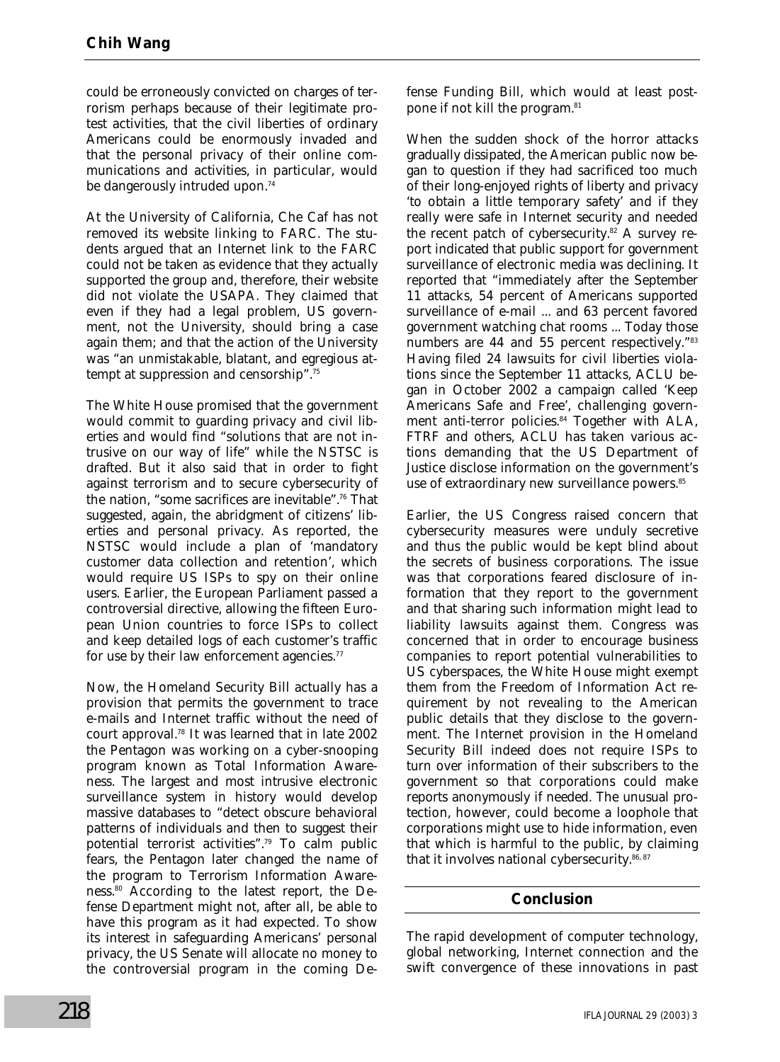could be erroneously convicted on charges of terrorism perhaps because of their legitimate protest activities, that the civil liberties of ordinary Americans could be enormously invaded and that the personal privacy of their online communications and activities, in particular, would be dangerously intruded upon.<sup>74</sup>

At the University of California, Che Caf has not removed its website linking to FARC. The students argued that an Internet link to the FARC could not be taken as evidence that they actually supported the group and, therefore, their website did not violate the USAPA. They claimed that even if they had a legal problem, US government, not the University, should bring a case again them; and that the action of the University was "an unmistakable, blatant, and egregious attempt at suppression and censorship".75

The White House promised that the government would commit to guarding privacy and civil liberties and would find "solutions that are not intrusive on our way of life" while the NSTSC is drafted. But it also said that in order to fight against terrorism and to secure cybersecurity of the nation, "some sacrifices are inevitable".76 That suggested, again, the abridgment of citizens' liberties and personal privacy. As reported, the NSTSC would include a plan of 'mandatory customer data collection and retention', which would require US ISPs to spy on their online users. Earlier, the European Parliament passed a controversial directive, allowing the fifteen European Union countries to force ISPs to collect and keep detailed logs of each customer's traffic for use by their law enforcement agencies.<sup>77</sup>

Now, the Homeland Security Bill actually has a provision that permits the government to trace e-mails and Internet traffic without the need of court approval.78 It was learned that in late 2002 the Pentagon was working on a cyber-snooping program known as Total Information Awareness. The largest and most intrusive electronic surveillance system in history would develop massive databases to "detect obscure behavioral patterns of individuals and then to suggest their potential terrorist activities".79 To calm public fears, the Pentagon later changed the name of the program to Terrorism Information Awareness.80 According to the latest report, the Defense Department might not, after all, be able to have this program as it had expected. To show its interest in safeguarding Americans' personal privacy, the US Senate will allocate no money to the controversial program in the coming Defense Funding Bill, which would at least postpone if not kill the program.81

When the sudden shock of the horror attacks gradually dissipated, the American public now began to question if they had sacrificed too much of their long-enjoyed rights of liberty and privacy 'to obtain a little temporary safety' and if they really were safe in Internet security and needed the recent patch of cybersecurity.<sup>82</sup> A survey report indicated that public support for government surveillance of electronic media was declining. It reported that "immediately after the September 11 attacks, 54 percent of Americans supported surveillance of e-mail ... and 63 percent favored government watching chat rooms ... Today those numbers are 44 and 55 percent respectively."83 Having filed 24 lawsuits for civil liberties violations since the September 11 attacks, ACLU began in October 2002 a campaign called 'Keep Americans Safe and Free', challenging government anti-terror policies.<sup>84</sup> Together with ALA, FTRF and others, ACLU has taken various actions demanding that the US Department of Justice disclose information on the government's use of extraordinary new surveillance powers.<sup>85</sup>

Earlier, the US Congress raised concern that cybersecurity measures were unduly secretive and thus the public would be kept blind about the secrets of business corporations. The issue was that corporations feared disclosure of information that they report to the government and that sharing such information might lead to liability lawsuits against them. Congress was concerned that in order to encourage business companies to report potential vulnerabilities to US cyberspaces, the White House might exempt them from the Freedom of Information Act requirement by not revealing to the American public details that they disclose to the government. The Internet provision in the Homeland Security Bill indeed does not require ISPs to turn over information of their subscribers to the government so that corporations could make reports anonymously if needed. The unusual protection, however, could become a loophole that corporations might use to hide information, even that which is harmful to the public, by claiming that it involves national cybersecurity.<sup>86, 87</sup>

### **Conclusion**

The rapid development of computer technology, global networking, Internet connection and the swift convergence of these innovations in past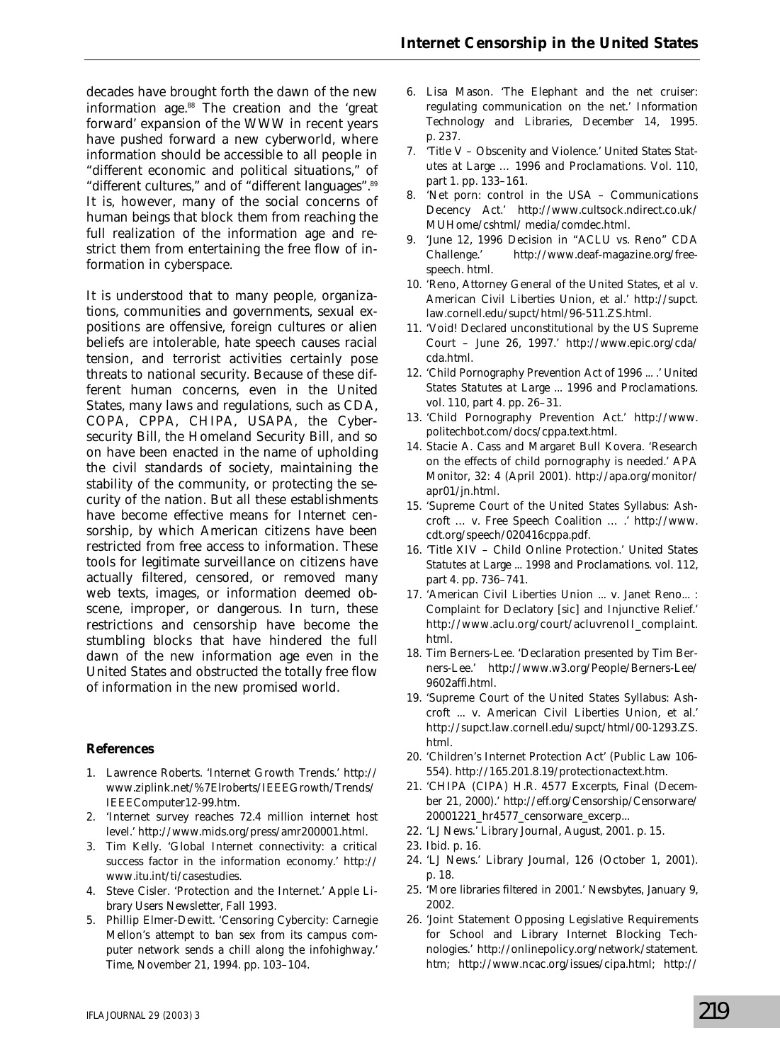decades have brought forth the dawn of the new information age.88 The creation and the 'great forward' expansion of the WWW in recent years have pushed forward a new cyberworld, where information should be accessible to all people in "different economic and political situations," of "different cultures," and of "different languages".89 It is, however, many of the social concerns of human beings that block them from reaching the full realization of the information age and restrict them from entertaining the free flow of information in cyberspace.

It is understood that to many people, organizations, communities and governments, sexual expositions are offensive, foreign cultures or alien beliefs are intolerable, hate speech causes racial tension, and terrorist activities certainly pose threats to national security. Because of these different human concerns, even in the United States, many laws and regulations, such as CDA, COPA, CPPA, CHIPA, USAPA, the Cybersecurity Bill, the Homeland Security Bill, and so on have been enacted in the name of upholding the civil standards of society, maintaining the stability of the community, or protecting the security of the nation. But all these establishments have become effective means for Internet censorship, by which American citizens have been restricted from free access to information. These tools for legitimate surveillance on citizens have actually filtered, censored, or removed many web texts, images, or information deemed obscene, improper, or dangerous. In turn, these restrictions and censorship have become the stumbling blocks that have hindered the full dawn of the new information age even in the United States and obstructed the totally free flow of information in the new promised world.

### **References**

- 1. Lawrence Roberts. 'Internet Growth Trends.' http:// www.ziplink.net/%7Elroberts/IEEEGrowth/Trends/ IEEEComputer12-99.htm.
- 2. 'Internet survey reaches 72.4 million internet host level.' http://www.mids.org/press/amr200001.html.
- 3. Tim Kelly. 'Global Internet connectivity: a critical success factor in the information economy.' http:// www.itu.int/ti/casestudies.
- 4. Steve Cisler. 'Protection and the Internet.' *Apple Library Users Newsletter,* Fall 1993.
- 5. Phillip Elmer-Dewitt. 'Censoring Cybercity: Carnegie Mellon's attempt to ban sex from its campus computer network sends a chill along the infohighway.' *Time*, November 21, 1994. pp. 103–104.
- 6. Lisa Mason. 'The Elephant and the net cruiser: regulating communication on the net.' *Information Technology and Libraries, December* 14, 1995. p. 237.
- 7. 'Title V Obscenity and Violence.' *United States Statutes at Large … 1996 and Proclamations.* Vol. 110, part 1. pp. 133–161.
- 8. 'Net porn: control in the USA Communications Decency Act.' http://www.cultsock.ndirect.co.uk/ MUHome/cshtml/ media/comdec.html.
- 9. 'June 12, 1996 Decision in "ACLU vs. Reno" CDA Challenge.' http://www.deaf-magazine.org/freespeech. html.
- 10. 'Reno, Attorney General of the United States, et al v. American Civil Liberties Union, et al.' http://supct. law.cornell.edu/supct/html/96-511.ZS.html.
- 11. 'Void! Declared unconstitutional by the US Supreme Court – June 26, 1997.' http://www.epic.org/cda/ cda.html.
- 12. 'Child Pornography Prevention Act of 1996 ... .' *United States Statutes at Large ... 1996 and Proclamations.*  vol. 110, part 4. pp. 26–31.
- 13. 'Child Pornography Prevention Act.' http://www. politechbot.com/docs/cppa.text.html.
- 14. Stacie A. Cass and Margaret Bull Kovera. 'Research on the effects of child pornography is needed.' *APA Monitor,* 32: 4 (April 2001). http://apa.org/monitor/ apr01/jn.html.
- 15. 'Supreme Court of the United States Syllabus: Ashcroft … v. Free Speech Coalition … .' http://www. cdt.org/speech/020416cppa.pdf.
- 16. 'Title XIV Child Online Protection.' *United States Statutes at Large ... 1998 and Proclamations.* vol. 112, part 4. pp. 736–741.
- 17. 'American Civil Liberties Union ... v. Janet Reno... : Complaint for Declatory [sic] and Injunctive Relief.' http://www.aclu.org/court/acluvrenoII\_complaint. html.
- 18. Tim Berners-Lee. 'Declaration presented by Tim Berners-Lee.' http://www.w3.org/People/Berners-Lee/ 9602affi.html.
- 19. 'Supreme Court of the United States Syllabus: Ashcroft ... v. American Civil Liberties Union, et al.' http://supct.law.cornell.edu/supct/html/00-1293.ZS. html.
- 20. 'Children's Internet Protection Act' (Public Law 106- 554). http://165.201.8.19/protectionactext.htm.
- 21. 'CHIPA (CIPA) H.R. 4577 Excerpts, Final (December 21, 2000).' http://eff.org/Censorship/Censorware/ 20001221\_hr4577\_censorware\_excerp...
- 22. 'LJ News.' *Library Journal*, August, 2001. p. 15.
- 23. *Ibid.* p. 16.
- 24. 'LJ News.' *Library Journal*, 126 (October 1, 2001). p. 18.
- 25. 'More libraries filtered in 2001.' *Newsbytes,* January 9, 2002.
- 26. 'Joint Statement Opposing Legislative Requirements for School and Library Internet Blocking Technologies.' http://onlinepolicy.org/network/statement. htm; http://www.ncac.org/issues/cipa.html; http://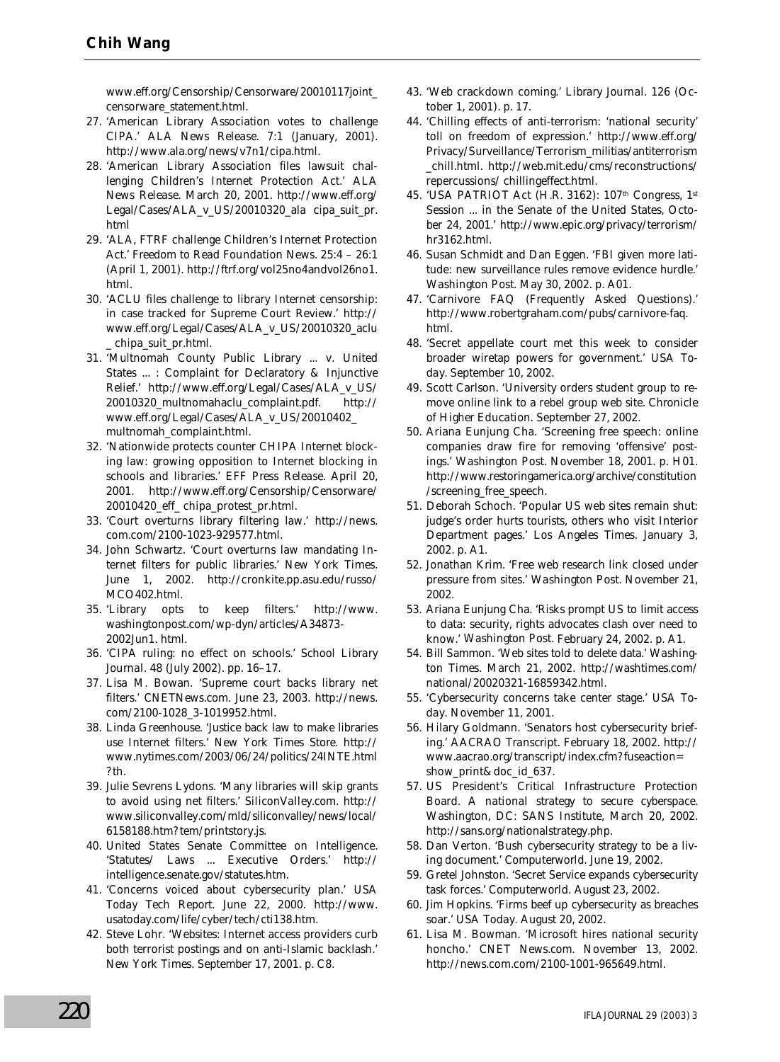www.eff.org/Censorship/Censorware/20010117joint\_ censorware\_statement.html.

- 27. 'American Library Association votes to challenge CIPA.' *ALA News Release.* 7:1 (January, 2001). http://www.ala.org/news/v7n1/cipa.html.
- 28. 'American Library Association files lawsuit challenging Children's Internet Protection Act.' *ALA News Release.* March 20, 2001. http://www.eff.org/ Legal/Cases/ALA\_v\_US/20010320\_ala cipa\_suit\_pr. html
- 29. 'ALA, FTRF challenge Children's Internet Protection Act.' *Freedom to Read Foundation News.* 25:4 – 26:1 (April 1, 2001). http://ftrf.org/vol25no4andvol26no1. html.
- 30. 'ACLU files challenge to library Internet censorship: in case tracked for Supreme Court Review.' http:// www.eff.org/Legal/Cases/ALA\_v\_US/20010320\_aclu \_ chipa\_suit\_pr.html.
- 31. 'Multnomah County Public Library ... v. United States ... : Complaint for Declaratory & Injunctive Relief.' http://www.eff.org/Legal/Cases/ALA\_v\_US/ 20010320\_multnomahaclu\_complaint.pdf. http:// www.eff.org/Legal/Cases/ALA\_v\_US/20010402\_ multnomah\_complaint.html.
- 32. 'Nationwide protects counter CHIPA Internet blocking law: growing opposition to Internet blocking in schools and libraries.' *EFF Press Release.* April 20, 2001. http://www.eff.org/Censorship/Censorware/ 20010420\_eff\_ chipa\_protest\_pr.html.
- 33. 'Court overturns library filtering law.' http://news. com.com/2100-1023-929577.html.
- 34. John Schwartz. 'Court overturns law mandating Internet filters for public libraries.' *New York Times.*  June 1, 2002. http://cronkite.pp.asu.edu/russo/ MCO402.html.
- 35. 'Library opts to keep filters.' http://www. washingtonpost.com/wp-dyn/articles/A34873- 2002Jun1. html.
- 36. 'CIPA ruling: no effect on schools.' *School Library Journal.* 48 (July 2002). pp. 16–17.
- 37. Lisa M. Bowan. 'Supreme court backs library net filters.' *CNETNews.com.* June 23, 2003. http://news. com/2100-1028\_3-1019952.html.
- 38. Linda Greenhouse. 'Justice back law to make libraries use Internet filters.' *New York Times Store.* http:// www.nytimes.com/2003/06/24/politics/24INTE.html ?th.
- 39. Julie Sevrens Lydons. 'Many libraries will skip grants to avoid using net filters.' *SiliconValley.com.* http:// www.siliconvalley.com/mld/siliconvalley/news/local/ 6158188.htm?tem/printstory.js.
- 40. United States Senate Committee on Intelligence. 'Statutes/ Laws ... Executive Orders.' http:// intelligence.senate.gov/statutes.htm.
- 41. 'Concerns voiced about cybersecurity plan.' *USA Today Tech Report.* June 22, 2000. http://www. usatoday.com/life/cyber/tech/cti138.htm.
- 42. Steve Lohr. 'Websites: Internet access providers curb both terrorist postings and on anti-Islamic backlash.' *New York Times.* September 17, 2001. p. C8.
- 43. 'Web crackdown coming.' *Library Journal.* 126 (October 1, 2001). p. 17.
- 44. 'Chilling effects of anti-terrorism: 'national security' toll on freedom of expression.' http://www.eff.org/ Privacy/Surveillance/Terrorism\_militias/antiterrorism \_chill.html. http://web.mit.edu/cms/reconstructions/ repercussions/ chillingeffect.html.
- 45. 'USA PATRIOT Act (H.R. 3162): 107<sup>th</sup> Congress, 1st Session ... in the Senate of the United States, October 24, 2001.' http://www.epic.org/privacy/terrorism/ hr3162.html.
- 46. Susan Schmidt and Dan Eggen. 'FBI given more latitude: new surveillance rules remove evidence hurdle.' *Washington Post.* May 30, 2002. p. A01.
- 47. 'Carnivore FAQ (Frequently Asked Questions).' http://www.robertgraham.com/pubs/carnivore-faq. html.
- 48. 'Secret appellate court met this week to consider broader wiretap powers for government.' *USA Today.* September 10, 2002.
- 49. Scott Carlson. 'University orders student group to remove online link to a rebel group web site. *Chronicle of Higher Education.* September 27, 2002.
- 50. Ariana Eunjung Cha. 'Screening free speech: online companies draw fire for removing 'offensive' postings.' *Washington Post.* November 18, 2001. p. H01. http://www.restoringamerica.org/archive/constitution /screening\_free\_speech.
- 51. Deborah Schoch. 'Popular US web sites remain shut: judge's order hurts tourists, others who visit Interior Department pages.' *Los Angeles Times.* January 3, 2002. p. A1.
- 52. Jonathan Krim. 'Free web research link closed under pressure from sites.' *Washington Post.* November 21, 2002.
- 53. Ariana Eunjung Cha. 'Risks prompt US to limit access to data: security, rights advocates clash over need to know.' *Washington Post.* February 24, 2002. p. A1.
- 54. Bill Sammon. 'Web sites told to delete data.' *Washington Times.* March 21, 2002. http://washtimes.com/ national/20020321-16859342.html.
- 55. 'Cybersecurity concerns take center stage.' *USA Today.* November 11, 2001.
- 56. Hilary Goldmann. 'Senators host cybersecurity briefing.' *AACRAO Transcript.* February 18, 2002. http:// www.aacrao.org/transcript/index.cfm?fuseaction= show\_print&doc\_id\_637.
- 57. US President's Critical Infrastructure Protection Board. *A national strategy to secure cyberspace.*  Washington, DC: SANS Institute, March 20, 2002. http://sans.org/nationalstrategy.php.
- 58. Dan Verton. 'Bush cybersecurity strategy to be a living document.' *Computerworld.* June 19, 2002.
- 59. Gretel Johnston. 'Secret Service expands cybersecurity task forces.' *Computerworld.* August 23, 2002.
- 60. Jim Hopkins. 'Firms beef up cybersecurity as breaches soar.' *USA Today.* August 20, 2002.
- 61. Lisa M. Bowman. 'Microsoft hires national security honcho.' *CNET News.com.* November 13, 2002. http://news.com.com/2100-1001-965649.html.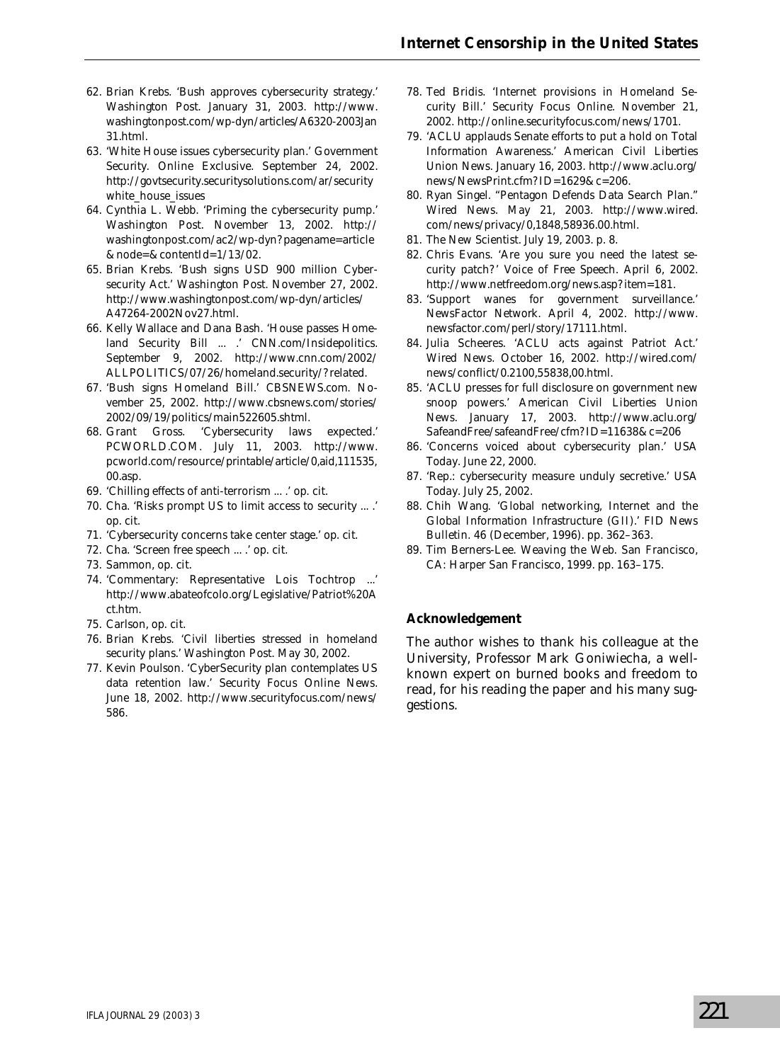- 62. Brian Krebs. 'Bush approves cybersecurity strategy.' *Washington Post.* January 31, 2003. http://www. washingtonpost.com/wp-dyn/articles/A6320-2003Jan 31.html.
- 63. 'White House issues cybersecurity plan.' *Government Security. Online Exclusive.* September 24, 2002. http://govtsecurity.securitysolutions.com/ar/security white house issues
- 64. Cynthia L. Webb. 'Priming the cybersecurity pump.' *Washington Post.* November 13, 2002. http:// washingtonpost.com/ac2/wp-dyn?pagename=article &node=&contentId=1/13/02.
- 65. Brian Krebs. 'Bush signs USD 900 million Cybersecurity Act.' *Washington Post.* November 27, 2002. http://www.washingtonpost.com/wp-dyn/articles/ A47264-2002Nov27.html.
- 66. Kelly Wallace and Dana Bash. 'House passes Homeland Security Bill ... .' *CNN.com/Insidepolitics.*  September 9, 2002. http://www.cnn.com/2002/ ALLPOLITICS/07/26/homeland.security/?related.
- 67. 'Bush signs Homeland Bill.' *CBSNEWS.com.* November 25, 2002. http://www.cbsnews.com/stories/ 2002/09/19/politics/main522605.shtml.
- 68. Grant Gross. 'Cybersecurity laws expected.' PCWORLD.COM. July 11, 2003. http://www. pcworld.com/resource/printable/article/0,aid,111535, 00.asp.
- 69. 'Chilling effects of anti-terrorism ... .' *op. cit.*
- 70. Cha. 'Risks prompt US to limit access to security ... .' *op. cit.*
- 71. 'Cybersecurity concerns take center stage.' *op. cit.*
- 72. Cha. 'Screen free speech ... .' *op. cit.*
- 73. Sammon, *op. cit.*
- 74. 'Commentary: Representative Lois Tochtrop ...' http://www.abateofcolo.org/Legislative/Patriot%20A ct.htm.
- 75. Carlson, *op. cit.*
- 76. Brian Krebs. 'Civil liberties stressed in homeland security plans.' *Washington Post.* May 30, 2002.
- 77. Kevin Poulson. 'CyberSecurity plan contemplates US data retention law.' *Security Focus Online News.*  June 18, 2002. http://www.securityfocus.com/news/ 586.
- 78. Ted Bridis. 'Internet provisions in Homeland Security Bill.' *Security Focus Online.* November 21, 2002. http://online.securityfocus.com/news/1701.
- 79. 'ACLU applauds Senate efforts to put a hold on Total Information Awareness.' *American Civil Liberties Union News.* January 16, 2003. http://www.aclu.org/ news/NewsPrint.cfm?ID=1629&c=206.
- 80. Ryan Singel. "Pentagon Defends Data Search Plan." *Wired News*. May 21, 2003. http://www.wired. com/news/privacy/0,1848,58936.00.html.
- 81. *The New Scientist*. July 19, 2003. p. 8.
- 82. Chris Evans. 'Are you sure you need the latest security patch?' *Voice of Free Speech.* April 6, 2002. http://www.netfreedom.org/news.asp?item=181.
- 83. 'Support wanes for government surveillance.' *NewsFactor Network.* April 4, 2002. http://www. newsfactor.com/perl/story/17111.html.
- 84. Julia Scheeres. 'ACLU acts against Patriot Act.' *Wired News.* October 16, 2002. http://wired.com/ news/conflict/0.2100,55838,00.html.
- 85. 'ACLU presses for full disclosure on government new snoop powers.' *American Civil Liberties Union News.* January 17, 2003. http://www.aclu.org/ SafeandFree/safeandFree/cfm?ID=11638&c=206
- 86. 'Concerns voiced about cybersecurity plan.' *USA Today.* June 22, 2000.
- 87. 'Rep.: cybersecurity measure unduly secretive.' *USA Today.* July 25, 2002.
- 88. Chih Wang. 'Global networking, Internet and the Global Information Infrastructure (GII).' *FID News Bulletin.* 46 (December, 1996). pp. 362–363.
- 89. Tim Berners-Lee. *Weaving the Web.* San Francisco, CA: Harper San Francisco, 1999. pp. 163–175.

### **Acknowledgement**

The author wishes to thank his colleague at the University, Professor Mark Goniwiecha, a wellknown expert on burned books and freedom to read, for his reading the paper and his many suggestions.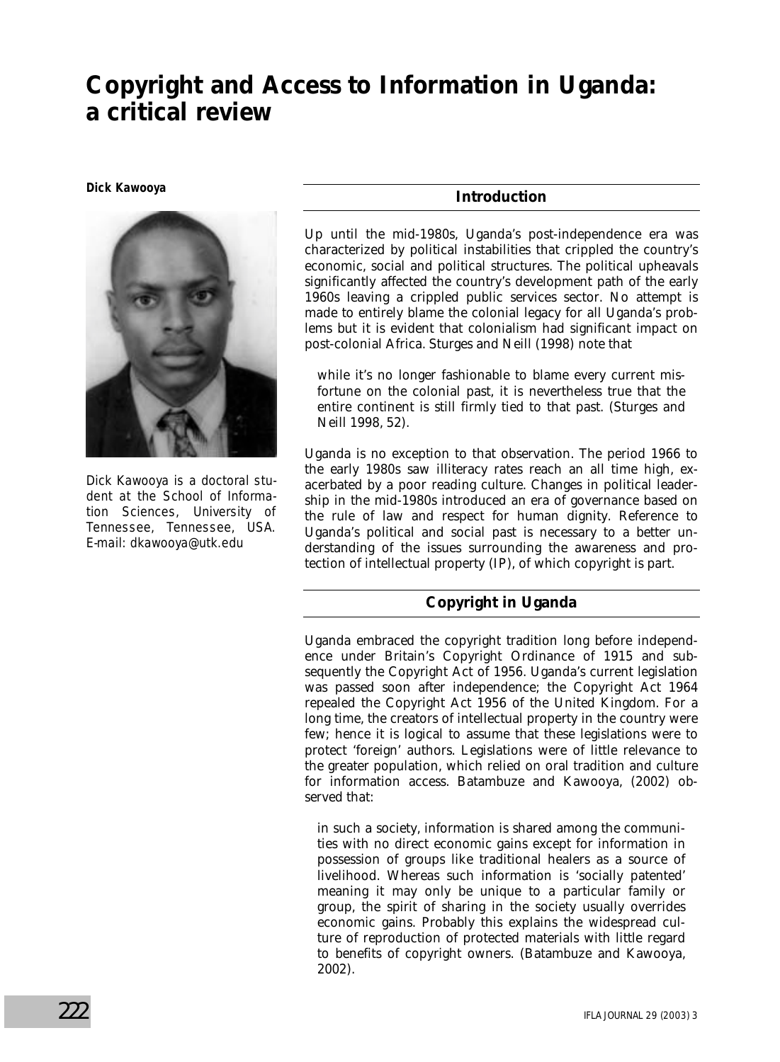# **Copyright and Access to Information in Uganda: a critical review**

*Dick Kawooya* 



Dick Kawooya is a doctoral student at the School of Information Sciences, University of Tennessee, Tennessee, USA. E-mail: dkawooya@utk.edu

### **Introduction**

Up until the mid-1980s, Uganda's post-independence era was characterized by political instabilities that crippled the country's economic, social and political structures. The political upheavals significantly affected the country's development path of the early 1960s leaving a crippled public services sector. No attempt is made to entirely blame the colonial legacy for all Uganda's problems but it is evident that colonialism had significant impact on post-colonial Africa. Sturges and Neill (1998) note that

while it's no longer fashionable to blame every current misfortune on the colonial past, it is nevertheless true that the entire continent is still firmly tied to that past. (Sturges and Neill 1998, 52).

Uganda is no exception to that observation. The period 1966 to the early 1980s saw illiteracy rates reach an all time high, exacerbated by a poor reading culture. Changes in political leadership in the mid-1980s introduced an era of governance based on the rule of law and respect for human dignity. Reference to Uganda's political and social past is necessary to a better understanding of the issues surrounding the awareness and protection of intellectual property (IP), of which copyright is part.

# **Copyright in Uganda**

Uganda embraced the copyright tradition long before independence under Britain's Copyright Ordinance of 1915 and subsequently the Copyright Act of 1956. Uganda's current legislation was passed soon after independence; the Copyright Act 1964 repealed the Copyright Act 1956 of the United Kingdom. For a long time, the creators of intellectual property in the country were few; hence it is logical to assume that these legislations were to protect 'foreign' authors. Legislations were of little relevance to the greater population, which relied on oral tradition and culture for information access. Batambuze and Kawooya, (2002) observed that:

in such a society, information is shared among the communities with no direct economic gains except for information in possession of groups like traditional healers as a source of livelihood. Whereas such information is 'socially patented' meaning it may only be unique to a particular family or group, the spirit of sharing in the society usually overrides economic gains. Probably this explains the widespread culture of reproduction of protected materials with little regard to benefits of copyright owners. (Batambuze and Kawooya, 2002).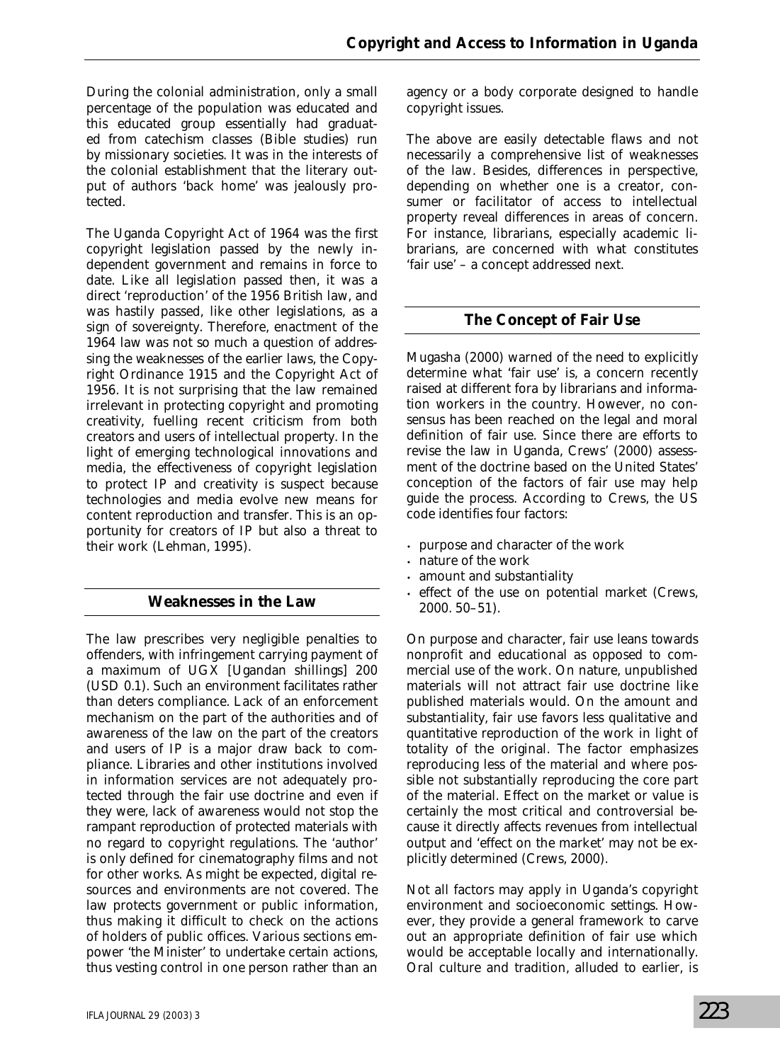During the colonial administration, only a small percentage of the population was educated and this educated group essentially had graduated from catechism classes (Bible studies) run by missionary societies. It was in the interests of the colonial establishment that the literary output of authors 'back home' was jealously protected.

The Uganda Copyright Act of 1964 was the first copyright legislation passed by the newly independent government and remains in force to date. Like all legislation passed then, it was a direct 'reproduction' of the 1956 British law, and was hastily passed, like other legislations, as a sign of sovereignty. Therefore, enactment of the 1964 law was not so much a question of addressing the weaknesses of the earlier laws, the Copyright Ordinance 1915 and the Copyright Act of 1956. It is not surprising that the law remained irrelevant in protecting copyright and promoting creativity, fuelling recent criticism from both creators and users of intellectual property. In the light of emerging technological innovations and media, the effectiveness of copyright legislation to protect IP and creativity is suspect because technologies and media evolve new means for content reproduction and transfer. This is an opportunity for creators of IP but also a threat to their work (Lehman, 1995).

### **Weaknesses in the Law**

The law prescribes very negligible penalties to offenders, with infringement carrying payment of a maximum of UGX [Ugandan shillings] 200 (USD 0.1). Such an environment facilitates rather than deters compliance. Lack of an enforcement mechanism on the part of the authorities and of awareness of the law on the part of the creators and users of IP is a major draw back to compliance. Libraries and other institutions involved in information services are not adequately protected through the fair use doctrine and even if they were, lack of awareness would not stop the rampant reproduction of protected materials with no regard to copyright regulations. The 'author' is only defined for cinematography films and not for other works. As might be expected, digital resources and environments are not covered. The law protects government or public information, thus making it difficult to check on the actions of holders of public offices. Various sections empower 'the Minister' to undertake certain actions, thus vesting control in one person rather than an

The above are easily detectable flaws and not necessarily a comprehensive list of weaknesses of the law. Besides, differences in perspective, depending on whether one is a creator, consumer or facilitator of access to intellectual property reveal differences in areas of concern. For instance, librarians, especially academic librarians, are concerned with what constitutes 'fair use' – a concept addressed next.

# **The Concept of Fair Use**

Mugasha (2000) warned of the need to explicitly determine what 'fair use' is, a concern recently raised at different fora by librarians and information workers in the country. However, no consensus has been reached on the legal and moral definition of fair use. Since there are efforts to revise the law in Uganda, Crews' (2000) assessment of the doctrine based on the United States' conception of the factors of fair use may help guide the process. According to Crews, the US code identifies four factors:

- purpose and character of the work
- nature of the work
- amount and substantiality
- effect of the use on potential market (Crews, 2000. 50–51).

On purpose and character, fair use leans towards nonprofit and educational as opposed to commercial use of the work. On nature, unpublished materials will not attract fair use doctrine like published materials would. On the amount and substantiality, fair use favors less qualitative and quantitative reproduction of the work in light of totality of the original. The factor emphasizes reproducing less of the material and where possible not substantially reproducing the core part of the material. Effect on the market or value is certainly the most critical and controversial because it directly affects revenues from intellectual output and 'effect on the market' may not be explicitly determined (Crews, 2000).

Not all factors may apply in Uganda's copyright environment and socioeconomic settings. However, they provide a general framework to carve out an appropriate definition of fair use which would be acceptable locally and internationally. Oral culture and tradition, alluded to earlier, is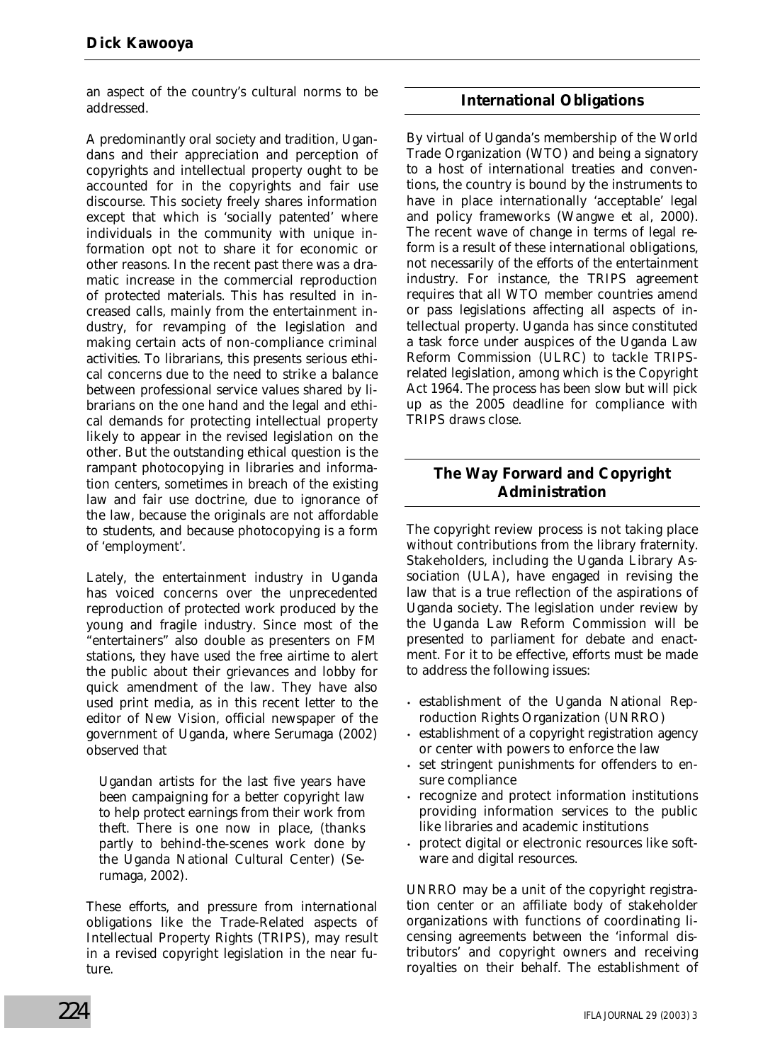an aspect of the country's cultural norms to be addressed.

A predominantly oral society and tradition, Ugandans and their appreciation and perception of copyrights and intellectual property ought to be accounted for in the copyrights and fair use discourse. This society freely shares information except that which is 'socially patented' where individuals in the community with unique information opt not to share it for economic or other reasons. In the recent past there was a dramatic increase in the commercial reproduction of protected materials. This has resulted in increased calls, mainly from the entertainment industry, for revamping of the legislation and making certain acts of non-compliance criminal activities. To librarians, this presents serious ethical concerns due to the need to strike a balance between professional service values shared by librarians on the one hand and the legal and ethical demands for protecting intellectual property likely to appear in the revised legislation on the other. But the outstanding ethical question is the rampant photocopying in libraries and information centers, sometimes in breach of the existing law and fair use doctrine, due to ignorance of the law, because the originals are not affordable to students, and because photocopying is a form of 'employment'.

Lately, the entertainment industry in Uganda has voiced concerns over the unprecedented reproduction of protected work produced by the young and fragile industry. Since most of the "entertainers" also double as presenters on FM stations, they have used the free airtime to alert the public about their grievances and lobby for quick amendment of the law. They have also used print media, as in this recent letter to the editor of *New Vision*, official newspaper of the government of Uganda, where Serumaga (2002) observed that

Ugandan artists for the last five years have been campaigning for a better copyright law to help protect earnings from their work from theft. There is one now in place, (thanks partly to behind-the-scenes work done by the Uganda National Cultural Center) (Serumaga, 2002).

These efforts, and pressure from international obligations like the Trade-Related aspects of Intellectual Property Rights (TRIPS), may result in a revised copyright legislation in the near future.

By virtual of Uganda's membership of the World Trade Organization (WTO) and being a signatory to a host of international treaties and conventions, the country is bound by the instruments to have in place internationally 'acceptable' legal and policy frameworks (Wangwe et al, 2000). The recent wave of change in terms of legal reform is a result of these international obligations, not necessarily of the efforts of the entertainment industry. For instance, the TRIPS agreement requires that all WTO member countries amend or pass legislations affecting all aspects of intellectual property. Uganda has since constituted a task force under auspices of the Uganda Law Reform Commission (ULRC) to tackle TRIPSrelated legislation, among which is the Copyright Act 1964. The process has been slow but will pick up as the 2005 deadline for compliance with TRIPS draws close.

# **The Way Forward and Copyright Administration**

The copyright review process is not taking place without contributions from the library fraternity. Stakeholders, including the Uganda Library Association (ULA), have engaged in revising the law that is a true reflection of the aspirations of Uganda society. The legislation under review by the Uganda Law Reform Commission will be presented to parliament for debate and enactment. For it to be effective, efforts must be made to address the following issues:

- establishment of the Uganda National Reproduction Rights Organization (UNRRO)
- establishment of a copyright registration agency or center with powers to enforce the law
- set stringent punishments for offenders to ensure compliance
- recognize and protect information institutions providing information services to the public like libraries and academic institutions
- protect digital or electronic resources like software and digital resources.

UNRRO may be a unit of the copyright registration center or an affiliate body of stakeholder organizations with functions of coordinating licensing agreements between the 'informal distributors' and copyright owners and receiving royalties on their behalf. The establishment of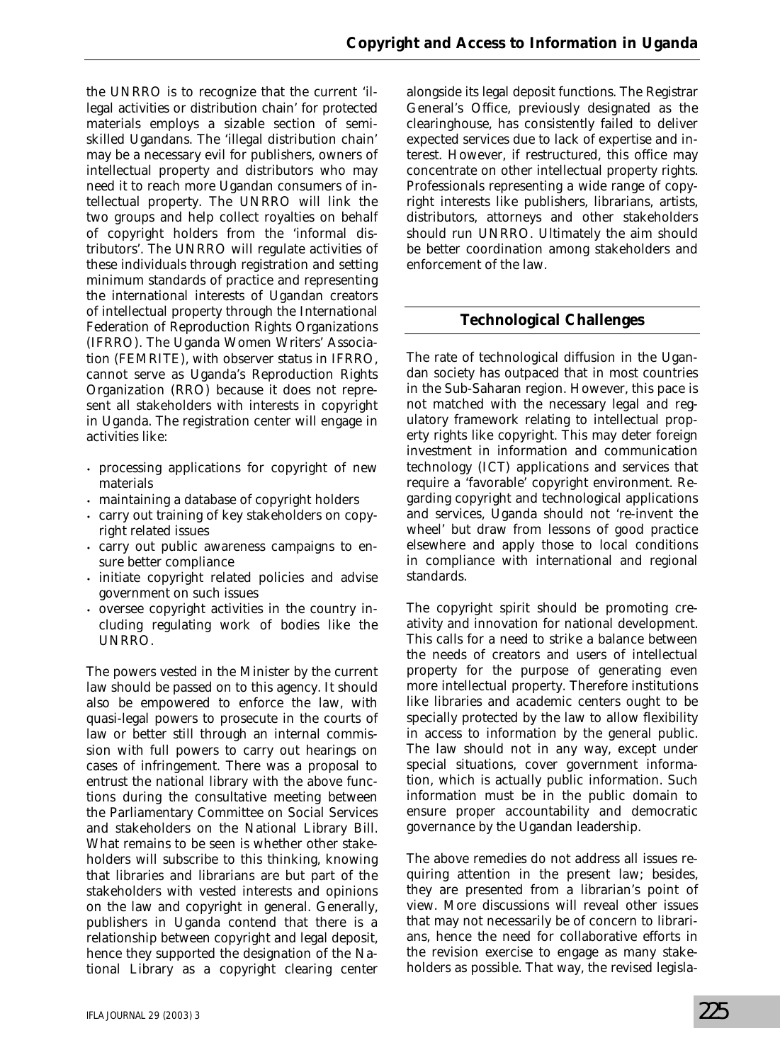the UNRRO is to recognize that the current 'illegal activities or distribution chain' for protected materials employs a sizable section of semiskilled Ugandans. The 'illegal distribution chain' may be a necessary evil for publishers, owners of intellectual property and distributors who may need it to reach more Ugandan consumers of intellectual property. The UNRRO will link the two groups and help collect royalties on behalf of copyright holders from the 'informal distributors'. The UNRRO will regulate activities of these individuals through registration and setting minimum standards of practice and representing the international interests of Ugandan creators of intellectual property through the International Federation of Reproduction Rights Organizations (IFRRO). The Uganda Women Writers' Association (FEMRITE), with observer status in IFRRO, cannot serve as Uganda's Reproduction Rights Organization (RRO) because it does not represent all stakeholders with interests in copyright in Uganda. The registration center will engage in activities like:

- processing applications for copyright of new materials
- maintaining a database of copyright holders
- carry out training of key stakeholders on copyright related issues
- carry out public awareness campaigns to ensure better compliance
- initiate copyright related policies and advise government on such issues
- oversee copyright activities in the country including regulating work of bodies like the UNRRO.

The powers vested in the Minister by the current law should be passed on to this agency. It should also be empowered to enforce the law, with quasi-legal powers to prosecute in the courts of law or better still through an internal commission with full powers to carry out hearings on cases of infringement. There was a proposal to entrust the national library with the above functions during the consultative meeting between the Parliamentary Committee on Social Services and stakeholders on the National Library Bill. What remains to be seen is whether other stakeholders will subscribe to this thinking, knowing that libraries and librarians are but part of the stakeholders with vested interests and opinions on the law and copyright in general. Generally, publishers in Uganda contend that there is a relationship between copyright and legal deposit, hence they supported the designation of the National Library as a copyright clearing center

alongside its legal deposit functions. The Registrar General's Office, previously designated as the clearinghouse, has consistently failed to deliver expected services due to lack of expertise and interest. However, if restructured, this office may concentrate on other intellectual property rights. Professionals representing a wide range of copyright interests like publishers, librarians, artists, distributors, attorneys and other stakeholders should run UNRRO. Ultimately the aim should be better coordination among stakeholders and enforcement of the law.

# **Technological Challenges**

The rate of technological diffusion in the Ugandan society has outpaced that in most countries in the Sub-Saharan region. However, this pace is not matched with the necessary legal and regulatory framework relating to intellectual property rights like copyright. This may deter foreign investment in information and communication technology (ICT) applications and services that require a 'favorable' copyright environment. Regarding copyright and technological applications and services, Uganda should not 're-invent the wheel' but draw from lessons of good practice elsewhere and apply those to local conditions in compliance with international and regional standards.

The copyright spirit should be promoting creativity and innovation for national development. This calls for a need to strike a balance between the needs of creators and users of intellectual property for the purpose of generating even more intellectual property. Therefore institutions like libraries and academic centers ought to be specially protected by the law to allow flexibility in access to information by the general public. The law should not in any way, except under special situations, cover government information, which is actually public information. Such information must be in the public domain to ensure proper accountability and democratic governance by the Ugandan leadership.

The above remedies do not address all issues requiring attention in the present law; besides, they are presented from a librarian's point of view. More discussions will reveal other issues that may not necessarily be of concern to librarians, hence the need for collaborative efforts in the revision exercise to engage as many stakeholders as possible. That way, the revised legisla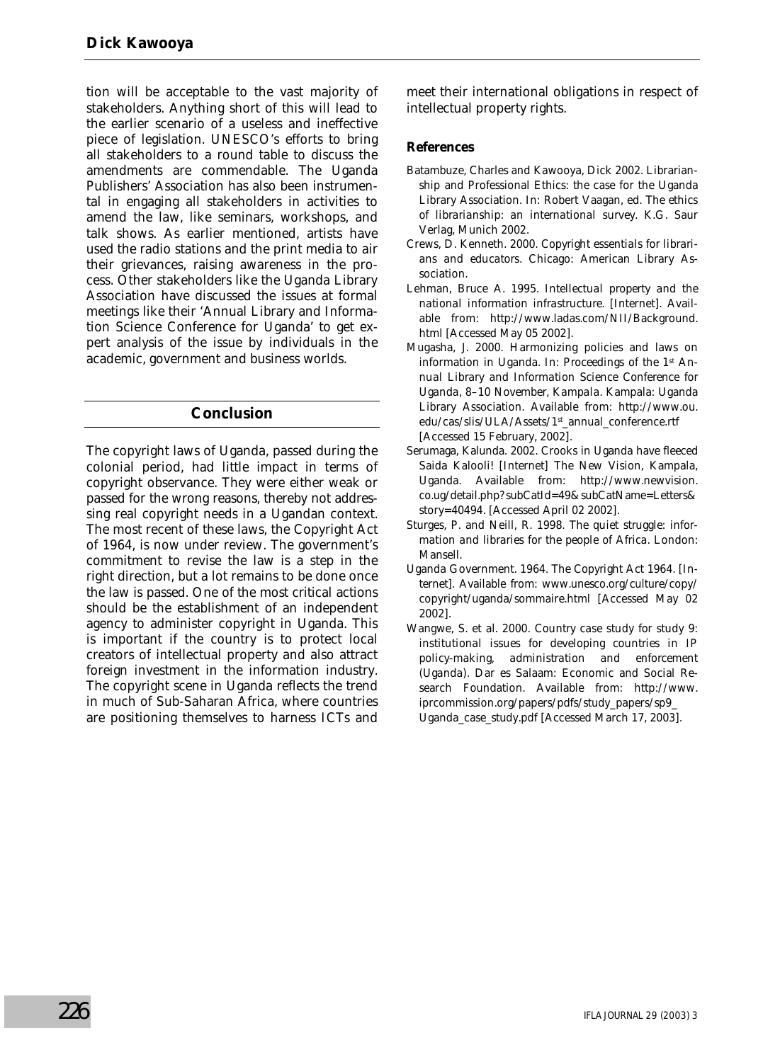tion will be acceptable to the vast majority of stakeholders. Anything short of this will lead to the earlier scenario of a useless and ineffective piece of legislation. UNESCO's efforts to bring all stakeholders to a round table to discuss the amendments are commendable. The Uganda Publishers' Association has also been instrumental in engaging all stakeholders in activities to amend the law, like seminars, workshops, and talk shows. As earlier mentioned, artists have used the radio stations and the print media to air their grievances, raising awareness in the process. Other stakeholders like the Uganda Library Association have discussed the issues at formal meetings like their 'Annual Library and Information Science Conference for Uganda' to get expert analysis of the issue by individuals in the academic, government and business worlds.

### **Conclusion**

The copyright laws of Uganda, passed during the colonial period, had little impact in terms of copyright observance. They were either weak or passed for the wrong reasons, thereby not addressing real copyright needs in a Ugandan context. The most recent of these laws, the Copyright Act of 1964, is now under review. The government's commitment to revise the law is a step in the right direction, but a lot remains to be done once the law is passed. One of the most critical actions should be the establishment of an independent agency to administer copyright in Uganda. This is important if the country is to protect local creators of intellectual property and also attract foreign investment in the information industry. The copyright scene in Uganda reflects the trend in much of Sub-Saharan Africa, where countries are positioning themselves to harness ICTs and

meet their international obligations in respect of intellectual property rights.

### **References**

- Batambuze, Charles and Kawooya, Dick 2002. Librarianship and Professional Ethics: the case for the Uganda Library Association. *In:* Robert Vaagan, ed. *The ethics of librarianship: an international survey.* K.G. Saur Verlag, Munich 2002.
- Crews, D. Kenneth. 2000. *Copyright essentials for librarians and educators.* Chicago: American Library Association.
- Lehman, Bruce A. 1995. *Intellectual property and the national information infrastructure.* [Internet]. Available from: http://www.ladas.com/NII/Background. html [Accessed May 05 2002].
- Mugasha, J. 2000. Harmonizing policies and laws on information in Uganda. *In: Proceedings of the 1st Annual Library and Information Science Conference for Uganda, 8–10 November, Kampala.* Kampala: Uganda Library Association. Available from: http://www.ou. edu/cas/slis/ULA/Assets/1st\_annual\_conference.rtf [Accessed 15 February, 2002].
- Serumaga, Kalunda. 2002. Crooks in Uganda have fleeced Saida Kalooli! [Internet] *The New Vision,* Kampala, Uganda. Available from: http://www.newvision. co.ug/detail.php?subCatId=49&subCatName=Letters& story=40494. [Accessed April 02 2002].
- Sturges, P. and Neill, R. 1998. *The quiet struggle: information and libraries for the people of Africa.* London: Mansell.
- Uganda Government. 1964. *The Copyright Act 1964.* [Internet]. Available from: www.unesco.org/culture/copy/ copyright/uganda/sommaire.html [Accessed May 02 2002].
- Wangwe, S. et al. 2000. *Country case study for study 9: institutional issues for developing countries in IP policy-making, administration and enforcement (Uganda).* Dar es Salaam: Economic and Social Research Foundation. Available from: http://www. iprcommission.org/papers/pdfs/study\_papers/sp9\_ Uganda\_case\_study.pdf [Accessed March 17, 2003].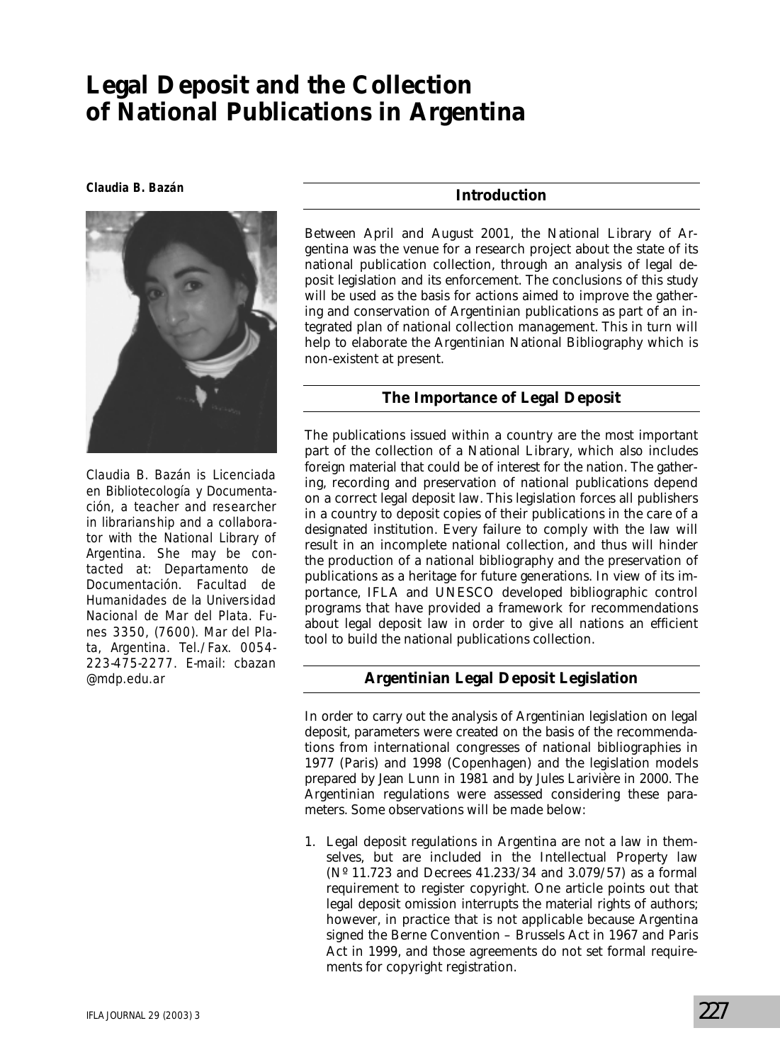# **Legal Deposit and the Collection of National Publications in Argentina**

*Claudia B. Bazán* 



Claudia B. Bazán is Licenciada en Bibliotecología y Documentación, a teacher and researcher in librarianship and a collaborator with the National Library of Argentina. She may be contacted at: Departamento de Documentación. Facultad de Humanidades de la Universidad Nacional de Mar del Plata. Funes 3350, (7600). Mar del Plata, Argentina. Tel./Fax. 0054- 223-475-2277. E-mail: cbazan @mdp.edu.ar

### **Introduction**

Between April and August 2001, the National Library of Argentina was the venue for a research project about the state of its national publication collection, through an analysis of legal deposit legislation and its enforcement. The conclusions of this study will be used as the basis for actions aimed to improve the gathering and conservation of Argentinian publications as part of an integrated plan of national collection management. This in turn will help to elaborate the Argentinian National Bibliography which is non-existent at present.

# **The Importance of Legal Deposit**

The publications issued within a country are the most important part of the collection of a National Library, which also includes foreign material that could be of interest for the nation. The gathering, recording and preservation of national publications depend on a correct legal deposit law. This legislation forces all publishers in a country to deposit copies of their publications in the care of a designated institution. Every failure to comply with the law will result in an incomplete national collection, and thus will hinder the production of a national bibliography and the preservation of publications as a heritage for future generations. In view of its importance, IFLA and UNESCO developed bibliographic control programs that have provided a framework for recommendations about legal deposit law in order to give all nations an efficient tool to build the national publications collection.

### **Argentinian Legal Deposit Legislation**

In order to carry out the analysis of Argentinian legislation on legal deposit, parameters were created on the basis of the recommendations from international congresses of national bibliographies in 1977 (Paris) and 1998 (Copenhagen) and the legislation models prepared by Jean Lunn in 1981 and by Jules Larivière in 2000. The Argentinian regulations were assessed considering these parameters. Some observations will be made below:

1. Legal deposit regulations in Argentina are not a law in themselves, but are included in the Intellectual Property law (Nº 11.723 and Decrees 41.233/34 and 3.079/57) as a formal requirement to register copyright. One article points out that legal deposit omission interrupts the material rights of authors; however, in practice that is not applicable because Argentina signed the Berne Convention – Brussels Act in 1967 and Paris Act in 1999, and those agreements do not set formal requirements for copyright registration.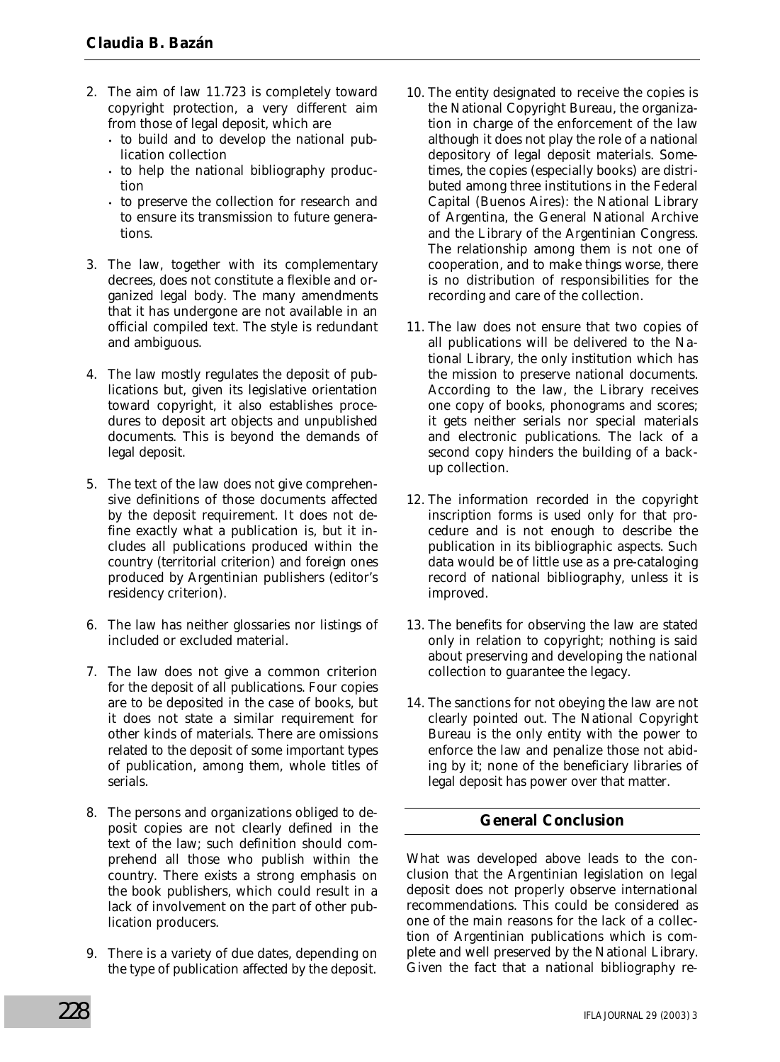- 2. The aim of law 11.723 is completely toward copyright protection, a very different aim from those of legal deposit, which are
	- to build and to develop the national publication collection
	- to help the national bibliography production
	- to preserve the collection for research and to ensure its transmission to future generations.
- 3. The law, together with its complementary decrees, does not constitute a flexible and organized legal body. The many amendments that it has undergone are not available in an official compiled text. The style is redundant and ambiguous.
- 4. The law mostly regulates the deposit of publications but, given its legislative orientation toward copyright, it also establishes procedures to deposit art objects and unpublished documents. This is beyond the demands of legal deposit.
- 5. The text of the law does not give comprehensive definitions of those documents affected by the deposit requirement. It does not define exactly what a publication is, but it includes all publications produced within the country (territorial criterion) and foreign ones produced by Argentinian publishers (editor's residency criterion).
- 6. The law has neither glossaries nor listings of included or excluded material.
- 7. The law does not give a common criterion for the deposit of all publications. Four copies are to be deposited in the case of books, but it does not state a similar requirement for other kinds of materials. There are omissions related to the deposit of some important types of publication, among them, whole titles of serials.
- 8. The persons and organizations obliged to deposit copies are not clearly defined in the text of the law; such definition should comprehend all those who publish within the country. There exists a strong emphasis on the book publishers, which could result in a lack of involvement on the part of other publication producers.
- 9. There is a variety of due dates, depending on the type of publication affected by the deposit.
- 10. The entity designated to receive the copies is the National Copyright Bureau, the organization in charge of the enforcement of the law although it does not play the role of a national depository of legal deposit materials. Sometimes, the copies (especially books) are distributed among three institutions in the Federal Capital (Buenos Aires): the National Library of Argentina, the General National Archive and the Library of the Argentinian Congress. The relationship among them is not one of cooperation, and to make things worse, there is no distribution of responsibilities for the recording and care of the collection.
- 11. The law does not ensure that two copies of all publications will be delivered to the National Library, the only institution which has the mission to preserve national documents. According to the law, the Library receives one copy of books, phonograms and scores; it gets neither serials nor special materials and electronic publications. The lack of a second copy hinders the building of a backup collection.
- 12. The information recorded in the copyright inscription forms is used only for that procedure and is not enough to describe the publication in its bibliographic aspects. Such data would be of little use as a pre-cataloging record of national bibliography, unless it is improved.
- 13. The benefits for observing the law are stated only in relation to copyright; nothing is said about preserving and developing the national collection to guarantee the legacy.
- 14. The sanctions for not obeying the law are not clearly pointed out. The National Copyright Bureau is the only entity with the power to enforce the law and penalize those not abiding by it; none of the beneficiary libraries of legal deposit has power over that matter.

### **General Conclusion**

What was developed above leads to the conclusion that the Argentinian legislation on legal deposit does not properly observe international recommendations. This could be considered as one of the main reasons for the lack of a collection of Argentinian publications which is complete and well preserved by the National Library. Given the fact that a national bibliography re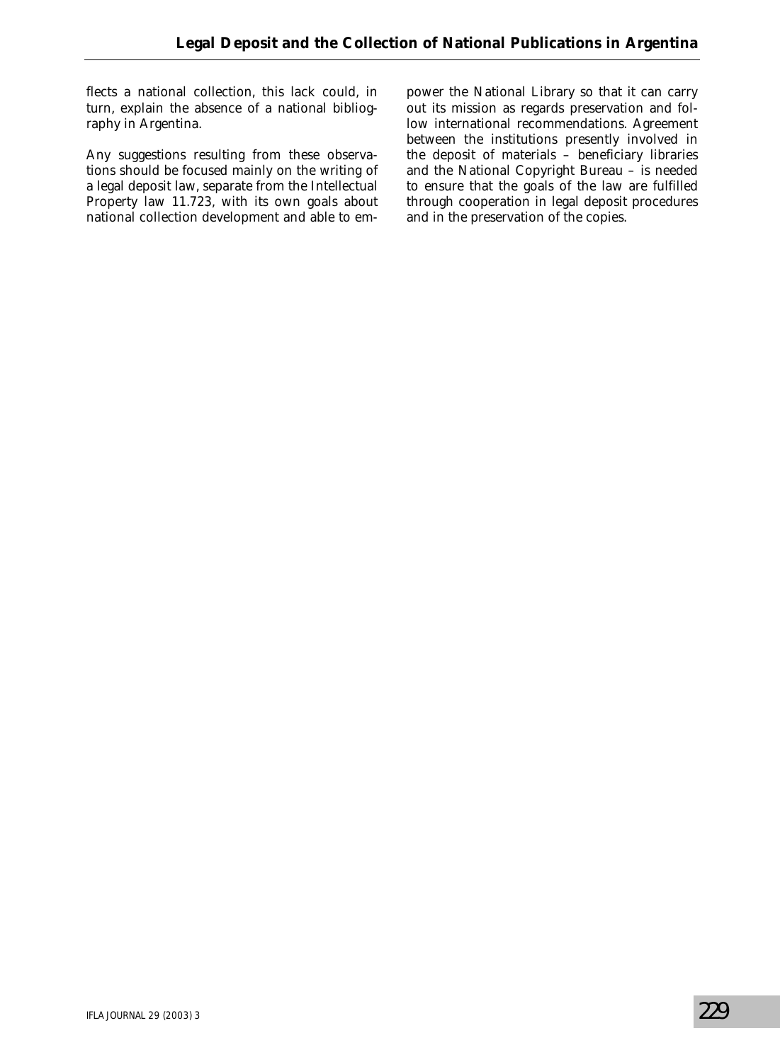flects a national collection, this lack could, in turn, explain the absence of a national bibliography in Argentina.

Any suggestions resulting from these observations should be focused mainly on the writing of a legal deposit law, separate from the Intellectual Property law 11.723, with its own goals about national collection development and able to empower the National Library so that it can carry out its mission as regards preservation and follow international recommendations. Agreement between the institutions presently involved in the deposit of materials – beneficiary libraries and the National Copyright Bureau – is needed to ensure that the goals of the law are fulfilled through cooperation in legal deposit procedures and in the preservation of the copies.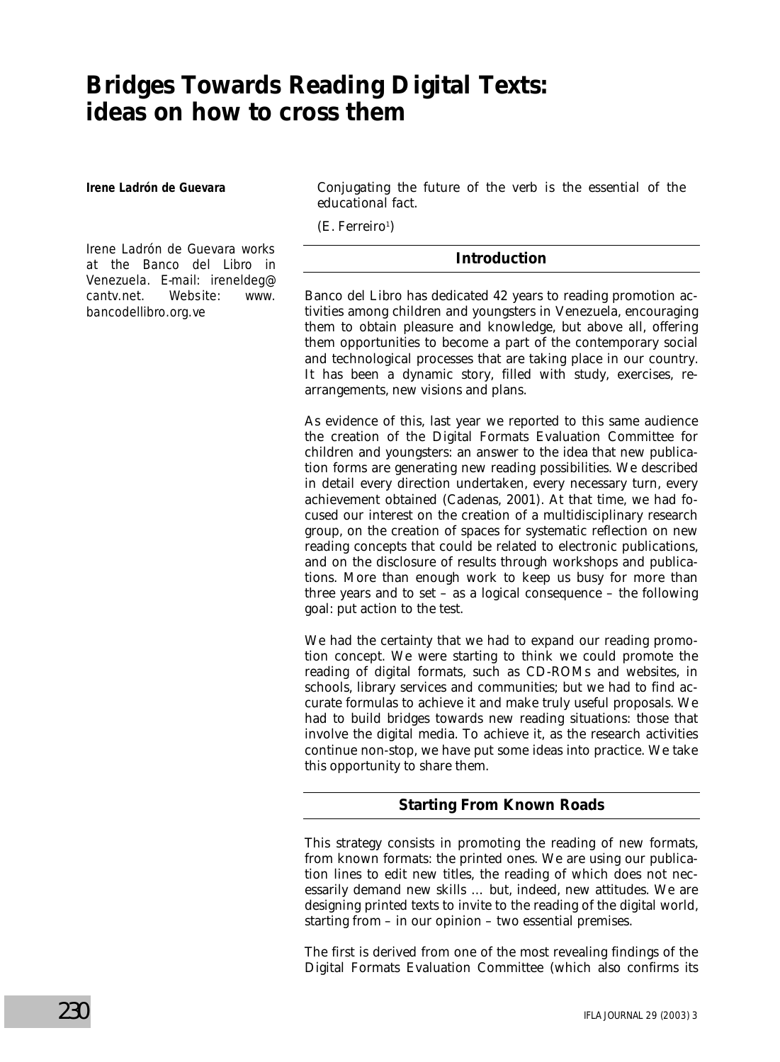# **Bridges Towards Reading Digital Texts: ideas on how to cross them**

### *Irene Ladrón de Guevara*

*Conjugating the future of the verb is the essential of the educational fact.* 

(E. Ferreiro<sup>1</sup>)

Irene Ladrón de Guevara works at the Banco del Libro in Venezuela. E-mail: ireneldeg@ cantv.net. Website: www. bancodellibro.org.ve

### **Introduction**

Banco del Libro has dedicated 42 years to reading promotion activities among children and youngsters in Venezuela, encouraging them to obtain pleasure and knowledge, but above all, offering them opportunities to become a part of the contemporary social and technological processes that are taking place in our country. It has been a dynamic story, filled with study, exercises, rearrangements, new visions and plans.

As evidence of this, last year we reported to this same audience the creation of the Digital Formats Evaluation Committee for children and youngsters: an answer to the idea that new publication forms are generating new reading possibilities. We described in detail every direction undertaken, every necessary turn, every achievement obtained (Cadenas, 2001). At that time, we had focused our interest on the creation of a multidisciplinary research group, on the creation of spaces for systematic reflection on new reading concepts that could be related to electronic publications, and on the disclosure of results through workshops and publications. More than enough work to keep us busy for more than three years and to set – as a logical consequence – the following goal: put action to the test.

We had the certainty that we had to expand our reading promotion concept. We were starting to think we could promote the reading of digital formats, such as CD-ROMs and websites, in schools, library services and communities; but we had to find accurate formulas to achieve it and make truly useful proposals. We had to build bridges towards new reading situations: those that involve the digital media. To achieve it, as the research activities continue non-stop, we have put some ideas into practice. We take this opportunity to share them.

### **Starting From Known Roads**

This strategy consists in promoting the reading of new formats, from known formats: the printed ones. We are using our publication lines to edit new titles, the reading of which does not necessarily demand new skills … but, indeed, new attitudes. We are designing printed texts to invite to the reading of the digital world, starting from – in our opinion – two essential premises.

The first is derived from one of the most revealing findings of the Digital Formats Evaluation Committee (which also confirms its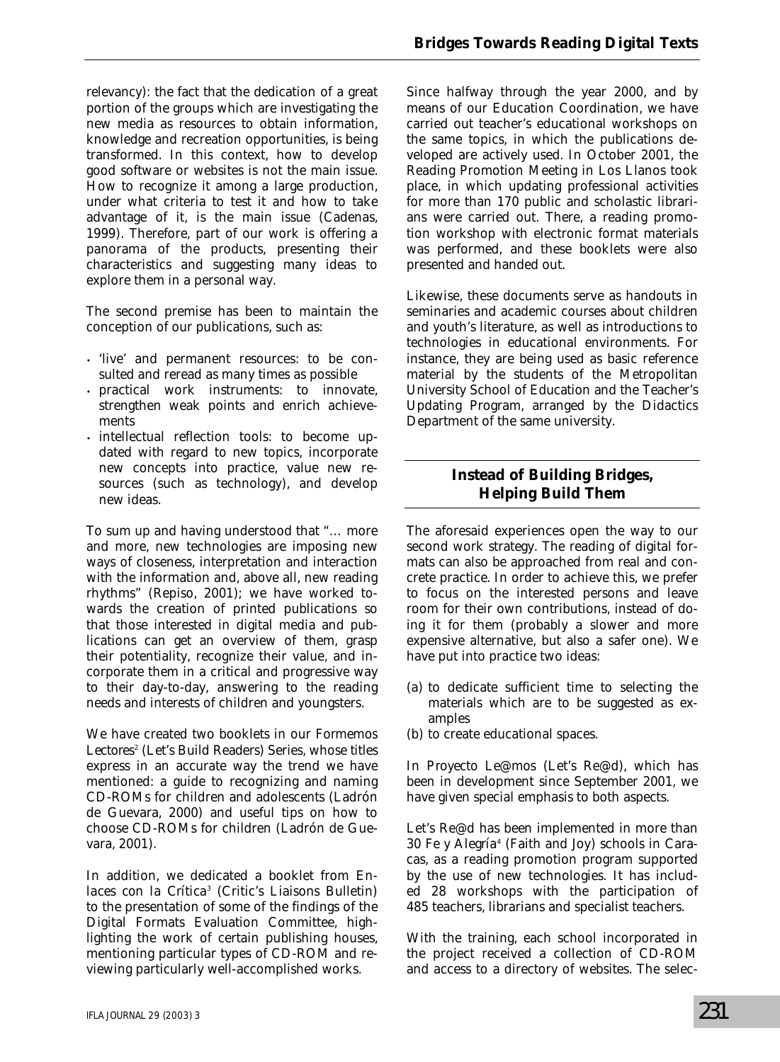relevancy): the fact that the dedication of a great portion of the groups which are investigating the new media as resources to obtain information, knowledge and recreation opportunities, is being transformed. In this context, how to develop good software or websites is not the main issue. How to recognize it among a large production, under what criteria to test it and how to take advantage of it, is the main issue (Cadenas, 1999). Therefore, part of our work is offering a panorama of the products, presenting their characteristics and suggesting many ideas to explore them in a personal way.

The second premise has been to maintain the conception of our publications, such as:

- 'live' and permanent resources: to be consulted and reread as many times as possible
- practical work instruments: to innovate, strengthen weak points and enrich achievements
- intellectual reflection tools: to become updated with regard to new topics, incorporate new concepts into practice, value new resources (such as technology), and develop new ideas.

To sum up and having understood that "… more and more, new technologies are imposing new ways of closeness, interpretation and interaction with the information and, above all, new reading rhythms" (Repiso, 2001); we have worked towards the creation of printed publications so that those interested in digital media and publications can get an overview of them, grasp their potentiality, recognize their value, and incorporate them in a critical and progressive way to their day-to-day, answering to the reading needs and interests of children and youngsters.

We have created two booklets in our *Formemos Lectores*<sup>2</sup> (Let's Build Readers) Series, whose titles express in an accurate way the trend we have mentioned: a guide to recognizing and naming CD-ROMs for children and adolescents (Ladrón de Guevara, 2000) and useful tips on how to choose CD-ROMs for children (Ladrón de Guevara, 2001).

In addition, we dedicated a booklet from *Enlaces con la Crítica*<sup>3</sup> (Critic's Liaisons Bulletin) to the presentation of some of the findings of the Digital Formats Evaluation Committee, highlighting the work of certain publishing houses, mentioning particular types of CD-ROM and reviewing particularly well-accomplished works.

Since halfway through the year 2000, and by means of our Education Coordination, we have carried out teacher's educational workshops on the same topics, in which the publications developed are actively used. In October 2001, the Reading Promotion Meeting in Los Llanos took place, in which updating professional activities for more than 170 public and scholastic librarians were carried out. There, a reading promotion workshop with electronic format materials was performed, and these booklets were also presented and handed out.

Likewise, these documents serve as handouts in seminaries and academic courses about children and youth's literature, as well as introductions to technologies in educational environments. For instance, they are being used as basic reference material by the students of the Metropolitan University School of Education and the Teacher's Updating Program, arranged by the Didactics Department of the same university.

# **Instead of Building Bridges, Helping Build Them**

The aforesaid experiences open the way to our second work strategy. The reading of digital formats can also be approached from real and concrete practice. In order to achieve this, we prefer to focus on the interested persons and leave room for their own contributions, instead of doing it for them (probably a slower and more expensive alternative, but also a safer one). We have put into practice two ideas:

- (a) to dedicate sufficient time to selecting the materials which are to be suggested as examples
- (b) to create educational spaces.

In *Proyecto Le@mos* (Let's Re@d), which has been in development since September 2001, we have given special emphasis to both aspects.

Let's Re@d has been implemented in more than 30 *Fe y Alegría*<sup>4</sup> (Faith and Joy) schools in Caracas, as a reading promotion program supported by the use of new technologies. It has included 28 workshops with the participation of 485 teachers, librarians and specialist teachers.

With the training, each school incorporated in the project received a collection of CD-ROM and access to a directory of websites. The selec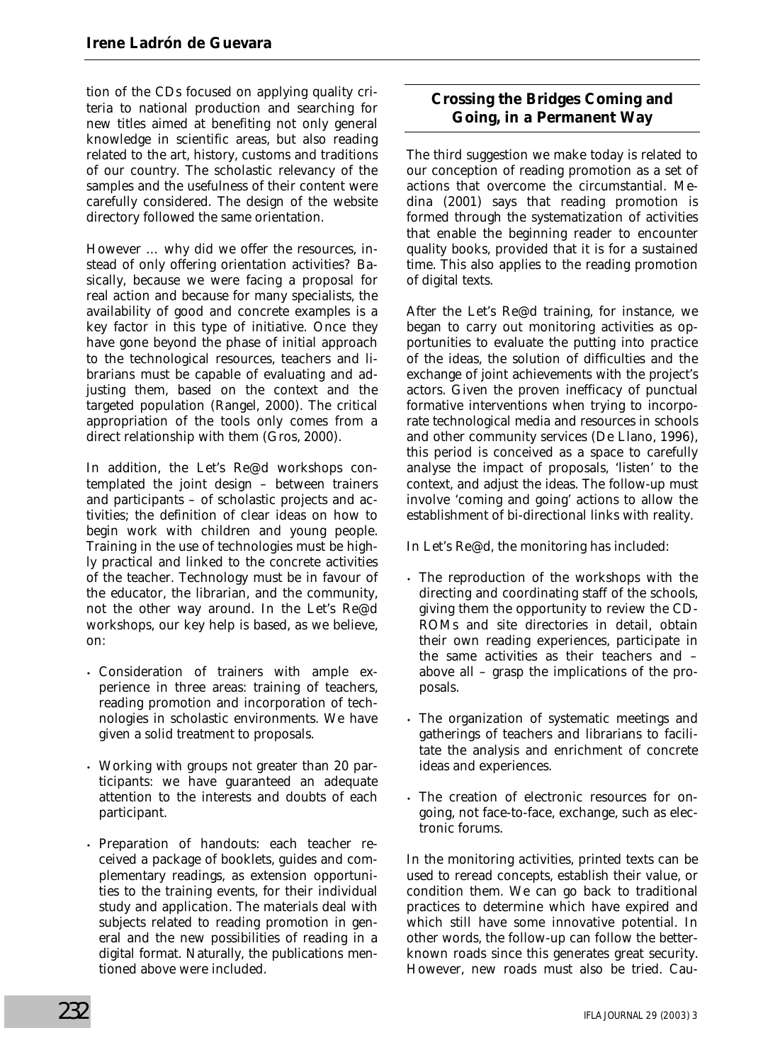tion of the CDs focused on applying quality criteria to national production and searching for new titles aimed at benefiting not only general knowledge in scientific areas, but also reading related to the art, history, customs and traditions of our country. The scholastic relevancy of the samples and the usefulness of their content were carefully considered. The design of the website directory followed the same orientation.

However … why did we offer the resources, instead of only offering orientation activities? Basically, because we were facing a proposal for real action and because for many specialists, the availability of good and concrete examples is a key factor in this type of initiative. Once they have gone beyond the phase of initial approach to the technological resources, teachers and librarians must be capable of evaluating and adjusting them, based on the context and the targeted population (Rangel, 2000). The critical appropriation of the tools only comes from a direct relationship with them (Gros, 2000).

In addition, the Let's Re@d workshops contemplated the joint design – between trainers and participants – of scholastic projects and activities; the definition of clear ideas on how to begin work with children and young people. Training in the use of technologies must be highly practical and linked to the concrete activities of the teacher. Technology must be in favour of the educator, the librarian, and the community, not the other way around. In the Let's Re@d workshops, our key help is based, as we believe, on:

- Consideration of trainers with ample experience in three areas: training of teachers, reading promotion and incorporation of technologies in scholastic environments. We have given a solid treatment to proposals.
- Working with groups not greater than 20 participants: we have guaranteed an adequate attention to the interests and doubts of each participant.
- Preparation of handouts: each teacher received a package of booklets, guides and complementary readings, as extension opportunities to the training events, for their individual study and application. The materials deal with subjects related to reading promotion in general and the new possibilities of reading in a digital format. Naturally, the publications mentioned above were included.

# **Crossing the Bridges Coming and Going, in a Permanent Way**

The third suggestion we make today is related to our conception of reading promotion as a set of actions that overcome the circumstantial. Medina (2001) says that reading promotion is formed through the systematization of activities that enable the beginning reader to encounter quality books, provided that it is for a sustained time. This also applies to the reading promotion of digital texts.

After the Let's Re@d training, for instance, we began to carry out monitoring activities as opportunities to evaluate the putting into practice of the ideas, the solution of difficulties and the exchange of joint achievements with the project's actors. Given the proven inefficacy of punctual formative interventions when trying to incorporate technological media and resources in schools and other community services (De Llano, 1996), this period is conceived as a space to carefully analyse the impact of proposals, 'listen' to the context, and adjust the ideas. The follow-up must involve 'coming and going' actions to allow the establishment of bi-directional links with reality.

In Let's Re@d, the monitoring has included:

- The reproduction of the workshops with the directing and coordinating staff of the schools, giving them the opportunity to review the CD-ROMs and site directories in detail, obtain their own reading experiences, participate in the same activities as their teachers and – above all – grasp the implications of the proposals.
- The organization of systematic meetings and gatherings of teachers and librarians to facilitate the analysis and enrichment of concrete ideas and experiences.
- The creation of electronic resources for ongoing, not face-to-face, exchange, such as electronic forums.

In the monitoring activities, printed texts can be used to reread concepts, establish their value, or condition them. We can go back to traditional practices to determine which have expired and which still have some innovative potential. In other words, the follow-up can follow the betterknown roads since this generates great security. However, new roads must also be tried. Cau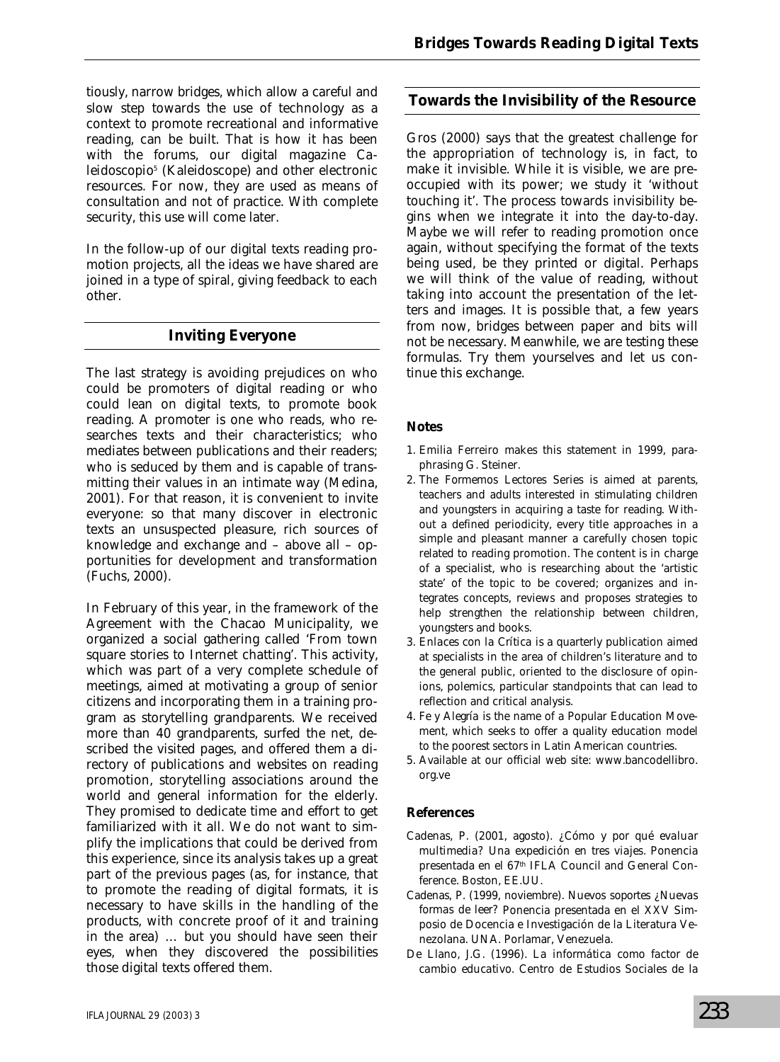tiously, narrow bridges, which allow a careful and slow step towards the use of technology as a context to promote recreational and informative reading, can be built. That is how it has been with the forums, our digital magazine *Caleidoscopio*<sup>5</sup> (Kaleidoscope) and other electronic resources. For now, they are used as means of consultation and not of practice. With complete security, this use will come later.

In the follow-up of our digital texts reading promotion projects, all the ideas we have shared are joined in a type of spiral, giving feedback to each other.

### **Inviting Everyone**

The last strategy is avoiding prejudices on who could be promoters of digital reading or who could lean on digital texts, to promote book reading. A promoter is one who reads, who researches texts and their characteristics; who mediates between publications and their readers; who is seduced by them and is capable of transmitting their values in an intimate way (Medina, 2001). For that reason, it is convenient to invite everyone: so that many discover in electronic texts an unsuspected pleasure, rich sources of knowledge and exchange and – above all – opportunities for development and transformation (Fuchs, 2000).

In February of this year, in the framework of the Agreement with the Chacao Municipality, we organized a social gathering called 'From town square stories to Internet chatting'. This activity, which was part of a very complete schedule of meetings, aimed at motivating a group of senior citizens and incorporating them in a training program as storytelling grandparents. We received more than 40 grandparents, surfed the net, described the visited pages, and offered them a directory of publications and websites on reading promotion, storytelling associations around the world and general information for the elderly. They promised to dedicate time and effort to get familiarized with it all. We do not want to simplify the implications that could be derived from this experience, since its analysis takes up a great part of the previous pages (as, for instance, that to promote the reading of digital formats, it is necessary to have skills in the handling of the products, with concrete proof of it and training in the area) … but you should have seen their eyes, when they discovered the possibilities those digital texts offered them.

Gros (2000) says that the greatest challenge for the appropriation of technology is, in fact, to make it invisible. While it is visible, we are preoccupied with its power; we study it 'without touching it'. The process towards invisibility begins when we integrate it into the day-to-day. Maybe we will refer to reading promotion once again, without specifying the format of the texts being used, be they printed or digital. Perhaps we will think of the value of reading, without taking into account the presentation of the letters and images. It is possible that, a few years from now, bridges between paper and bits will not be necessary. Meanwhile, we are testing these formulas. Try them yourselves and let us continue this exchange.

### **Notes**

- 1. Emilia Ferreiro makes this statement in 1999, paraphrasing G. Steiner.
- 2. The *Formemos Lectores* Series is aimed at parents, teachers and adults interested in stimulating children and youngsters in acquiring a taste for reading. Without a defined periodicity, every title approaches in a simple and pleasant manner a carefully chosen topic related to reading promotion. The content is in charge of a specialist, who is researching about the 'artistic state' of the topic to be covered; organizes and integrates concepts, reviews and proposes strategies to help strengthen the relationship between children, youngsters and books.
- 3. *Enlaces con la Crítica* is a quarterly publication aimed at specialists in the area of children's literature and to the general public, oriented to the disclosure of opinions, polemics, particular standpoints that can lead to reflection and critical analysis.
- 4. *Fe y Alegría* is the name of a Popular Education Movement, which seeks to offer a quality education model to the poorest sectors in Latin American countries.
- 5. Available at our official web site: www.bancodellibro. org.ve

### **References**

- Cadenas, P. (2001, agosto). *¿Cómo y por qué evaluar multimedia? Una expedición en tres viajes.* Ponencia presentada en el 67th IFLA Council and General Conference. Boston, EE.UU.
- Cadenas, P. (1999, noviembre). *Nuevos soportes ¿Nuevas formas de leer?* Ponencia presentada en el XXV Simposio de Docencia e Investigación de la Literatura Venezolana. UNA. Porlamar, Venezuela.
- De Llano, J.G. (1996). *La informática como factor de cambio educativo.* Centro de Estudios Sociales de la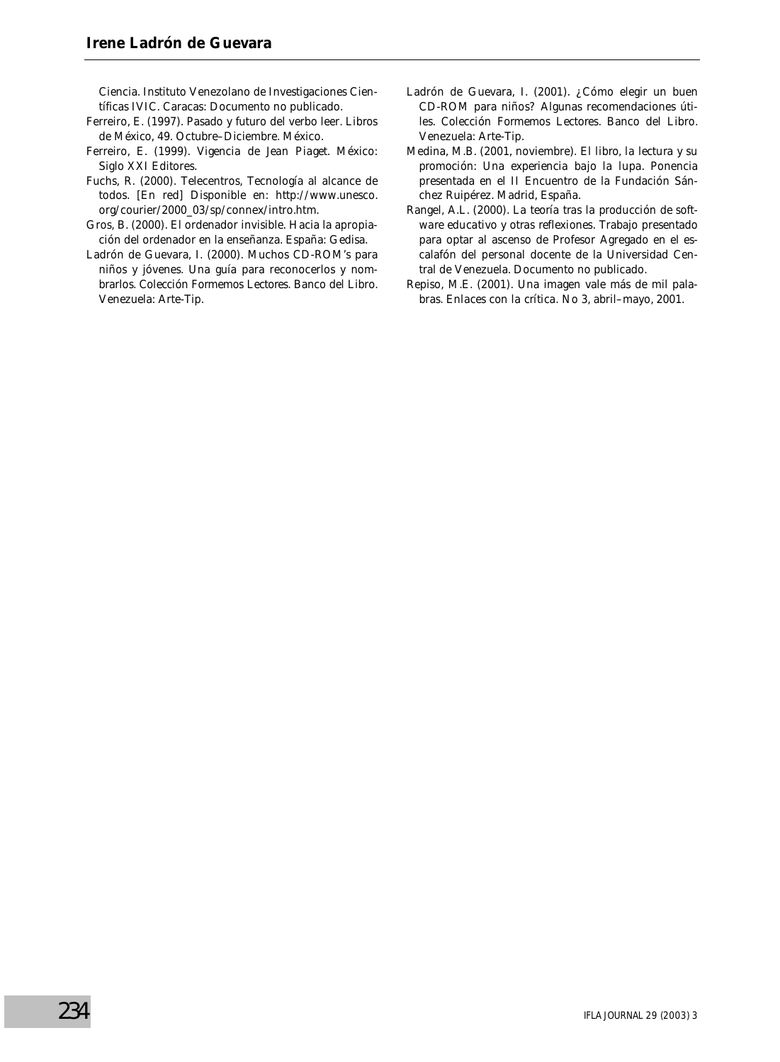Ciencia. Instituto Venezolano de Investigaciones Científicas IVIC. Caracas: Documento no publicado.

- Ferreiro, E. (1997). Pasado y futuro del verbo leer. *Libros de México,* 49. Octubre–Diciembre. México.
- Ferreiro, E. (1999). *Vigencia de Jean Piaget.* México: Siglo XXI Editores.
- Fuchs, R. (2000). Telecentros, Tecnología al alcance de todos. [En red] Disponible en: http://www.unesco. org/courier/2000\_03/sp/connex/intro.htm.
- Gros, B. (2000). El ordenador invisible. Hacia la apropiación del ordenador en la enseñanza. España: Gedisa.
- Ladrón de Guevara, I. (2000). Muchos CD-ROM's para niños y jóvenes. Una guía para reconocerlos y nombrarlos. *Colección Formemos Lectores.* Banco del Libro. Venezuela: Arte-Tip.
- Ladrón de Guevara, I. (2001). ¿Cómo elegir un buen CD-ROM para niños? Algunas recomendaciones útiles. *Colección Formemos Lectores.* Banco del Libro. Venezuela: Arte-Tip.
- Medina, M.B. (2001, noviembre). *El libro, la lectura y su promoción: Una experiencia bajo la lupa.* Ponencia presentada en el II Encuentro de la Fundación Sánchez Ruipérez. Madrid, España.
- Rangel, A.L. (2000). *La teoría tras la producción de software educativo y otras reflexiones.* Trabajo presentado para optar al ascenso de Profesor Agregado en el escalafón del personal docente de la Universidad Central de Venezuela. Documento no publicado.
- Repiso, M.E. (2001). Una imagen vale más de mil palabras. *Enlaces con la crítica.* No 3, abril–mayo, 2001.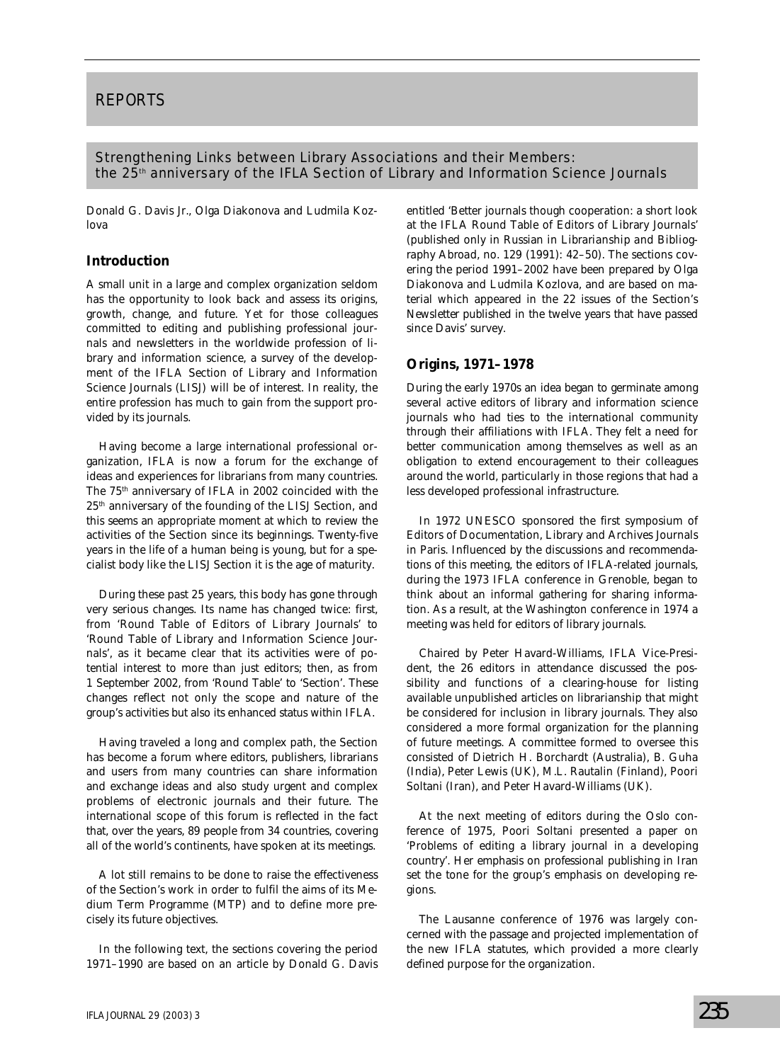# REPORTS

 Strengthening Links between Library Associations and their Members: the 25<sup>th</sup> anniversary of the IFLA Section of Library and Information Science Journals

Donald G. Davis Jr., Olga Diakonova and Ludmila Kozlova

### **Introduction**

A small unit in a large and complex organization seldom has the opportunity to look back and assess its origins, growth, change, and future. Yet for those colleagues committed to editing and publishing professional journals and newsletters in the worldwide profession of library and information science, a survey of the development of the IFLA Section of Library and Information Science Journals (LISJ) will be of interest. In reality, the entire profession has much to gain from the support provided by its journals.

Having become a large international professional organization, IFLA is now a forum for the exchange of ideas and experiences for librarians from many countries. The 75th anniversary of IFLA in 2002 coincided with the 25th anniversary of the founding of the LISJ Section, and this seems an appropriate moment at which to review the activities of the Section since its beginnings. Twenty-five years in the life of a human being is young, but for a specialist body like the LISJ Section it is the age of maturity.

During these past 25 years, this body has gone through very serious changes. Its name has changed twice: first, from 'Round Table of Editors of Library Journals' to 'Round Table of Library and Information Science Journals', as it became clear that its activities were of potential interest to more than just editors; then, as from 1 September 2002, from 'Round Table' to 'Section'. These changes reflect not only the scope and nature of the group's activities but also its enhanced status within IFLA.

Having traveled a long and complex path, the Section has become a forum where editors, publishers, librarians and users from many countries can share information and exchange ideas and also study urgent and complex problems of electronic journals and their future. The international scope of this forum is reflected in the fact that, over the years, 89 people from 34 countries, covering all of the world's continents, have spoken at its meetings.

A lot still remains to be done to raise the effectiveness of the Section's work in order to fulfil the aims of its Medium Term Programme (MTP) and to define more precisely its future objectives.

In the following text, the sections covering the period 1971–1990 are based on an article by Donald G. Davis entitled 'Better journals though cooperation: a short look at the IFLA Round Table of Editors of Library Journals' (published only in Russian in *Librarianship and Bibliography Abroad*, no. 129 (1991): 42–50). The sections covering the period 1991–2002 have been prepared by Olga Diakonova and Ludmila Kozlova, and are based on material which appeared in the 22 issues of the Section's *Newsletter* published in the twelve years that have passed since Davis' survey.

### **Origins, 1971–1978**

During the early 1970s an idea began to germinate among several active editors of library and information science journals who had ties to the international community through their affiliations with IFLA. They felt a need for better communication among themselves as well as an obligation to extend encouragement to their colleagues around the world, particularly in those regions that had a less developed professional infrastructure.

In 1972 UNESCO sponsored the first symposium of Editors of Documentation, Library and Archives Journals in Paris. Influenced by the discussions and recommendations of this meeting, the editors of IFLA-related journals, during the 1973 IFLA conference in Grenoble, began to think about an informal gathering for sharing information. As a result, at the Washington conference in 1974 a meeting was held for editors of library journals.

Chaired by Peter Havard-Williams, IFLA Vice-President, the 26 editors in attendance discussed the possibility and functions of a clearing-house for listing available unpublished articles on librarianship that might be considered for inclusion in library journals. They also considered a more formal organization for the planning of future meetings. A committee formed to oversee this consisted of Dietrich H. Borchardt (Australia), B. Guha (India), Peter Lewis (UK), M.L. Rautalin (Finland), Poori Soltani (Iran), and Peter Havard-Williams (UK).

At the next meeting of editors during the Oslo conference of 1975, Poori Soltani presented a paper on 'Problems of editing a library journal in a developing country'. Her emphasis on professional publishing in Iran set the tone for the group's emphasis on developing regions.

The Lausanne conference of 1976 was largely concerned with the passage and projected implementation of the new IFLA statutes, which provided a more clearly defined purpose for the organization.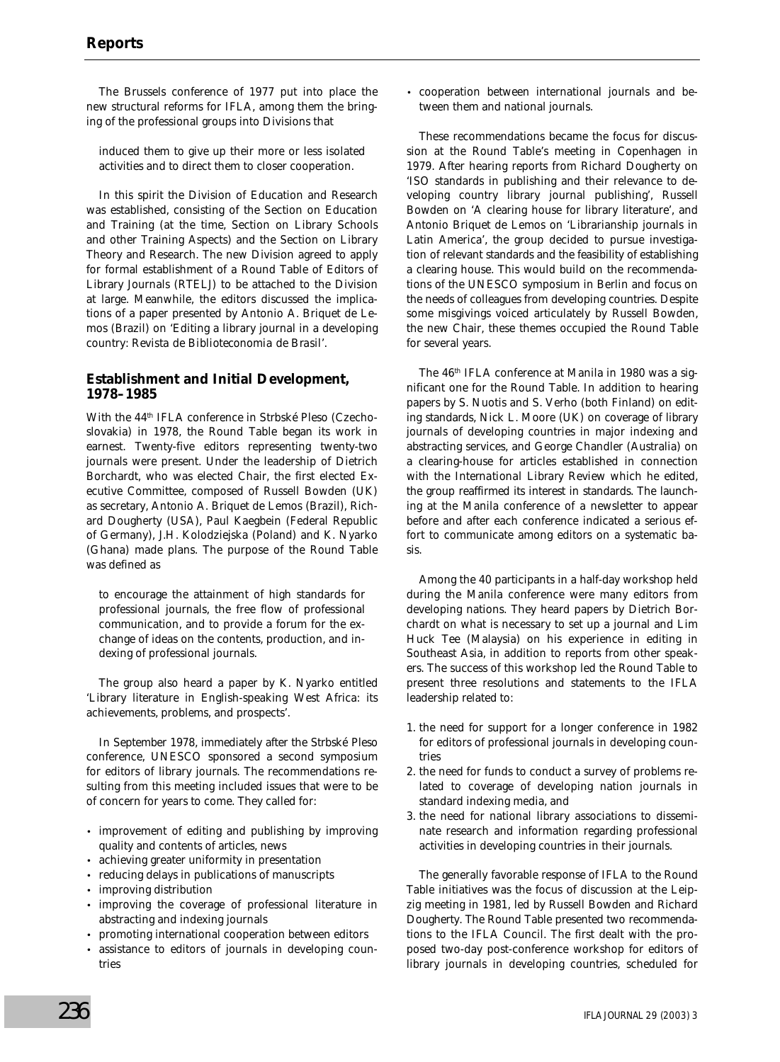The Brussels conference of 1977 put into place the new structural reforms for IFLA, among them the bringing of the professional groups into Divisions that

induced them to give up their more or less isolated activities and to direct them to closer cooperation.

In this spirit the Division of Education and Research was established, consisting of the Section on Education and Training (at the time, Section on Library Schools and other Training Aspects) and the Section on Library Theory and Research. The new Division agreed to apply for formal establishment of a Round Table of Editors of Library Journals (RTELJ) to be attached to the Division at large. Meanwhile, the editors discussed the implications of a paper presented by Antonio A. Briquet de Lemos (Brazil) on 'Editing a library journal in a developing country: *Revista de Biblioteconomia de Brasil*'.

### **Establishment and Initial Development, 1978–1985**

With the 44th IFLA conference in Strbské Pleso (Czechoslovakia) in 1978, the Round Table began its work in earnest. Twenty-five editors representing twenty-two journals were present. Under the leadership of Dietrich Borchardt, who was elected Chair, the first elected Executive Committee, composed of Russell Bowden (UK) as secretary, Antonio A. Briquet de Lemos (Brazil), Richard Dougherty (USA), Paul Kaegbein (Federal Republic of Germany), J.H. Kolodziejska (Poland) and K. Nyarko (Ghana) made plans. The purpose of the Round Table was defined as

to encourage the attainment of high standards for professional journals, the free flow of professional communication, and to provide a forum for the exchange of ideas on the contents, production, and indexing of professional journals.

The group also heard a paper by K. Nyarko entitled 'Library literature in English-speaking West Africa: its achievements, problems, and prospects'.

In September 1978, immediately after the Strbské Pleso conference, UNESCO sponsored a second symposium for editors of library journals. The recommendations resulting from this meeting included issues that were to be of concern for years to come. They called for:

- improvement of editing and publishing by improving quality and contents of articles, news
- achieving greater uniformity in presentation
- reducing delays in publications of manuscripts
- improving distribution
- improving the coverage of professional literature in abstracting and indexing journals
- promoting international cooperation between editors
- assistance to editors of journals in developing countries

• cooperation between international journals and between them and national journals.

These recommendations became the focus for discussion at the Round Table's meeting in Copenhagen in 1979. After hearing reports from Richard Dougherty on 'ISO standards in publishing and their relevance to developing country library journal publishing', Russell Bowden on 'A clearing house for library literature', and Antonio Briquet de Lemos on 'Librarianship journals in Latin America', the group decided to pursue investigation of relevant standards and the feasibility of establishing a clearing house. This would build on the recommendations of the UNESCO symposium in Berlin and focus on the needs of colleagues from developing countries. Despite some misgivings voiced articulately by Russell Bowden, the new Chair, these themes occupied the Round Table for several years.

The 46th IFLA conference at Manila in 1980 was a significant one for the Round Table. In addition to hearing papers by S. Nuotis and S. Verho (both Finland) on editing standards, Nick L. Moore (UK) on coverage of library journals of developing countries in major indexing and abstracting services, and George Chandler (Australia) on a clearing-house for articles established in connection with the *International Library Review* which he edited, the group reaffirmed its interest in standards. The launching at the Manila conference of a newsletter to appear before and after each conference indicated a serious effort to communicate among editors on a systematic basis.

Among the 40 participants in a half-day workshop held during the Manila conference were many editors from developing nations. They heard papers by Dietrich Borchardt on what is necessary to set up a journal and Lim Huck Tee (Malaysia) on his experience in editing in Southeast Asia, in addition to reports from other speakers. The success of this workshop led the Round Table to present three resolutions and statements to the IFLA leadership related to:

- 1. the need for support for a longer conference in 1982 for editors of professional journals in developing countries
- 2. the need for funds to conduct a survey of problems related to coverage of developing nation journals in standard indexing media, and
- 3. the need for national library associations to disseminate research and information regarding professional activities in developing countries in their journals.

The generally favorable response of IFLA to the Round Table initiatives was the focus of discussion at the Leipzig meeting in 1981, led by Russell Bowden and Richard Dougherty. The Round Table presented two recommendations to the IFLA Council. The first dealt with the proposed two-day post-conference workshop for editors of library journals in developing countries, scheduled for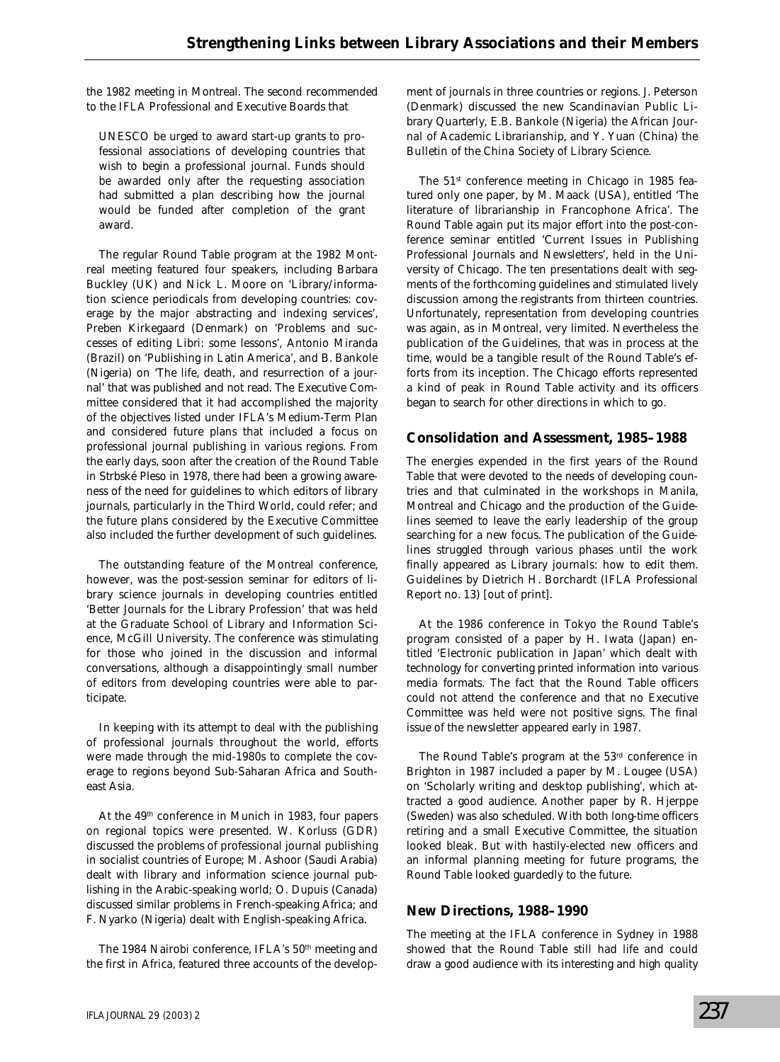the 1982 meeting in Montreal. The second recommended to the IFLA Professional and Executive Boards that

UNESCO be urged to award start-up grants to professional associations of developing countries that wish to begin a professional journal. Funds should be awarded only after the requesting association had submitted a plan describing how the journal would be funded after completion of the grant award.

The regular Round Table program at the 1982 Montreal meeting featured four speakers, including Barbara Buckley (UK) and Nick L. Moore on 'Library/information science periodicals from developing countries: coverage by the major abstracting and indexing services', Preben Kirkegaard (Denmark) on 'Problems and successes of editing *Libri*: some lessons', Antonio Miranda (Brazil) on 'Publishing in Latin America', and B. Bankole (Nigeria) on 'The life, death, and resurrection of a journal' that was published and not read. The Executive Committee considered that it had accomplished the majority of the objectives listed under IFLA's Medium-Term Plan and considered future plans that included a focus on professional journal publishing in various regions. From the early days, soon after the creation of the Round Table in Strbské Pleso in 1978, there had been a growing awareness of the need for guidelines to which editors of library journals, particularly in the Third World, could refer; and the future plans considered by the Executive Committee also included the further development of such guidelines.

The outstanding feature of the Montreal conference, however, was the post-session seminar for editors of library science journals in developing countries entitled 'Better Journals for the Library Profession' that was held at the Graduate School of Library and Information Science, McGill University. The conference was stimulating for those who joined in the discussion and informal conversations, although a disappointingly small number of editors from developing countries were able to participate.

In keeping with its attempt to deal with the publishing of professional journals throughout the world, efforts were made through the mid-1980s to complete the coverage to regions beyond Sub-Saharan Africa and Southeast Asia.

At the 49<sup>th</sup> conference in Munich in 1983, four papers on regional topics were presented. W. Korluss (GDR) discussed the problems of professional journal publishing in socialist countries of Europe; M. Ashoor (Saudi Arabia) dealt with library and information science journal publishing in the Arabic-speaking world; O. Dupuis (Canada) discussed similar problems in French-speaking Africa; and F. Nyarko (Nigeria) dealt with English-speaking Africa.

The 1984 Nairobi conference, IFLA's 50<sup>th</sup> meeting and the first in Africa, featured three accounts of the development of journals in three countries or regions. J. Peterson (Denmark) discussed the new *Scandinavian Public Library Quarterly*, E.B. Bankole (Nigeria) the *African Journal of Academic Librarianship*, and Y. Yuan (China) the *Bulletin of the China Society of Library Science*.

The 51<sup>st</sup> conference meeting in Chicago in 1985 featured only one paper, by M. Maack (USA), entitled 'The literature of librarianship in Francophone Africa'. The Round Table again put its major effort into the post-conference seminar entitled 'Current Issues in Publishing Professional Journals and Newsletters', held in the University of Chicago. The ten presentations dealt with segments of the forthcoming guidelines and stimulated lively discussion among the registrants from thirteen countries. Unfortunately, representation from developing countries was again, as in Montreal, very limited. Nevertheless the publication of the *Guidelines*, that was in process at the time, would be a tangible result of the Round Table's efforts from its inception. The Chicago efforts represented a kind of peak in Round Table activity and its officers began to search for other directions in which to go.

# **Consolidation and Assessment, 1985–1988**

The energies expended in the first years of the Round Table that were devoted to the needs of developing countries and that culminated in the workshops in Manila, Montreal and Chicago and the production of the *Guidelines* seemed to leave the early leadership of the group searching for a new focus. The publication of the *Guidelines* struggled through various phases until the work finally appeared as *Library journals: how to edit them. Guidelines* by Dietrich H. Borchardt (IFLA Professional Report no. 13) [out of print].

At the 1986 conference in Tokyo the Round Table's program consisted of a paper by H. Iwata (Japan) entitled 'Electronic publication in Japan' which dealt with technology for converting printed information into various media formats. The fact that the Round Table officers could not attend the conference and that no Executive Committee was held were not positive signs. The final issue of the newsletter appeared early in 1987.

The Round Table's program at the 53rd conference in Brighton in 1987 included a paper by M. Lougee (USA) on 'Scholarly writing and desktop publishing', which attracted a good audience. Another paper by R. Hjerppe (Sweden) was also scheduled. With both long-time officers retiring and a small Executive Committee, the situation looked bleak. But with hastily-elected new officers and an informal planning meeting for future programs, the Round Table looked guardedly to the future.

# **New Directions, 1988–1990**

The meeting at the IFLA conference in Sydney in 1988 showed that the Round Table still had life and could draw a good audience with its interesting and high quality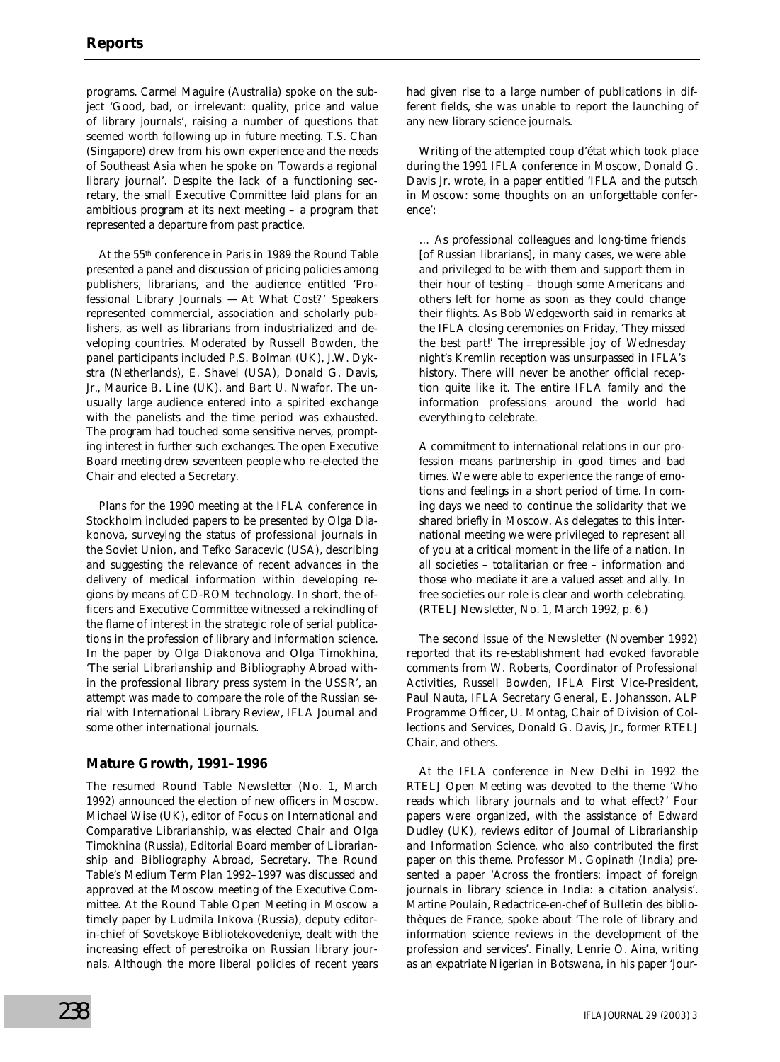programs. Carmel Maguire (Australia) spoke on the subject 'Good, bad, or irrelevant: quality, price and value of library journals', raising a number of questions that seemed worth following up in future meeting. T.S. Chan (Singapore) drew from his own experience and the needs of Southeast Asia when he spoke on 'Towards a regional library journal'. Despite the lack of a functioning secretary, the small Executive Committee laid plans for an ambitious program at its next meeting – a program that represented a departure from past practice.

At the 55th conference in Paris in 1989 the Round Table presented a panel and discussion of pricing policies among publishers, librarians, and the audience entitled 'Professional Library Journals — At What Cost?' Speakers represented commercial, association and scholarly publishers, as well as librarians from industrialized and developing countries. Moderated by Russell Bowden, the panel participants included P.S. Bolman (UK), J.W. Dykstra (Netherlands), E. Shavel (USA), Donald G. Davis, Jr., Maurice B. Line (UK), and Bart U. Nwafor. The unusually large audience entered into a spirited exchange with the panelists and the time period was exhausted. The program had touched some sensitive nerves, prompting interest in further such exchanges. The open Executive Board meeting drew seventeen people who re-elected the Chair and elected a Secretary.

Plans for the 1990 meeting at the IFLA conference in Stockholm included papers to be presented by Olga Diakonova, surveying the status of professional journals in the Soviet Union, and Tefko Saracevic (USA), describing and suggesting the relevance of recent advances in the delivery of medical information within developing regions by means of CD-ROM technology. In short, the officers and Executive Committee witnessed a rekindling of the flame of interest in the strategic role of serial publications in the profession of library and information science. In the paper by Olga Diakonova and Olga Timokhina, 'The serial *Librarianship and Bibliography Abroad* within the professional library press system in the USSR', an attempt was made to compare the role of the Russian serial with *International Library Review*, *IFLA Journal* and some other international journals.

# **Mature Growth, 1991–1996**

The resumed Round Table *Newsletter* (No. 1, March 1992) announced the election of new officers in Moscow. Michael Wise (UK), editor of *Focus on International and Comparative Librarianship*, was elected Chair and Olga Timokhina (Russia), Editorial Board member of *Librarianship and Bibliography Abroad*, Secretary. The Round Table's Medium Term Plan 1992–1997 was discussed and approved at the Moscow meeting of the Executive Committee. At the Round Table Open Meeting in Moscow a timely paper by Ludmila Inkova (Russia), deputy editorin-chief of *Sovetskoye Bibliotekovedeniye*, dealt with the increasing effect of perestroika on Russian library journals. Although the more liberal policies of recent years had given rise to a large number of publications in different fields, she was unable to report the launching of any new library science journals.

Writing of the attempted coup d'état which took place during the 1991 IFLA conference in Moscow, Donald G. Davis Jr. wrote, in a paper entitled 'IFLA and the putsch in Moscow: some thoughts on an unforgettable conference':

… As professional colleagues and long-time friends [of Russian librarians], in many cases, we were able and privileged to be with them and support them in their hour of testing – though some Americans and others left for home as soon as they could change their flights. As Bob Wedgeworth said in remarks at the IFLA closing ceremonies on Friday, 'They missed the best part!' The irrepressible joy of Wednesday night's Kremlin reception was unsurpassed in IFLA's history. There will never be another official reception quite like it. The entire IFLA family and the information professions around the world had everything to celebrate.

A commitment to international relations in our profession means partnership in good times and bad times. We were able to experience the range of emotions and feelings in a short period of time. In coming days we need to continue the solidarity that we shared briefly in Moscow. As delegates to this international meeting we were privileged to represent all of you at a critical moment in the life of a nation. In all societies – totalitarian or free – information and those who mediate it are a valued asset and ally. In free societies our role is clear and worth celebrating. (*RTELJ Newsletter,* No. 1, March 1992, p. 6.)

The second issue of the *Newsletter* (November 1992) reported that its re-establishment had evoked favorable comments from W. Roberts, Coordinator of Professional Activities, Russell Bowden, IFLA First Vice-President, Paul Nauta, IFLA Secretary General, E. Johansson, ALP Programme Officer, U. Montag, Chair of Division of Collections and Services, Donald G. Davis, Jr., former RTELJ Chair, and others.

At the IFLA conference in New Delhi in 1992 the RTELJ Open Meeting was devoted to the theme 'Who reads which library journals and to what effect?' Four papers were organized, with the assistance of Edward Dudley (UK), reviews editor of *Journal of Librarianship and Information Science*, who also contributed the first paper on this theme. Professor M. Gopinath (India) presented a paper 'Across the frontiers: impact of foreign journals in library science in India: a citation analysis'. Martine Poulain, Redactrice-en-chef of *Bulletin des bibliothèques de France*, spoke about 'The role of library and information science reviews in the development of the profession and services'. Finally, Lenrie O. Aina, writing as an expatriate Nigerian in Botswana, in his paper 'Jour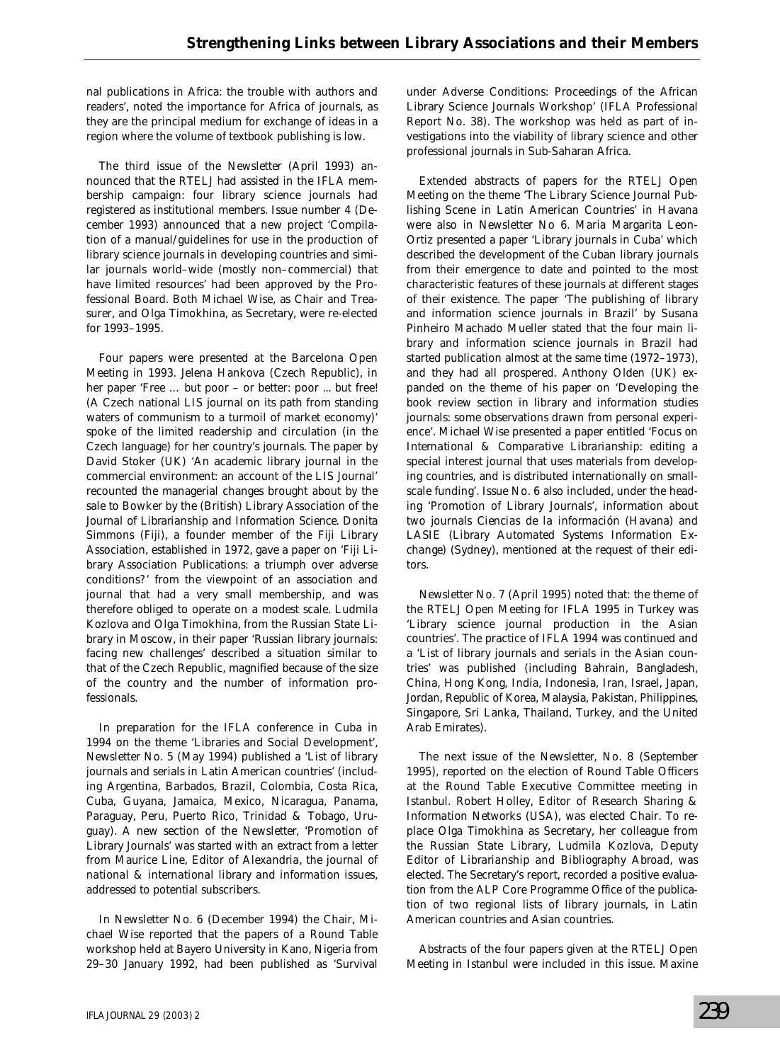nal publications in Africa: the trouble with authors and readers', noted the importance for Africa of journals, as they are the principal medium for exchange of ideas in a region where the volume of textbook publishing is low.

The third issue of the *Newsletter* (April 1993) announced that the RTELJ had assisted in the IFLA membership campaign: four library science journals had registered as institutional members. Issue number 4 (December 1993) announced that a new project 'Compilation of a manual/guidelines for use in the production of library science journals in developing countries and similar journals world–wide (mostly non–commercial) that have limited resources' had been approved by the Professional Board. Both Michael Wise, as Chair and Treasurer, and Olga Timokhina, as Secretary, were re-elected for 1993–1995.

Four papers were presented at the Barcelona Open Meeting in 1993. Jelena Hankova (Czech Republic), in her paper 'Free … but poor – or better: poor ... but free! (A Czech national LIS journal on its path from standing waters of communism to a turmoil of market economy)' spoke of the limited readership and circulation (in the Czech language) for her country's journals. The paper by David Stoker (UK) 'An academic library journal in the commercial environment: an account of the LIS Journal' recounted the managerial changes brought about by the sale to Bowker by the (British) Library Association of the *Journal of Librarianship and Information Science*. Donita Simmons (Fiji), a founder member of the Fiji Library Association, established in 1972, gave a paper on 'Fiji Library Association Publications: a triumph over adverse conditions?' from the viewpoint of an association and journal that had a very small membership, and was therefore obliged to operate on a modest scale. Ludmila Kozlova and Olga Timokhina, from the Russian State Library in Moscow, in their paper 'Russian library journals: facing new challenges' described a situation similar to that of the Czech Republic, magnified because of the size of the country and the number of information professionals.

In preparation for the IFLA conference in Cuba in 1994 on the theme 'Libraries and Social Development', *Newsletter* No. 5 (May 1994) published a 'List of library journals and serials in Latin American countries' (including Argentina, Barbados, Brazil, Colombia, Costa Rica, Cuba, Guyana, Jamaica, Mexico, Nicaragua, Panama, Paraguay, Peru, Puerto Rico, Trinidad & Tobago, Uruguay). A new section of the *Newsletter*, 'Promotion of Library Journals' was started with an extract from a letter from Maurice Line, Editor of *Alexandria, the journal of national & international library and information issues*, addressed to potential subscribers.

In *Newsletter* No. 6 (December 1994) the Chair, Michael Wise reported that the papers of a Round Table workshop held at Bayero University in Kano, Nigeria from 29–30 January 1992, had been published as 'Survival under Adverse Conditions: Proceedings of the African Library Science Journals Workshop' (IFLA Professional Report No. 38). The workshop was held as part of investigations into the viability of library science and other professional journals in Sub-Saharan Africa.

Extended abstracts of papers for the RTELJ Open Meeting on the theme 'The Library Science Journal Publishing Scene in Latin American Countries' in Havana were also in *Newsletter* No 6. Maria Margarita Leon-Ortiz presented a paper 'Library journals in Cuba' which described the development of the Cuban library journals from their emergence to date and pointed to the most characteristic features of these journals at different stages of their existence. The paper 'The publishing of library and information science journals in Brazil' by Susana Pinheiro Machado Mueller stated that the four main library and information science journals in Brazil had started publication almost at the same time (1972–1973), and they had all prospered. Anthony Olden (UK) expanded on the theme of his paper on 'Developing the book review section in library and information studies journals: some observations drawn from personal experience'. Michael Wise presented a paper entitled '*Focus on International & Comparative Librarianship*: editing a special interest journal that uses materials from developing countries, and is distributed internationally on smallscale funding'. Issue No. 6 also included, under the heading 'Promotion of Library Journals', information about two journals *Ciencias de la información* (Havana) and *LASIE (Library Automated Systems Information Exchange)* (Sydney), mentioned at the request of their editors.

*Newsletter* No. 7 (April 1995) noted that: the theme of the RTELJ Open Meeting for IFLA 1995 in Turkey was 'Library science journal production in the Asian countries'. The practice of IFLA 1994 was continued and a 'List of library journals and serials in the Asian countries' was published (including Bahrain, Bangladesh, China, Hong Kong, India, Indonesia, Iran, Israel, Japan, Jordan, Republic of Korea, Malaysia, Pakistan, Philippines, Singapore, Sri Lanka, Thailand, Turkey, and the United Arab Emirates).

The next issue of the *Newsletter*, No. 8 (September 1995), reported on the election of Round Table Officers at the Round Table Executive Committee meeting in Istanbul. Robert Holley, Editor of *Research Sharing & Information Networks* (USA), was elected Chair. To replace Olga Timokhina as Secretary, her colleague from the Russian State Library, Ludmila Kozlova, Deputy Editor of *Librarianship and Bibliography Abroad*, was elected. The Secretary's report, recorded a positive evaluation from the ALP Core Programme Office of the publication of two regional lists of library journals, in Latin American countries and Asian countries.

Abstracts of the four papers given at the RTELJ Open Meeting in Istanbul were included in this issue. Maxine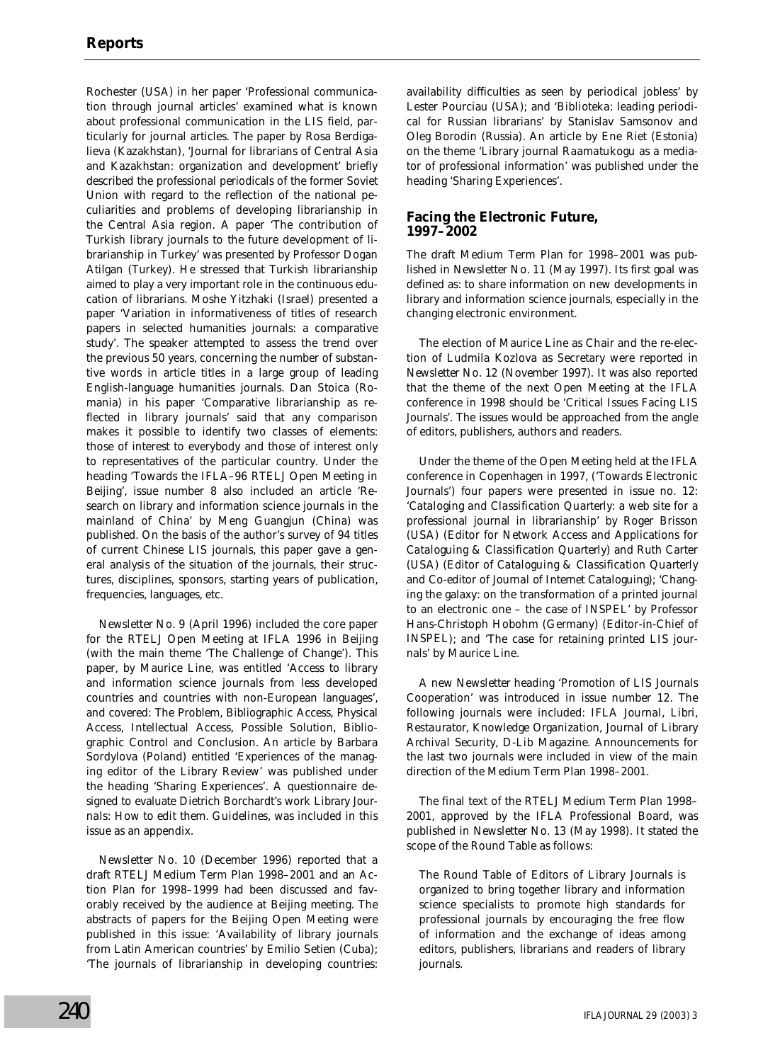Rochester (USA) in her paper 'Professional communication through journal articles' examined what is known about professional communication in the LIS field, particularly for journal articles. The paper by Rosa Berdigalieva (Kazakhstan), 'Journal for librarians of Central Asia and Kazakhstan: organization and development' briefly described the professional periodicals of the former Soviet Union with regard to the reflection of the national peculiarities and problems of developing librarianship in the Central Asia region. A paper 'The contribution of Turkish library journals to the future development of librarianship in Turkey' was presented by Professor Dogan Atilgan (Turkey). He stressed that Turkish librarianship aimed to play a very important role in the continuous education of librarians. Moshe Yitzhaki (Israel) presented a paper 'Variation in informativeness of titles of research papers in selected humanities journals: a comparative study'. The speaker attempted to assess the trend over the previous 50 years, concerning the number of substantive words in article titles in a large group of leading English-language humanities journals. Dan Stoica (Romania) in his paper 'Comparative librarianship as reflected in library journals' said that any comparison makes it possible to identify two classes of elements: those of interest to everybody and those of interest only to representatives of the particular country. Under the heading 'Towards the IFLA–96 RTELJ Open Meeting in Beijing', issue number 8 also included an article 'Research on library and information science journals in the mainland of China' by Meng Guangjun (China) was published. On the basis of the author's survey of 94 titles of current Chinese LIS journals, this paper gave a general analysis of the situation of the journals, their structures, disciplines, sponsors, starting years of publication, frequencies, languages, etc.

*Newsletter* No. 9 (April 1996) included the core paper for the RTELJ Open Meeting at IFLA 1996 in Beijing (with the main theme 'The Challenge of Change'). This paper, by Maurice Line, was entitled 'Access to library and information science journals from less developed countries and countries with non-European languages', and covered: The Problem, Bibliographic Access, Physical Access, Intellectual Access, Possible Solution, Bibliographic Control and Conclusion. An article by Barbara Sordylova (Poland) entitled 'Experiences of the managing editor of the *Library Review*' was published under the heading 'Sharing Experiences'. A questionnaire designed to evaluate Dietrich Borchardt's work *Library Journals: How to edit them. Guidelines*, was included in this issue as an appendix.

*Newsletter* No. 10 (December 1996) reported that a draft RTELJ Medium Term Plan 1998–2001 and an Action Plan for 1998–1999 had been discussed and favorably received by the audience at Beijing meeting. The abstracts of papers for the Beijing Open Meeting were published in this issue: 'Availability of library journals from Latin American countries' by Emilio Setien (Cuba); 'The journals of librarianship in developing countries: availability difficulties as seen by periodical jobless' by Lester Pourciau (USA); and '*Biblioteka*: leading periodical for Russian librarians' by Stanislav Samsonov and Oleg Borodin (Russia). An article by Ene Riet (Estonia) on the theme 'Library journal *Raamatukogu* as a mediator of professional information' was published under the heading 'Sharing Experiences'.

# **Facing the Electronic Future, 1997–2002**

The draft Medium Term Plan for 1998–2001 was published in *Newsletter* No. 11 (May 1997). Its first goal was defined as: to share information on new developments in library and information science journals, especially in the changing electronic environment.

The election of Maurice Line as Chair and the re-election of Ludmila Kozlova as Secretary were reported in *Newsletter* No. 12 (November 1997). It was also reported that the theme of the next Open Meeting at the IFLA conference in 1998 should be 'Critical Issues Facing LIS Journals'. The issues would be approached from the angle of editors, publishers, authors and readers.

Under the theme of the Open Meeting held at the IFLA conference in Copenhagen in 1997, ('Towards Electronic Journals') four papers were presented in issue no. 12: '*Cataloging and Classification Quarterly*: a web site for a professional journal in librarianship' by Roger Brisson (USA) (Editor for Network Access and Applications for *Cataloguing & Classification Quarterly*) and Ruth Carter (USA) (Editor of *Cataloguing & Classification Quarterly*  and Co-editor of *Journal of Internet Cataloguing*); 'Changing the galaxy: on the transformation of a printed journal to an electronic one – the case of *INSPEL*' by Professor Hans-Christoph Hobohm (Germany) (Editor-in-Chief of *INSPEL*); and 'The case for retaining printed LIS journals' by Maurice Line.

A new *Newsletter* heading 'Promotion of LIS Journals Cooperation' was introduced in issue number 12. The following journals were included: *IFLA Journal*, *Libri*, *Restaurator*, *Knowledge Organization*, *Journal of Library Archival Security*, *D-Lib Magazine*. Announcements for the last two journals were included in view of the main direction of the Medium Term Plan 1998–2001.

The final text of the RTELJ Medium Term Plan 1998– 2001, approved by the IFLA Professional Board, was published in *Newsletter* No. 13 (May 1998). It stated the scope of the Round Table as follows:

The Round Table of Editors of Library Journals is organized to bring together library and information science specialists to promote high standards for professional journals by encouraging the free flow of information and the exchange of ideas among editors, publishers, librarians and readers of library journals.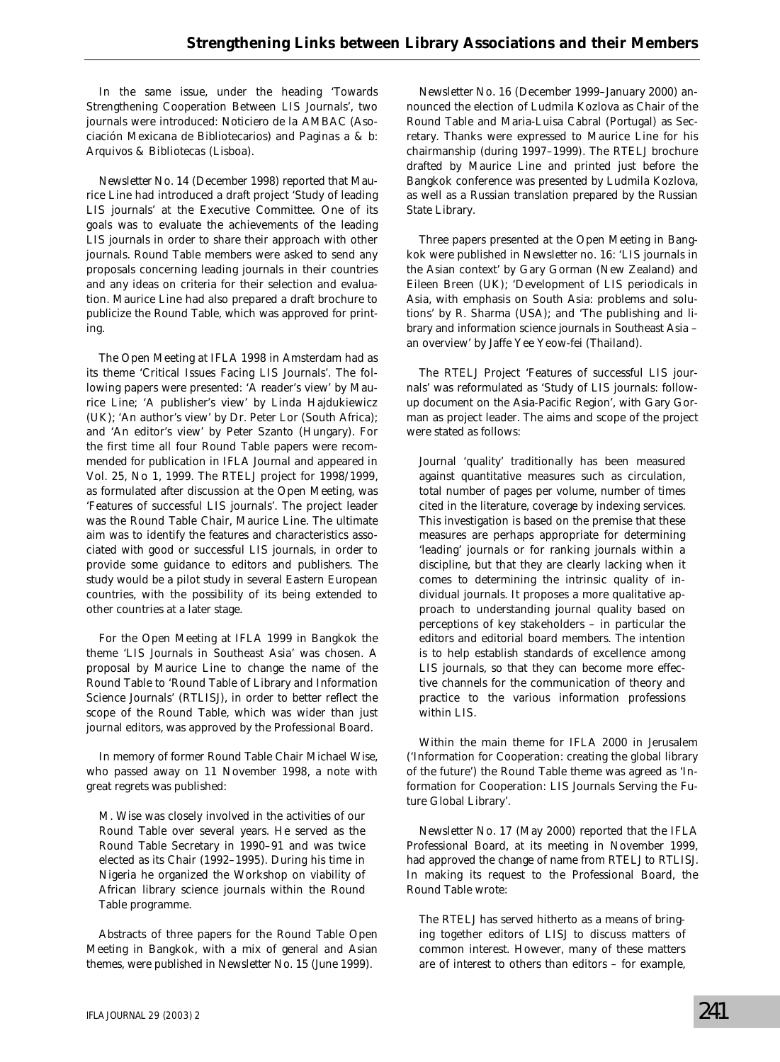In the same issue, under the heading 'Towards Strengthening Cooperation Between LIS Journals', two journals were introduced: *Noticiero de la AMBAC* (Asociación Mexicana de Bibliotecarios) and *Paginas a & b: Arquivos & Bibliotecas* (Lisboa).

*Newsletter* No. 14 (December 1998) reported that Maurice Line had introduced a draft project 'Study of leading LIS journals' at the Executive Committee. One of its goals was to evaluate the achievements of the leading LIS journals in order to share their approach with other journals. Round Table members were asked to send any proposals concerning leading journals in their countries and any ideas on criteria for their selection and evaluation. Maurice Line had also prepared a draft brochure to publicize the Round Table, which was approved for printing.

The Open Meeting at IFLA 1998 in Amsterdam had as its theme 'Critical Issues Facing LIS Journals'. The following papers were presented: 'A reader's view' by Maurice Line; 'A publisher's view' by Linda Hajdukiewicz (UK); 'An author's view' by Dr. Peter Lor (South Africa); and 'An editor's view' by Peter Szanto (Hungary). For the first time all four Round Table papers were recommended for publication in *IFLA Journal* and appeared in Vol. 25, No 1, 1999. The RTELJ project for 1998/1999, as formulated after discussion at the Open Meeting, was 'Features of successful LIS journals'. The project leader was the Round Table Chair, Maurice Line. The ultimate aim was to identify the features and characteristics associated with good or successful LIS journals, in order to provide some guidance to editors and publishers. The study would be a pilot study in several Eastern European countries, with the possibility of its being extended to other countries at a later stage.

For the Open Meeting at IFLA 1999 in Bangkok the theme 'LIS Journals in Southeast Asia' was chosen. A proposal by Maurice Line to change the name of the Round Table to 'Round Table of Library and Information Science Journals' (RTLISJ), in order to better reflect the scope of the Round Table, which was wider than just journal editors, was approved by the Professional Board.

In memory of former Round Table Chair Michael Wise, who passed away on 11 November 1998, a note with great regrets was published:

M. Wise was closely involved in the activities of our Round Table over several years. He served as the Round Table Secretary in 1990–91 and was twice elected as its Chair (1992–1995). During his time in Nigeria he organized the Workshop on viability of African library science journals within the Round Table programme.

Abstracts of three papers for the Round Table Open Meeting in Bangkok, with a mix of general and Asian themes, were published in *Newsletter* No. 15 (June 1999).

*Newsletter* No. 16 (December 1999–January 2000) announced the election of Ludmila Kozlova as Chair of the Round Table and Maria-Luisa Cabral (Portugal) as Secretary. Thanks were expressed to Maurice Line for his chairmanship (during 1997–1999). The RTELJ brochure drafted by Maurice Line and printed just before the Bangkok conference was presented by Ludmila Kozlova, as well as a Russian translation prepared by the Russian State Library.

Three papers presented at the Open Meeting in Bangkok were published in *Newsletter* no. 16: 'LIS journals in the Asian context' by Gary Gorman (New Zealand) and Eileen Breen (UK); 'Development of LIS periodicals in Asia, with emphasis on South Asia: problems and solutions' by R. Sharma (USA); and 'The publishing and library and information science journals in Southeast Asia – an overview' by Jaffe Yee Yeow-fei (Thailand).

The RTELJ Project 'Features of successful LIS journals' was reformulated as 'Study of LIS journals: followup document on the Asia-Pacific Region', with Gary Gorman as project leader. The aims and scope of the project were stated as follows:

Journal 'quality' traditionally has been measured against quantitative measures such as circulation, total number of pages per volume, number of times cited in the literature, coverage by indexing services. This investigation is based on the premise that these measures are perhaps appropriate for determining 'leading' journals or for ranking journals within a discipline, but that they are clearly lacking when it comes to determining the intrinsic quality of individual journals. It proposes a more qualitative approach to understanding journal quality based on perceptions of key stakeholders – in particular the editors and editorial board members. The intention is to help establish standards of excellence among LIS journals, so that they can become more effective channels for the communication of theory and practice to the various information professions within LIS.

Within the main theme for IFLA 2000 in Jerusalem ('Information for Cooperation: creating the global library of the future') the Round Table theme was agreed as 'Information for Cooperation: LIS Journals Serving the Future Global Library'.

*Newsletter* No. 17 (May 2000) reported that the IFLA Professional Board, at its meeting in November 1999, had approved the change of name from RTELJ to RTLISJ. In making its request to the Professional Board, the Round Table wrote:

The RTELJ has served hitherto as a means of bringing together editors of LISJ to discuss matters of common interest. However, many of these matters are of interest to others than editors – for example,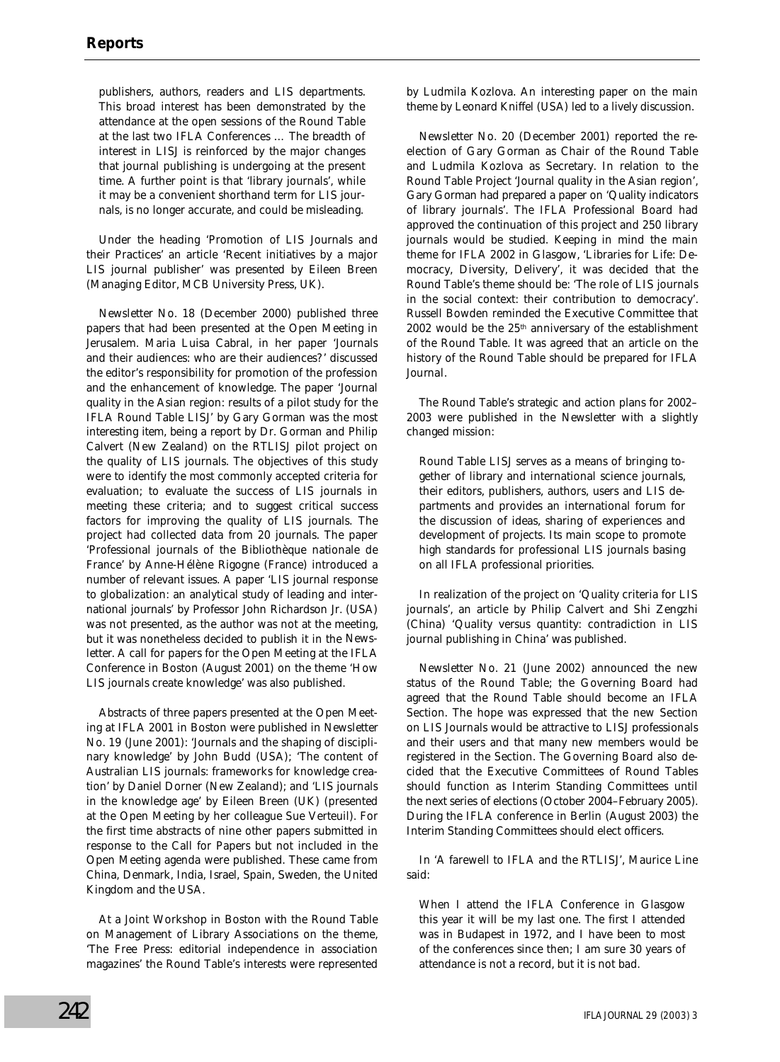publishers, authors, readers and LIS departments. This broad interest has been demonstrated by the attendance at the open sessions of the Round Table at the last two IFLA Conferences … The breadth of interest in LISJ is reinforced by the major changes that journal publishing is undergoing at the present time. A further point is that 'library journals', while it may be a convenient shorthand term for LIS journals, is no longer accurate, and could be misleading.

Under the heading 'Promotion of LIS Journals and their Practices' an article 'Recent initiatives by a major LIS journal publisher' was presented by Eileen Breen (Managing Editor, MCB University Press, UK).

*Newsletter* No. 18 (December 2000) published three papers that had been presented at the Open Meeting in Jerusalem. Maria Luisa Cabral, in her paper 'Journals and their audiences: who are their audiences?' discussed the editor's responsibility for promotion of the profession and the enhancement of knowledge. The paper 'Journal quality in the Asian region: results of a pilot study for the IFLA Round Table LISJ' by Gary Gorman was the most interesting item, being a report by Dr. Gorman and Philip Calvert (New Zealand) on the RTLISJ pilot project on the quality of LIS journals. The objectives of this study were to identify the most commonly accepted criteria for evaluation; to evaluate the success of LIS journals in meeting these criteria; and to suggest critical success factors for improving the quality of LIS journals. The project had collected data from 20 journals. The paper 'Professional journals of the Bibliothèque nationale de France' by Anne-Hélène Rigogne (France) introduced a number of relevant issues. A paper 'LIS journal response to globalization: an analytical study of leading and international journals' by Professor John Richardson Jr. (USA) was not presented, as the author was not at the meeting, but it was nonetheless decided to publish it in the *Newsletter*. A call for papers for the Open Meeting at the IFLA Conference in Boston (August 2001) on the theme 'How LIS journals create knowledge' was also published.

Abstracts of three papers presented at the Open Meeting at IFLA 2001 in Boston were published in *Newsletter*  No. 19 (June 2001): 'Journals and the shaping of disciplinary knowledge' by John Budd (USA); 'The content of Australian LIS journals: frameworks for knowledge creation' by Daniel Dorner (New Zealand); and 'LIS journals in the knowledge age' by Eileen Breen (UK) (presented at the Open Meeting by her colleague Sue Verteuil). For the first time abstracts of nine other papers submitted in response to the Call for Papers but not included in the Open Meeting agenda were published. These came from China, Denmark, India, Israel, Spain, Sweden, the United Kingdom and the USA.

At a Joint Workshop in Boston with the Round Table on Management of Library Associations on the theme, 'The Free Press: editorial independence in association magazines' the Round Table's interests were represented by Ludmila Kozlova. An interesting paper on the main theme by Leonard Kniffel (USA) led to a lively discussion.

*Newsletter* No. 20 (December 2001) reported the reelection of Gary Gorman as Chair of the Round Table and Ludmila Kozlova as Secretary. In relation to the Round Table Project 'Journal quality in the Asian region', Gary Gorman had prepared a paper on 'Quality indicators of library journals'. The IFLA Professional Board had approved the continuation of this project and 250 library journals would be studied. Keeping in mind the main theme for IFLA 2002 in Glasgow, 'Libraries for Life: Democracy, Diversity, Delivery', it was decided that the Round Table's theme should be: 'The role of LIS journals in the social context: their contribution to democracy'. Russell Bowden reminded the Executive Committee that 2002 would be the  $25<sup>th</sup>$  anniversary of the establishment of the Round Table. It was agreed that an article on the history of the Round Table should be prepared for *IFLA Journal*.

The Round Table's strategic and action plans for 2002– 2003 were published in the *Newsletter* with a slightly changed mission:

Round Table LISJ serves as a means of bringing together of library and international science journals, their editors, publishers, authors, users and LIS departments and provides an international forum for the discussion of ideas, sharing of experiences and development of projects. Its main scope to promote high standards for professional LIS journals basing on all IFLA professional priorities.

In realization of the project on 'Quality criteria for LIS journals', an article by Philip Calvert and Shi Zengzhi (China) 'Quality versus quantity: contradiction in LIS journal publishing in China' was published.

*Newsletter* No. 21 (June 2002) announced the new status of the Round Table; the Governing Board had agreed that the Round Table should become an IFLA Section. The hope was expressed that the new Section on LIS Journals would be attractive to LISJ professionals and their users and that many new members would be registered in the Section. The Governing Board also decided that the Executive Committees of Round Tables should function as Interim Standing Committees until the next series of elections (October 2004–February 2005). During the IFLA conference in Berlin (August 2003) the Interim Standing Committees should elect officers.

In 'A farewell to IFLA and the RTLISJ', Maurice Line said:

When I attend the IFLA Conference in Glasgow this year it will be my last one. The first I attended was in Budapest in 1972, and I have been to most of the conferences since then; I am sure 30 years of attendance is not a record, but it is not bad.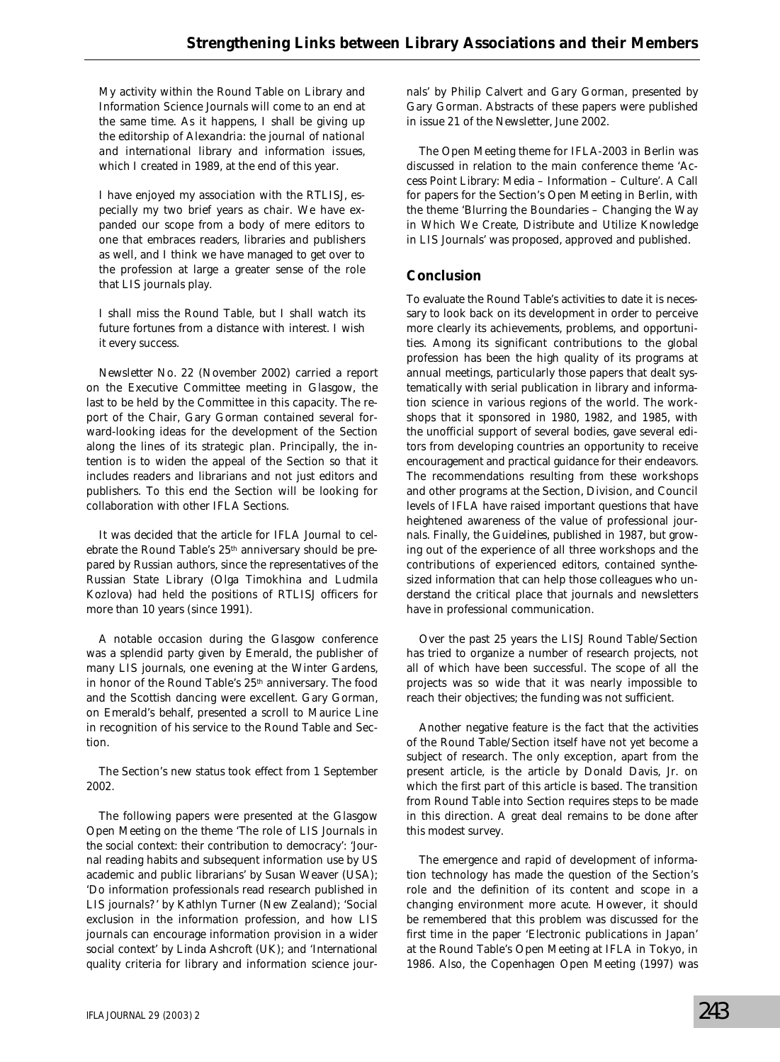My activity within the Round Table on Library and Information Science Journals will come to an end at the same time. As it happens, I shall be giving up the editorship of *Alexandria: the journal of national and international library and information issues*, which I created in 1989, at the end of this year.

I have enjoyed my association with the RTLISJ, especially my two brief years as chair. We have expanded our scope from a body of mere editors to one that embraces readers, libraries and publishers as well, and I think we have managed to get over to the profession at large a greater sense of the role that LIS journals play.

I shall miss the Round Table, but I shall watch its future fortunes from a distance with interest. I wish it every success.

*Newsletter* No. 22 (November 2002) carried a report on the Executive Committee meeting in Glasgow, the last to be held by the Committee in this capacity. The report of the Chair, Gary Gorman contained several forward-looking ideas for the development of the Section along the lines of its strategic plan. Principally, the intention is to widen the appeal of the Section so that it includes readers and librarians and not just editors and publishers. To this end the Section will be looking for collaboration with other IFLA Sections.

It was decided that the article for *IFLA Journal* to celebrate the Round Table's 25<sup>th</sup> anniversary should be prepared by Russian authors, since the representatives of the Russian State Library (Olga Timokhina and Ludmila Kozlova) had held the positions of RTLISJ officers for more than 10 years (since 1991).

A notable occasion during the Glasgow conference was a splendid party given by Emerald, the publisher of many LIS journals, one evening at the Winter Gardens, in honor of the Round Table's 25<sup>th</sup> anniversary. The food and the Scottish dancing were excellent. Gary Gorman, on Emerald's behalf, presented a scroll to Maurice Line in recognition of his service to the Round Table and Section.

The Section's new status took effect from 1 September 2002.

The following papers were presented at the Glasgow Open Meeting on the theme 'The role of LIS Journals in the social context: their contribution to democracy': 'Journal reading habits and subsequent information use by US academic and public librarians' by Susan Weaver (USA); 'Do information professionals read research published in LIS journals?' by Kathlyn Turner (New Zealand); 'Social exclusion in the information profession, and how LIS journals can encourage information provision in a wider social context' by Linda Ashcroft (UK); and 'International quality criteria for library and information science journals' by Philip Calvert and Gary Gorman, presented by Gary Gorman. Abstracts of these papers were published in issue 21 of the *Newsletter*, June 2002.

The Open Meeting theme for IFLA-2003 in Berlin was discussed in relation to the main conference theme 'Access Point Library: Media – Information – Culture'. A Call for papers for the Section's Open Meeting in Berlin, with the theme 'Blurring the Boundaries – Changing the Way in Which We Create, Distribute and Utilize Knowledge in LIS Journals' was proposed, approved and published.

# **Conclusion**

To evaluate the Round Table's activities to date it is necessary to look back on its development in order to perceive more clearly its achievements, problems, and opportunities. Among its significant contributions to the global profession has been the high quality of its programs at annual meetings, particularly those papers that dealt systematically with serial publication in library and information science in various regions of the world. The workshops that it sponsored in 1980, 1982, and 1985, with the unofficial support of several bodies, gave several editors from developing countries an opportunity to receive encouragement and practical guidance for their endeavors. The recommendations resulting from these workshops and other programs at the Section, Division, and Council levels of IFLA have raised important questions that have heightened awareness of the value of professional journals. Finally, the *Guidelines*, published in 1987, but growing out of the experience of all three workshops and the contributions of experienced editors, contained synthesized information that can help those colleagues who understand the critical place that journals and newsletters have in professional communication.

Over the past 25 years the LISJ Round Table/Section has tried to organize a number of research projects, not all of which have been successful. The scope of all the projects was so wide that it was nearly impossible to reach their objectives; the funding was not sufficient.

Another negative feature is the fact that the activities of the Round Table/Section itself have not yet become a subject of research. The only exception, apart from the present article, is the article by Donald Davis, Jr. on which the first part of this article is based. The transition from Round Table into Section requires steps to be made in this direction. A great deal remains to be done after this modest survey.

The emergence and rapid of development of information technology has made the question of the Section's role and the definition of its content and scope in a changing environment more acute. However, it should be remembered that this problem was discussed for the first time in the paper 'Electronic publications in Japan' at the Round Table's Open Meeting at IFLA in Tokyo, in 1986. Also, the Copenhagen Open Meeting (1997) was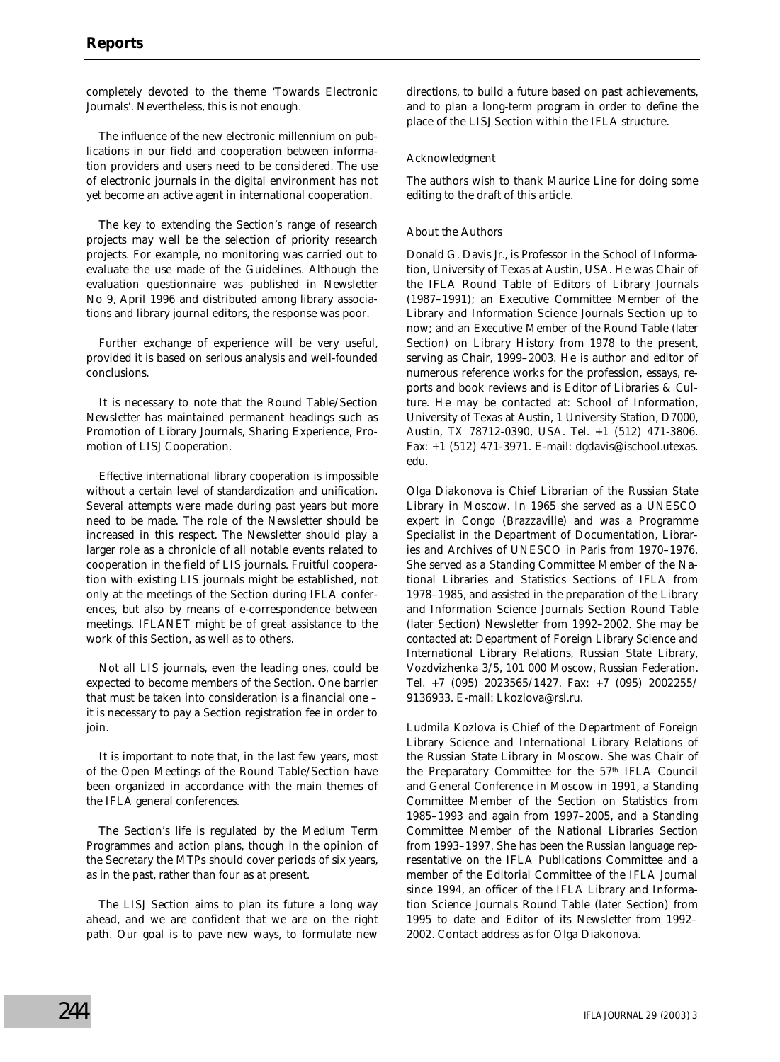completely devoted to the theme 'Towards Electronic Journals'. Nevertheless, this is not enough.

The influence of the new electronic millennium on publications in our field and cooperation between information providers and users need to be considered. The use of electronic journals in the digital environment has not yet become an active agent in international cooperation.

The key to extending the Section's range of research projects may well be the selection of priority research projects. For example, no monitoring was carried out to evaluate the use made of the *Guidelines*. Although the evaluation questionnaire was published in *Newsletter*  No 9, April 1996 and distributed among library associations and library journal editors, the response was poor.

Further exchange of experience will be very useful, provided it is based on serious analysis and well-founded conclusions.

It is necessary to note that the Round Table/Section *Newsletter* has maintained permanent headings such as Promotion of Library Journals, Sharing Experience, Promotion of LISJ Cooperation.

Effective international library cooperation is impossible without a certain level of standardization and unification. Several attempts were made during past years but more need to be made. The role of the *Newsletter* should be increased in this respect. The *Newsletter* should play a larger role as a chronicle of all notable events related to cooperation in the field of LIS journals. Fruitful cooperation with existing LIS journals might be established, not only at the meetings of the Section during IFLA conferences, but also by means of e-correspondence between meetings. IFLANET might be of great assistance to the work of this Section, as well as to others.

Not all LIS journals, even the leading ones, could be expected to become members of the Section. One barrier that must be taken into consideration is a financial one – it is necessary to pay a Section registration fee in order to join.

It is important to note that, in the last few years, most of the Open Meetings of the Round Table/Section have been organized in accordance with the main themes of the IFLA general conferences.

The Section's life is regulated by the Medium Term Programmes and action plans, though in the opinion of the Secretary the MTPs should cover periods of six years, as in the past, rather than four as at present.

The LISJ Section aims to plan its future a long way ahead, and we are confident that we are on the right path. Our goal is to pave new ways, to formulate new directions, to build a future based on past achievements, and to plan a long-term program in order to define the place of the LISJ Section within the IFLA structure.

#### *Acknowledgment*

The authors wish to thank Maurice Line for doing some editing to the draft of this article.

#### *About the Authors*

Donald G. Davis Jr., is Professor in the School of Information, University of Texas at Austin, USA. He was Chair of the IFLA Round Table of Editors of Library Journals (1987–1991); an Executive Committee Member of the Library and Information Science Journals Section up to now; and an Executive Member of the Round Table (later Section) on Library History from 1978 to the present, serving as Chair, 1999–2003. He is author and editor of numerous reference works for the profession, essays, reports and book reviews and is Editor of *Libraries & Culture*. He may be contacted at: School of Information, University of Texas at Austin, 1 University Station, D7000, Austin, TX 78712-0390, USA. Tel. +1 (512) 471-3806. Fax: +1 (512) 471-3971. E-mail: dgdavis@ischool.utexas. edu.

Olga Diakonova is Chief Librarian of the Russian State Library in Moscow. In 1965 she served as a UNESCO expert in Congo (Brazzaville) and was a Programme Specialist in the Department of Documentation, Libraries and Archives of UNESCO in Paris from 1970–1976. She served as a Standing Committee Member of the National Libraries and Statistics Sections of IFLA from 1978–1985, and assisted in the preparation of the Library and Information Science Journals Section Round Table (later Section) *Newsletter* from 1992–2002. She may be contacted at: Department of Foreign Library Science and International Library Relations, Russian State Library, Vozdvizhenka 3/5, 101 000 Moscow, Russian Federation. Tel. +7 (095) 2023565/1427. Fax: +7 (095) 2002255/ 9136933. E-mail: Lkozlova@rsl.ru.

Ludmila Kozlova is Chief of the Department of Foreign Library Science and International Library Relations of the Russian State Library in Moscow. She was Chair of the Preparatory Committee for the 57<sup>th</sup> IFLA Council and General Conference in Moscow in 1991, a Standing Committee Member of the Section on Statistics from 1985–1993 and again from 1997–2005, and a Standing Committee Member of the National Libraries Section from 1993–1997. She has been the Russian language representative on the IFLA Publications Committee and a member of the Editorial Committee of the *IFLA Journal*  since 1994, an officer of the IFLA Library and Information Science Journals Round Table (later Section) from 1995 to date and Editor of its *Newsletter* from 1992– 2002. Contact address as for Olga Diakonova.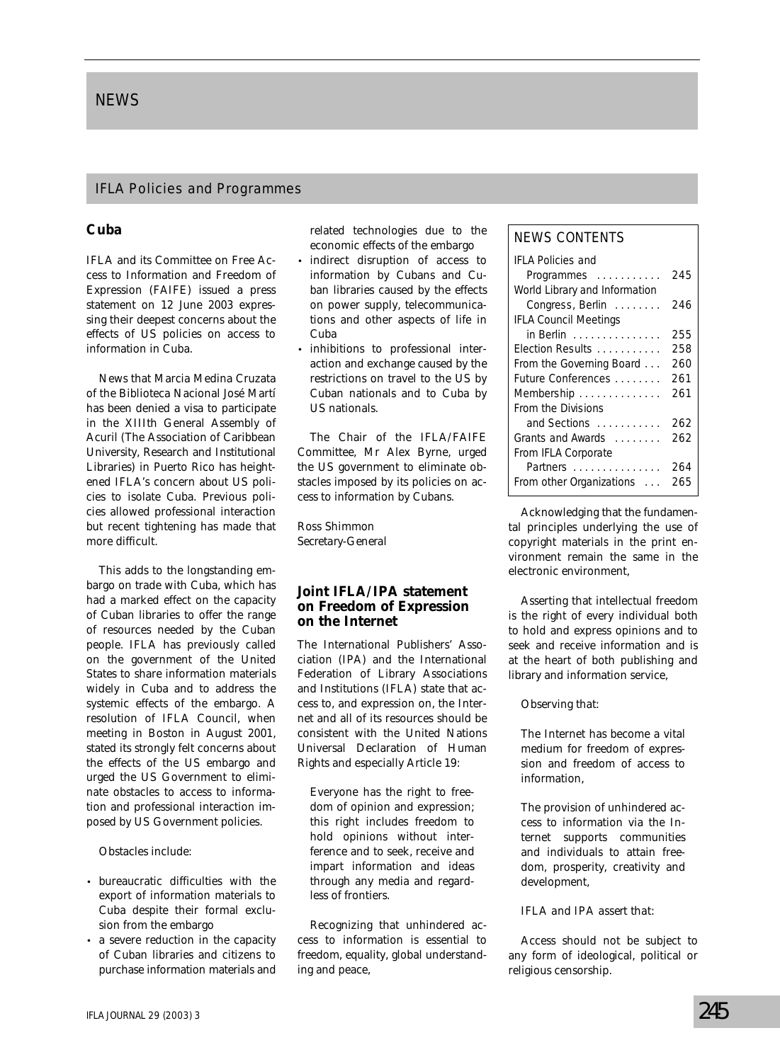# **RIGHT** SHIMMON, SECRETARY-GENERAL *CONSTRUCTION* **NEWS**

#### IFLA Policies and Programmes

## **Cuba**

IFLA and its Committee on Free Access to Information and Freedom of Expression (FAIFE) issued a press statement on 12 June 2003 expressing their deepest concerns about the effects of US policies on access to information in Cuba.

News that Marcia Medina Cruzata of the Biblioteca Nacional José Martí has been denied a visa to participate in the XIIIth General Assembly of Acuril (The Association of Caribbean University, Research and Institutional Libraries) in Puerto Rico has heightened IFLA's concern about US policies to isolate Cuba. Previous policies allowed professional interaction but recent tightening has made that more difficult.

This adds to the longstanding embargo on trade with Cuba, which has had a marked effect on the capacity of Cuban libraries to offer the range of resources needed by the Cuban people. IFLA has previously called on the government of the United States to share information materials widely in Cuba and to address the systemic effects of the embargo. A resolution of IFLA Council, when meeting in Boston in August 2001, stated its strongly felt concerns about the effects of the US embargo and urged the US Government to eliminate obstacles to access to information and professional interaction imposed by US Government policies.

Obstacles include:

- bureaucratic difficulties with the export of information materials to Cuba despite their formal exclusion from the embargo
- a severe reduction in the capacity of Cuban libraries and citizens to purchase information materials and

related technologies due to the economic effects of the embargo

- indirect disruption of access to information by Cubans and Cuban libraries caused by the effects on power supply, telecommunications and other aspects of life in Cuba
- inhibitions to professional interaction and exchange caused by the restrictions on travel to the US by Cuban nationals and to Cuba by US nationals.

The Chair of the IFLA/FAIFE Committee, Mr Alex Byrne, urged the US government to eliminate obstacles imposed by its policies on access to information by Cubans.

*Ross Shimmon Secretary-General* 

#### **Joint IFLA/IPA statement on Freedom of Expression on the Internet**

The International Publishers' Association (IPA) and the International Federation of Library Associations and Institutions (IFLA) state that access to, and expression on, the Internet and all of its resources should be consistent with the United Nations Universal Declaration of Human Rights and especially Article 19:

Everyone has the right to freedom of opinion and expression; this right includes freedom to hold opinions without interference and to seek, receive and impart information and ideas through any media and regardless of frontiers.

Recognizing that unhindered access to information is essential to freedom, equality, global understanding and peace,

### NEWS CONTENTS

| <b>IFLA Policies and</b>      |     |
|-------------------------------|-----|
| Programmes                    | 245 |
| World Library and Information |     |
| Congress, Berlin              | 246 |
| <b>IFLA Council Meetings</b>  |     |
| in Berlin                     | 255 |
| Election Results              | 258 |
| From the Governing Board      | 260 |
| Future Conferences            | 261 |
| Membership                    | 261 |
| From the Divisions            |     |
| and Sections                  | 262 |
| Grants and Awards             | 262 |
| From IFLA Corporate           |     |
| Partners                      | 264 |
| From other Organizations      | 265 |

Acknowledging that the fundamental principles underlying the use of copyright materials in the print environment remain the same in the electronic environment,

Asserting that intellectual freedom is the right of every individual both to hold and express opinions and to seek and receive information and is at the heart of both publishing and library and information service,

Observing that:

The Internet has become a vital medium for freedom of expression and freedom of access to information,

The provision of unhindered access to information via the Internet supports communities and individuals to attain freedom, prosperity, creativity and development,

### *IFLA and IPA assert that:*

Access should not be subject to any form of ideological, political or religious censorship.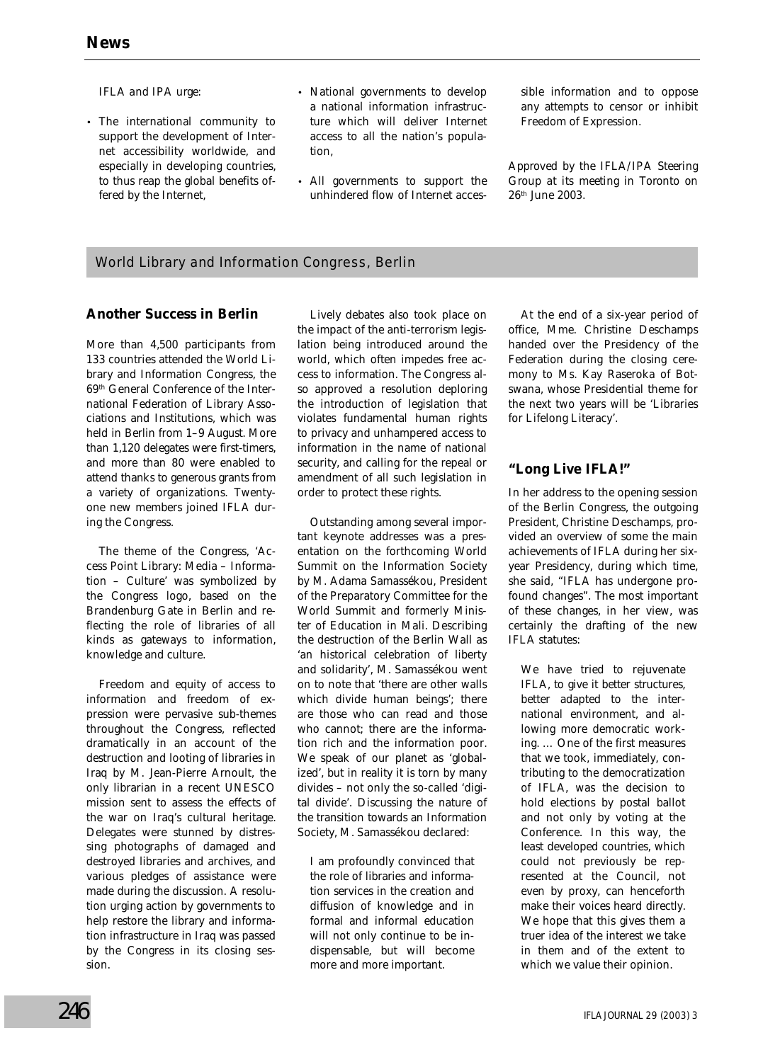### *IFLA and IPA urge:*

- The international community to support the development of Internet accessibility worldwide, and especially in developing countries, to thus reap the global benefits offered by the Internet,
- National governments to develop a national information infrastructure which will deliver Internet access to all the nation's population,
- All governments to support the unhindered flow of Internet acces-

sible information and to oppose any attempts to censor or inhibit Freedom of Expression.

*Approved by the IFLA/IPA Steering Group at its meeting in Toronto on 26th June 2003.*

# World Library and Information Congress, Berlin

# **Another Success in Berlin**

More than 4,500 participants from 133 countries attended the World Library and Information Congress, the 69th General Conference of the International Federation of Library Associations and Institutions, which was held in Berlin from 1–9 August. More than 1,120 delegates were first-timers, and more than 80 were enabled to attend thanks to generous grants from a variety of organizations. Twentyone new members joined IFLA during the Congress.

The theme of the Congress, 'Access Point Library: Media – Information – Culture' was symbolized by the Congress logo, based on the Brandenburg Gate in Berlin and reflecting the role of libraries of all kinds as gateways to information, knowledge and culture.

Freedom and equity of access to information and freedom of expression were pervasive sub-themes throughout the Congress, reflected dramatically in an account of the destruction and looting of libraries in Iraq by M. Jean-Pierre Arnoult, the only librarian in a recent UNESCO mission sent to assess the effects of the war on Iraq's cultural heritage. Delegates were stunned by distressing photographs of damaged and destroyed libraries and archives, and various pledges of assistance were made during the discussion. A resolution urging action by governments to help restore the library and information infrastructure in Iraq was passed by the Congress in its closing session.

Lively debates also took place on the impact of the anti-terrorism legislation being introduced around the world, which often impedes free access to information. The Congress also approved a resolution deploring the introduction of legislation that violates fundamental human rights to privacy and unhampered access to information in the name of national security, and calling for the repeal or amendment of all such legislation in order to protect these rights.

Outstanding among several important keynote addresses was a presentation on the forthcoming World Summit on the Information Society by M. Adama Samassékou, President of the Preparatory Committee for the World Summit and formerly Minister of Education in Mali. Describing the destruction of the Berlin Wall as 'an historical celebration of liberty and solidarity', M. Samassékou went on to note that 'there are other walls which divide human beings'; there are those who can read and those who cannot; there are the information rich and the information poor. We speak of our planet as 'globalized', but in reality it is torn by many divides – not only the so-called 'digital divide'. Discussing the nature of the transition towards an Information Society, M. Samassékou declared:

I am profoundly convinced that the role of libraries and information services in the creation and diffusion of knowledge and in formal and informal education will not only continue to be indispensable, but will become more and more important.

At the end of a six-year period of office, Mme. Christine Deschamps handed over the Presidency of the Federation during the closing ceremony to Ms. Kay Raseroka of Botswana, whose Presidential theme for the next two years will be 'Libraries for Lifelong Literacy'.

# **"Long Live IFLA!"**

In her address to the opening session of the Berlin Congress, the outgoing President, Christine Deschamps, provided an overview of some the main achievements of IFLA during her sixyear Presidency, during which time, she said, "IFLA has undergone profound changes". The most important of these changes, in her view, was certainly the drafting of the new IFLA statutes:

We have tried to rejuvenate IFLA, to give it better structures, better adapted to the international environment, and allowing more democratic working. … One of the first measures that we took, immediately, contributing to the democratization of IFLA, was the decision to hold elections by postal ballot and not only by voting at the Conference. In this way, the least developed countries, which could not previously be represented at the Council, not even by proxy, can henceforth make their voices heard directly. We hope that this gives them a truer idea of the interest we take in them and of the extent to which we value their opinion.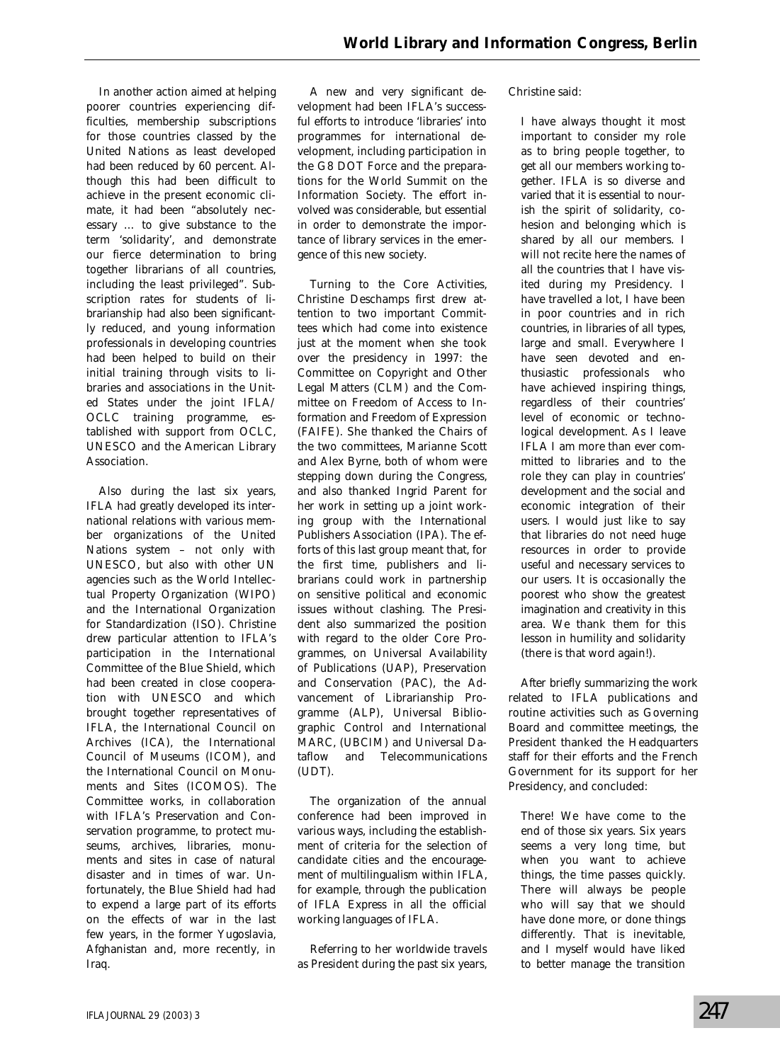In another action aimed at helping poorer countries experiencing difficulties, membership subscriptions for those countries classed by the United Nations as least developed had been reduced by 60 percent. Although this had been difficult to achieve in the present economic climate, it had been "absolutely necessary … to give substance to the term 'solidarity', and demonstrate our fierce determination to bring together librarians of all countries, including the least privileged". Subscription rates for students of librarianship had also been significantly reduced, and young information professionals in developing countries had been helped to build on their initial training through visits to libraries and associations in the United States under the joint IFLA/ OCLC training programme, established with support from OCLC, UNESCO and the American Library Association.

Also during the last six years, IFLA had greatly developed its international relations with various member organizations of the United Nations system – not only with UNESCO, but also with other UN agencies such as the World Intellectual Property Organization (WIPO) and the International Organization for Standardization (ISO). Christine drew particular attention to IFLA's participation in the International Committee of the Blue Shield, which had been created in close cooperation with UNESCO and which brought together representatives of IFLA, the International Council on Archives (ICA), the International Council of Museums (ICOM), and the International Council on Monuments and Sites (ICOMOS). The Committee works, in collaboration with IFLA's Preservation and Conservation programme, to protect museums, archives, libraries, monuments and sites in case of natural disaster and in times of war. Unfortunately, the Blue Shield had had to expend a large part of its efforts on the effects of war in the last few years, in the former Yugoslavia, Afghanistan and, more recently, in Iraq.

A new and very significant development had been IFLA's successful efforts to introduce 'libraries' into programmes for international development, including participation in the G8 DOT Force and the preparations for the World Summit on the Information Society. The effort involved was considerable, but essential in order to demonstrate the importance of library services in the emergence of this new society.

Turning to the Core Activities, Christine Deschamps first drew attention to two important Committees which had come into existence just at the moment when she took over the presidency in 1997: the Committee on Copyright and Other Legal Matters (CLM) and the Committee on Freedom of Access to Information and Freedom of Expression (FAIFE). She thanked the Chairs of the two committees, Marianne Scott and Alex Byrne, both of whom were stepping down during the Congress, and also thanked Ingrid Parent for her work in setting up a joint working group with the International Publishers Association (IPA). The efforts of this last group meant that, for the first time, publishers and librarians could work in partnership on sensitive political and economic issues without clashing. The President also summarized the position with regard to the older Core Programmes, on Universal Availability of Publications (UAP), Preservation and Conservation (PAC), the Advancement of Librarianship Programme (ALP), Universal Bibliographic Control and International MARC, (UBCIM) and Universal Dataflow and Telecommunications (UDT).

The organization of the annual conference had been improved in various ways, including the establishment of criteria for the selection of candidate cities and the encouragement of multilingualism within IFLA, for example, through the publication of *IFLA Express* in all the official working languages of IFLA.

Referring to her worldwide travels as President during the past six years, Christine said:

I have always thought it most important to consider my role as to bring people together, to get all our members working together. IFLA is so diverse and varied that it is essential to nourish the spirit of solidarity, cohesion and belonging which is shared by all our members. I will not recite here the names of all the countries that I have visited during my Presidency. I have travelled a lot, I have been in poor countries and in rich countries, in libraries of all types, large and small. Everywhere I have seen devoted and enthusiastic professionals who have achieved inspiring things, regardless of their countries' level of economic or technological development. As I leave IFLA I am more than ever committed to libraries and to the role they can play in countries' development and the social and economic integration of their users. I would just like to say that libraries do not need huge resources in order to provide useful and necessary services to our users. It is occasionally the poorest who show the greatest imagination and creativity in this area. We thank them for this lesson in humility and solidarity (there is that word again!).

After briefly summarizing the work related to IFLA publications and routine activities such as Governing Board and committee meetings, the President thanked the Headquarters staff for their efforts and the French Government for its support for her Presidency, and concluded:

There! We have come to the end of those six years. Six years seems a very long time, but when you want to achieve things, the time passes quickly. There will always be people who will say that we should have done more, or done things differently. That is inevitable, and I myself would have liked to better manage the transition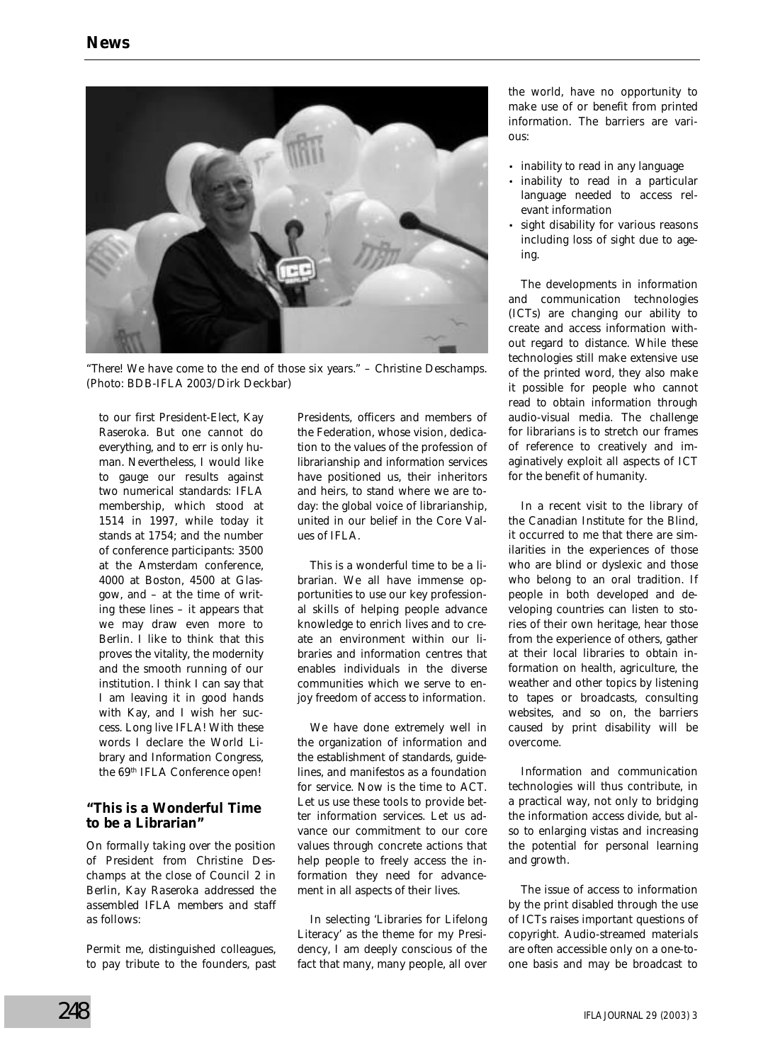

*"There! We have come to the end of those six years." – Christine Deschamps.* (Photo: BDB-IFLA 2003/Dirk Deckbar)

to our first President-Elect, Kay Raseroka. But one cannot do everything, and to err is only human. Nevertheless, I would like to gauge our results against two numerical standards: IFLA membership, which stood at 1514 in 1997, while today it stands at 1754; and the number of conference participants: 3500 at the Amsterdam conference, 4000 at Boston, 4500 at Glasgow, and – at the time of writing these lines – it appears that we may draw even more to Berlin. I like to think that this proves the vitality, the modernity and the smooth running of our institution. I think I can say that I am leaving it in good hands with Kay, and I wish her success. Long live IFLA! With these words I declare the World Library and Information Congress, the 69th IFLA Conference open!

## **"This is a Wonderful Time to be a Librarian"**

*On formally taking over the position of President from Christine Deschamps at the close of Council 2 in Berlin, Kay Raseroka addressed the assembled IFLA members and staff as follows:* 

Permit me, distinguished colleagues, to pay tribute to the founders, past

Presidents, officers and members of the Federation, whose vision, dedication to the values of the profession of librarianship and information services have positioned us, their inheritors and heirs, to stand where we are today: the global voice of librarianship, united in our belief in the Core Values of IFLA.

This is a wonderful time to be a librarian. We all have immense opportunities to use our key professional skills of helping people advance knowledge to enrich lives and to create an environment within our libraries and information centres that enables individuals in the diverse communities which we serve to enjoy freedom of access to information.

We have done extremely well in the organization of information and the establishment of standards, guidelines, and manifestos as a foundation for service. Now is the time to ACT. Let us use these tools to provide better information services. Let us advance our commitment to our core values through concrete actions that help people to freely access the information they need for advancement in all aspects of their lives.

In selecting 'Libraries for Lifelong Literacy' as the theme for my Presidency, I am deeply conscious of the fact that many, many people, all over the world, have no opportunity to make use of or benefit from printed information. The barriers are various:

- inability to read in any language
- inability to read in a particular language needed to access relevant information
- sight disability for various reasons including loss of sight due to ageing.

The developments in information and communication technologies (ICTs) are changing our ability to create and access information without regard to distance. While these technologies still make extensive use of the printed word, they also make it possible for people who cannot read to obtain information through audio-visual media. The challenge for librarians is to stretch our frames of reference to creatively and imaginatively exploit all aspects of ICT for the benefit of humanity.

In a recent visit to the library of the Canadian Institute for the Blind, it occurred to me that there are similarities in the experiences of those who are blind or dyslexic and those who belong to an oral tradition. If people in both developed and developing countries can listen to stories of their own heritage, hear those from the experience of others, gather at their local libraries to obtain information on health, agriculture, the weather and other topics by listening to tapes or broadcasts, consulting websites, and so on, the barriers caused by print disability will be overcome.

Information and communication technologies will thus contribute, in a practical way, not only to bridging the information access divide, but also to enlarging vistas and increasing the potential for personal learning and growth.

The issue of access to information by the print disabled through the use of ICTs raises important questions of copyright. Audio-streamed materials are often accessible only on a one-toone basis and may be broadcast to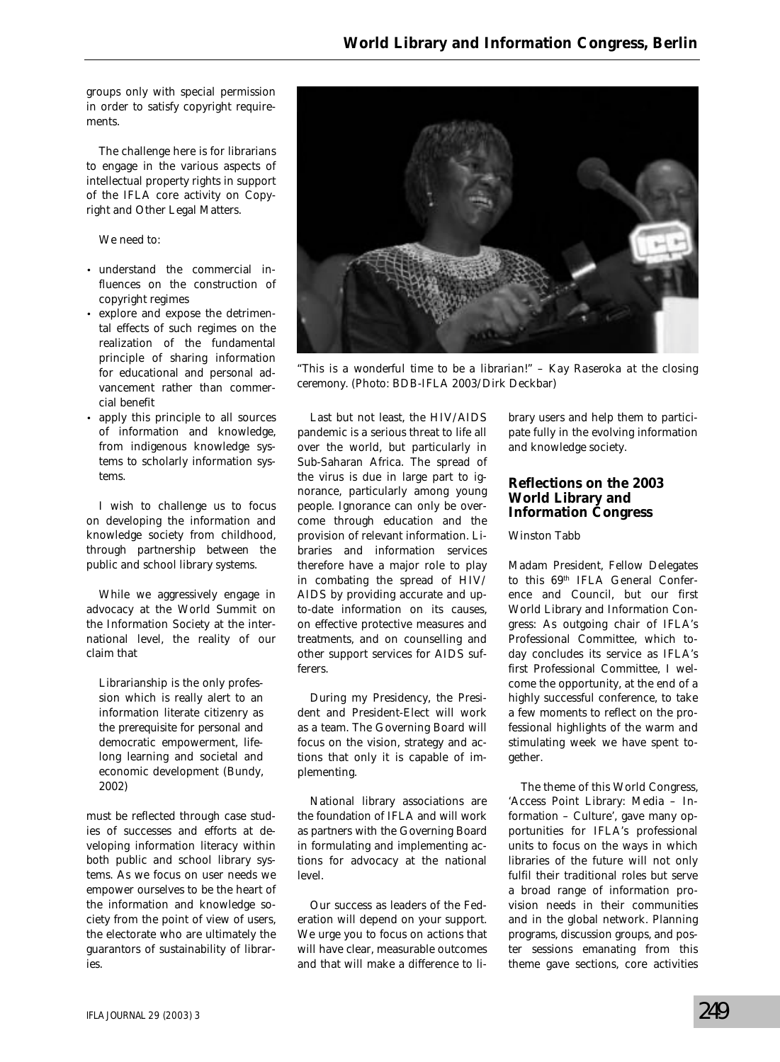groups only with special permission in order to satisfy copyright requirements.

The challenge here is for librarians to engage in the various aspects of intellectual property rights in support of the IFLA core activity on Copyright and Other Legal Matters.

We need to:

- understand the commercial influences on the construction of copyright regimes
- explore and expose the detrimental effects of such regimes on the realization of the fundamental principle of sharing information for educational and personal advancement rather than commercial benefit
- apply this principle to all sources of information and knowledge, from indigenous knowledge systems to scholarly information systems.

I wish to challenge us to focus on developing the information and knowledge society from childhood, through partnership between the public and school library systems.

While we aggressively engage in advocacy at the World Summit on the Information Society at the international level, the reality of our claim that

Librarianship is the only profession which is really alert to an information literate citizenry as the prerequisite for personal and democratic empowerment, lifelong learning and societal and economic development (Bundy, 2002)

must be reflected through case studies of successes and efforts at developing information literacy within both public and school library systems. As we focus on user needs we empower ourselves to be the heart of the information and knowledge society from the point of view of users, the electorate who are ultimately the guarantors of sustainability of libraries.



*"This is a wonderful time to be a librarian!" – Kay Raseroka at the closing ceremony.* (Photo: BDB-IFLA 2003/Dirk Deckbar)

Last but not least, the HIV/AIDS pandemic is a serious threat to life all over the world, but particularly in Sub-Saharan Africa. The spread of the virus is due in large part to ignorance, particularly among young people. Ignorance can only be overcome through education and the provision of relevant information. Libraries and information services therefore have a major role to play in combating the spread of HIV/ AIDS by providing accurate and upto-date information on its causes, on effective protective measures and treatments, and on counselling and other support services for AIDS sufferers.

During my Presidency, the President and President-Elect will work as a team. The Governing Board will focus on the vision, strategy and actions that only it is capable of implementing.

National library associations are the foundation of IFLA and will work as partners with the Governing Board in formulating and implementing actions for advocacy at the national level.

Our success as leaders of the Federation will depend on your support. We urge you to focus on actions that will have clear, measurable outcomes and that will make a difference to library users and help them to participate fully in the evolving information and knowledge society.

### **Reflections on the 2003 World Library and Information Congress**

#### Winston Tabb

Madam President, Fellow Delegates to this 69th IFLA General Conference and Council, but our first World Library and Information Congress: As outgoing chair of IFLA's Professional Committee, which today concludes its service as IFLA's first Professional Committee, I welcome the opportunity, at the end of a highly successful conference, to take a few moments to reflect on the professional highlights of the warm and stimulating week we have spent together.

The theme of this World Congress, 'Access Point Library: Media – Information – Culture', gave many opportunities for IFLA's professional units to focus on the ways in which libraries of the future will not only fulfil their traditional roles but serve a broad range of information provision needs in their communities and in the global network. Planning programs, discussion groups, and poster sessions emanating from this theme gave sections, core activities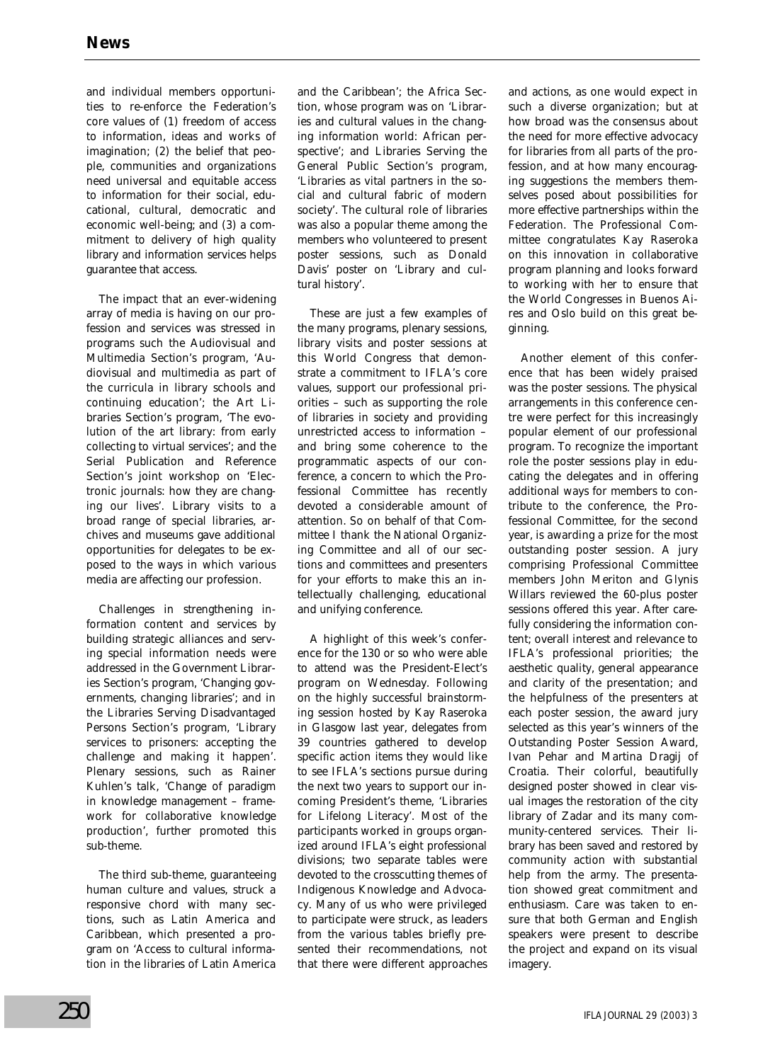and individual members opportunities to re-enforce the Federation's core values of (1) freedom of access to information, ideas and works of imagination; (2) the belief that people, communities and organizations need universal and equitable access to information for their social, educational, cultural, democratic and economic well-being; and (3) a commitment to delivery of high quality library and information services helps guarantee that access.

The impact that an ever-widening array of media is having on our profession and services was stressed in programs such the Audiovisual and Multimedia Section's program, 'Audiovisual and multimedia as part of the curricula in library schools and continuing education'; the Art Libraries Section's program, 'The evolution of the art library: from early collecting to virtual services'; and the Serial Publication and Reference Section's joint workshop on 'Electronic journals: how they are changing our lives'. Library visits to a broad range of special libraries, archives and museums gave additional opportunities for delegates to be exposed to the ways in which various media are affecting our profession.

Challenges in strengthening information content and services by building strategic alliances and serving special information needs were addressed in the Government Libraries Section's program, 'Changing governments, changing libraries'; and in the Libraries Serving Disadvantaged Persons Section's program, 'Library services to prisoners: accepting the challenge and making it happen'. Plenary sessions, such as Rainer Kuhlen's talk, 'Change of paradigm in knowledge management – framework for collaborative knowledge production', further promoted this sub-theme.

The third sub-theme, guaranteeing human culture and values, struck a responsive chord with many sections, such as Latin America and Caribbean, which presented a program on 'Access to cultural information in the libraries of Latin America and the Caribbean'; the Africa Section, whose program was on 'Libraries and cultural values in the changing information world: African perspective'; and Libraries Serving the General Public Section's program, 'Libraries as vital partners in the social and cultural fabric of modern society'. The cultural role of libraries was also a popular theme among the members who volunteered to present poster sessions, such as Donald Davis' poster on 'Library and cultural history'.

These are just a few examples of the many programs, plenary sessions, library visits and poster sessions at this World Congress that demonstrate a commitment to IFLA's core values, support our professional priorities – such as supporting the role of libraries in society and providing unrestricted access to information – and bring some coherence to the programmatic aspects of our conference, a concern to which the Professional Committee has recently devoted a considerable amount of attention. So on behalf of that Committee I thank the National Organizing Committee and all of our sections and committees and presenters for your efforts to make this an intellectually challenging, educational and unifying conference.

A highlight of this week's conference for the 130 or so who were able to attend was the President-Elect's program on Wednesday. Following on the highly successful brainstorming session hosted by Kay Raseroka in Glasgow last year, delegates from 39 countries gathered to develop specific action items they would like to see IFLA's sections pursue during the next two years to support our incoming President's theme, 'Libraries for Lifelong Literacy'. Most of the participants worked in groups organized around IFLA's eight professional divisions; two separate tables were devoted to the crosscutting themes of Indigenous Knowledge and Advocacy. Many of us who were privileged to participate were struck, as leaders from the various tables briefly presented their recommendations, not that there were different approaches

and actions, as one would expect in such a diverse organization; but at how broad was the consensus about the need for more effective advocacy for libraries from all parts of the profession, and at how many encouraging suggestions the members themselves posed about possibilities for more effective partnerships within the Federation. The Professional Committee congratulates Kay Raseroka on this innovation in collaborative program planning and looks forward to working with her to ensure that the World Congresses in Buenos Aires and Oslo build on this great beginning.

Another element of this conference that has been widely praised was the poster sessions. The physical arrangements in this conference centre were perfect for this increasingly popular element of our professional program. To recognize the important role the poster sessions play in educating the delegates and in offering additional ways for members to contribute to the conference, the Professional Committee, for the second year, is awarding a prize for the most outstanding poster session. A jury comprising Professional Committee members John Meriton and Glynis Willars reviewed the 60-plus poster sessions offered this year. After carefully considering the information content; overall interest and relevance to IFLA's professional priorities; the aesthetic quality, general appearance and clarity of the presentation; and the helpfulness of the presenters at each poster session, the award jury selected as this year's winners of the Outstanding Poster Session Award, Ivan Pehar and Martina Dragij of Croatia. Their colorful, beautifully designed poster showed in clear visual images the restoration of the city library of Zadar and its many community-centered services. Their library has been saved and restored by community action with substantial help from the army. The presentation showed great commitment and enthusiasm. Care was taken to ensure that both German and English speakers were present to describe the project and expand on its visual imagery.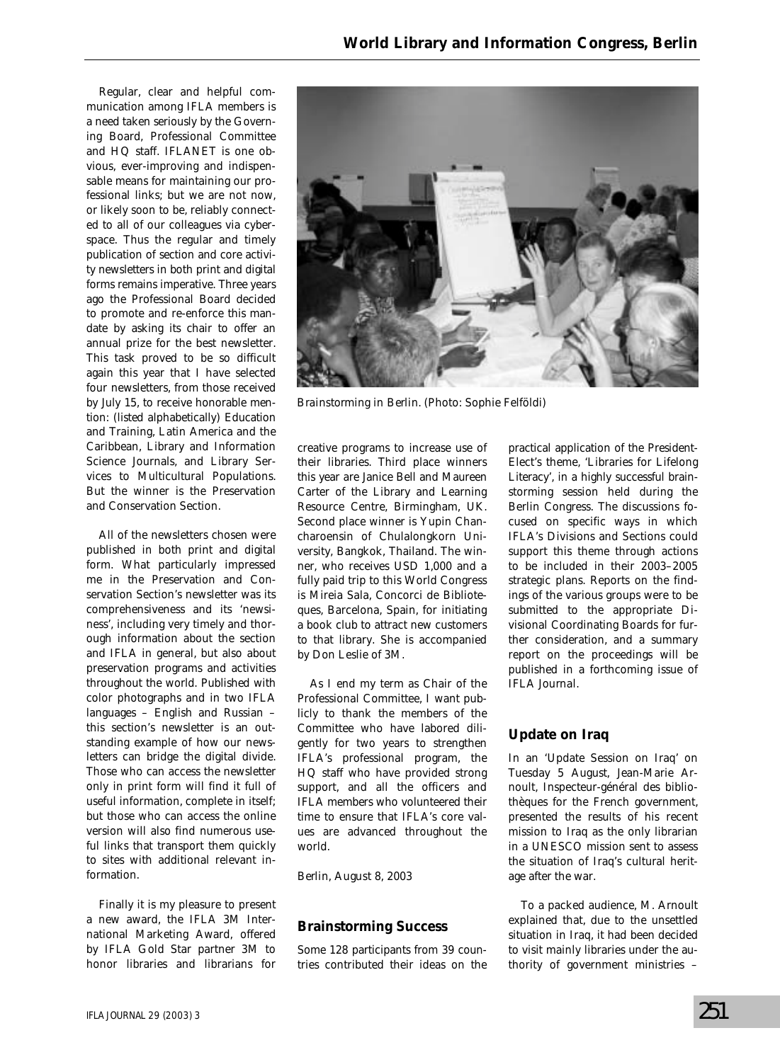Regular, clear and helpful communication among IFLA members is a need taken seriously by the Governing Board, Professional Committee and HQ staff. IFLANET is one obvious, ever-improving and indispensable means for maintaining our professional links; but we are not now, or likely soon to be, reliably connected to all of our colleagues via cyberspace. Thus the regular and timely publication of section and core activity newsletters in both print and digital forms remains imperative. Three years ago the Professional Board decided to promote and re-enforce this mandate by asking its chair to offer an annual prize for the best newsletter. This task proved to be so difficult again this year that I have selected four newsletters, from those received by July 15, to receive honorable mention: (listed alphabetically) Education and Training, Latin America and the Caribbean, Library and Information Science Journals, and Library Services to Multicultural Populations. But the winner is the Preservation and Conservation Section.

All of the newsletters chosen were published in both print and digital form. What particularly impressed me in the Preservation and Conservation Section's newsletter was its comprehensiveness and its 'newsiness', including very timely and thorough information about the section and IFLA in general, but also about preservation programs and activities throughout the world. Published with color photographs and in two IFLA languages – English and Russian – this section's newsletter is an outstanding example of how our newsletters can bridge the digital divide. Those who can access the newsletter only in print form will find it full of useful information, complete in itself; but those who can access the online version will also find numerous useful links that transport them quickly to sites with additional relevant information.

Finally it is my pleasure to present a new award, the IFLA 3M International Marketing Award, offered by IFLA Gold Star partner 3M to honor libraries and librarians for



*Brainstorming in Berlin.* (Photo: Sophie Felföldi)

creative programs to increase use of their libraries. Third place winners this year are Janice Bell and Maureen Carter of the Library and Learning Resource Centre, Birmingham, UK. Second place winner is Yupin Chancharoensin of Chulalongkorn University, Bangkok, Thailand. The winner, who receives USD 1,000 and a fully paid trip to this World Congress is Mireia Sala, Concorci de Biblioteques, Barcelona, Spain, for initiating a book club to attract new customers to that library. She is accompanied by Don Leslie of 3M.

As I end my term as Chair of the Professional Committee, I want publicly to thank the members of the Committee who have labored diligently for two years to strengthen IFLA's professional program, the HQ staff who have provided strong support, and all the officers and IFLA members who volunteered their time to ensure that IFLA's core values are advanced throughout the world.

#### *Berlin, August 8, 2003*

### **Brainstorming Success**

Some 128 participants from 39 countries contributed their ideas on the practical application of the President-Elect's theme, 'Libraries for Lifelong Literacy', in a highly successful brainstorming session held during the Berlin Congress. The discussions focused on specific ways in which IFLA's Divisions and Sections could support this theme through actions to be included in their 2003–2005 strategic plans. Reports on the findings of the various groups were to be submitted to the appropriate Divisional Coordinating Boards for further consideration, and a summary report on the proceedings will be published in a forthcoming issue of *IFLA Journal.* 

# **Update on Iraq**

In an 'Update Session on Iraq' on Tuesday 5 August, Jean-Marie Arnoult, Inspecteur-général des bibliothèques for the French government, presented the results of his recent mission to Iraq as the only librarian in a UNESCO mission sent to assess the situation of Iraq's cultural heritage after the war.

To a packed audience, M. Arnoult explained that, due to the unsettled situation in Iraq, it had been decided to visit mainly libraries under the authority of government ministries –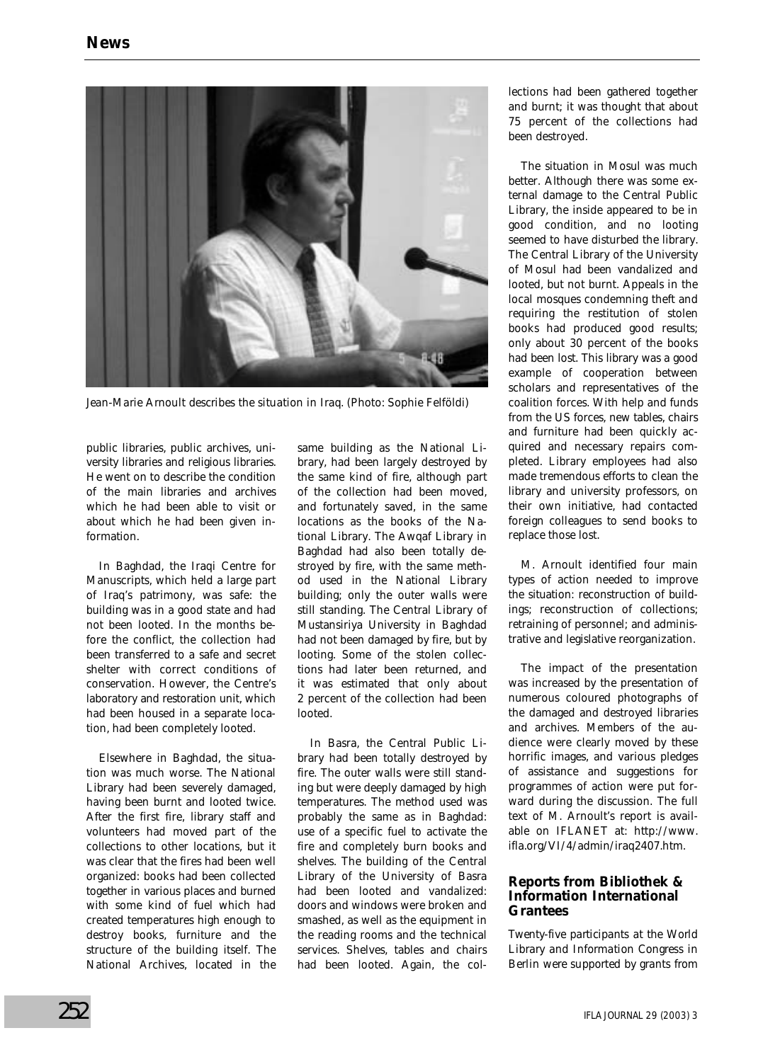

*Jean-Marie Arnoult describes the situation in Iraq.* (Photo: Sophie Felföldi)

public libraries, public archives, university libraries and religious libraries. He went on to describe the condition of the main libraries and archives which he had been able to visit or about which he had been given information.

In Baghdad, the Iraqi Centre for Manuscripts, which held a large part of Iraq's patrimony, was safe: the building was in a good state and had not been looted. In the months before the conflict, the collection had been transferred to a safe and secret shelter with correct conditions of conservation. However, the Centre's laboratory and restoration unit, which had been housed in a separate location, had been completely looted.

Elsewhere in Baghdad, the situation was much worse. The National Library had been severely damaged, having been burnt and looted twice. After the first fire, library staff and volunteers had moved part of the collections to other locations, but it was clear that the fires had been well organized: books had been collected together in various places and burned with some kind of fuel which had created temperatures high enough to destroy books, furniture and the structure of the building itself. The National Archives, located in the

same building as the National Library, had been largely destroyed by the same kind of fire, although part of the collection had been moved, and fortunately saved, in the same locations as the books of the National Library. The Awqaf Library in Baghdad had also been totally destroyed by fire, with the same method used in the National Library building; only the outer walls were still standing. The Central Library of Mustansiriya University in Baghdad had not been damaged by fire, but by looting. Some of the stolen collections had later been returned, and it was estimated that only about 2 percent of the collection had been looted.

In Basra, the Central Public Library had been totally destroyed by fire. The outer walls were still standing but were deeply damaged by high temperatures. The method used was probably the same as in Baghdad: use of a specific fuel to activate the fire and completely burn books and shelves. The building of the Central Library of the University of Basra had been looted and vandalized: doors and windows were broken and smashed, as well as the equipment in the reading rooms and the technical services. Shelves, tables and chairs had been looted. Again, the collections had been gathered together and burnt; it was thought that about 75 percent of the collections had been destroyed.

The situation in Mosul was much better. Although there was some external damage to the Central Public Library, the inside appeared to be in good condition, and no looting seemed to have disturbed the library. The Central Library of the University of Mosul had been vandalized and looted, but not burnt. Appeals in the local mosques condemning theft and requiring the restitution of stolen books had produced good results; only about 30 percent of the books had been lost. This library was a good example of cooperation between scholars and representatives of the coalition forces. With help and funds from the US forces, new tables, chairs and furniture had been quickly acquired and necessary repairs completed. Library employees had also made tremendous efforts to clean the library and university professors, on their own initiative, had contacted foreign colleagues to send books to replace those lost.

M. Arnoult identified four main types of action needed to improve the situation: reconstruction of buildings; reconstruction of collections; retraining of personnel; and administrative and legislative reorganization.

The impact of the presentation was increased by the presentation of numerous coloured photographs of the damaged and destroyed libraries and archives. Members of the audience were clearly moved by these horrific images, and various pledges of assistance and suggestions for programmes of action were put forward during the discussion. The full text of M. Arnoult's report is available on IFLANET at: http://www. ifla.org/VI/4/admin/iraq2407.htm.

# **Reports from Bibliothek & Information International Grantees**

*Twenty-five participants at the World Library and Information Congress in Berlin were supported by grants from*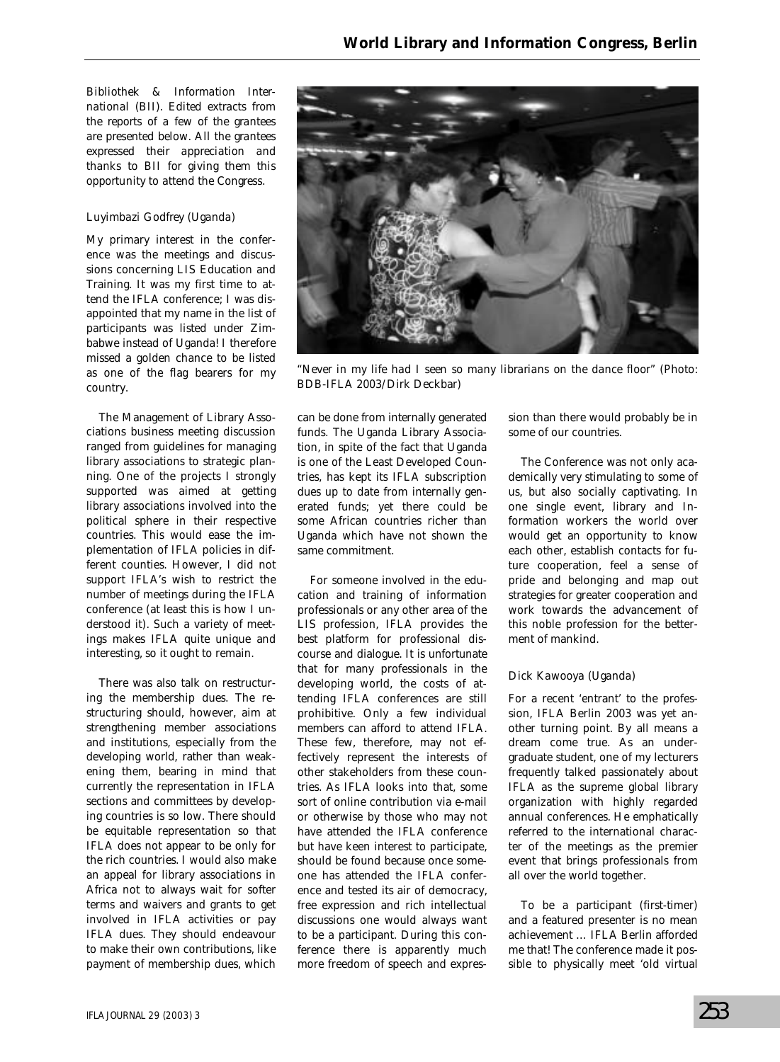*Bibliothek & Information International (BII). Edited extracts from the reports of a few of the grantees are presented below. All the grantees expressed their appreciation and thanks to BII for giving them this opportunity to attend the Congress.* 

### *Luyimbazi Godfrey (Uganda)*

My primary interest in the conference was the meetings and discussions concerning LIS Education and Training. It was my first time to attend the IFLA conference; I was disappointed that my name in the list of participants was listed under Zimbabwe instead of Uganda! I therefore missed a golden chance to be listed as one of the flag bearers for my country.

The Management of Library Associations business meeting discussion ranged from guidelines for managing library associations to strategic planning. One of the projects I strongly supported was aimed at getting library associations involved into the political sphere in their respective countries. This would ease the implementation of IFLA policies in different counties. However, I did not support IFLA's wish to restrict the number of meetings during the IFLA conference (at least this is how I understood it). Such a variety of meetings makes IFLA quite unique and interesting, so it ought to remain.

There was also talk on restructuring the membership dues. The restructuring should, however, aim at strengthening member associations and institutions, especially from the developing world, rather than weakening them, bearing in mind that currently the representation in IFLA sections and committees by developing countries is so low. There should be equitable representation so that IFLA does not appear to be only for the rich countries. I would also make an appeal for library associations in Africa not to always wait for softer terms and waivers and grants to get involved in IFLA activities or pay IFLA dues. They should endeavour to make their own contributions, like payment of membership dues, which



*"Never in my life had I seen so many librarians on the dance floor"* (Photo: BDB-IFLA 2003/Dirk Deckbar)

can be done from internally generated funds. The Uganda Library Association, in spite of the fact that Uganda is one of the Least Developed Countries, has kept its IFLA subscription dues up to date from internally generated funds; yet there could be some African countries richer than Uganda which have not shown the same commitment.

For someone involved in the education and training of information professionals or any other area of the LIS profession, IFLA provides the best platform for professional discourse and dialogue. It is unfortunate that for many professionals in the developing world, the costs of attending IFLA conferences are still prohibitive. Only a few individual members can afford to attend IFLA. These few, therefore, may not effectively represent the interests of other stakeholders from these countries. As IFLA looks into that, some sort of online contribution via e-mail or otherwise by those who may not have attended the IFLA conference but have keen interest to participate, should be found because once someone has attended the IFLA conference and tested its air of democracy, free expression and rich intellectual discussions one would always want to be a participant. During this conference there is apparently much more freedom of speech and expression than there would probably be in some of our countries.

The Conference was not only academically very stimulating to some of us, but also socially captivating. In one single event, library and Information workers the world over would get an opportunity to know each other, establish contacts for future cooperation, feel a sense of pride and belonging and map out strategies for greater cooperation and work towards the advancement of this noble profession for the betterment of mankind.

#### *Dick Kawooya (Uganda)*

For a recent 'entrant' to the profession, IFLA Berlin 2003 was yet another turning point. By all means a dream come true. As an undergraduate student, one of my lecturers frequently talked passionately about IFLA as the supreme global library organization with highly regarded annual conferences. He emphatically referred to the international character of the meetings as the premier event that brings professionals from all over the world together.

To be a participant (first-timer) and a featured presenter is no mean achievement … IFLA Berlin afforded me that! The conference made it possible to physically meet 'old virtual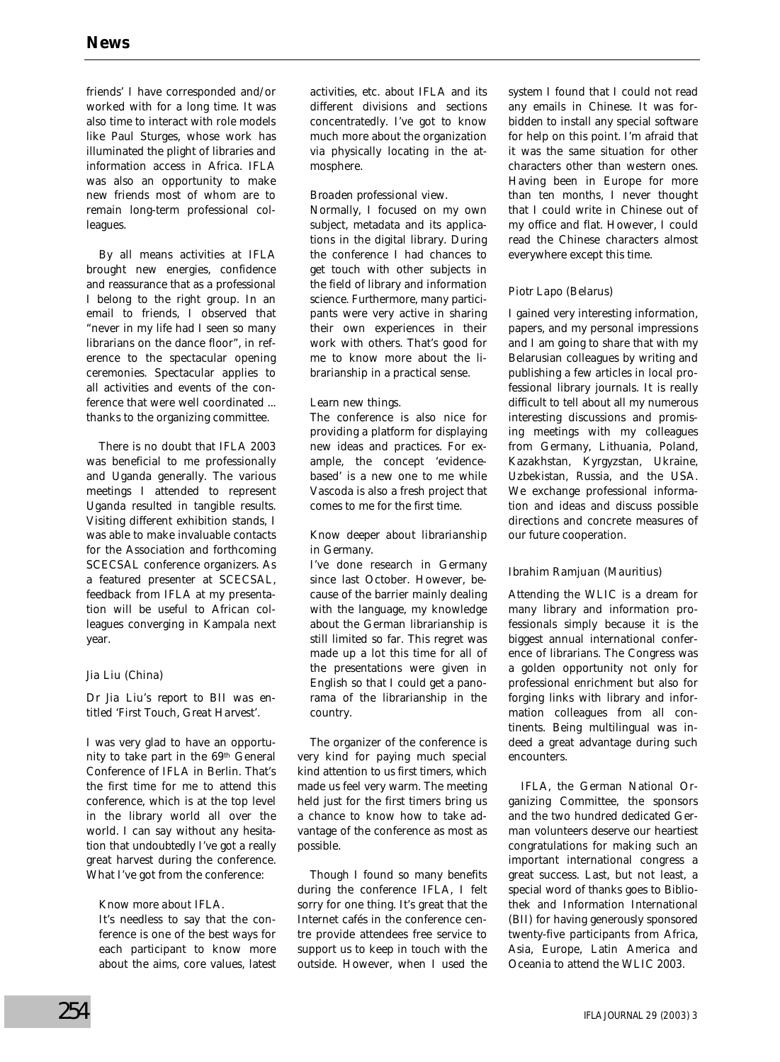friends' I have corresponded and/or worked with for a long time. It was also time to interact with role models like Paul Sturges, whose work has illuminated the plight of libraries and information access in Africa. IFLA was also an opportunity to make new friends most of whom are to remain long-term professional colleagues.

By all means activities at IFLA brought new energies, confidence and reassurance that as a professional I belong to the right group. In an email to friends, I observed that "never in my life had I seen so many librarians on the dance floor", in reference to the spectacular opening ceremonies. Spectacular applies to all activities and events of the conference that were well coordinated ... thanks to the organizing committee.

There is no doubt that IFLA 2003 was beneficial to me professionally and Uganda generally. The various meetings I attended to represent Uganda resulted in tangible results. Visiting different exhibition stands, I was able to make invaluable contacts for the Association and forthcoming SCECSAL conference organizers. As a featured presenter at SCECSAL, feedback from IFLA at my presentation will be useful to African colleagues converging in Kampala next year.

### *Jia Liu (China)*

*Dr Jia Liu's report to BII was entitled 'First Touch, Great Harvest'.* 

I was very glad to have an opportunity to take part in the 69<sup>th</sup> General Conference of IFLA in Berlin. That's the first time for me to attend this conference, which is at the top level in the library world all over the world. I can say without any hesitation that undoubtedly I've got a really great harvest during the conference. What I've got from the conference:

#### *Know more about IFLA.*

It's needless to say that the conference is one of the best ways for each participant to know more about the aims, core values, latest activities, etc. about IFLA and its different divisions and sections concentratedly. I've got to know much more about the organization via physically locating in the atmosphere.

### *Broaden professional view.*

Normally, I focused on my own subject, metadata and its applications in the digital library. During the conference I had chances to get touch with other subjects in the field of library and information science. Furthermore, many participants were very active in sharing their own experiences in their work with others. That's good for me to know more about the librarianship in a practical sense.

#### *Learn new things.*

The conference is also nice for providing a platform for displaying new ideas and practices. For example, the concept 'evidencebased' is a new one to me while Vascoda is also a fresh project that comes to me for the first time.

### *Know deeper about librarianship in Germany.*

I've done research in Germany since last October. However, because of the barrier mainly dealing with the language, my knowledge about the German librarianship is still limited so far. This regret was made up a lot this time for all of the presentations were given in English so that I could get a panorama of the librarianship in the country.

The organizer of the conference is very kind for paying much special kind attention to us first timers, which made us feel very warm. The meeting held just for the first timers bring us a chance to know how to take advantage of the conference as most as possible.

Though I found so many benefits during the conference IFLA, I felt sorry for one thing. It's great that the Internet cafés in the conference centre provide attendees free service to support us to keep in touch with the outside. However, when I used the system I found that I could not read any emails in Chinese. It was forbidden to install any special software for help on this point. I'm afraid that it was the same situation for other characters other than western ones. Having been in Europe for more than ten months, I never thought that I could write in Chinese out of my office and flat. However, I could read the Chinese characters almost everywhere except this time.

## *Piotr Lapo (Belarus)*

I gained very interesting information, papers, and my personal impressions and I am going to share that with my Belarusian colleagues by writing and publishing a few articles in local professional library journals. It is really difficult to tell about all my numerous interesting discussions and promising meetings with my colleagues from Germany, Lithuania, Poland, Kazakhstan, Kyrgyzstan, Ukraine, Uzbekistan, Russia, and the USA. We exchange professional information and ideas and discuss possible directions and concrete measures of our future cooperation.

# *Ibrahim Ramjuan (Mauritius)*

Attending the WLIC is a dream for many library and information professionals simply because it is the biggest annual international conference of librarians. The Congress was a golden opportunity not only for professional enrichment but also for forging links with library and information colleagues from all continents. Being multilingual was indeed a great advantage during such encounters.

IFLA, the German National Organizing Committee, the sponsors and the two hundred dedicated German volunteers deserve our heartiest congratulations for making such an important international congress a great success. Last, but not least, a special word of thanks goes to Bibliothek and Information International (BII) for having generously sponsored twenty-five participants from Africa, Asia, Europe, Latin America and Oceania to attend the WLIC 2003.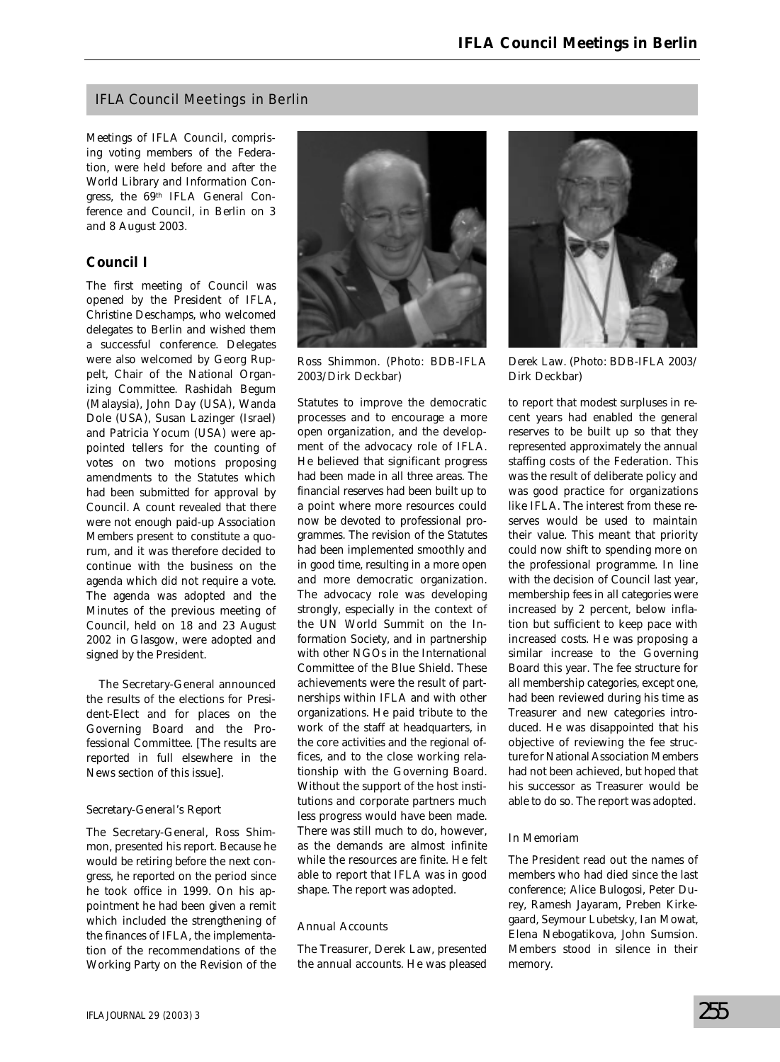# IFLA Council Meetings in Berlin

*Meetings of IFLA Council, comprising voting members of the Federation, were held before and after the World Library and Information Congress, the 69th IFLA General Conference and Council, in Berlin on 3 and 8 August 2003.* 

# **Council I**

The first meeting of Council was opened by the President of IFLA, Christine Deschamps, who welcomed delegates to Berlin and wished them a successful conference. Delegates were also welcomed by Georg Ruppelt, Chair of the National Organizing Committee. Rashidah Begum (Malaysia), John Day (USA), Wanda Dole (USA), Susan Lazinger (Israel) and Patricia Yocum (USA) were appointed tellers for the counting of votes on two motions proposing amendments to the Statutes which had been submitted for approval by Council. A count revealed that there were not enough paid-up Association Members present to constitute a quorum, and it was therefore decided to continue with the business on the agenda which did not require a vote. The agenda was adopted and the Minutes of the previous meeting of Council, held on 18 and 23 August 2002 in Glasgow, were adopted and signed by the President.

The Secretary-General announced the results of the elections for President-Elect and for places on the Governing Board and the Professional Committee. [The results are reported in full elsewhere in the News section of this issue].

#### *Secretary-General's Report*

The Secretary-General, Ross Shimmon, presented his report. Because he would be retiring before the next congress, he reported on the period since he took office in 1999. On his appointment he had been given a remit which included the strengthening of the finances of IFLA, the implementation of the recommendations of the Working Party on the Revision of the



*Ross Shimmon.* (Photo: BDB-IFLA 2003/Dirk Deckbar)

Statutes to improve the democratic processes and to encourage a more open organization, and the development of the advocacy role of IFLA. He believed that significant progress had been made in all three areas. The financial reserves had been built up to a point where more resources could now be devoted to professional programmes. The revision of the Statutes had been implemented smoothly and in good time, resulting in a more open and more democratic organization. The advocacy role was developing strongly, especially in the context of the UN World Summit on the Information Society, and in partnership with other NGOs in the International Committee of the Blue Shield. These achievements were the result of partnerships within IFLA and with other organizations. He paid tribute to the work of the staff at headquarters, in the core activities and the regional offices, and to the close working relationship with the Governing Board. Without the support of the host institutions and corporate partners much less progress would have been made. There was still much to do, however, as the demands are almost infinite while the resources are finite. He felt able to report that IFLA was in good shape. The report was adopted.

#### *Annual Accounts*

The Treasurer, Derek Law, presented the annual accounts. He was pleased



*Derek Law.* (Photo: BDB-IFLA 2003/ Dirk Deckbar)

to report that modest surpluses in recent years had enabled the general reserves to be built up so that they represented approximately the annual staffing costs of the Federation. This was the result of deliberate policy and was good practice for organizations like IFLA. The interest from these reserves would be used to maintain their value. This meant that priority could now shift to spending more on the professional programme. In line with the decision of Council last year, membership fees in all categories were increased by 2 percent, below inflation but sufficient to keep pace with increased costs. He was proposing a similar increase to the Governing Board this year. The fee structure for all membership categories, except one, had been reviewed during his time as Treasurer and new categories introduced. He was disappointed that his objective of reviewing the fee structure for National Association Members had not been achieved, but hoped that his successor as Treasurer would be able to do so. The report was adopted.

### *In Memoriam*

The President read out the names of members who had died since the last conference; Alice Bulogosi, Peter Durey, Ramesh Jayaram, Preben Kirkegaard, Seymour Lubetsky, Ian Mowat, Elena Nebogatikova, John Sumsion. Members stood in silence in their memory.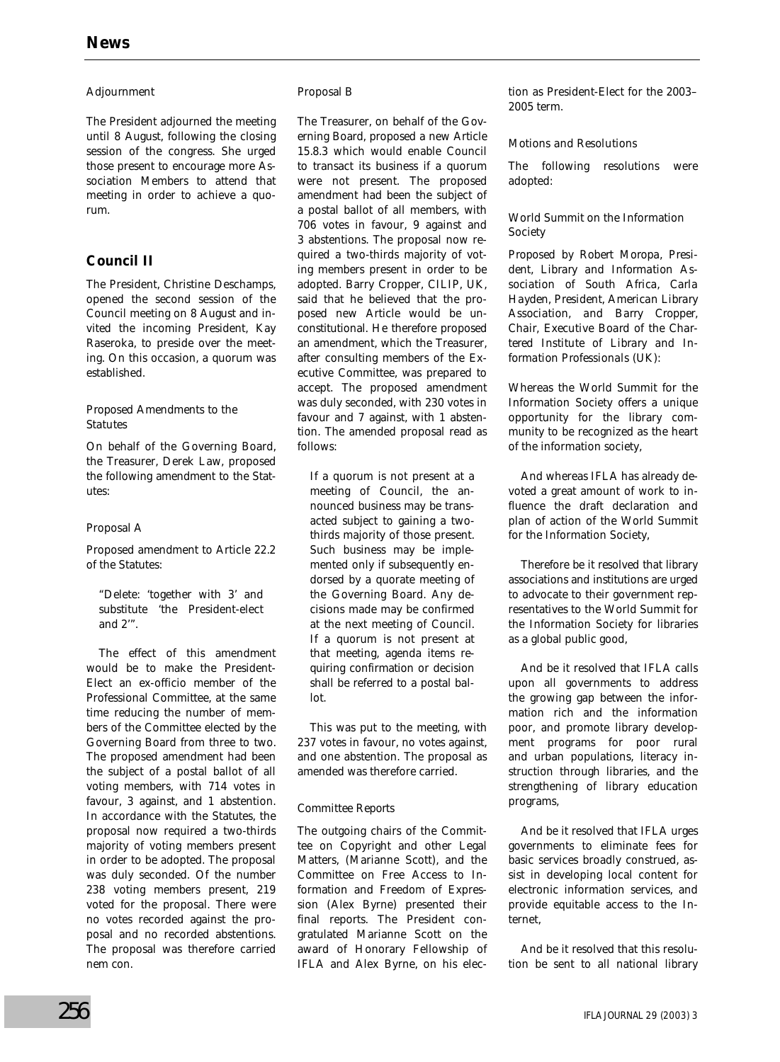### *Adjournment*

The President adjourned the meeting until 8 August, following the closing session of the congress. She urged those present to encourage more Association Members to attend that meeting in order to achieve a quorum.

# **Council II**

The President, Christine Deschamps, opened the second session of the Council meeting on 8 August and invited the incoming President, Kay Raseroka, to preside over the meeting. On this occasion, a quorum was established.

### *Proposed Amendments to the Statutes*

On behalf of the Governing Board, the Treasurer, Derek Law, proposed the following amendment to the Statutes:

### Proposal A

Proposed amendment to Article 22.2 of the Statutes:

"Delete: 'together with 3' and substitute 'the President-elect and 2'".

The effect of this amendment would be to make the President-Elect an ex-officio member of the Professional Committee, at the same time reducing the number of members of the Committee elected by the Governing Board from three to two. The proposed amendment had been the subject of a postal ballot of all voting members, with 714 votes in favour, 3 against, and 1 abstention. In accordance with the Statutes, the proposal now required a two-thirds majority of voting members present in order to be adopted. The proposal was duly seconded. Of the number 238 voting members present, 219 voted for the proposal. There were no votes recorded against the proposal and no recorded abstentions. The proposal was therefore carried *nem con.*

### Proposal B

The Treasurer, on behalf of the Governing Board, proposed a new Article 15.8.3 which would enable Council to transact its business if a quorum were not present. The proposed amendment had been the subject of a postal ballot of all members, with 706 votes in favour, 9 against and 3 abstentions. The proposal now required a two-thirds majority of voting members present in order to be adopted. Barry Cropper, CILIP, UK, said that he believed that the proposed new Article would be unconstitutional. He therefore proposed an amendment, which the Treasurer, after consulting members of the Executive Committee, was prepared to accept. The proposed amendment was duly seconded, with 230 votes in favour and 7 against, with 1 abstention. The amended proposal read as follows:

If a quorum is not present at a meeting of Council, the announced business may be transacted subject to gaining a twothirds majority of those present. Such business may be implemented only if subsequently endorsed by a quorate meeting of the Governing Board. Any decisions made may be confirmed at the next meeting of Council. If a quorum is not present at that meeting, agenda items requiring confirmation or decision shall be referred to a postal ballot.

This was put to the meeting, with 237 votes in favour, no votes against, and one abstention. The proposal as amended was therefore carried.

### *Committee Reports*

The outgoing chairs of the Committee on Copyright and other Legal Matters, (Marianne Scott), and the Committee on Free Access to Information and Freedom of Expression (Alex Byrne) presented their final reports. The President congratulated Marianne Scott on the award of Honorary Fellowship of IFLA and Alex Byrne, on his election as President-Elect for the 2003– 2005 term.

### *Motions and Resolutions*

The following resolutions were adopted:

### World Summit on the Information **Society**

*Proposed by Robert Moropa, President, Library and Information Association of South Africa, Carla Hayden, President, American Library Association, and Barry Cropper, Chair, Executive Board of the Chartered Institute of Library and Information Professionals (UK):* 

Whereas the World Summit for the Information Society offers a unique opportunity for the library community to be recognized as the heart of the information society,

And whereas IFLA has already devoted a great amount of work to influence the draft declaration and plan of action of the World Summit for the Information Society,

Therefore be it resolved that library associations and institutions are urged to advocate to their government representatives to the World Summit for the Information Society for libraries as a global public good,

And be it resolved that IFLA calls upon all governments to address the growing gap between the information rich and the information poor, and promote library development programs for poor rural and urban populations, literacy instruction through libraries, and the strengthening of library education programs,

And be it resolved that IFLA urges governments to eliminate fees for basic services broadly construed, assist in developing local content for electronic information services, and provide equitable access to the Internet,

And be it resolved that this resolution be sent to all national library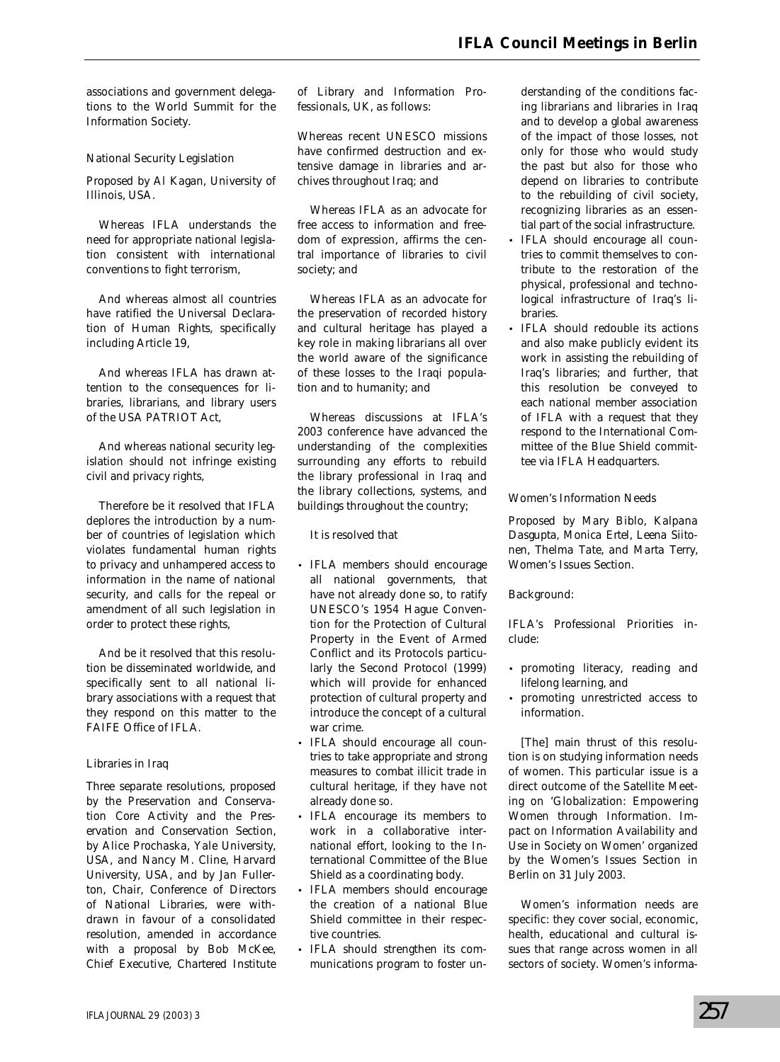associations and government delegations to the World Summit for the Information Society.

#### National Security Legislation

*Proposed by Al Kagan, University of Illinois, USA.* 

Whereas IFLA understands the need for appropriate national legislation consistent with international conventions to fight terrorism,

And whereas almost all countries have ratified the Universal Declaration of Human Rights, specifically including Article 19,

And whereas IFLA has drawn attention to the consequences for libraries, librarians, and library users of the USA PATRIOT Act,

And whereas national security legislation should not infringe existing civil and privacy rights,

Therefore be it resolved that IFLA deplores the introduction by a number of countries of legislation which violates fundamental human rights to privacy and unhampered access to information in the name of national security, and calls for the repeal or amendment of all such legislation in order to protect these rights,

And be it resolved that this resolution be disseminated worldwide, and specifically sent to all national library associations with a request that they respond on this matter to the FAIFE Office of IFLA.

### Libraries in Iraq

*Three separate resolutions, proposed by the Preservation and Conservation Core Activity and the Preservation and Conservation Section, by Alice Prochaska, Yale University, USA, and Nancy M. Cline, Harvard University, USA, and by Jan Fullerton, Chair, Conference of Directors of National Libraries, were withdrawn in favour of a consolidated resolution, amended in accordance with a proposal by Bob McKee, Chief Executive, Chartered Institute* 

*of Library and Information Professionals, UK, as follows:* 

Whereas recent UNESCO missions have confirmed destruction and extensive damage in libraries and archives throughout Iraq; and

Whereas IFLA as an advocate for free access to information and freedom of expression, affirms the central importance of libraries to civil society; and

Whereas IFLA as an advocate for the preservation of recorded history and cultural heritage has played a key role in making librarians all over the world aware of the significance of these losses to the Iraqi population and to humanity; and

Whereas discussions at IFLA's 2003 conference have advanced the understanding of the complexities surrounding any efforts to rebuild the library professional in Iraq and the library collections, systems, and buildings throughout the country;

It is resolved that

- IFLA members should encourage all national governments, that have not already done so, to ratify UNESCO's 1954 Hague Convention for the Protection of Cultural Property in the Event of Armed Conflict and its Protocols particularly the Second Protocol (1999) which will provide for enhanced protection of cultural property and introduce the concept of a cultural war crime.
- IFLA should encourage all countries to take appropriate and strong measures to combat illicit trade in cultural heritage, if they have not already done so.
- IFLA encourage its members to work in a collaborative international effort, looking to the International Committee of the Blue Shield as a coordinating body.
- IFLA members should encourage the creation of a national Blue Shield committee in their respective countries.
- IFLA should strengthen its communications program to foster un-

derstanding of the conditions facing librarians and libraries in Iraq and to develop a global awareness of the impact of those losses, not only for those who would study the past but also for those who depend on libraries to contribute to the rebuilding of civil society, recognizing libraries as an essential part of the social infrastructure.

- IFLA should encourage all countries to commit themselves to contribute to the restoration of the physical, professional and technological infrastructure of Iraq's libraries.
- IFLA should redouble its actions and also make publicly evident its work in assisting the rebuilding of Iraq's libraries; and further, that this resolution be conveyed to each national member association of IFLA with a request that they respond to the International Committee of the Blue Shield committee via IFLA Headquarters.

#### Women's Information Needs

*Proposed by Mary Biblo, Kalpana Dasgupta, Monica Ertel, Leena Siitonen, Thelma Tate, and Marta Terry, Women's Issues Section.* 

Background:

IFLA's Professional Priorities include:

- promoting literacy, reading and lifelong learning, and
- promoting unrestricted access to information.

[The] main thrust of this resolution is on studying information needs of women. This particular issue is a direct outcome of the Satellite Meeting on 'Globalization: Empowering Women through Information. Impact on Information Availability and Use in Society on Women' organized by the Women's Issues Section in Berlin on 31 July 2003.

Women's information needs are specific: they cover social, economic, health, educational and cultural issues that range across women in all sectors of society. Women's informa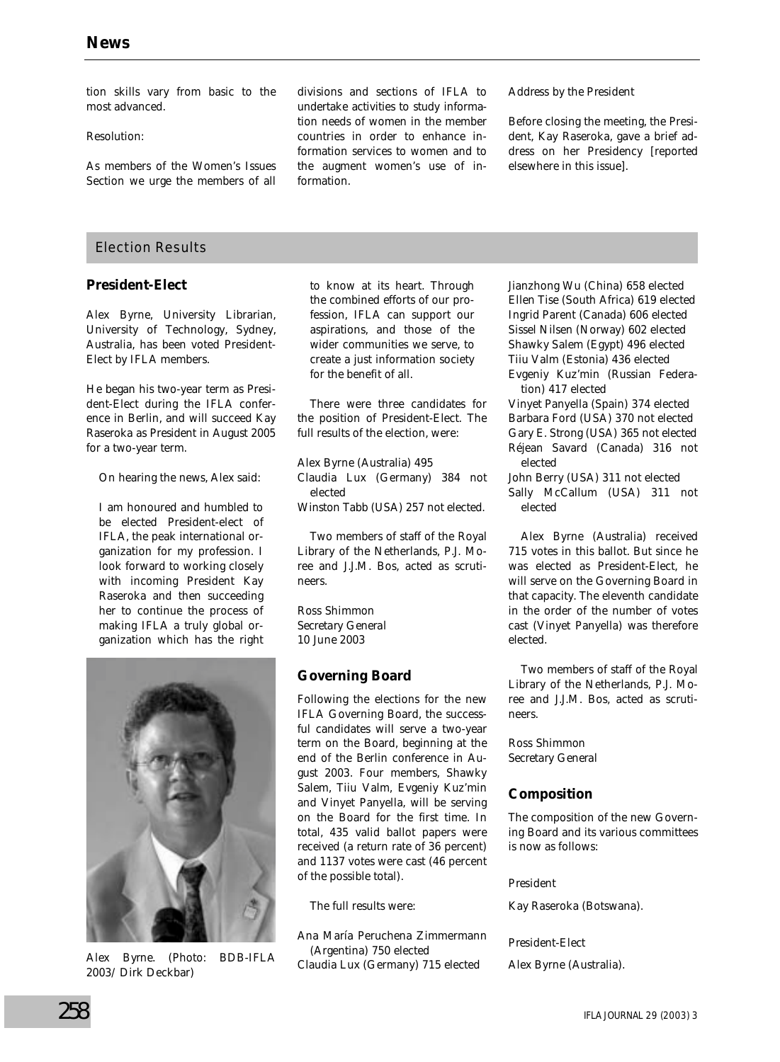tion skills vary from basic to the most advanced.

Resolution:

As members of the Women's Issues Section we urge the members of all

# Election Results

### **President-Elect**

Alex Byrne, University Librarian, University of Technology, Sydney, Australia, has been voted President-Elect by IFLA members.

He began his two-year term as President-Elect during the IFLA conference in Berlin, and will succeed Kay Raseroka as President in August 2005 for a two-year term.

On hearing the news, Alex said:

I am honoured and humbled to be elected President-elect of IFLA, the peak international organization for my profession. I look forward to working closely with incoming President Kay Raseroka and then succeeding her to continue the process of making IFLA a truly global organization which has the right



Alex Byrne. (Photo: BDB-IFLA (Algentina) 700 creed<br>2002 Dialy Deelthan 2003/ Dirk Deckbar)

divisions and sections of IFLA to undertake activities to study information needs of women in the member countries in order to enhance information services to women and to the augment women's use of information.

#### *Address by the President*

Before closing the meeting, the President, Kay Raseroka, gave a brief address on her Presidency [reported elsewhere in this issue].

to know at its heart. Through the combined efforts of our profession, IFLA can support our aspirations, and those of the wider communities we serve, to create a just information society for the benefit of all.

There were three candidates for the position of President-Elect. The full results of the election, were:

Alex Byrne (Australia) 495 Claudia Lux (Germany) 384 not elected Winston Tabb (USA) 257 not elected.

Two members of staff of the Royal Library of the Netherlands, P.J. Moree and J.J.M. Bos, acted as scrutineers.

*Ross Shimmon Secretary General 10 June 2003* 

# **Governing Board**

Following the elections for the new IFLA Governing Board, the successful candidates will serve a two-year term on the Board, beginning at the end of the Berlin conference in August 2003. Four members, Shawky Salem, Tiiu Valm, Evgeniy Kuz'min and Vinyet Panyella, will be serving on the Board for the first time. In total, 435 valid ballot papers were received (a return rate of 36 percent) and 1137 votes were cast (46 percent of the possible total).

The full results were:

Ana María Peruchena Zimmermann (Argentina) 750 elected

Jianzhong Wu (China) 658 elected Ellen Tise (South Africa) 619 elected Ingrid Parent (Canada) 606 elected Sissel Nilsen (Norway) 602 elected Shawky Salem (Egypt) 496 elected Tiiu Valm (Estonia) 436 elected Evgeniy Kuz'min (Russian Federation) 417 elected

Vinyet Panyella (Spain) 374 elected Barbara Ford (USA) 370 not elected Gary E. Strong (USA) 365 not elected Réjean Savard (Canada) 316 not elected

John Berry (USA) 311 not elected Sally McCallum (USA) 311 not elected

Alex Byrne (Australia) received 715 votes in this ballot. But since he was elected as President-Elect, he will serve on the Governing Board in that capacity. The eleventh candidate in the order of the number of votes cast (Vinyet Panyella) was therefore elected.

Two members of staff of the Royal Library of the Netherlands, P.J. Moree and J.J.M. Bos, acted as scrutineers.

*Ross Shimmon Secretary General* 

# **Composition**

The composition of the new Governing Board and its various committees is now as follows:

#### *President*

Kay Raseroka (Botswana).

### *President-Elect*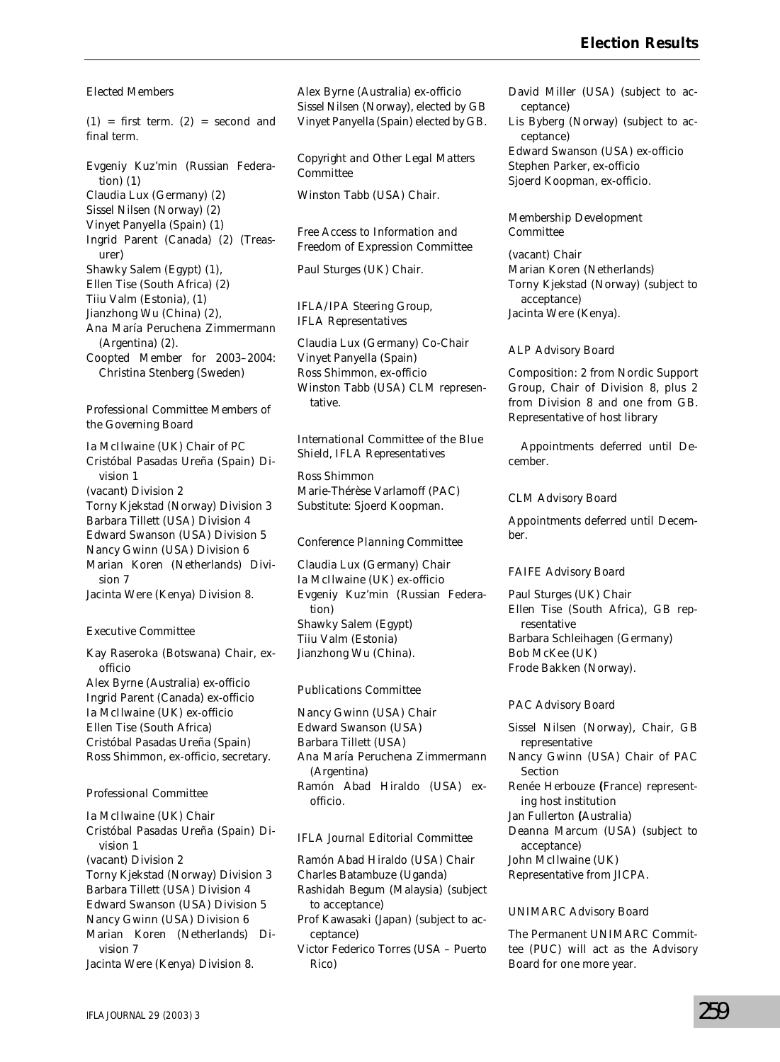# *Elected Members*

 $(1)$  = first term.  $(2)$  = second and final term.

Evgeniy Kuz'min (Russian Federation) (1) Claudia Lux (Germany) (2) Sissel Nilsen (Norway) (2) Vinyet Panyella (Spain) (1) Ingrid Parent (Canada) (2) (Treasurer) Shawky Salem (Egypt) (1), Ellen Tise (South Africa) (2) Tiiu Valm (Estonia), (1) Jianzhong Wu (China) (2), Ana María Peruchena Zimmermann (Argentina) (2).

Coopted Member for 2003–2004: Christina Stenberg (Sweden)

# *Professional Committee Members of the Governing Board*

Ia McIlwaine (UK) Chair of PC Cristóbal Pasadas Ureña (Spain) Division 1 (vacant) Division 2 Torny Kjekstad (Norway) Division 3 Barbara Tillett (USA) Division 4 Edward Swanson (USA) Division 5 Nancy Gwinn (USA) Division 6 Marian Koren (Netherlands) Division 7 Jacinta Were (Kenya) Division 8.

# *Executive Committee*

Kay Raseroka (Botswana) Chair, exofficio Alex Byrne (Australia) ex-officio Ingrid Parent (Canada) ex-officio Ia McIlwaine (UK) ex-officio Ellen Tise (South Africa) Cristóbal Pasadas Ureña (Spain) Ross Shimmon, ex-officio, secretary.

# *Professional Committee*

Ia McIlwaine (UK) Chair Cristóbal Pasadas Ureña (Spain) Division 1 (vacant) Division 2 Torny Kjekstad (Norway) Division 3 Barbara Tillett (USA) Division 4 Edward Swanson (USA) Division 5 Nancy Gwinn (USA) Division 6

Marian Koren (Netherlands) Division 7

Jacinta Were (Kenya) Division 8.

Alex Byrne (Australia) ex-officio Sissel Nilsen (Norway), elected by GB Vinyet Panyella (Spain) elected by GB.

*Copyright and Other Legal Matters Committee* 

Winston Tabb (USA) Chair.

*Free Access to Information and Freedom of Expression Committee* 

Paul Sturges (UK) Chair.

### *IFLA/IPA Steering Group, IFLA Representatives*

Claudia Lux (Germany) Co-Chair Vinyet Panyella (Spain) Ross Shimmon, ex-officio Winston Tabb (USA) CLM representative.

*International Committee of the Blue Shield, IFLA Representatives* 

Ross Shimmon Marie-Thérèse Varlamoff (PAC) Substitute: Sjoerd Koopman.

# *Conference Planning Committee*

Claudia Lux (Germany) Chair Ia McIlwaine (UK) ex-officio Evgeniy Kuz'min (Russian Federation) Shawky Salem (Egypt) Tiiu Valm (Estonia) Jianzhong Wu (China).

# *Publications Committee*

Nancy Gwinn (USA) Chair Edward Swanson (USA) Barbara Tillett (USA) Ana María Peruchena Zimmermann (Argentina) Ramón Abad Hiraldo (USA) exofficio.

# *IFLA Journal Editorial Committee*

Ramón Abad Hiraldo (USA) Chair Charles Batambuze (Uganda) Rashidah Begum (Malaysia) (subject to acceptance) Prof Kawasaki (Japan) (subject to acceptance)

Victor Federico Torres (USA – Puerto Rico)

David Miller (USA) (subject to acceptance) Lis Byberg (Norway) (subject to ac-

ceptance) Edward Swanson (USA) ex-officio Stephen Parker, ex-officio Sjoerd Koopman, ex-officio.

### *Membership Development Committee*

(vacant) Chair Marian Koren (Netherlands) Torny Kjekstad (Norway) (subject to acceptance) Jacinta Were (Kenya).

# *ALP Advisory Board*

Composition: 2 from Nordic Support Group, Chair of Division 8, plus 2 from Division 8 and one from GB. Representative of host library

Appointments deferred until December.

# *CLM Advisory Board*

Appointments deferred until December.

# *FAIFE Advisory Board*

Paul Sturges (UK) Chair Ellen Tise (South Africa), GB representative Barbara Schleihagen (Germany) Bob McKee (UK) Frode Bakken (Norway).

# *PAC Advisory Board*

Sissel Nilsen (Norway), Chair, GB representative Nancy Gwinn (USA) Chair of PAC Section Renée Herbouze **(**France) represent-

ing host institution

Jan Fullerton **(**Australia)

Deanna Marcum (USA) (subject to acceptance) John McIlwaine (UK)

Representative from JICPA.

# *UNIMARC Advisory Board*

The Permanent UNIMARC Committee (PUC) will act as the Advisory Board for one more year.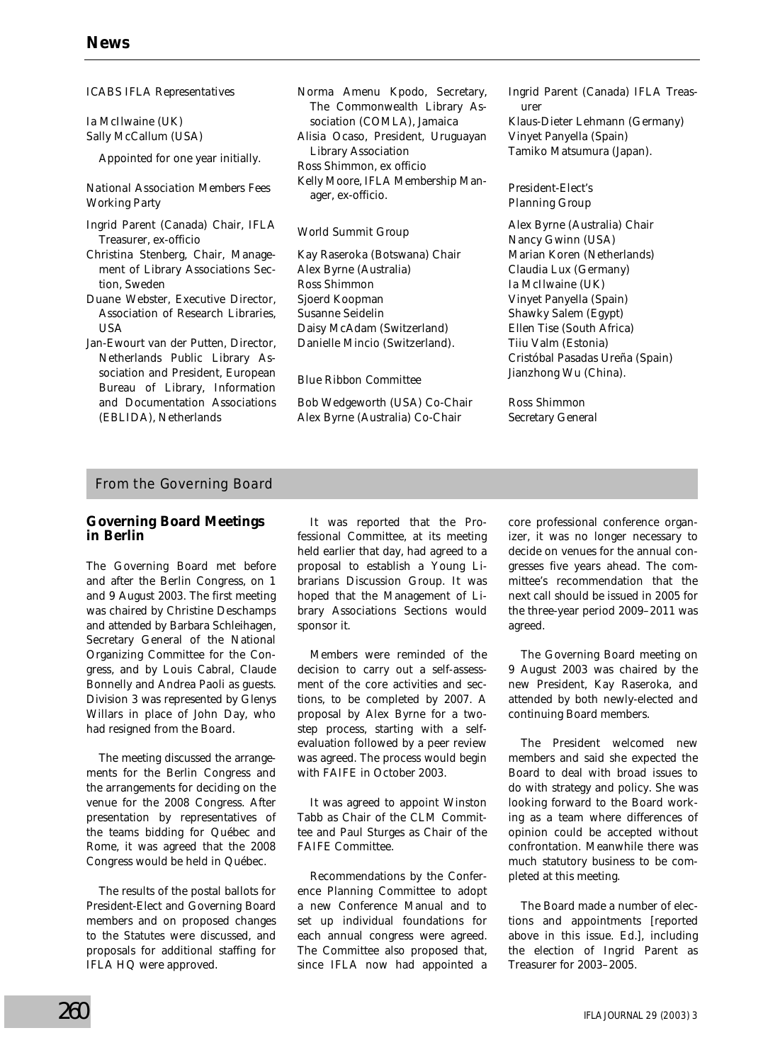#### *ICABS IFLA Representatives*

Ia McIlwaine (UK) Sally McCallum (USA)

Appointed for one year initially.

### *National Association Members Fees Working Party*

- Ingrid Parent (Canada) Chair, IFLA Treasurer, ex-officio
- Christina Stenberg, Chair, Management of Library Associations Section, Sweden
- Duane Webster, Executive Director, Association of Research Libraries, **IKA**
- Jan-Ewourt van der Putten, Director, Netherlands Public Library Association and President, European Bureau of Library, Information and Documentation Associations (EBLIDA), Netherlands

Norma Amenu Kpodo, Secretary, The Commonwealth Library Association (COMLA), Jamaica Alisia Ocaso, President, Uruguayan Library Association Ross Shimmon, ex officio

Kelly Moore, IFLA Membership Manager, ex-officio.

#### *World Summit Group*

Kay Raseroka (Botswana) Chair Alex Byrne (Australia) Ross Shimmon Sjoerd Koopman Susanne Seidelin Daisy McAdam (Switzerland) Danielle Mincio (Switzerland).

#### *Blue Ribbon Committee*

Bob Wedgeworth (USA) Co-Chair Alex Byrne (Australia) Co-Chair

Ingrid Parent (Canada) IFLA Treasurer Klaus-Dieter Lehmann (Germany) Vinyet Panyella (Spain) Tamiko Matsumura (Japan).

### *President-Elect's Planning Group*

Alex Byrne (Australia) Chair Nancy Gwinn (USA) Marian Koren (Netherlands) Claudia Lux (Germany) Ia McIlwaine (UK) Vinyet Panyella (Spain) Shawky Salem (Egypt) Ellen Tise (South Africa) Tiiu Valm (Estonia) Cristóbal Pasadas Ureña (Spain) Jianzhong Wu (China).

*Ross Shimmon Secretary General* 

# From the Governing Board

#### **Governing Board Meetings in Berlin**

The Governing Board met before and after the Berlin Congress, on 1 and 9 August 2003. The first meeting was chaired by Christine Deschamps and attended by Barbara Schleihagen, Secretary General of the National Organizing Committee for the Congress, and by Louis Cabral, Claude Bonnelly and Andrea Paoli as guests. Division 3 was represented by Glenys Willars in place of John Day, who had resigned from the Board.

The meeting discussed the arrangements for the Berlin Congress and the arrangements for deciding on the venue for the 2008 Congress. After presentation by representatives of the teams bidding for Québec and Rome, it was agreed that the 2008 Congress would be held in Québec.

The results of the postal ballots for President-Elect and Governing Board members and on proposed changes to the Statutes were discussed, and proposals for additional staffing for IFLA HQ were approved.

It was reported that the Professional Committee, at its meeting held earlier that day, had agreed to a proposal to establish a Young Librarians Discussion Group. It was hoped that the Management of Library Associations Sections would sponsor it.

Members were reminded of the decision to carry out a self-assessment of the core activities and sections, to be completed by 2007. A proposal by Alex Byrne for a twostep process, starting with a selfevaluation followed by a peer review was agreed. The process would begin with FAIFE in October 2003.

It was agreed to appoint Winston Tabb as Chair of the CLM Committee and Paul Sturges as Chair of the FAIFE Committee.

Recommendations by the Conference Planning Committee to adopt a new Conference Manual and to set up individual foundations for each annual congress were agreed. The Committee also proposed that, since IFLA now had appointed a core professional conference organizer, it was no longer necessary to decide on venues for the annual congresses five years ahead. The committee's recommendation that the next call should be issued in 2005 for the three-year period 2009–2011 was agreed.

The Governing Board meeting on 9 August 2003 was chaired by the new President, Kay Raseroka, and attended by both newly-elected and continuing Board members.

The President welcomed new members and said she expected the Board to deal with broad issues to do with strategy and policy. She was looking forward to the Board working as a team where differences of opinion could be accepted without confrontation. Meanwhile there was much statutory business to be completed at this meeting.

The Board made a number of elections and appointments [reported above in this issue. Ed.], including the election of Ingrid Parent as Treasurer for 2003–2005.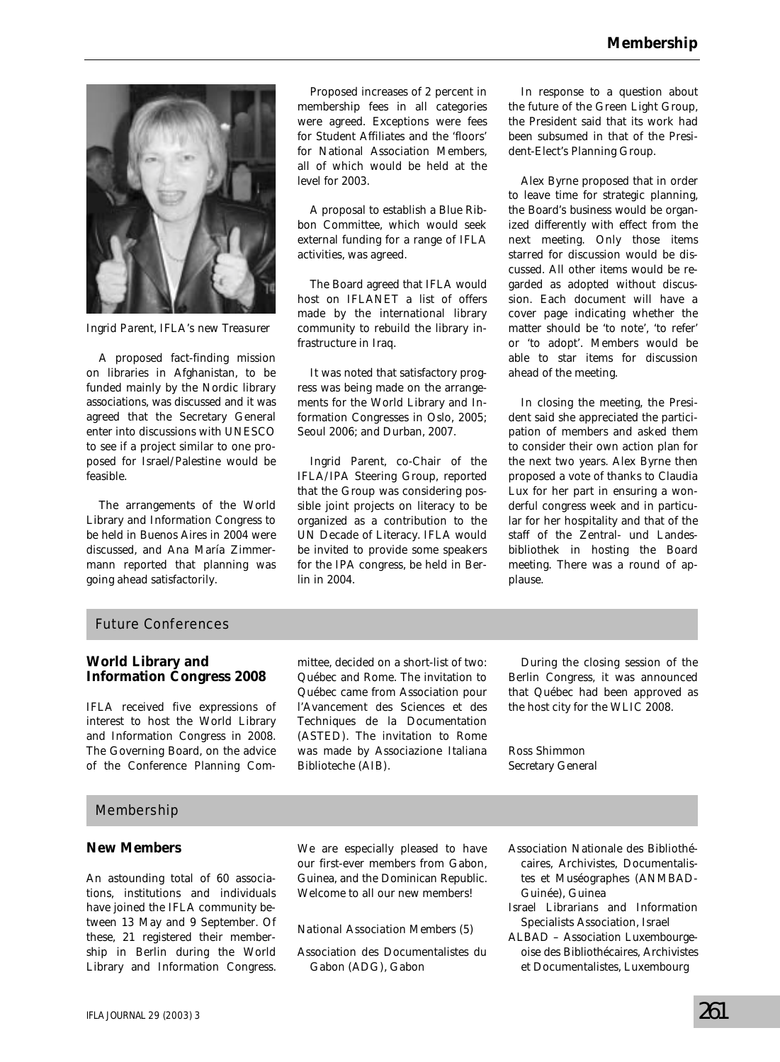

*Ingrid Parent, IFLA's new Treasurer* 

A proposed fact-finding mission on libraries in Afghanistan, to be funded mainly by the Nordic library associations, was discussed and it was agreed that the Secretary General enter into discussions with UNESCO to see if a project similar to one proposed for Israel/Palestine would be feasible.

The arrangements of the World Library and Information Congress to be held in Buenos Aires in 2004 were discussed, and Ana María Zimmermann reported that planning was going ahead satisfactorily.

Proposed increases of 2 percent in membership fees in all categories were agreed. Exceptions were fees for Student Affiliates and the 'floors' for National Association Members, all of which would be held at the level for 2003.

A proposal to establish a Blue Ribbon Committee, which would seek external funding for a range of IFLA activities, was agreed.

The Board agreed that IFLA would host on IFLANET a list of offers made by the international library community to rebuild the library infrastructure in Iraq.

It was noted that satisfactory progress was being made on the arrangements for the World Library and Information Congresses in Oslo, 2005; Seoul 2006; and Durban, 2007.

Ingrid Parent, co-Chair of the IFLA/IPA Steering Group, reported that the Group was considering possible joint projects on literacy to be organized as a contribution to the UN Decade of Literacy. IFLA would be invited to provide some speakers for the IPA congress, be held in Berlin in 2004.

In response to a question about the future of the Green Light Group, the President said that its work had been subsumed in that of the President-Elect's Planning Group.

Alex Byrne proposed that in order to leave time for strategic planning, the Board's business would be organized differently with effect from the next meeting. Only those items starred for discussion would be discussed. All other items would be regarded as adopted without discussion. Each document will have a cover page indicating whether the matter should be 'to note', 'to refer' or 'to adopt'. Members would be able to star items for discussion ahead of the meeting.

In closing the meeting, the President said she appreciated the participation of members and asked them to consider their own action plan for the next two years. Alex Byrne then proposed a vote of thanks to Claudia Lux for her part in ensuring a wonderful congress week and in particular for her hospitality and that of the staff of the Zentral- und Landesbibliothek in hosting the Board meeting. There was a round of applause.

## Future Conferences

#### **World Library and Information Congress 2008**

IFLA received five expressions of interest to host the World Library and Information Congress in 2008. The Governing Board, on the advice of the Conference Planning Committee, decided on a short-list of two: Québec and Rome. The invitation to Québec came from Association pour l'Avancement des Sciences et des Techniques de la Documentation (ASTED). The invitation to Rome was made by Associazione Italiana Biblioteche (AIB).

During the closing session of the Berlin Congress, it was announced that Québec had been approved as the host city for the WLIC 2008.

*Ross Shimmon Secretary General* 

### Membership

### **New Members**

An astounding total of 60 associations, institutions and individuals have joined the IFLA community between 13 May and 9 September. Of these, 21 registered their membership in Berlin during the World Library and Information Congress.

We are especially pleased to have our first-ever members from Gabon, Guinea, and the Dominican Republic. Welcome to all our new members!

#### *National Association Members (5)*

- Association des Documentalistes du Gabon (ADG), Gabon
- Association Nationale des Bibliothécaires, Archivistes, Documentalistes et Muséographes (ANMBAD-Guinée), Guinea
- Israel Librarians and Information Specialists Association, Israel
- ALBAD Association Luxembourgeoise des Bibliothécaires, Archivistes et Documentalistes, Luxembourg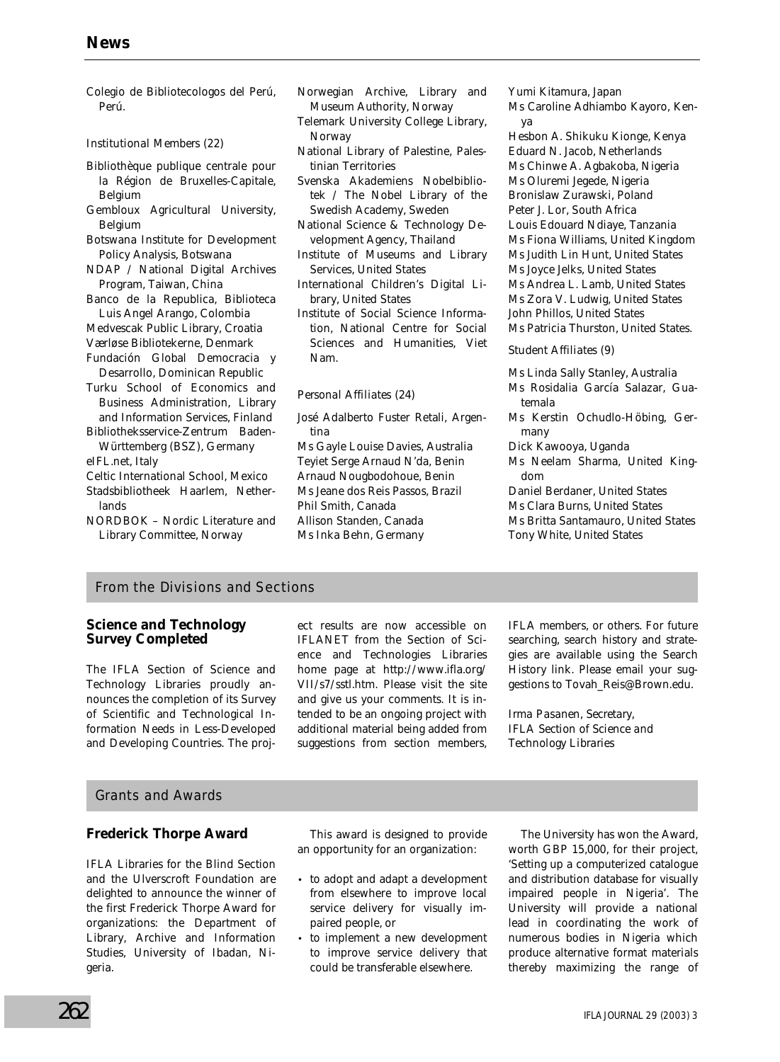Colegio de Bibliotecologos del Perú, Perú.

#### *Institutional Members (22)*

- Bibliothèque publique centrale pour la Région de Bruxelles-Capitale, Belgium
- Gembloux Agricultural University, Belgium
- Botswana Institute for Development Policy Analysis, Botswana
- NDAP / National Digital Archives Program, Taiwan, China
- Banco de la Republica, Biblioteca Luis Angel Arango, Colombia
- Medvescak Public Library, Croatia
- Værløse Bibliotekerne, Denmark
- Fundación Global Democracia y Desarrollo, Dominican Republic
- Turku School of Economics and Business Administration, Library and Information Services, Finland
- Bibliotheksservice-Zentrum Baden-Württemberg (BSZ), Germany

eIFL.net, Italy

- Celtic International School, Mexico
- Stadsbibliotheek Haarlem, Netherlands
- NORDBOK Nordic Literature and Library Committee, Norway
- Norwegian Archive, Library and Museum Authority, Norway
- Telemark University College Library, Norway
- National Library of Palestine, Palestinian Territories
- Svenska Akademiens Nobelbibliotek / The Nobel Library of the Swedish Academy, Sweden
- National Science & Technology Development Agency, Thailand
- Institute of Museums and Library Services, United States
- International Children's Digital Library, United States
- Institute of Social Science Information, National Centre for Social Sciences and Humanities, Viet Nam.

#### *Personal Affiliates (24)*

- José Adalberto Fuster Retali, Argentina
- Ms Gayle Louise Davies, Australia Teyiet Serge Arnaud N'da, Benin Arnaud Nougbodohoue, Benin Ms Jeane dos Reis Passos, Brazil Phil Smith, Canada Allison Standen, Canada Ms Inka Behn, Germany

Yumi Kitamura, Japan Ms Caroline Adhiambo Kayoro, Kenya Hesbon A. Shikuku Kionge, Kenya Eduard N. Jacob, Netherlands Ms Chinwe A. Agbakoba, Nigeria Ms Oluremi Jegede, Nigeria Bronislaw Zurawski, Poland Peter J. Lor, South Africa Louis Edouard Ndiaye, Tanzania Ms Fiona Williams, United Kingdom Ms Judith Lin Hunt, United States Ms Joyce Jelks, United States Ms Andrea L. Lamb, United States Ms Zora V. Ludwig, United States John Phillos, United States Ms Patricia Thurston, United States. *Student Affiliates (9)* 

Ms Linda Sally Stanley, Australia Ms Rosidalia García Salazar, Guatemala Ms Kerstin Ochudlo-Höbing, Germany Dick Kawooya, Uganda Ms Neelam Sharma, United Kingdom Daniel Berdaner, United States Ms Clara Burns, United States Ms Britta Santamauro, United States Tony White, United States

# From the Divisions and Sections

## **Science and Technology Survey Completed**

The IFLA Section of Science and Technology Libraries proudly announces the completion of its Survey of Scientific and Technological Information Needs in Less-Developed and Developing Countries. The project results are now accessible on IFLANET from the Section of Science and Technologies Libraries home page at http://www.ifla.org/ VII/s7/sstl.htm. Please visit the site and give us your comments. It is intended to be an ongoing project with additional material being added from suggestions from section members, IFLA members, or others. For future searching, search history and strategies are available using the Search History link. Please email your suggestions to Tovah\_Reis@Brown.edu.

*Irma Pasanen, Secretary, IFLA Section of Science and Technology Libraries* 

# Grants and Awards

# **Frederick Thorpe Award**

IFLA Libraries for the Blind Section and the Ulverscroft Foundation are delighted to announce the winner of the first Frederick Thorpe Award for organizations: the Department of Library, Archive and Information Studies, University of Ibadan, Nigeria.

This award is designed to provide an opportunity for an organization:

- to adopt and adapt a development from elsewhere to improve local service delivery for visually impaired people, or
- to implement a new development to improve service delivery that could be transferable elsewhere.

The University has won the Award, worth GBP 15,000, for their project, 'Setting up a computerized catalogue and distribution database for visually impaired people in Nigeria'. The University will provide a national lead in coordinating the work of numerous bodies in Nigeria which produce alternative format materials thereby maximizing the range of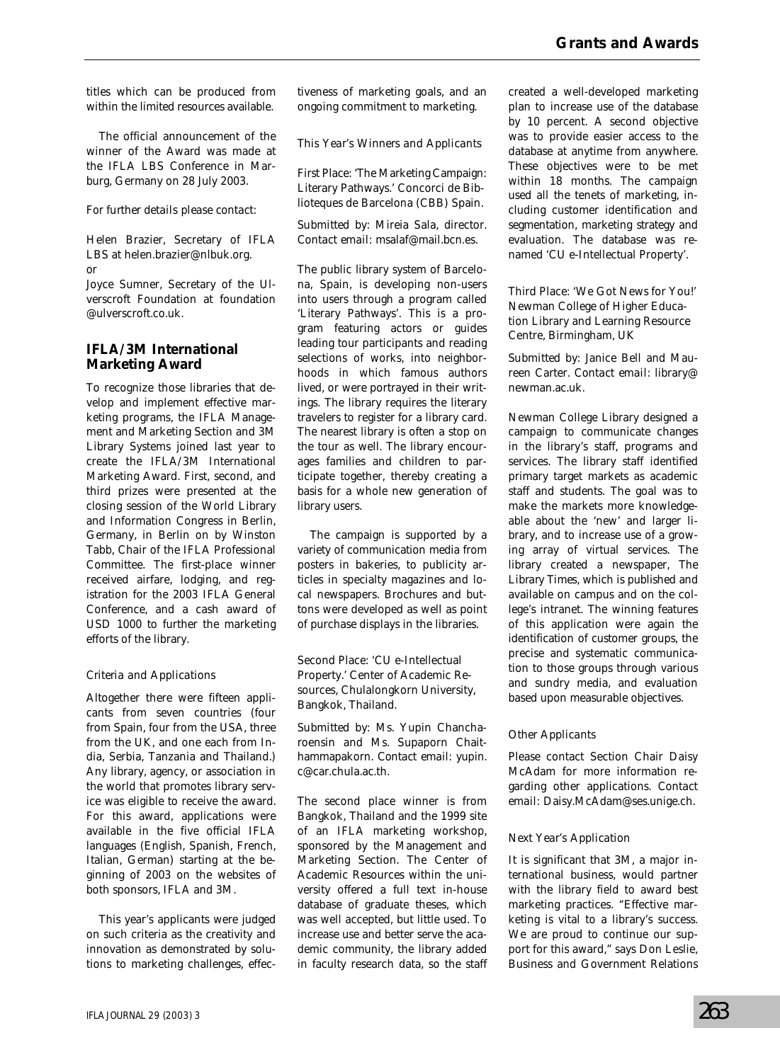titles which can be produced from within the limited resources available.

The official announcement of the winner of the Award was made at the IFLA LBS Conference in Marburg, Germany on 28 July 2003.

### *For further details please contact:*

Helen Brazier, Secretary of IFLA LBS at helen.brazier@nlbuk.org. *or* 

Joyce Sumner, Secretary of the Ulverscroft Foundation at foundation @ulverscroft.co.uk.

# **IFLA/3M International Marketing Award**

To recognize those libraries that develop and implement effective marketing programs, the IFLA Management and Marketing Section and 3M Library Systems joined last year to create the IFLA/3M International Marketing Award. First, second, and third prizes were presented at the closing session of the World Library and Information Congress in Berlin, Germany, in Berlin on by Winston Tabb, Chair of the IFLA Professional Committee. The first-place winner received airfare, lodging, and registration for the 2003 IFLA General Conference, and a cash award of USD 1000 to further the marketing efforts of the library.

# *Criteria and Applications*

Altogether there were fifteen applicants from seven countries (four from Spain, four from the USA, three from the UK, and one each from India, Serbia, Tanzania and Thailand.) Any library, agency, or association in the world that promotes library service was eligible to receive the award. For this award, applications were available in the five official IFLA languages (English, Spanish, French, Italian, German) starting at the beginning of 2003 on the websites of both sponsors, IFLA and 3M.

This year's applicants were judged on such criteria as the creativity and innovation as demonstrated by solutions to marketing challenges, effectiveness of marketing goals, and an ongoing commitment to marketing.

### *This Year's Winners and Applicants*

First Place: 'The Marketing Campaign: Literary Pathways.' Concorci de Biblioteques de Barcelona (CBB) Spain.

*Submitted by:* Mireia Sala, director. *Contact email:* msalaf@mail.bcn.es.

The public library system of Barcelona, Spain, is developing non-users into users through a program called 'Literary Pathways'. This is a program featuring actors or guides leading tour participants and reading selections of works, into neighborhoods in which famous authors lived, or were portrayed in their writings. The library requires the literary travelers to register for a library card. The nearest library is often a stop on the tour as well. The library encourages families and children to participate together, thereby creating a basis for a whole new generation of library users.

The campaign is supported by a variety of communication media from posters in bakeries, to publicity articles in specialty magazines and local newspapers. Brochures and buttons were developed as well as point of purchase displays in the libraries.

Second Place: 'CU e-Intellectual Property.' Center of Academic Resources, Chulalongkorn University, Bangkok, Thailand.

*Submitted by:* Ms. Yupin Chancharoensin and Ms. Supaporn Chaithammapakorn. *Contact email:* yupin. c@car.chula.ac.th.

The second place winner is from Bangkok, Thailand and the 1999 site of an IFLA marketing workshop, sponsored by the Management and Marketing Section. The Center of Academic Resources within the university offered a full text in-house database of graduate theses, which was well accepted, but little used. To increase use and better serve the academic community, the library added in faculty research data, so the staff created a well-developed marketing plan to increase use of the database by 10 percent. A second objective was to provide easier access to the database at anytime from anywhere. These objectives were to be met within 18 months. The campaign used all the tenets of marketing, including customer identification and segmentation, marketing strategy and evaluation. The database was renamed 'CU e-Intellectual Property'.

Third Place: 'We Got News for You!' Newman College of Higher Education Library and Learning Resource Centre, Birmingham, UK

*Submitted by:* Janice Bell and Maureen Carter. *Contact email:* library@ newman.ac.uk.

Newman College Library designed a campaign to communicate changes in the library's staff, programs and services. The library staff identified primary target markets as academic staff and students. The goal was to make the markets more knowledgeable about the 'new' and larger library, and to increase use of a growing array of virtual services. The library created a newspaper, *The Library Times*, which is published and available on campus and on the college's intranet. The winning features of this application were again the identification of customer groups, the precise and systematic communication to those groups through various and sundry media, and evaluation based upon measurable objectives.

# *Other Applicants*

Please contact Section Chair Daisy McAdam for more information regarding other applications. *Contact email:* Daisy.McAdam@ses.unige.ch.

### *Next Year's Application*

It is significant that 3M, a major international business, would partner with the library field to award best marketing practices. "Effective marketing is vital to a library's success. We are proud to continue our support for this award," says Don Leslie, Business and Government Relations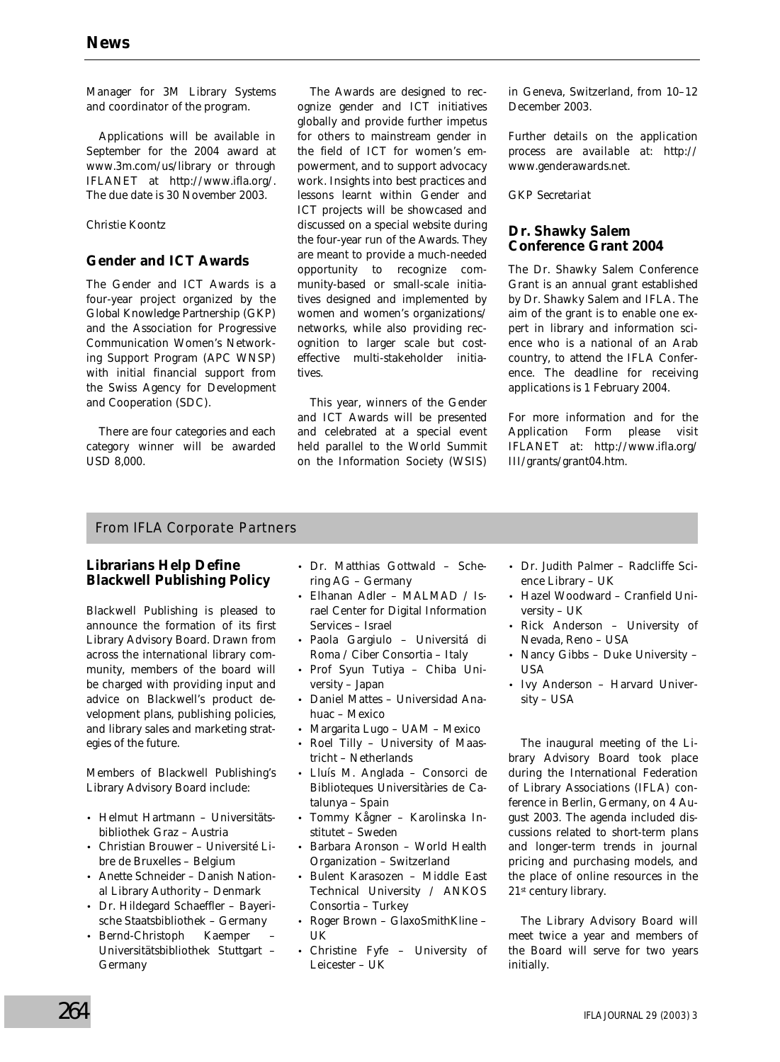Manager for 3M Library Systems and coordinator of the program.

Applications will be available in September for the 2004 award at www.3m.com/us/library or through IFLANET at http://www.ifla.org/. The due date is 30 November 2003.

#### *Christie Koontz*

## **Gender and ICT Awards**

The Gender and ICT Awards is a four-year project organized by the Global Knowledge Partnership (GKP) and the Association for Progressive Communication Women's Networking Support Program (APC WNSP) with initial financial support from the Swiss Agency for Development and Cooperation (SDC).

There are four categories and each category winner will be awarded USD 8,000.

The Awards are designed to recognize gender and ICT initiatives globally and provide further impetus for others to mainstream gender in the field of ICT for women's empowerment, and to support advocacy work. Insights into best practices and lessons learnt within Gender and ICT projects will be showcased and discussed on a special website during the four-year run of the Awards. They are meant to provide a much-needed opportunity to recognize community-based or small-scale initiatives designed and implemented by women and women's organizations/ networks, while also providing recognition to larger scale but costeffective multi-stakeholder initiatives.

This year, winners of the Gender and ICT Awards will be presented and celebrated at a special event held parallel to the World Summit on the Information Society (WSIS) in Geneva, Switzerland, from 10–12 December 2003.

*Further details on the application process are available at:* http:// www.genderawards.net.

*GKP Secretariat* 

# **Dr. Shawky Salem Conference Grant 2004**

The Dr. Shawky Salem Conference Grant is an annual grant established by Dr. Shawky Salem and IFLA. The aim of the grant is to enable one expert in library and information science who is a national of an Arab country, to attend the IFLA Conference. The deadline for receiving applications is 1 February 2004.

*For more information and for the Application Form please visit IFLANET at:* http://www.ifla.org/ III/grants/grant04.htm.

### From IFLA Corporate Partners

# **Librarians Help Define Blackwell Publishing Policy**

Blackwell Publishing is pleased to announce the formation of its first Library Advisory Board. Drawn from across the international library community, members of the board will be charged with providing input and advice on Blackwell's product development plans, publishing policies, and library sales and marketing strategies of the future.

Members of Blackwell Publishing's Library Advisory Board include:

- Helmut Hartmann Universitätsbibliothek Graz – Austria
- Christian Brouwer Université Libre de Bruxelles – Belgium
- Anette Schneider Danish National Library Authority – Denmark
- Dr. Hildegard Schaeffler Bayerische Staatsbibliothek – Germany
- Bernd-Christoph Kaemper Universitätsbibliothek Stuttgart – Germany
- Dr. Matthias Gottwald Schering AG – Germany
- Elhanan Adler MALMAD / Israel Center for Digital Information Services – Israel
- Paola Gargiulo Universitá di Roma / Ciber Consortia – Italy
- Prof Syun Tutiya Chiba University – Japan
- Daniel Mattes Universidad Anahuac – Mexico
- Margarita Lugo UAM Mexico
- Roel Tilly University of Maastricht – Netherlands
- Lluís M. Anglada Consorci de Biblioteques Universitàries de Catalunya – Spain
- Tommy Kågner Karolinska Institutet – Sweden
- Barbara Aronson World Health Organization – Switzerland
- Bulent Karasozen Middle East Technical University / ANKOS Consortia – Turkey
- Roger Brown GlaxoSmithKline **I**IK
- Christine Fyfe University of Leicester – UK
- Dr. Judith Palmer Radcliffe Science Library – UK
- Hazel Woodward Cranfield University – UK
- Rick Anderson University of Nevada, Reno – USA
- Nancy Gibbs Duke University **I**ISA
- Ivy Anderson Harvard University – USA

The inaugural meeting of the Library Advisory Board took place during the International Federation of Library Associations (IFLA) conference in Berlin, Germany, on 4 August 2003. The agenda included discussions related to short-term plans and longer-term trends in journal pricing and purchasing models, and the place of online resources in the 21st century library.

The Library Advisory Board will meet twice a year and members of the Board will serve for two years initially.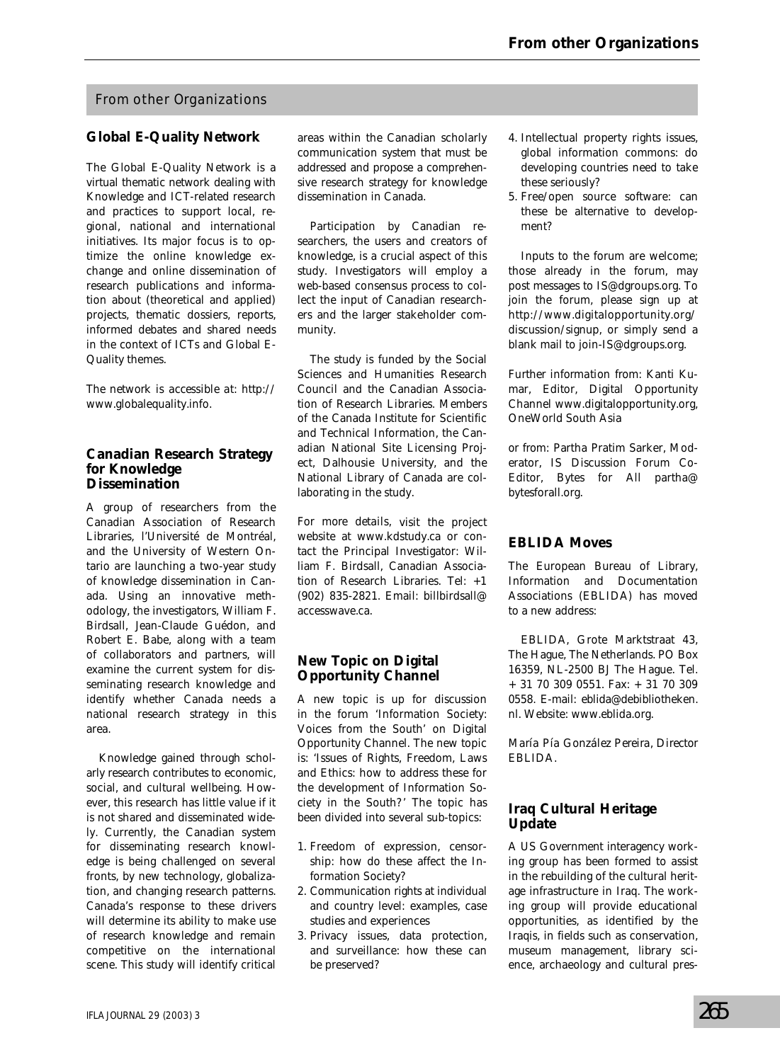# From other Organizations

# **Global E-Quality Network**

The Global E-Quality Network is a virtual thematic network dealing with Knowledge and ICT-related research and practices to support local, regional, national and international initiatives. Its major focus is to optimize the online knowledge exchange and online dissemination of research publications and information about (theoretical and applied) projects, thematic dossiers, reports, informed debates and shared needs in the context of ICTs and Global E-Quality themes.

*The network is accessible at:* http:// www.globalequality.info.

#### **Canadian Research Strategy for Knowledge Dissemination**

A group of researchers from the Canadian Association of Research Libraries, l'Université de Montréal, and the University of Western Ontario are launching a two-year study of knowledge dissemination in Canada. Using an innovative methodology, the investigators, William F. Birdsall, Jean-Claude Guédon, and Robert E. Babe, along with a team of collaborators and partners, will examine the current system for disseminating research knowledge and identify whether Canada needs a national research strategy in this area.

Knowledge gained through scholarly research contributes to economic, social, and cultural wellbeing. However, this research has little value if it is not shared and disseminated widely. Currently, the Canadian system for disseminating research knowledge is being challenged on several fronts, by new technology, globalization, and changing research patterns. Canada's response to these drivers will determine its ability to make use of research knowledge and remain competitive on the international scene. This study will identify critical areas within the Canadian scholarly communication system that must be addressed and propose a comprehensive research strategy for knowledge dissemination in Canada.

Participation by Canadian researchers, the users and creators of knowledge, is a crucial aspect of this study. Investigators will employ a web-based consensus process to collect the input of Canadian researchers and the larger stakeholder community.

The study is funded by the Social Sciences and Humanities Research Council and the Canadian Association of Research Libraries. Members of the Canada Institute for Scientific and Technical Information, the Canadian National Site Licensing Project, Dalhousie University, and the National Library of Canada are collaborating in the study.

*For more details,* visit the project website at www.kdstudy.ca or contact the Principal Investigator: William F. Birdsall, Canadian Association of Research Libraries. Tel: +1 (902) 835-2821. Email: billbirdsall@ accesswave.ca.

# **New Topic on Digital Opportunity Channel**

A new topic is up for discussion in the forum 'Information Society: Voices from the South' on Digital Opportunity Channel. The new topic is: 'Issues of Rights, Freedom, Laws and Ethics: how to address these for the development of Information Society in the South?' The topic has been divided into several sub-topics:

- 1. Freedom of expression, censorship: how do these affect the Information Society?
- 2. Communication rights at individual and country level: examples, case studies and experiences
- 3. Privacy issues, data protection, and surveillance: how these can be preserved?
- 4. Intellectual property rights issues, global information commons: do developing countries need to take these seriously?
- 5. Free/open source software: can these be alternative to development?

Inputs to the forum are welcome; those already in the forum, may post messages to IS@dgroups.org. To join the forum, please sign up at http://www.digitalopportunity.org/ discussion/signup, or simply send a blank mail to join-IS@dgroups.org.

*Further information from:* Kanti Kumar, Editor, Digital Opportunity Channel www.digitalopportunity.org, OneWorld South Asia

*or from:* Partha Pratim Sarker, Moderator, IS Discussion Forum Co-Editor, Bytes for All partha@ bytesforall.org.

# **EBLIDA Moves**

The European Bureau of Library, Information and Documentation Associations (EBLIDA) has moved to a new address:

EBLIDA, Grote Marktstraat 43, The Hague, The Netherlands. PO Box 16359, NL-2500 BJ The Hague. Tel. + 31 70 309 0551. Fax: + 31 70 309 0558. E-mail: eblida@debibliotheken. nl. Website: www.eblida.org.

*María Pía González Pereira, Director EBLIDA.* 

# **Iraq Cultural Heritage Update**

A US Government interagency working group has been formed to assist in the rebuilding of the cultural heritage infrastructure in Iraq. The working group will provide educational opportunities, as identified by the Iraqis, in fields such as conservation, museum management, library science, archaeology and cultural pres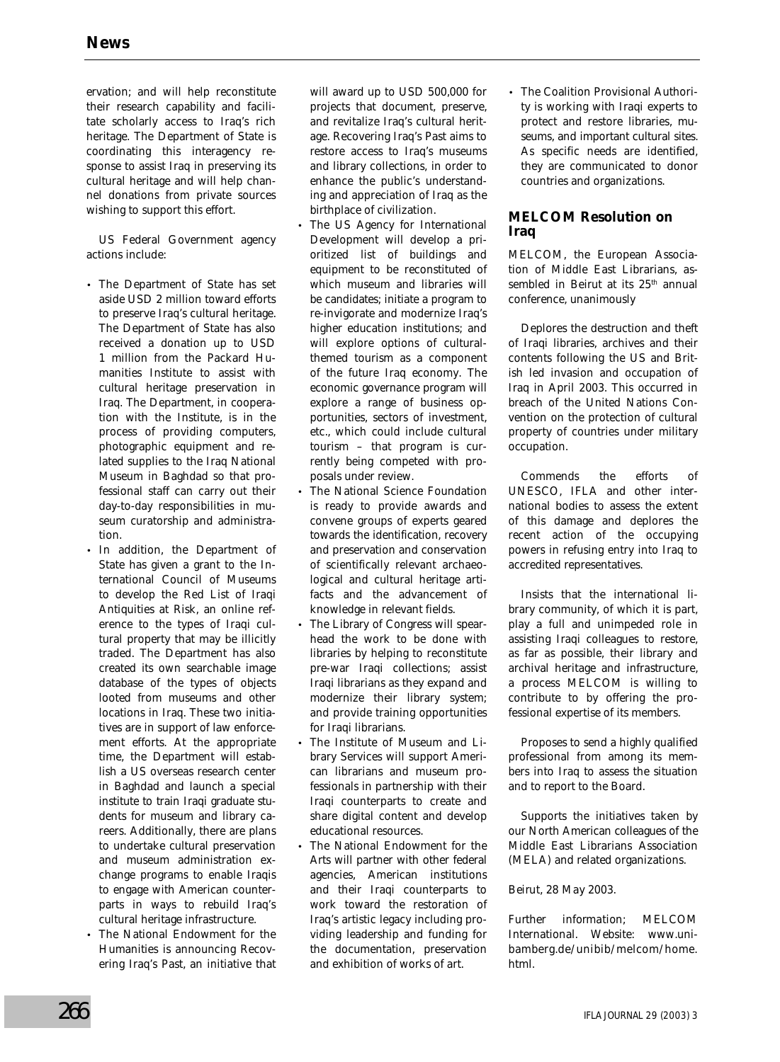ervation; and will help reconstitute their research capability and facilitate scholarly access to Iraq's rich heritage. The Department of State is coordinating this interagency response to assist Iraq in preserving its cultural heritage and will help channel donations from private sources wishing to support this effort.

US Federal Government agency actions include:

- The Department of State has set aside USD 2 million toward efforts to preserve Iraq's cultural heritage. The Department of State has also received a donation up to USD 1 million from the Packard Humanities Institute to assist with cultural heritage preservation in Iraq. The Department, in cooperation with the Institute, is in the process of providing computers, photographic equipment and related supplies to the Iraq National Museum in Baghdad so that professional staff can carry out their day-to-day responsibilities in museum curatorship and administration.
- In addition, the Department of State has given a grant to the International Council of Museums to develop the Red List of Iraqi Antiquities at Risk, an online reference to the types of Iraqi cultural property that may be illicitly traded. The Department has also created its own searchable image database of the types of objects looted from museums and other locations in Iraq. These two initiatives are in support of law enforcement efforts. At the appropriate time, the Department will establish a US overseas research center in Baghdad and launch a special institute to train Iraqi graduate students for museum and library careers. Additionally, there are plans to undertake cultural preservation and museum administration exchange programs to enable Iraqis to engage with American counterparts in ways to rebuild Iraq's cultural heritage infrastructure.
- The National Endowment for the Humanities is announcing Recovering Iraq's Past, an initiative that

will award up to USD 500,000 for projects that document, preserve, and revitalize Iraq's cultural heritage. Recovering Iraq's Past aims to restore access to Iraq's museums and library collections, in order to enhance the public's understanding and appreciation of Iraq as the birthplace of civilization.

- The US Agency for International Development will develop a prioritized list of buildings and equipment to be reconstituted of which museum and libraries will be candidates; initiate a program to re-invigorate and modernize Iraq's higher education institutions; and will explore options of culturalthemed tourism as a component of the future Iraq economy. The economic governance program will explore a range of business opportunities, sectors of investment, etc., which could include cultural tourism – that program is currently being competed with proposals under review.
- The National Science Foundation is ready to provide awards and convene groups of experts geared towards the identification, recovery and preservation and conservation of scientifically relevant archaeological and cultural heritage artifacts and the advancement of knowledge in relevant fields.
- The Library of Congress will spearhead the work to be done with libraries by helping to reconstitute pre-war Iraqi collections; assist Iraqi librarians as they expand and modernize their library system; and provide training opportunities for Iraqi librarians.
- The Institute of Museum and Library Services will support American librarians and museum professionals in partnership with their Iraqi counterparts to create and share digital content and develop educational resources.
- The National Endowment for the Arts will partner with other federal agencies, American institutions and their Iraqi counterparts to work toward the restoration of Iraq's artistic legacy including providing leadership and funding for the documentation, preservation and exhibition of works of art.

• The Coalition Provisional Authority is working with Iraqi experts to protect and restore libraries, museums, and important cultural sites. As specific needs are identified, they are communicated to donor countries and organizations.

# **MELCOM Resolution on Iraq**

MELCOM, the European Association of Middle East Librarians, assembled in Beirut at its 25<sup>th</sup> annual conference, unanimously

Deplores the destruction and theft of Iraqi libraries, archives and their contents following the US and British led invasion and occupation of Iraq in April 2003. This occurred in breach of the United Nations Convention on the protection of cultural property of countries under military occupation.

Commends the efforts of UNESCO, IFLA and other international bodies to assess the extent of this damage and deplores the recent action of the occupying powers in refusing entry into Iraq to accredited representatives.

Insists that the international library community, of which it is part, play a full and unimpeded role in assisting Iraqi colleagues to restore, as far as possible, their library and archival heritage and infrastructure, a process MELCOM is willing to contribute to by offering the professional expertise of its members.

Proposes to send a highly qualified professional from among its members into Iraq to assess the situation and to report to the Board.

Supports the initiatives taken by our North American colleagues of the Middle East Librarians Association (MELA) and related organizations.

### *Beirut, 28 May 2003.*

*Further information;* MELCOM International. Website: www.unibamberg.de/unibib/melcom/home. html.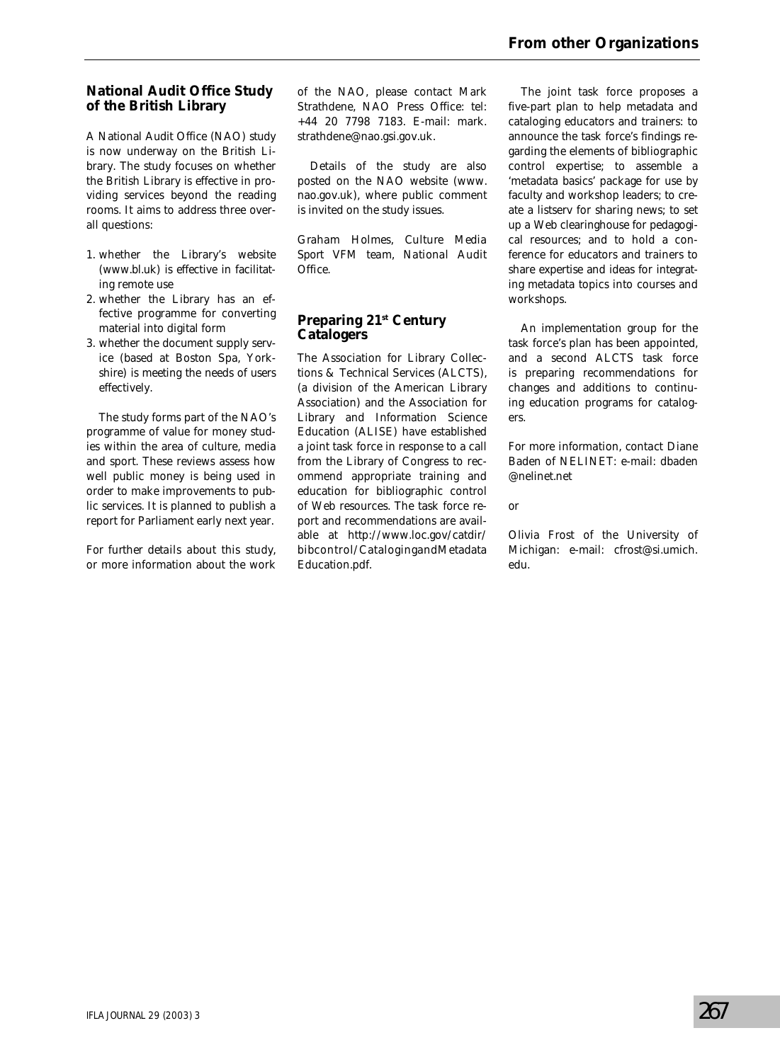## **National Audit Office Study of the British Library**

A National Audit Office (NAO) study is now underway on the British Library. The study focuses on whether the British Library is effective in providing services beyond the reading rooms. It aims to address three overall questions:

- 1. whether the Library's website (www.bl.uk) is effective in facilitating remote use
- 2. whether the Library has an effective programme for converting material into digital form
- 3. whether the document supply service (based at Boston Spa, Yorkshire) is meeting the needs of users effectively.

The study forms part of the NAO's programme of value for money studies within the area of culture, media and sport. These reviews assess how well public money is being used in order to make improvements to public services. It is planned to publish a report for Parliament early next year.

*For further details about this study*, or more information about the work of the NAO, please contact Mark Strathdene, NAO Press Office: tel: +44 20 7798 7183. E-mail: mark. strathdene@nao.gsi.gov.uk.

Details of the study are also posted on the NAO website (www. nao.gov.uk), where public comment is invited on the study issues.

*Graham Holmes, Culture Media Sport VFM team, National Audit Office.* 

## **Preparing 21st Century Catalogers**

The Association for Library Collections & Technical Services (ALCTS), (a division of the American Library Association) and the Association for Library and Information Science Education (ALISE) have established a joint task force in response to a call from the Library of Congress to recommend appropriate training and education for bibliographic control of Web resources. The task force report and recommendations are available at http://www.loc.gov/catdir/ bibcontrol/CatalogingandMetadata Education.pdf.

The joint task force proposes a five-part plan to help metadata and cataloging educators and trainers: to announce the task force's findings regarding the elements of bibliographic control expertise; to assemble a 'metadata basics' package for use by faculty and workshop leaders; to create a listserv for sharing news; to set up a Web clearinghouse for pedagogical resources; and to hold a conference for educators and trainers to share expertise and ideas for integrating metadata topics into courses and workshops.

An implementation group for the task force's plan has been appointed, and a second ALCTS task force is preparing recommendations for changes and additions to continuing education programs for catalogers.

*For more information, contact* Diane Baden of NELINET: e-mail: dbaden @nelinet.net

*or* 

Olivia Frost of the University of Michigan: e-mail: cfrost@si.umich. edu.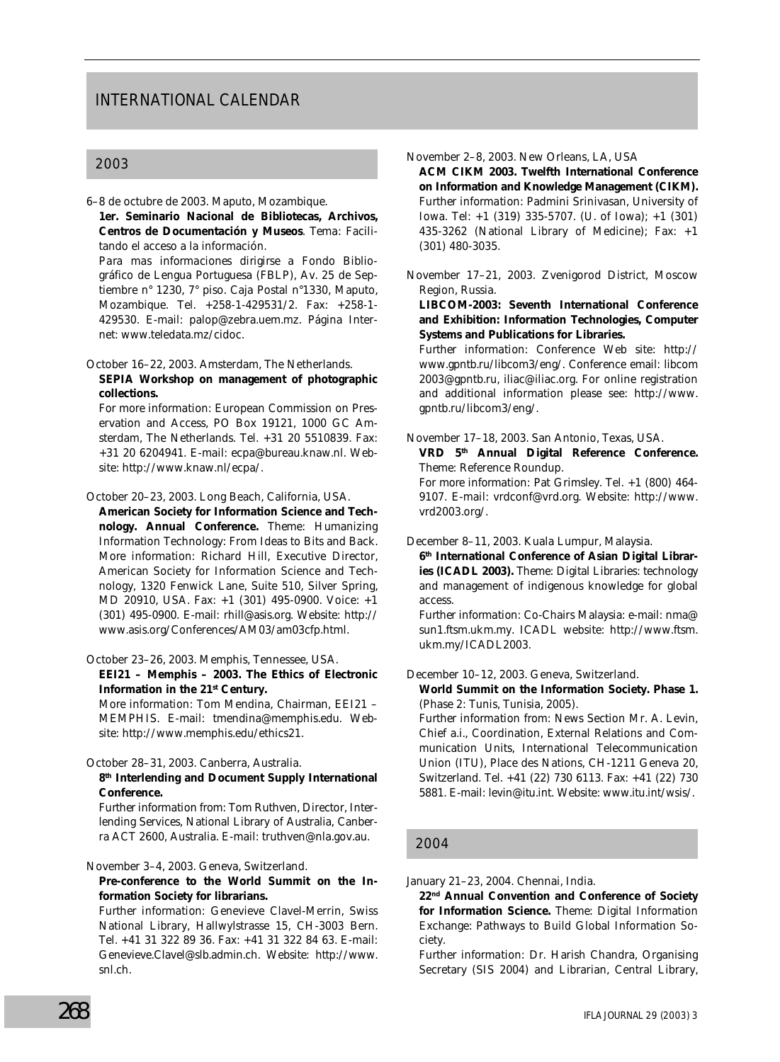# INTERNATIONAL CALENDAR

### 2003

6–8 de octubre de 2003. Maputo, Mozambique.

**1er. Seminario Nacional de Bibliotecas, Archivos, Centros de Documentación y Museos**. *Tema:* Facilitando el acceso a la información.

*Para mas informaciones dirigirse a* Fondo Bibliográfico de Lengua Portuguesa (FBLP), Av. 25 de Septiembre n° 1230, 7° piso. Caja Postal n°1330, Maputo, Mozambique. Tel. +258-1-429531/2. Fax: +258-1- 429530. E-mail: palop@zebra.uem.mz. Página Internet: www.teledata.mz/cidoc.

October 16–22, 2003. Amsterdam, The Netherlands.

#### **SEPIA Workshop on management of photographic collections.**

*For more information:* European Commission on Preservation and Access, PO Box 19121, 1000 GC Amsterdam, The Netherlands. Tel. +31 20 5510839. Fax: +31 20 6204941. E-mail: ecpa@bureau.knaw.nl. Website: http://www.knaw.nl/ecpa/.

October 20–23, 2003. Long Beach, California, USA. **American Society for Information Science and Technology. Annual Conference.** *Theme:* Humanizing Information Technology: From Ideas to Bits and Back. *More information:* Richard Hill, Executive Director, American Society for Information Science and Technology, 1320 Fenwick Lane, Suite 510, Silver Spring, MD 20910, USA. Fax: +1 (301) 495-0900. Voice: +1 (301) 495-0900. E-mail: rhill@asis.org. Website: http:// www.asis.org/Conferences/AM03/am03cfp.html.

#### October 23–26, 2003. Memphis, Tennessee, USA. **EEI21 – Memphis – 2003. The Ethics of Electronic Information in the 21st Century.**

*More information:* Tom Mendina, Chairman, EEI21 – MEMPHIS. E-mail: tmendina@memphis.edu. Website: http://www.memphis.edu/ethics21.

#### October 28–31, 2003. Canberra, Australia.

### **8th Interlending and Document Supply International Conference.**

*Further information from:* Tom Ruthven, Director, Interlending Services, National Library of Australia, Canberra ACT 2600, Australia. E-mail: truthven@nla.gov.au.

#### November 3–4, 2003. Geneva, Switzerland.

#### **Pre-conference to the World Summit on the Information Society for librarians.**

*Further information:* Genevieve Clavel-Merrin, Swiss National Library, Hallwylstrasse 15, CH-3003 Bern. Tel. +41 31 322 89 36. Fax: +41 31 322 84 63. E-mail: Genevieve.Clavel@slb.admin.ch. Website: http://www. snl.ch.

#### November 2–8, 2003. New Orleans, LA, USA

**ACM CIKM 2003. Twelfth International Conference on Information and Knowledge Management (CIKM).**  *Further information:* Padmini Srinivasan, University of Iowa. Tel: +1 (319) 335-5707. (U. of Iowa); +1 (301) 435-3262 (National Library of Medicine); Fax: +1 (301) 480-3035.

November 17–21, 2003. Zvenigorod District, Moscow Region, Russia.

**LIBCOM-2003: Seventh International Conference and Exhibition: Information Technologies, Computer Systems and Publications for Libraries.** 

*Further information:* Conference Web site: http:// www.gpntb.ru/libcom3/eng/. Conference email: libcom 2003@gpntb.ru, iliac@iliac.org. For online registration and additional information please see: http://www. gpntb.ru/libcom3/eng/.

November 17–18, 2003. San Antonio, Texas, USA. **VRD 5th Annual Digital Reference Conference.**  *Theme:* Reference Roundup.

*For more information:* Pat Grimsley. Tel. +1 (800) 464- 9107. E-mail: vrdconf@vrd.org. Website: http://www. vrd2003.org/.

December 8–11, 2003. Kuala Lumpur, Malaysia.

**6th International Conference of Asian Digital Libraries (ICADL 2003).** *Theme:* Digital Libraries: technology and management of indigenous knowledge for global access.

*Further information:* Co-Chairs Malaysia: e-mail: nma@ sun1.ftsm.ukm.my. ICADL website: http://www.ftsm. ukm.my/ICADL2003.

December 10–12, 2003. Geneva, Switzerland.

#### **World Summit on the Information Society. Phase 1.**  (Phase 2: Tunis, Tunisia, 2005).

*Further information from:* News Section Mr. A. Levin, Chief a.i., Coordination, External Relations and Communication Units, International Telecommunication Union (ITU), Place des Nations, CH-1211 Geneva 20, Switzerland. Tel. +41 (22) 730 6113. Fax: +41 (22) 730 5881. E-mail: levin@itu.int. Website: www.itu.int/wsis/.

# 2004

January 21–23, 2004. Chennai, India.

**22nd Annual Convention and Conference of Society for Information Science.** *Theme:* Digital Information Exchange: Pathways to Build Global Information Society.

*Further information:* Dr. Harish Chandra, Organising Secretary (SIS 2004) and Librarian, Central Library,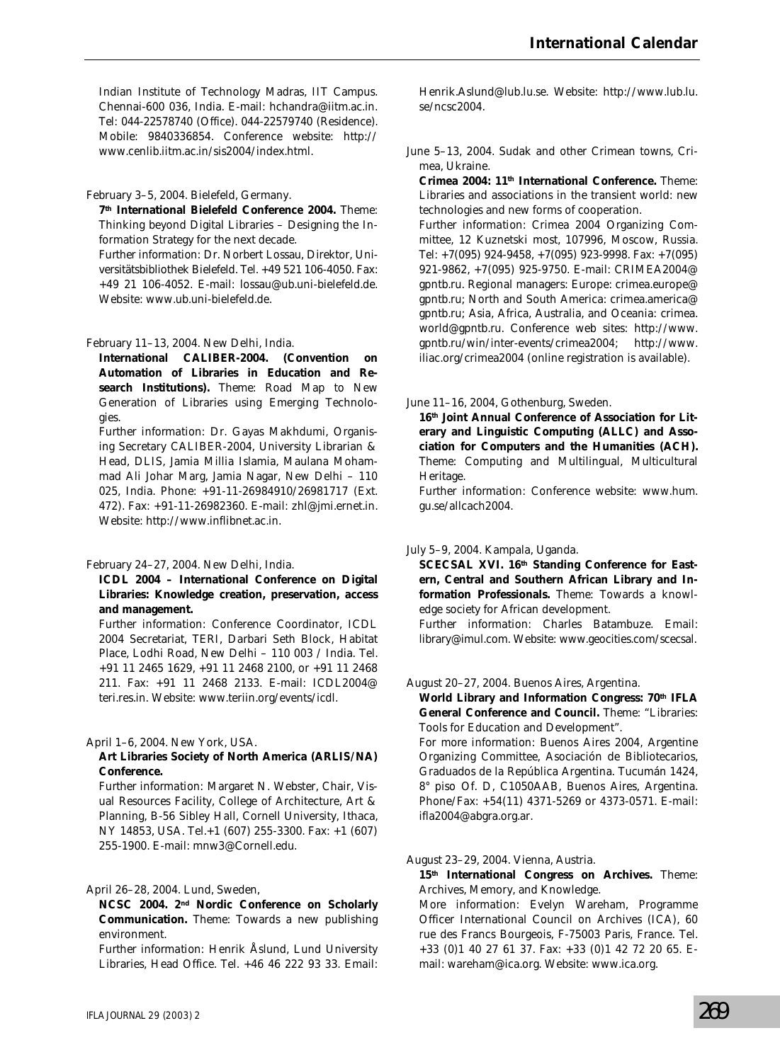Indian Institute of Technology Madras, IIT Campus. Chennai-600 036, India. E-mail: hchandra@iitm.ac.in. Tel: 044-22578740 (Office). 044-22579740 (Residence). Mobile: 9840336854. Conference website: http:// www.cenlib.iitm.ac.in/sis2004/index.html.

February 3–5, 2004. Bielefeld, Germany.

**7th International Bielefeld Conference 2004.** *Theme:*  Thinking beyond Digital Libraries – Designing the Information Strategy for the next decade. *Further information:* Dr. Norbert Lossau, Direktor, Universitätsbibliothek Bielefeld. Tel. +49 521 106-4050. Fax: +49 21 106-4052. E-mail: lossau@ub.uni-bielefeld.de. Website: www.ub.uni-bielefeld.de.

February 11–13, 2004. New Delhi, India.

**International CALIBER-2004. (Convention on Automation of Libraries in Education and Research Institutions).** *Theme:* Road Map to New Generation of Libraries using Emerging Technologies.

*Further information:* Dr. Gayas Makhdumi, Organising Secretary CALIBER-2004, University Librarian & Head, DLIS, Jamia Millia Islamia, Maulana Mohammad Ali Johar Marg, Jamia Nagar, New Delhi – 110 025, India. Phone: +91-11-26984910/26981717 (Ext. 472). Fax: +91-11-26982360. E-mail: zhl@jmi.ernet.in. Website: http://www.inflibnet.ac.in.

February 24–27, 2004. New Delhi, India.

### **ICDL 2004 – International Conference on Digital Libraries: Knowledge creation, preservation, access and management.**

*Further information:* Conference Coordinator, ICDL 2004 Secretariat, TERI, Darbari Seth Block, Habitat Place, Lodhi Road, New Delhi – 110 003 / India. Tel. +91 11 2465 1629, +91 11 2468 2100, or +91 11 2468 211. Fax: +91 11 2468 2133. E-mail: ICDL2004@ teri.res.in. Website: www.teriin.org/events/icdl.

April 1–6, 2004. New York, USA.

#### **Art Libraries Society of North America (ARLIS/NA) Conference.**

*Further information:* Margaret N. Webster, Chair, Visual Resources Facility, College of Architecture, Art & Planning, B-56 Sibley Hall, Cornell University, Ithaca, NY 14853, USA. Tel.+1 (607) 255-3300. Fax: +1 (607) 255-1900. E-mail: mnw3@Cornell.edu.

April 26–28, 2004. Lund, Sweden,

**NCSC 2004. 2nd Nordic Conference on Scholarly Communication.** *Theme:* Towards a new publishing environment.

*Further information:* Henrik Åslund, Lund University Libraries, Head Office. Tel. +46 46 222 93 33. Email: Henrik.Aslund@lub.lu.se. Website: http://www.lub.lu. se/ncsc2004.

June 5–13, 2004. Sudak and other Crimean towns, Crimea, Ukraine.

**Crimea 2004: 11th International Conference.** *Theme:*  Libraries and associations in the transient world: new technologies and new forms of cooperation.

*Further information:* Crimea 2004 Organizing Committee, 12 Kuznetski most, 107996, Moscow, Russia. Tel: +7(095) 924-9458, +7(095) 923-9998. Fax: +7(095) 921-9862, +7(095) 925-9750. E-mail: CRIMEA2004@ gpntb.ru. Regional managers: Europe: crimea.europe@ gpntb.ru; North and South America: crimea.america@ gpntb.ru; Asia, Africa, Australia, and Oceania: crimea. world@gpntb.ru. Conference web sites: http://www. gpntb.ru/win/inter-events/crimea2004; http://www. iliac.org/crimea2004 (online registration is available).

June 11–16, 2004, Gothenburg, Sweden.

**16th Joint Annual Conference of Association for Literary and Linguistic Computing (ALLC) and Association for Computers and the Humanities (ACH).**  *Theme:* Computing and Multilingual, Multicultural Heritage.

*Further information:* Conference website: www.hum. gu.se/allcach2004.

July 5–9, 2004. Kampala, Uganda.

SCECSAL XVI. 16<sup>th</sup> Standing Conference for East**ern, Central and Southern African Library and Information Professionals.** *Theme:* Towards a knowledge society for African development.

*Further information:* Charles Batambuze. Email: library@imul.com. Website: www.geocities.com/scecsal.

August 20–27, 2004. Buenos Aires, Argentina.

World Library and Information Congress: 70<sup>th</sup> IFLA **General Conference and Council.** *Theme:* "Libraries: Tools for Education and Development".

*For more information:* Buenos Aires 2004, Argentine Organizing Committee, Asociación de Bibliotecarios, Graduados de la República Argentina. Tucumán 1424, 8° piso Of. D, C1050AAB, Buenos Aires, Argentina. Phone/Fax: +54(11) 4371-5269 or 4373-0571. E-mail: ifla2004@abgra.org.ar.

August 23–29, 2004. Vienna, Austria.

**15th International Congress on Archives.** *Theme:*  Archives, Memory, and Knowledge.

*More information:* Evelyn Wareham, Programme Officer International Council on Archives (ICA), 60 rue des Francs Bourgeois, F-75003 Paris, France. Tel. +33 (0)1 40 27 61 37. Fax: +33 (0)1 42 72 20 65. Email: wareham@ica.org. Website: www.ica.org.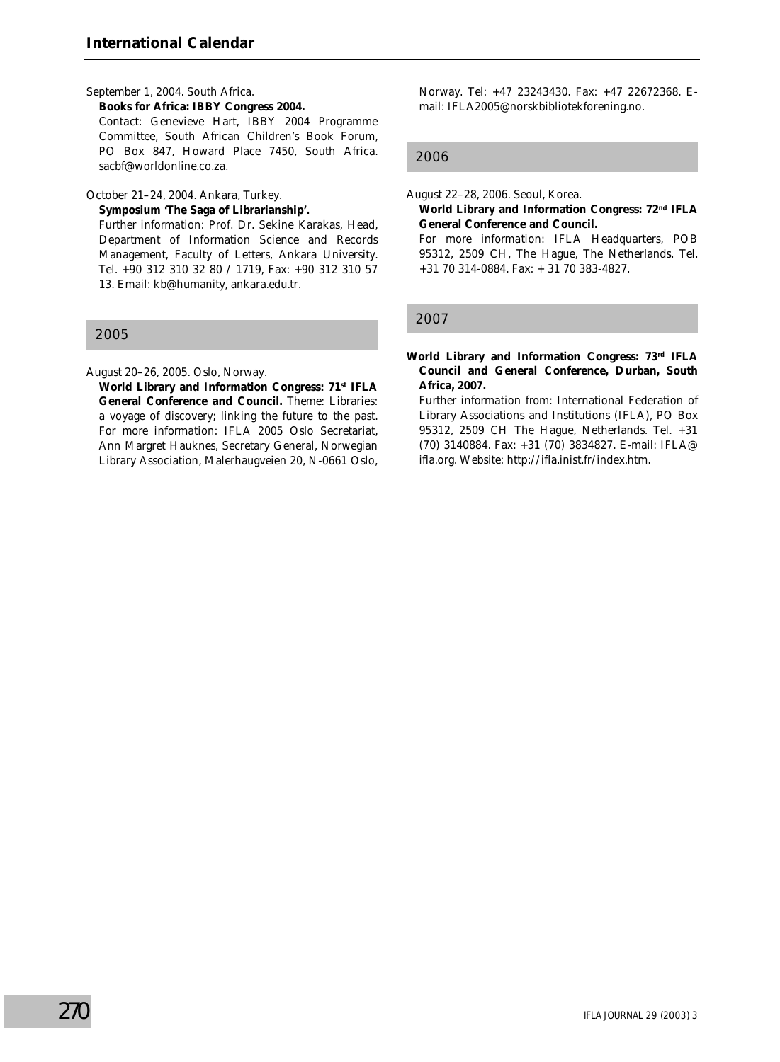### September 1, 2004. South Africa.

## **Books for Africa: IBBY Congress 2004.**

*Contact:* Genevieve Hart, IBBY 2004 Programme Committee, South African Children's Book Forum, PO Box 847, Howard Place 7450, South Africa. sacbf@worldonline.co.za.

October 21–24, 2004. Ankara, Turkey.

#### **Symposium 'The Saga of Librarianship'.**

*Further information:* Prof. Dr. Sekine Karakas, Head, Department of Information Science and Records Management, Faculty of Letters, Ankara University. Tel. +90 312 310 32 80 / 1719, Fax: +90 312 310 57 13. Email: kb@humanity, ankara.edu.tr.

2005

August 20–26, 2005. Oslo, Norway.

**World Library and Information Congress: 71st IFLA General Conference and Council.** *Theme:* Libraries: a voyage of discovery; linking the future to the past. *For more information:* IFLA 2005 Oslo Secretariat, Ann Margret Hauknes, Secretary General, Norwegian Library Association, Malerhaugveien 20, N-0661 Oslo, Norway. Tel: +47 23243430. Fax: +47 22672368. Email: IFLA2005@norskbibliotekforening.no.

## 2006

August 22–28, 2006. Seoul, Korea.

#### **World Library and Information Congress: 72nd IFLA General Conference and Council.**

*For more information:* IFLA Headquarters, POB 95312, 2509 CH, The Hague, The Netherlands. Tel. +31 70 314-0884. Fax: + 31 70 383-4827.

### 2007

#### **World Library and Information Congress: 73rd IFLA Council and General Conference, Durban, South Africa, 2007.**

*Further information from:* International Federation of Library Associations and Institutions (IFLA), PO Box 95312, 2509 CH The Hague, Netherlands. Tel. +31 (70) 3140884. Fax: +31 (70) 3834827. E-mail: IFLA@ ifla.org. Website: http://ifla.inist.fr/index.htm.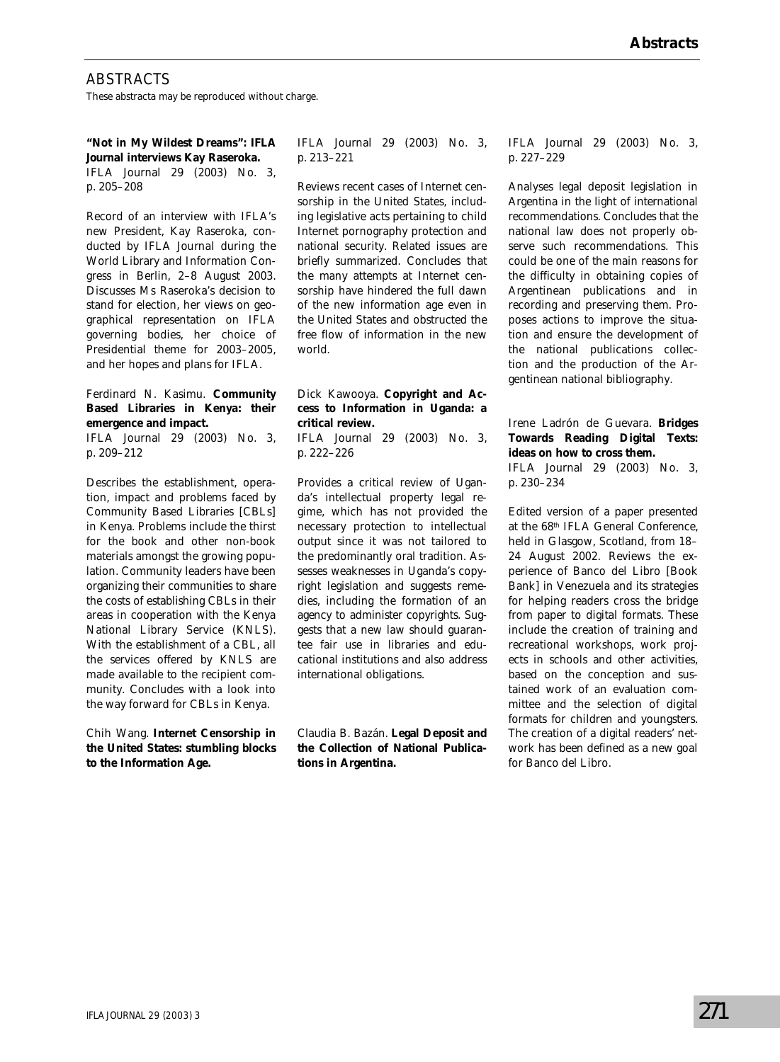# ABSTRACTS

These abstracta may be reproduced without charge.

#### **"Not in My Wildest Dreams":** *IFLA Journal* **interviews Kay Raseroka.**  IFLA Journal 29 (2003) No. 3, p. 205–208

Record of an interview with IFLA's new President, Kay Raseroka, conducted by *IFLA Journal* during the World Library and Information Congress in Berlin, 2–8 August 2003. Discusses Ms Raseroka's decision to stand for election, her views on geographical representation on IFLA governing bodies, her choice of Presidential theme for 2003–2005, and her hopes and plans for IFLA.

#### Ferdinard N. Kasimu. **Community Based Libraries in Kenya: their emergence and impact.**

IFLA Journal 29 (2003) No. 3, p. 209–212

Describes the establishment, operation, impact and problems faced by Community Based Libraries [CBLs] in Kenya. Problems include the thirst for the book and other non-book materials amongst the growing population. Community leaders have been organizing their communities to share the costs of establishing CBLs in their areas in cooperation with the Kenya National Library Service (KNLS). With the establishment of a CBL, all the services offered by KNLS are made available to the recipient community. Concludes with a look into the way forward for CBLs in Kenya.

Chih Wang. **Internet Censorship in the United States: stumbling blocks to the Information Age.** 

IFLA Journal 29 (2003) No. 3, p. 213–221

Reviews recent cases of Internet censorship in the United States, including legislative acts pertaining to child Internet pornography protection and national security. Related issues are briefly summarized. Concludes that the many attempts at Internet censorship have hindered the full dawn of the new information age even in the United States and obstructed the free flow of information in the new world.

#### Dick Kawooya. **Copyright and Access to Information in Uganda: a critical review.**

IFLA Journal 29 (2003) No. 3, p. 222–226

Provides a critical review of Uganda's intellectual property legal regime, which has not provided the necessary protection to intellectual output since it was not tailored to the predominantly oral tradition. Assesses weaknesses in Uganda's copyright legislation and suggests remedies, including the formation of an agency to administer copyrights. Suggests that a new law should guarantee fair use in libraries and educational institutions and also address international obligations.

Claudia B. Bazán. **Legal Deposit and the Collection of National Publications in Argentina.** 

IFLA Journal 29 (2003) No. 3, p. 227–229

Analyses legal deposit legislation in Argentina in the light of international recommendations. Concludes that the national law does not properly observe such recommendations. This could be one of the main reasons for the difficulty in obtaining copies of Argentinean publications and in recording and preserving them. Proposes actions to improve the situation and ensure the development of the national publications collection and the production of the Argentinean national bibliography.

#### Irene Ladrón de Guevara. **Bridges Towards Reading Digital Texts: ideas on how to cross them.**  IFLA Journal 29 (2003) No. 3,

p. 230–234

Edited version of a paper presented at the 68th IFLA General Conference, held in Glasgow, Scotland, from 18– 24 August 2002. Reviews the experience of Banco del Libro [Book Bank] in Venezuela and its strategies for helping readers cross the bridge from paper to digital formats. These include the creation of training and recreational workshops, work projects in schools and other activities, based on the conception and sustained work of an evaluation committee and the selection of digital formats for children and youngsters. The creation of a digital readers' network has been defined as a new goal for Banco del Libro.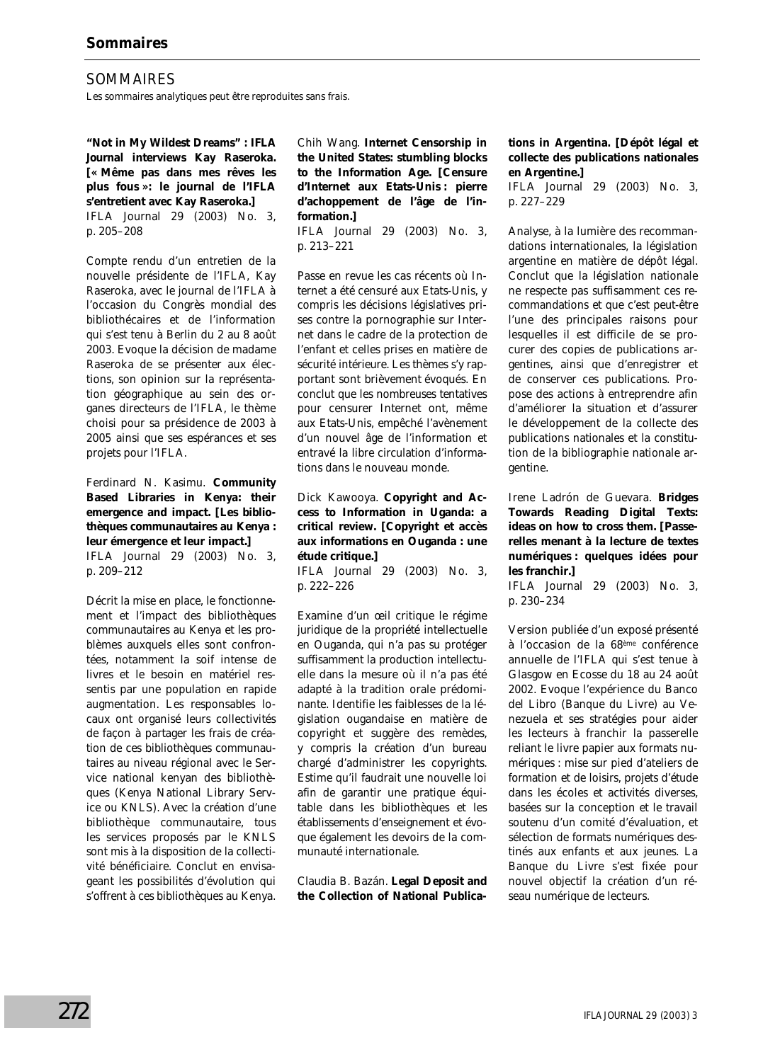# SOMMAIRES

Les sommaires analytiques peut être reproduites sans frais.

**"Not in My Wildest Dreams" :** *IFLA Journal* **interviews Kay Raseroka. [« Même pas dans mes rêves les plus fous »: le journal de l'IFLA s'entretient avec Kay Raseroka.]**  IFLA Journal 29 (2003) No. 3, p. 205–208

Compte rendu d'un entretien de la nouvelle présidente de l'IFLA, Kay Raseroka, avec le journal de l'IFLA à l'occasion du Congrès mondial des bibliothécaires et de l'information qui s'est tenu à Berlin du 2 au 8 août 2003. Evoque la décision de madame Raseroka de se présenter aux élections, son opinion sur la représentation géographique au sein des organes directeurs de l'IFLA, le thème choisi pour sa présidence de 2003 à 2005 ainsi que ses espérances et ses projets pour l'IFLA.

Ferdinard N. Kasimu. **Community Based Libraries in Kenya: their emergence and impact. [Les bibliothèques communautaires au Kenya : leur émergence et leur impact.]**  IFLA Journal 29 (2003) No. 3, p. 209–212

Décrit la mise en place, le fonctionnement et l'impact des bibliothèques communautaires au Kenya et les problèmes auxquels elles sont confrontées, notamment la soif intense de livres et le besoin en matériel ressentis par une population en rapide augmentation. Les responsables locaux ont organisé leurs collectivités de façon à partager les frais de création de ces bibliothèques communautaires au niveau régional avec le Service national kenyan des bibliothèques (Kenya National Library Service ou KNLS). Avec la création d'une bibliothèque communautaire, tous les services proposés par le KNLS sont mis à la disposition de la collectivité bénéficiaire. Conclut en envisageant les possibilités d'évolution qui s'offrent à ces bibliothèques au Kenya.

Chih Wang. **Internet Censorship in the United States: stumbling blocks to the Information Age. [Censure d'Internet aux Etats-Unis : pierre d'achoppement de l'âge de l'information.]** 

IFLA Journal 29 (2003) No. 3, p. 213–221

Passe en revue les cas récents où Internet a été censuré aux Etats-Unis, y compris les décisions législatives prises contre la pornographie sur Internet dans le cadre de la protection de l'enfant et celles prises en matière de sécurité intérieure. Les thèmes s'y rapportant sont brièvement évoqués. En conclut que les nombreuses tentatives pour censurer Internet ont, même aux Etats-Unis, empêché l'avènement d'un nouvel âge de l'information et entravé la libre circulation d'informations dans le nouveau monde.

#### Dick Kawooya. **Copyright and Access to Information in Uganda: a critical review. [Copyright et accès aux informations en Ouganda : une étude critique.]**

IFLA Journal 29 (2003) No. 3, p. 222–226

Examine d'un œil critique le régime juridique de la propriété intellectuelle en Ouganda, qui n'a pas su protéger suffisamment la production intellectuelle dans la mesure où il n'a pas été adapté à la tradition orale prédominante. Identifie les faiblesses de la législation ougandaise en matière de copyright et suggère des remèdes, y compris la création d'un bureau chargé d'administrer les copyrights. Estime qu'il faudrait une nouvelle loi afin de garantir une pratique équitable dans les bibliothèques et les établissements d'enseignement et évoque également les devoirs de la communauté internationale.

Claudia B. Bazán. **Legal Deposit and the Collection of National Publica-**

#### **tions in Argentina. [Dépôt légal et collecte des publications nationales en Argentine.]**

IFLA Journal 29 (2003) No. 3, p. 227–229

Analyse, à la lumière des recommandations internationales, la législation argentine en matière de dépôt légal. Conclut que la législation nationale ne respecte pas suffisamment ces recommandations et que c'est peut-être l'une des principales raisons pour lesquelles il est difficile de se procurer des copies de publications argentines, ainsi que d'enregistrer et de conserver ces publications. Propose des actions à entreprendre afin d'améliorer la situation et d'assurer le développement de la collecte des publications nationales et la constitution de la bibliographie nationale argentine.

#### Irene Ladrón de Guevara. **Bridges Towards Reading Digital Texts: ideas on how to cross them. [Passerelles menant à la lecture de textes numériques : quelques idées pour les franchir.]**

IFLA Journal 29 (2003) No. 3, p. 230–234

Version publiée d'un exposé présenté à l'occasion de la 68ème conférence annuelle de l'IFLA qui s'est tenue à Glasgow en Ecosse du 18 au 24 août 2002. Evoque l'expérience du Banco del Libro (Banque du Livre) au Venezuela et ses stratégies pour aider les lecteurs à franchir la passerelle reliant le livre papier aux formats numériques : mise sur pied d'ateliers de formation et de loisirs, projets d'étude dans les écoles et activités diverses, basées sur la conception et le travail soutenu d'un comité d'évaluation, et sélection de formats numériques destinés aux enfants et aux jeunes. La Banque du Livre s'est fixée pour nouvel objectif la création d'un réseau numérique de lecteurs.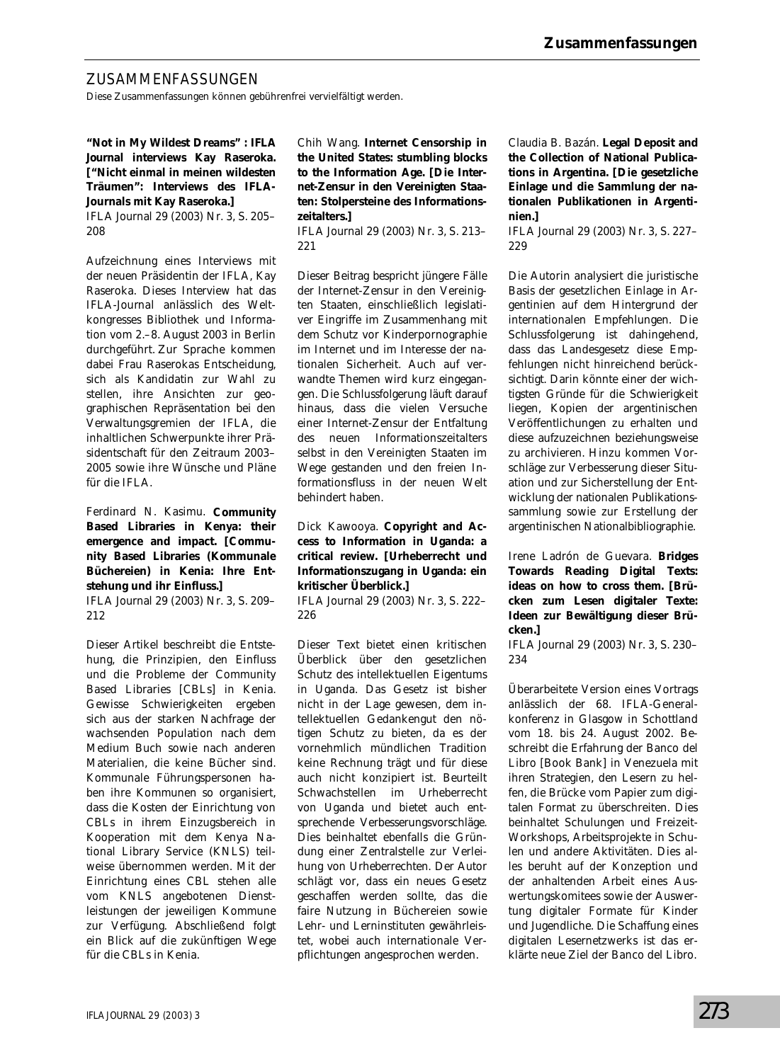## ZUSAMMENFASSUNGEN

Diese Zusammenfassungen können gebührenfrei vervielfältigt werden.

### **"Not in My Wildest Dreams" :** *IFLA Journal* **interviews Kay Raseroka. ["Nicht einmal in meinen wildesten Träumen": Interviews des IFLA-Journals mit Kay Raseroka.]**

IFLA Journal 29 (2003) Nr. 3, S. 205– 208

Aufzeichnung eines Interviews mit der neuen Präsidentin der IFLA, Kay Raseroka. Dieses Interview hat das *IFLA-Journal* anlässlich des Weltkongresses Bibliothek und Information vom 2.–8. August 2003 in Berlin durchgeführt. Zur Sprache kommen dabei Frau Raserokas Entscheidung, sich als Kandidatin zur Wahl zu stellen, ihre Ansichten zur geographischen Repräsentation bei den Verwaltungsgremien der IFLA, die inhaltlichen Schwerpunkte ihrer Präsidentschaft für den Zeitraum 2003– 2005 sowie ihre Wünsche und Pläne für die IFLA.

## Ferdinard N. Kasimu. **Community Based Libraries in Kenya: their emergence and impact. [Community Based Libraries (Kommunale Büchereien) in Kenia: Ihre Entstehung und ihr Einfluss.]**

IFLA Journal 29 (2003) Nr. 3, S. 209– 212

Dieser Artikel beschreibt die Entstehung, die Prinzipien, den Einfluss und die Probleme der Community Based Libraries [CBLs] in Kenia. Gewisse Schwierigkeiten ergeben sich aus der starken Nachfrage der wachsenden Population nach dem Medium Buch sowie nach anderen Materialien, die keine Bücher sind. Kommunale Führungspersonen haben ihre Kommunen so organisiert, dass die Kosten der Einrichtung von CBLs in ihrem Einzugsbereich in Kooperation mit dem Kenya National Library Service (KNLS) teilweise übernommen werden. Mit der Einrichtung eines CBL stehen alle vom KNLS angebotenen Dienstleistungen der jeweiligen Kommune zur Verfügung. Abschließend folgt ein Blick auf die zukünftigen Wege für die CBLs in Kenia.

Chih Wang. **Internet Censorship in the United States: stumbling blocks to the Information Age. [Die Internet-Zensur in den Vereinigten Staaten: Stolpersteine des Informationszeitalters.]** 

IFLA Journal 29 (2003) Nr. 3, S. 213– 221

Dieser Beitrag bespricht jüngere Fälle der Internet-Zensur in den Vereinigten Staaten, einschließlich legislativer Eingriffe im Zusammenhang mit dem Schutz vor Kinderpornographie im Internet und im Interesse der nationalen Sicherheit. Auch auf verwandte Themen wird kurz eingegangen. Die Schlussfolgerung läuft darauf hinaus, dass die vielen Versuche einer Internet-Zensur der Entfaltung des neuen Informationszeitalters selbst in den Vereinigten Staaten im Wege gestanden und den freien Informationsfluss in der neuen Welt behindert haben.

## Dick Kawooya. **Copyright and Access to Information in Uganda: a critical review. [Urheberrecht und Informationszugang in Uganda: ein kritischer Überblick.]**

IFLA Journal 29 (2003) Nr. 3, S. 222– 226

Dieser Text bietet einen kritischen Überblick über den gesetzlichen Schutz des intellektuellen Eigentums in Uganda. Das Gesetz ist bisher nicht in der Lage gewesen, dem intellektuellen Gedankengut den nötigen Schutz zu bieten, da es der vornehmlich mündlichen Tradition keine Rechnung trägt und für diese auch nicht konzipiert ist. Beurteilt Schwachstellen im Urheberrecht von Uganda und bietet auch entsprechende Verbesserungsvorschläge. Dies beinhaltet ebenfalls die Gründung einer Zentralstelle zur Verleihung von Urheberrechten. Der Autor schlägt vor, dass ein neues Gesetz geschaffen werden sollte, das die faire Nutzung in Büchereien sowie Lehr- und Lerninstituten gewährleistet, wobei auch internationale Verpflichtungen angesprochen werden.

Claudia B. Bazán. **Legal Deposit and the Collection of National Publications in Argentina. [Die gesetzliche Einlage und die Sammlung der nationalen Publikationen in Argentinien.]** 

IFLA Journal 29 (2003) Nr. 3, S. 227– 229

Die Autorin analysiert die juristische Basis der gesetzlichen Einlage in Argentinien auf dem Hintergrund der internationalen Empfehlungen. Die Schlussfolgerung ist dahingehend, dass das Landesgesetz diese Empfehlungen nicht hinreichend berücksichtigt. Darin könnte einer der wichtigsten Gründe für die Schwierigkeit liegen, Kopien der argentinischen Veröffentlichungen zu erhalten und diese aufzuzeichnen beziehungsweise zu archivieren. Hinzu kommen Vorschläge zur Verbesserung dieser Situation und zur Sicherstellung der Entwicklung der nationalen Publikationssammlung sowie zur Erstellung der argentinischen Nationalbibliographie.

## Irene Ladrón de Guevara. **Bridges Towards Reading Digital Texts: ideas on how to cross them. [Brücken zum Lesen digitaler Texte: Ideen zur Bewältigung dieser Brücken.]**

IFLA Journal 29 (2003) Nr. 3, S. 230– 234

Überarbeitete Version eines Vortrags anlässlich der 68. IFLA-Generalkonferenz in Glasgow in Schottland vom 18. bis 24. August 2002. Beschreibt die Erfahrung der Banco del Libro [Book Bank] in Venezuela mit ihren Strategien, den Lesern zu helfen, die Brücke vom Papier zum digitalen Format zu überschreiten. Dies beinhaltet Schulungen und Freizeit-Workshops, Arbeitsprojekte in Schulen und andere Aktivitäten. Dies alles beruht auf der Konzeption und der anhaltenden Arbeit eines Auswertungskomitees sowie der Auswertung digitaler Formate für Kinder und Jugendliche. Die Schaffung eines digitalen Lesernetzwerks ist das erklärte neue Ziel der Banco del Libro.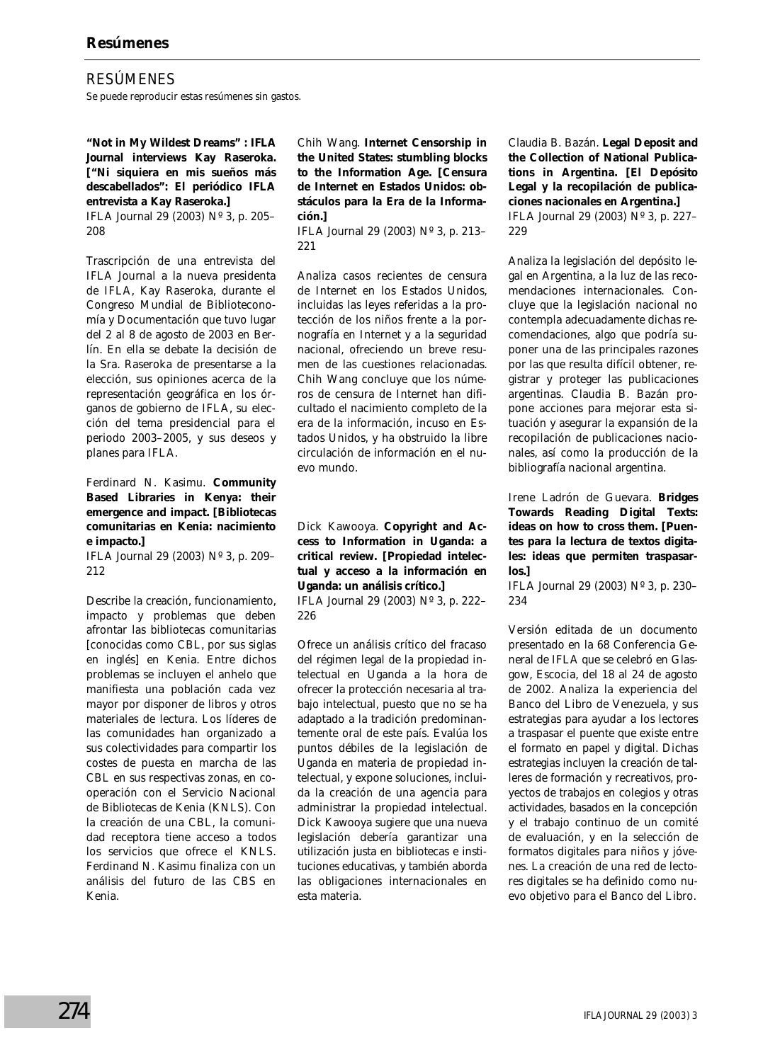## RESÚMENES

Se puede reproducir estas resúmenes sin gastos.

### **"Not in My Wildest Dreams" :** *IFLA Journal* **interviews Kay Raseroka. ["Ni siquiera en mis sueños más descabellados": El periódico IFLA entrevista a Kay Raseroka.]**

IFLA Journal 29 (2003) Nº 3, p. 205– 208

Trascripción de una entrevista del *IFLA Journal* a la nueva presidenta de IFLA, Kay Raseroka, durante el Congreso Mundial de Biblioteconomía y Documentación que tuvo lugar del 2 al 8 de agosto de 2003 en Berlín. En ella se debate la decisión de la Sra. Raseroka de presentarse a la elección, sus opiniones acerca de la representación geográfica en los órganos de gobierno de IFLA, su elección del tema presidencial para el periodo 2003–2005, y sus deseos y planes para IFLA.

## Ferdinard N. Kasimu. **Community Based Libraries in Kenya: their emergence and impact. [Bibliotecas comunitarias en Kenia: nacimiento e impacto.]**

IFLA Journal 29 (2003) Nº 3, p. 209– 212

Describe la creación, funcionamiento, impacto y problemas que deben afrontar las bibliotecas comunitarias [conocidas como CBL, por sus siglas en inglés] en Kenia. Entre dichos problemas se incluyen el anhelo que manifiesta una población cada vez mayor por disponer de libros y otros materiales de lectura. Los líderes de las comunidades han organizado a sus colectividades para compartir los costes de puesta en marcha de las CBL en sus respectivas zonas, en cooperación con el Servicio Nacional de Bibliotecas de Kenia (KNLS). Con la creación de una CBL, la comunidad receptora tiene acceso a todos los servicios que ofrece el KNLS. Ferdinand N. Kasimu finaliza con un análisis del futuro de las CBS en Kenia.

Chih Wang. **Internet Censorship in the United States: stumbling blocks to the Information Age. [Censura de Internet en Estados Unidos: obstáculos para la Era de la Información.]** 

IFLA Journal 29 (2003) Nº 3, p. 213– 221

Analiza casos recientes de censura de Internet en los Estados Unidos, incluidas las leyes referidas a la protección de los niños frente a la pornografía en Internet y a la seguridad nacional, ofreciendo un breve resumen de las cuestiones relacionadas. Chih Wang concluye que los números de censura de Internet han dificultado el nacimiento completo de la era de la información, incuso en Estados Unidos, y ha obstruido la libre circulación de información en el nuevo mundo.

Dick Kawooya. **Copyright and Access to Information in Uganda: a critical review. [Propiedad intelectual y acceso a la información en Uganda: un análisis crítico.]** 

IFLA Journal 29 (2003) Nº 3, p. 222– 226

Ofrece un análisis crítico del fracaso del régimen legal de la propiedad intelectual en Uganda a la hora de ofrecer la protección necesaria al trabajo intelectual, puesto que no se ha adaptado a la tradición predominantemente oral de este país. Evalúa los puntos débiles de la legislación de Uganda en materia de propiedad intelectual, y expone soluciones, incluida la creación de una agencia para administrar la propiedad intelectual. Dick Kawooya sugiere que una nueva legislación debería garantizar una utilización justa en bibliotecas e instituciones educativas, y también aborda las obligaciones internacionales en esta materia.

Claudia B. Bazán. **Legal Deposit and the Collection of National Publications in Argentina. [El Depósito Legal y la recopilación de publicaciones nacionales en Argentina.]**  IFLA Journal 29 (2003) Nº 3, p. 227– 229

Analiza la legislación del depósito legal en Argentina, a la luz de las recomendaciones internacionales. Concluye que la legislación nacional no contempla adecuadamente dichas recomendaciones, algo que podría suponer una de las principales razones por las que resulta difícil obtener, registrar y proteger las publicaciones argentinas. Claudia B. Bazán propone acciones para mejorar esta situación y asegurar la expansión de la recopilación de publicaciones nacionales, así como la producción de la bibliografía nacional argentina.

Irene Ladrón de Guevara. **Bridges Towards Reading Digital Texts: ideas on how to cross them. [Puentes para la lectura de textos digitales: ideas que permiten traspasarlos.]** 

IFLA Journal 29 (2003) Nº 3, p. 230– 234

Versión editada de un documento presentado en la 68 Conferencia General de IFLA que se celebró en Glasgow, Escocia, del 18 al 24 de agosto de 2002. Analiza la experiencia del Banco del Libro de Venezuela, y sus estrategias para ayudar a los lectores a traspasar el puente que existe entre el formato en papel y digital. Dichas estrategias incluyen la creación de talleres de formación y recreativos, proyectos de trabajos en colegios y otras actividades, basados en la concepción y el trabajo continuo de un comité de evaluación, y en la selección de formatos digitales para niños y jóvenes. La creación de una red de lectores digitales se ha definido como nuevo objetivo para el Banco del Libro.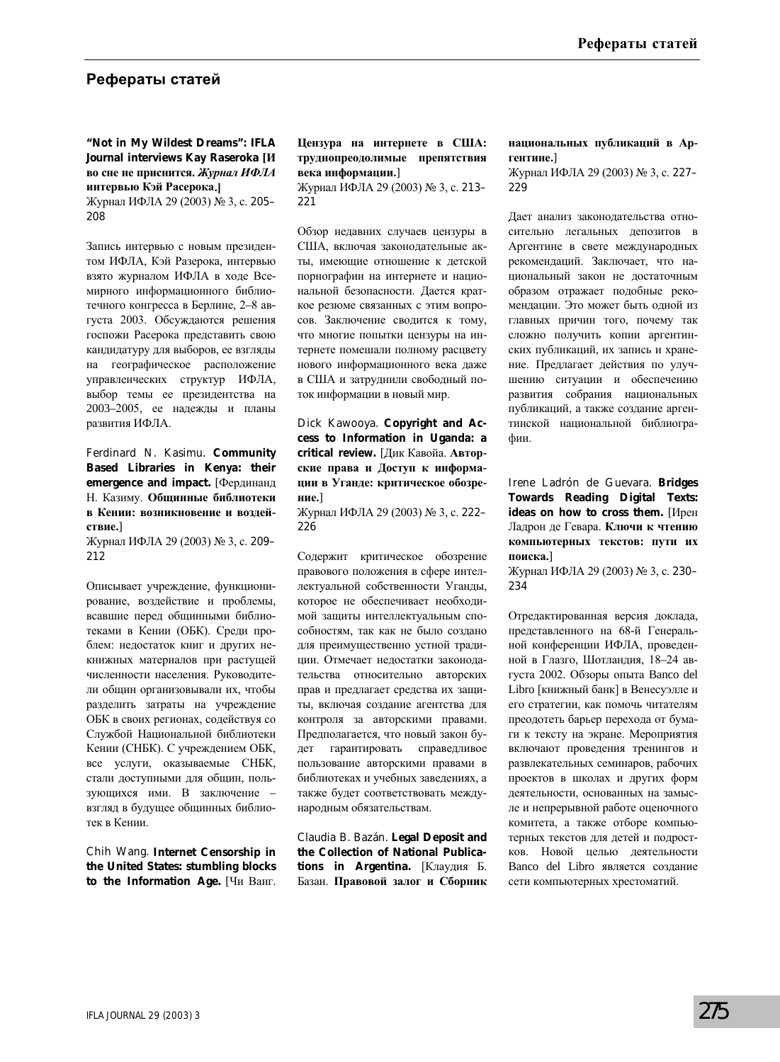## Рефераты статей

**"Not in My Wildest Dreams":** *IFLA Journal* **interviews Kay Raseroka [** во сне не приснится. Журнал ИФЛА интервью Кэй Расерока.] Журнал ИФЛА 29 (2003) № 3, с. 205-208

Запись интервью с новым президентом ИФЛА, Кэй Разерока, интервью взято журналом ИФЛА в ходе Всемирного информационного библиотечного конгресса в Берлине, 2-8 августа 2003. Обсуждаются решения госпожи Расерока представить свою кандидатуру для выборов, ее взгляды на географическое расположение управленческих структур ИФЛА, выбор темы ее президентства на 2003-2005, ее надежды и планы развития ИФЛА.

Ferdinard N. Kasimu. **Community Based Libraries in Kenya: their emergence and impact.** [Фердинанд Н. Казиму. Общинные библиотеки в Кении: возникновение и воздействие.]

Журнал ИФЛА 29 (2003) № 3, с. 209-212

Описывает учреждение, функционирование, воздействие и проблемы, всавшие перед общинными библиотеками в Кении (ОБК). Среди проблем: недостаток книг и других некнижных материалов при растушей численности населения. Руководители общин организовывали их, чтобы пазлелить затраты на учрежление ОБК в своих регионах, содействуя со Службой Национальной библиотеки Кении (СНБК). С учреждением ОБК, все услуги, оказываемые СНБК, стали доступными для общин, пользующихся ими. В заключение взгляд в будущее общинных библиотек в Кении.

Chih Wang. **Internet Censorship in the United States: stumbling blocks**  to the Information Age. [ $4H$  BaHr.

Цензура на интернете в США: трулнопреололимые препятствия века информации.] Журнал ИФЛА 29 (2003) № 3, с. 213-221

Обзор нелавних случаев пензуры в США, включая законодательные акты, имеющие отношение к детской порнографии на интернете и национальной безопасности. Дается краткое резюме связанных с этим вопросов. Заключение сводится к тому, что многие попытки цензуры на интернете помешали полному расцвету нового информационного века даже в США и затруднили свободный поток информации в новый мир.

Dick Kawooya. **Copyright and Access to Information in Uganda: a critical review.** [*IHK Kaboйa*. **ABTOD**ские права и Доступ к информации в Уганде: критическое обозрение.]

Журнал ИФЛА 29 (2003) № 3, с. 222-226

Содержит критическое обозрение правового положения в сфере интеллектуальной собственности Уганды, которое не обеспечивает необходимой защиты интеллектуальным способностям, так как не было созлано для преимущественно устной традиции. Отмечает недостатки законодательства относительно авторских прав и предлагает средства их защиты, включая создание агентства для контроля за авторскими правами. Предполагается, что новый закон будет гарантировать справедливое пользование авторскими правами в библиотеках и учебных заведениях, а также будет соответствовать международным обязательствам.

Claudia B. Bazán. **Legal Deposit and the Collection of National Publica**tions in Argentina. [Клаудия Б. Базан. Правовой залог и Сборник

## национальных публикаций в Аргентине.]

Журнал ИФЛА 29 (2003) № 3, с. 227-229

Лает анализ законолательства относительно легальных депозитов в Аргентине в свете международных рекомендаций. Заключает, что национальный закон не достаточным образом отражает подобные рекомендации. Это может быть одной из главных причин того, почему <mark>так</mark> сложно получить копии аргентинских публикаций, их запись и хранение. Предлагает действия по улучшению ситуации и обеспечению развития собрания национальных -<br>публикаций, а также создание аргентинской национальной библиографии.

Irene Ladrón de Guevara. **Bridges Towards Reading Digital Texts: ideas on how to cross them.** [ Ладрон де Гевара. Ключи к чтению компьютерных текстов: пути их поиска.]

Журнал ИФЛА 29 (2003) № 3, с. 230-234

Отредактированная версия доклада, представленного на 68-й Генеральной конференции ИФЛА, проведенной в Глазго, Шотландия, 18-24 августа 2002. Обзоры опыта Banco del Libro [книжный банк] в Венесуэлле и его стратегии, как помочь читателям преодотеть барьер перехода от бумаги к тексту на экране. Мероприятия включают проведения тренингов и развлекательных семинаров, рабочих -<br>проектов в школах и других форм деятельности, основанных на замысле и непрерывной работе оценочного комитета, а также отборе компьютерных текстов для детей и подростков. Новой целью деятельности Banco del Libro является создание сети компьютерных хрестоматий.